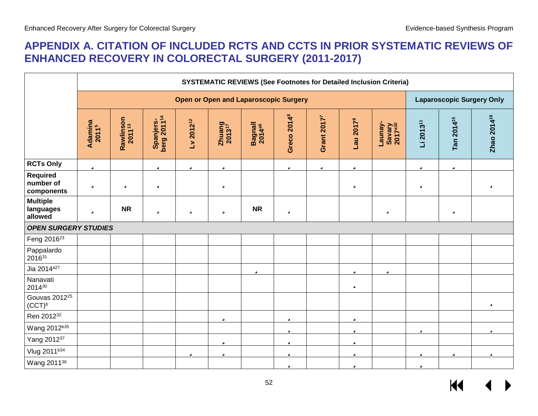# **APPENDIX A. CITATION OF INCLUDED RCTS AND CCTS IN PRIOR SYSTEMATIC REVIEWS OF ENHANCED RECOVERY IN COLORECTAL SURGERY (2011-2017)**

|                                            |                              | <b>SYSTEMATIC REVIEWS (See Footnotes for Detailed Inclusion Criteria)</b> |                                      |                |                                 |                               |                         |                         |                       |                                          |                       |                        |                         |
|--------------------------------------------|------------------------------|---------------------------------------------------------------------------|--------------------------------------|----------------|---------------------------------|-------------------------------|-------------------------|-------------------------|-----------------------|------------------------------------------|-----------------------|------------------------|-------------------------|
|                                            |                              | <b>Open or Open and Laparoscopic Surgery</b>                              |                                      |                |                                 |                               |                         |                         |                       | <b>Laparoscopic Surgery Only</b>         |                       |                        |                         |
|                                            | Adamina<br>2011 <sup>5</sup> | Rawlinson<br>2011 <sup>13</sup>                                           | Spanjers-<br>berg 2011 <sup>14</sup> | $Lv 2012^{12}$ | $Z$ huang<br>2013 <sup>17</sup> | Bagnall<br>2014 <sup>a6</sup> | Greco 2014 <sup>8</sup> | Grant 2017 <sup>7</sup> | Lau 2017 <sup>9</sup> | -Veunay<br>Savary<br>2017 <sup>a10</sup> | Li 2013 <sup>11</sup> | Tan 2014 <sup>15</sup> | Zhao 2014 <sup>16</sup> |
| <b>RCTs Only</b>                           | ü                            |                                                                           | ü                                    | ü              | ü                               |                               | ü                       | ü                       | ü                     |                                          | ü                     | ü                      |                         |
| <b>Required</b><br>number of<br>components | ü                            | ü                                                                         | ü                                    |                | ü                               |                               |                         |                         | ü                     |                                          | ü                     |                        | ü                       |
| <b>Multiple</b><br>languages<br>allowed    | ü                            | <b>NR</b>                                                                 | ü                                    | ü              | ü                               | <b>NR</b>                     | ü                       |                         |                       | ü                                        |                       | ü                      |                         |
| <b>OPEN SURGERY STUDIES</b>                |                              |                                                                           |                                      |                |                                 |                               |                         |                         |                       |                                          |                       |                        |                         |
| Feng 2016 <sup>23</sup>                    |                              |                                                                           |                                      |                |                                 |                               |                         |                         |                       |                                          |                       |                        |                         |
| Pappalardo<br>201631                       |                              |                                                                           |                                      |                |                                 |                               |                         |                         |                       |                                          |                       |                        |                         |
| Jia 2014 <sup>a27</sup>                    |                              |                                                                           |                                      |                |                                 | ü                             |                         |                         | ü                     | ü                                        |                       |                        |                         |
| Nanavati<br>201430                         |                              |                                                                           |                                      |                |                                 |                               |                         |                         | ü                     |                                          |                       |                        |                         |
| Gouvas 2012 <sup>25</sup><br>$(CCT)^b$     |                              |                                                                           |                                      |                |                                 |                               |                         |                         |                       |                                          |                       |                        | ü                       |
| Ren 201232                                 |                              |                                                                           |                                      |                | ü                               |                               | ü                       |                         | ü                     |                                          |                       |                        |                         |
| Wang 2012b35                               |                              |                                                                           |                                      |                |                                 |                               | ü                       |                         | ü                     |                                          | ü                     |                        | ü                       |
| Yang 201237                                |                              |                                                                           |                                      |                | ü                               |                               | ü                       |                         | ü                     |                                          |                       |                        |                         |
| Vlug 2011b34                               |                              |                                                                           |                                      | ü              | ü                               |                               | ü                       |                         | ü                     |                                          | ü                     | ü                      | ü                       |
| Wang 2011 <sup>36</sup>                    |                              |                                                                           |                                      |                |                                 |                               | ü                       |                         | ü                     |                                          | ü                     |                        |                         |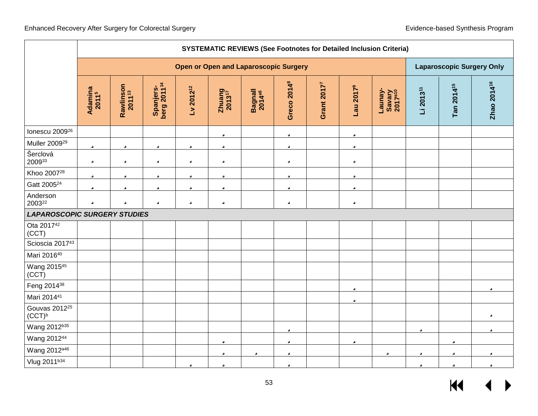|                                        |                                              | <b>SYSTEMATIC REVIEWS (See Footnotes for Detailed Inclusion Criteria)</b> |                                      |                       |                          |                               |                         |                         |                       |                                          |                       |                        |                         |
|----------------------------------------|----------------------------------------------|---------------------------------------------------------------------------|--------------------------------------|-----------------------|--------------------------|-------------------------------|-------------------------|-------------------------|-----------------------|------------------------------------------|-----------------------|------------------------|-------------------------|
|                                        | <b>Open or Open and Laparoscopic Surgery</b> |                                                                           |                                      |                       |                          |                               |                         |                         |                       | <b>Laparoscopic Surgery Only</b>         |                       |                        |                         |
|                                        | Adamina<br>2011 <sup>5</sup>                 | Rawlinson<br>2011 <sup>13</sup>                                           | Spanjers-<br>berg 2011 <sup>14</sup> | Lv 2012 <sup>12</sup> | $Z$ huang<br>$2013^{17}$ | Bagnall<br>2014 <sup>a6</sup> | Greco 2014 <sup>8</sup> | Grant 2017 <sup>7</sup> | Lau 2017 <sup>9</sup> | Launay-<br>Savary<br>2017 <sup>a10</sup> | Li 2013 <sup>11</sup> | Tan 2014 <sup>15</sup> | Zhao 2014 <sup>16</sup> |
| lonescu 2009 <sup>26</sup>             |                                              |                                                                           |                                      |                       | ü                        |                               | ü                       |                         | ü                     |                                          |                       |                        |                         |
| Muller 2009 <sup>29</sup>              | ü                                            | ü                                                                         | ü                                    | ü                     | ü                        |                               | ü                       |                         | ü                     |                                          |                       |                        |                         |
| Šerclová<br>200933                     | ü                                            | ü                                                                         | ü                                    | ü                     | ü                        |                               | ü                       |                         | ü                     |                                          |                       |                        |                         |
| Khoo 2007 <sup>28</sup>                | ü                                            | ü                                                                         | ü                                    | ü                     | ü                        |                               | ü                       |                         | ü                     |                                          |                       |                        |                         |
| Gatt 2005 <sup>24</sup>                | ü                                            | ü                                                                         | ü                                    | ü                     | ü                        |                               | ü                       |                         | ü                     |                                          |                       |                        |                         |
| Anderson<br>200322                     | ü                                            | ü                                                                         | ü                                    | ü                     | ü                        |                               | ü                       |                         | ü                     |                                          |                       |                        |                         |
| <b>LAPAROSCOPIC SURGERY STUDIES</b>    |                                              |                                                                           |                                      |                       |                          |                               |                         |                         |                       |                                          |                       |                        |                         |
| Ota 2017 <sup>42</sup><br>(CCT)        |                                              |                                                                           |                                      |                       |                          |                               |                         |                         |                       |                                          |                       |                        |                         |
| Scioscia 2017 <sup>43</sup>            |                                              |                                                                           |                                      |                       |                          |                               |                         |                         |                       |                                          |                       |                        |                         |
| Mari 201640                            |                                              |                                                                           |                                      |                       |                          |                               |                         |                         |                       |                                          |                       |                        |                         |
| Wang 201545<br>(CCT)                   |                                              |                                                                           |                                      |                       |                          |                               |                         |                         |                       |                                          |                       |                        |                         |
| Feng 201438                            |                                              |                                                                           |                                      |                       |                          |                               |                         |                         | ü                     |                                          |                       |                        | ü                       |
| Mari 201441                            |                                              |                                                                           |                                      |                       |                          |                               |                         |                         | ü                     |                                          |                       |                        |                         |
| Gouvas 2012 <sup>25</sup><br>$(CCT)^b$ |                                              |                                                                           |                                      |                       |                          |                               |                         |                         |                       |                                          |                       |                        | ü                       |
| Wang 2012b35                           |                                              |                                                                           |                                      |                       |                          |                               | ü                       |                         |                       |                                          | ü                     |                        | ü                       |
| Wang 201244                            |                                              |                                                                           |                                      |                       | ü                        |                               | ü                       |                         | ü                     |                                          |                       | ü                      |                         |
| Wang 2012 <sup>a46</sup>               |                                              |                                                                           |                                      |                       | ü                        | ü                             | ü                       |                         |                       | ü                                        | ü                     | ü                      | ü                       |
| Vlug 2011b34                           |                                              |                                                                           |                                      | ü                     | ü                        |                               | ü                       |                         |                       |                                          | ü                     | ü                      | ü                       |

 $M \rightarrow$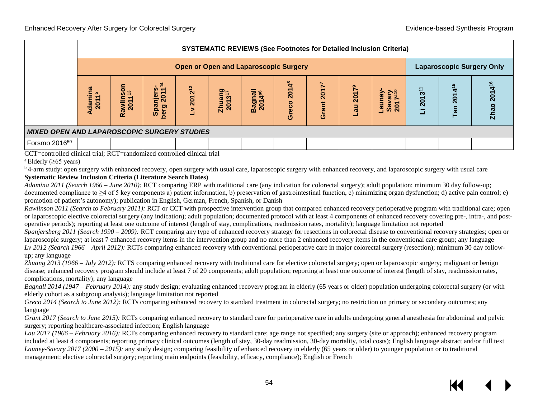|                                                    |                                              | <b>SYSTEMATIC REVIEWS (See Footnotes for Detailed Inclusion Criteria)</b> |                                                                       |        |                              |                       |                                   |                                  |              |                                                                  |        |                        |                       |
|----------------------------------------------------|----------------------------------------------|---------------------------------------------------------------------------|-----------------------------------------------------------------------|--------|------------------------------|-----------------------|-----------------------------------|----------------------------------|--------------|------------------------------------------------------------------|--------|------------------------|-----------------------|
|                                                    | <b>Open or Open and Laparoscopic Surgery</b> |                                                                           |                                                                       |        |                              |                       |                                   | <b>Laparoscopic Surgery Only</b> |              |                                                                  |        |                        |                       |
|                                                    | Adamina<br>5<br>$\circ$                      | Son<br><b>m</b><br>lin<br>c<br>์<br>Ra                                    | 4<br>w<br>njer<br>$\overline{\mathbf{S}}$<br><b>Spal</b><br>ರಾ<br>ber | 201212 | Zhuang<br>2013 <sup>17</sup> | 등<br>₹<br><b>Bagi</b> | <b>2014</b> <sup>8</sup><br>Greco | 2017<br>ant<br>ပ်                | Lau $2017^9$ | 5년<br>ceune.<br>$\overline{\mathbf{a}}$<br>အိ<br>$\overline{20}$ | 201311 | $4^{15}$<br>201<br>Tan | 4<br><u>ក្ខក</u><br>Ñ |
| <b>MIXED OPEN AND LAPAROSCOPIC SURGERY STUDIES</b> |                                              |                                                                           |                                                                       |        |                              |                       |                                   |                                  |              |                                                                  |        |                        |                       |
| Forsmo 2016 <sup>50</sup>                          |                                              |                                                                           |                                                                       |        |                              |                       |                                   |                                  |              |                                                                  |        |                        |                       |

CCT=controlled clinical trial; RCT=randomized controlled clinical trial

<sup>a</sup> Elderly ( $\geq 65$  years)

<sup>b</sup> 4-arm study: open surgery with enhanced recovery, open surgery with usual care, laparoscopic surgery with enhanced recovery, and laparoscopic surgery with usual care **Systematic Review Inclusion Criteria (Literature Search Dates)**

*Adamina 2011 (Search 1966 – June 2010):* RCT comparing ERP with traditional care (any indication for colorectal surgery); adult population; minimum 30 day follow-up; documented compliance to  $\geq 4$  of 5 key components a) patient information, b) preservation of gastrointestinal function, c) minimizing organ dysfunction; d) active pain control; e) promotion of patient's autonomy); publication in English, German, French, Spanish, or Danish

*Rawlinson 2011 (Search to February 2011):* RCT or CCT with prospective intervention group that compared enhanced recovery perioperative program with traditional care; open or laparoscopic elective colorectal surgery (any indication); adult population; documented protocol with at least 4 components of enhanced recovery covering pre-, intra-, and postoperative periods); reporting at least one outcome of interest (length of stay, complications, readmission rates, mortality); language limitation not reported

*Spanjersberg 2011 (Search 1990 – 2009):* RCT comparing any type of enhanced recovery strategy for resections in colorectal disease to conventional recovery strategies; open or laparoscopic surgery; at least 7 enhanced recovery items in the intervention group and no more than 2 enhanced recovery items in the conventional care group; any language *Lv 2012 (Search 1966 – April 2012):* RCTs comparing enhanced recovery with conventional perioperative care in major colorectal surgery (resection); minimum 30 day followup; any language

*Zhuang 2013 (1966 – July 2012):* RCTS comparing enhanced recovery with traditional care for elective colorectal surgery; open or laparoscopic surgery; malignant or benign disease; enhanced recovery program should include at least 7 of 20 components; adult population; reporting at least one outcome of interest (length of stay, readmission rates, complications, mortality); any language

*Bagnall 2014 (1947 – February 2014):* any study design; evaluating enhanced recovery program in elderly (65 years or older) population undergoing colorectal surgery (or with elderly cohort as a subgroup analysis); language limitation not reported

*Greco 2014 (Search to June 2012):* RCTs comparing enhanced recovery to standard treatment in colorectal surgery; no restriction on primary or secondary outcomes; any language

*Grant 2017 (Search to June 2015):* RCTs comparing enhanced recovery to standard care for perioperative care in adults undergoing general anesthesia for abdominal and pelvic surgery; reporting healthcare-associated infection; English language

*Lau 2017 (1966 – February 2016):* RCTs comparing enhanced recovery to standard care; age range not specified; any surgery (site or approach); enhanced recovery program included at least 4 components; reporting primary clinical outcomes (length of stay, 30-day readmission, 30-day mortality, total costs); English language abstract and/or full text *Launey-Savary 2017 (2000 – 2015):* any study design; comparing feasibility of enhanced recovery in elderly (65 years or older) to younger population or to traditional management; elective colorectal surgery; reporting main endpoints (feasibility, efficacy, compliance); English or French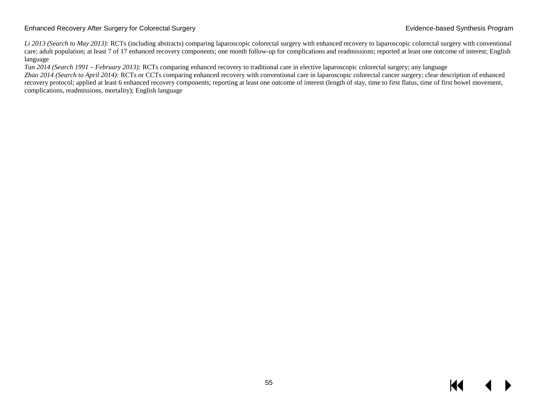*Li 2013 (Search to May 2013):* RCTs (including abstracts) comparing laparoscopic colorectal surgery with enhanced recovery to laparoscopic colorectal surgery with conventional care; adult population; at least 7 of 17 enhanced recovery components; one month follow-up for complications and readmissions; reported at least one outcome of interest; English language

*Tan 2014 (Search 1991 – February 2013):* RCTs comparing enhanced recovery to traditional care in elective laparoscopic colorectal surgery; any language

*Zhao 2014 (Search to April 2014):* RCTs or CCTs comparing enhanced recovery with conventional care in laparoscopic colorectal cancer surgery; clear description of enhanced recovery protocol; applied at least 6 enhanced recovery components; reporting at least one outcome of interest (length of stay, time to first flatus, time of first bowel movement, complications, readmissions, mortality); English language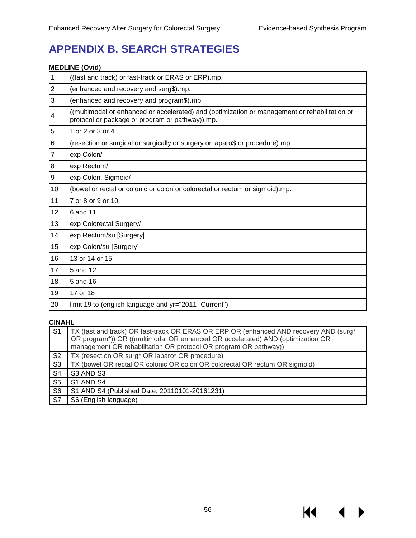KI I

# **APPENDIX B. SEARCH STRATEGIES**

#### **MEDLINE (Ovid)**

| $\mathbf 1$              | ((fast and track) or fast-track or ERAS or ERP).mp.                                                                                              |
|--------------------------|--------------------------------------------------------------------------------------------------------------------------------------------------|
| $\mathbf 2$              | (enhanced and recovery and surg\$).mp.                                                                                                           |
| 3                        | (enhanced and recovery and program\$).mp.                                                                                                        |
| $\overline{\mathcal{A}}$ | ((multimodal or enhanced or accelerated) and (optimization or management or rehabilitation or<br>protocol or package or program or pathway)).mp. |
| 5                        | 1 or 2 or 3 or 4                                                                                                                                 |
| $\,6$                    | (resection or surgical or surgically or surgery or laparo\$ or procedure).mp.                                                                    |
| $\overline{7}$           | exp Colon/                                                                                                                                       |
| 8                        | exp Rectum/                                                                                                                                      |
| $\boldsymbol{9}$         | exp Colon, Sigmoid/                                                                                                                              |
| 10                       | (bowel or rectal or colonic or colon or colorectal or rectum or sigmoid).mp.                                                                     |
| 11                       | 7 or 8 or 9 or 10                                                                                                                                |
| 12                       | 6 and 11                                                                                                                                         |
| 13                       | exp Colorectal Surgery/                                                                                                                          |
| 14                       | exp Rectum/su [Surgery]                                                                                                                          |
| 15                       | exp Colon/su [Surgery]                                                                                                                           |
| 16                       | 13 or 14 or 15                                                                                                                                   |
| 17                       | 5 and 12                                                                                                                                         |
| 18                       | 5 and 16                                                                                                                                         |
| 19                       | 17 or 18                                                                                                                                         |
| 20                       | limit 19 to (english language and yr="2011 -Current")                                                                                            |

#### **CINAHL**

| S <sub>1</sub> | TX (fast and track) OR fast-track OR ERAS OR ERP OR (enhanced AND recovery AND (surg*<br>OR program*)) OR ((multimodal OR enhanced OR accelerated) AND (optimization OR<br>management OR rehabilitation OR protocol OR program OR pathway)) |
|----------------|---------------------------------------------------------------------------------------------------------------------------------------------------------------------------------------------------------------------------------------------|
| S <sub>2</sub> | TX (resection OR surg* OR laparo* OR procedure)                                                                                                                                                                                             |
| S <sub>3</sub> | TX (bowel OR rectal OR colonic OR colon OR colorectal OR rectum OR sigmoid)                                                                                                                                                                 |
| S4             | S3 AND S3                                                                                                                                                                                                                                   |
| S <sub>5</sub> | S1 AND S4                                                                                                                                                                                                                                   |
| S <sub>6</sub> | S1 AND S4 (Published Date: 20110101-20161231)                                                                                                                                                                                               |
| <b>S7</b>      | S6 (English language)                                                                                                                                                                                                                       |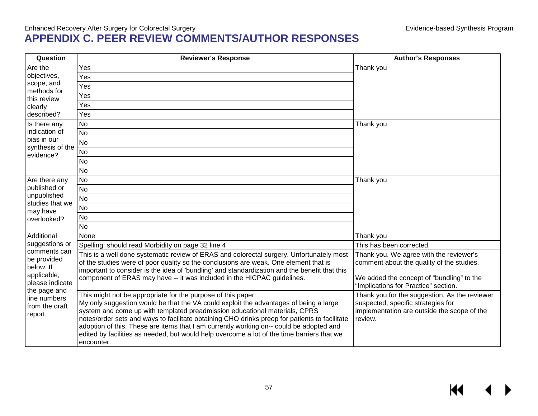### Enhanced Recovery After Surgery for Colorectal Surgery Evidence-based Synthesis Program **APPENDIX C. PEER REVIEW COMMENTS/AUTHOR RESPONSES**

| Question                                                                                                                                | <b>Reviewer's Response</b>                                                                                                                                                                                                                                                                                                                                                                                                                                                                                                                  | <b>Author's Responses</b>                                                                                                                                                 |
|-----------------------------------------------------------------------------------------------------------------------------------------|---------------------------------------------------------------------------------------------------------------------------------------------------------------------------------------------------------------------------------------------------------------------------------------------------------------------------------------------------------------------------------------------------------------------------------------------------------------------------------------------------------------------------------------------|---------------------------------------------------------------------------------------------------------------------------------------------------------------------------|
| Are the                                                                                                                                 | Yes                                                                                                                                                                                                                                                                                                                                                                                                                                                                                                                                         | Thank you                                                                                                                                                                 |
| objectives,                                                                                                                             | Yes                                                                                                                                                                                                                                                                                                                                                                                                                                                                                                                                         |                                                                                                                                                                           |
| scope, and<br>methods for                                                                                                               | Yes                                                                                                                                                                                                                                                                                                                                                                                                                                                                                                                                         |                                                                                                                                                                           |
| this review                                                                                                                             | Yes                                                                                                                                                                                                                                                                                                                                                                                                                                                                                                                                         |                                                                                                                                                                           |
| clearly                                                                                                                                 | Yes                                                                                                                                                                                                                                                                                                                                                                                                                                                                                                                                         |                                                                                                                                                                           |
| described?                                                                                                                              | Yes                                                                                                                                                                                                                                                                                                                                                                                                                                                                                                                                         |                                                                                                                                                                           |
| Is there any                                                                                                                            | <b>No</b>                                                                                                                                                                                                                                                                                                                                                                                                                                                                                                                                   | Thank you                                                                                                                                                                 |
| indication of                                                                                                                           | <b>No</b>                                                                                                                                                                                                                                                                                                                                                                                                                                                                                                                                   |                                                                                                                                                                           |
| bias in our                                                                                                                             | <b>No</b>                                                                                                                                                                                                                                                                                                                                                                                                                                                                                                                                   |                                                                                                                                                                           |
| synthesis of the<br>evidence?                                                                                                           | No                                                                                                                                                                                                                                                                                                                                                                                                                                                                                                                                          |                                                                                                                                                                           |
|                                                                                                                                         | No                                                                                                                                                                                                                                                                                                                                                                                                                                                                                                                                          |                                                                                                                                                                           |
|                                                                                                                                         | <b>No</b>                                                                                                                                                                                                                                                                                                                                                                                                                                                                                                                                   |                                                                                                                                                                           |
| Are there any<br>published or                                                                                                           | <b>No</b>                                                                                                                                                                                                                                                                                                                                                                                                                                                                                                                                   | Thank you                                                                                                                                                                 |
|                                                                                                                                         | No                                                                                                                                                                                                                                                                                                                                                                                                                                                                                                                                          |                                                                                                                                                                           |
| unpublished                                                                                                                             | <b>No</b>                                                                                                                                                                                                                                                                                                                                                                                                                                                                                                                                   |                                                                                                                                                                           |
| studies that we<br>may have                                                                                                             | <b>No</b>                                                                                                                                                                                                                                                                                                                                                                                                                                                                                                                                   |                                                                                                                                                                           |
| overlooked?                                                                                                                             | <b>No</b>                                                                                                                                                                                                                                                                                                                                                                                                                                                                                                                                   |                                                                                                                                                                           |
|                                                                                                                                         | <b>No</b>                                                                                                                                                                                                                                                                                                                                                                                                                                                                                                                                   |                                                                                                                                                                           |
| Additional                                                                                                                              | None                                                                                                                                                                                                                                                                                                                                                                                                                                                                                                                                        | Thank you                                                                                                                                                                 |
| suggestions or                                                                                                                          | Spelling: should read Morbidity on page 32 line 4                                                                                                                                                                                                                                                                                                                                                                                                                                                                                           | This has been corrected.                                                                                                                                                  |
| comments can<br>be provided<br>below. If<br>applicable,<br>please indicate<br>the page and<br>line numbers<br>from the draft<br>report. | This is a well done systematic review of ERAS and colorectal surgery. Unfortunately most<br>of the studies were of poor quality so the conclusions are weak. One element that is<br>important to consider is the idea of 'bundling' and standardization and the benefit that this<br>component of ERAS may have -- it was included in the HICPAC guidelines.                                                                                                                                                                                | Thank you. We agree with the reviewer's<br>comment about the quality of the studies.<br>We added the concept of "bundling" to the<br>"Implications for Practice" section. |
|                                                                                                                                         | This might not be appropriate for the purpose of this paper:<br>My only suggestion would be that the VA could exploit the advantages of being a large<br>system and come up with templated preadmission educational materials, CPRS<br>notes/order sets and ways to facilitate obtaining CHO drinks preop for patients to facilitate<br>adoption of this. These are items that I am currently working on-- could be adopted and<br>edited by facilities as needed, but would help overcome a lot of the time barriers that we<br>encounter. | Thank you for the suggestion. As the reviewer<br>suspected, specific strategies for<br>implementation are outside the scope of the<br>review.                             |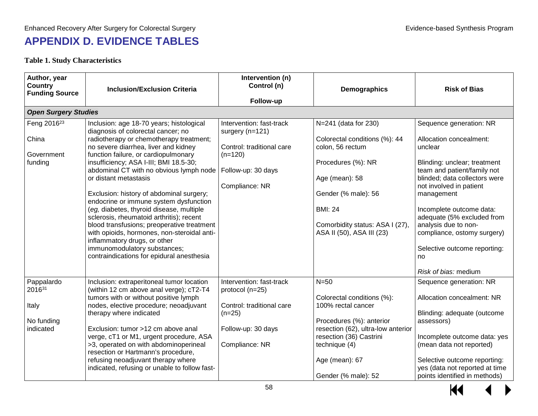# **APPENDIX D. EVIDENCE TABLES**

### **Table 1. Study Characteristics**

| Author, year<br>Country<br><b>Funding Source</b>          | <b>Inclusion/Exclusion Criteria</b>                                                                                                                                                                                                                                                                                                                                                                                                                                                                                                                                                                                                                                                                             | Intervention (n)<br>Control (n)<br>Follow-up                                                                                  | Demographics                                                                                                                                                                                                               | <b>Risk of Bias</b>                                                                                                                                                                                                                                                                                                                                                                   |
|-----------------------------------------------------------|-----------------------------------------------------------------------------------------------------------------------------------------------------------------------------------------------------------------------------------------------------------------------------------------------------------------------------------------------------------------------------------------------------------------------------------------------------------------------------------------------------------------------------------------------------------------------------------------------------------------------------------------------------------------------------------------------------------------|-------------------------------------------------------------------------------------------------------------------------------|----------------------------------------------------------------------------------------------------------------------------------------------------------------------------------------------------------------------------|---------------------------------------------------------------------------------------------------------------------------------------------------------------------------------------------------------------------------------------------------------------------------------------------------------------------------------------------------------------------------------------|
| <b>Open Surgery Studies</b>                               |                                                                                                                                                                                                                                                                                                                                                                                                                                                                                                                                                                                                                                                                                                                 |                                                                                                                               |                                                                                                                                                                                                                            |                                                                                                                                                                                                                                                                                                                                                                                       |
| Feng 2016 <sup>23</sup><br>China<br>Government<br>funding | Inclusion: age 18-70 years; histological<br>diagnosis of colorectal cancer; no<br>radiotherapy or chemotherapy treatment;<br>no severe diarrhea, liver and kidney<br>function failure, or cardiopulmonary<br>insufficiency; ASA I-III; BMI 18.5-30;<br>abdominal CT with no obvious lymph node<br>or distant metastasis<br>Exclusion: history of abdominal surgery;<br>endocrine or immune system dysfunction<br>(eg, diabetes, thyroid disease, multiple<br>sclerosis, rheumatoid arthritis); recent<br>blood transfusions; preoperative treatment<br>with opioids, hormones, non-steroidal anti-<br>inflammatory drugs, or other<br>immunomodulatory substances;<br>contraindications for epidural anesthesia | Intervention: fast-track<br>surgery (n=121)<br>Control: traditional care<br>$(n=120)$<br>Follow-up: 30 days<br>Compliance: NR | N=241 (data for 230)<br>Colorectal conditions (%): 44<br>colon, 56 rectum<br>Procedures (%): NR<br>Age (mean): 58<br>Gender (% male): 56<br><b>BMI: 24</b><br>Comorbidity status: ASA I (27),<br>ASA II (50), ASA III (23) | Sequence generation: NR<br>Allocation concealment:<br>unclear<br>Blinding: unclear; treatment<br>team and patient/family not<br>blinded; data collectors were<br>not involved in patient<br>management<br>Incomplete outcome data:<br>adequate (5% excluded from<br>analysis due to non-<br>compliance, ostomy surgery)<br>Selective outcome reporting:<br>no<br>Risk of bias: medium |
| Pappalardo<br>201631<br>Italy<br>No funding<br>indicated  | Inclusion: extraperitoneal tumor location<br>(within 12 cm above anal verge); cT2-T4<br>tumors with or without positive lymph<br>nodes, elective procedure; neoadjuvant<br>therapy where indicated<br>Exclusion: tumor >12 cm above anal<br>verge, cT1 or M1, urgent procedure, ASA<br>>3, operated on with abdominoperineal<br>resection or Hartmann's procedure,<br>refusing neoadjuvant therapy where<br>indicated, refusing or unable to follow fast-                                                                                                                                                                                                                                                       | Intervention: fast-track<br>protocol (n=25)<br>Control: traditional care<br>$(n=25)$<br>Follow-up: 30 days<br>Compliance: NR  | $N=50$<br>Colorectal conditions (%):<br>100% rectal cancer<br>Procedures (%): anterior<br>resection (62), ultra-low anterior<br>resection (36) Castrini<br>technique (4)<br>Age (mean): 67<br>Gender (% male): 52          | Sequence generation: NR<br>Allocation concealment: NR<br>Blinding: adequate (outcome<br>assessors)<br>Incomplete outcome data: yes<br>(mean data not reported)<br>Selective outcome reporting:<br>yes (data not reported at time<br>points identified in methods)                                                                                                                     |

 $M$ ▶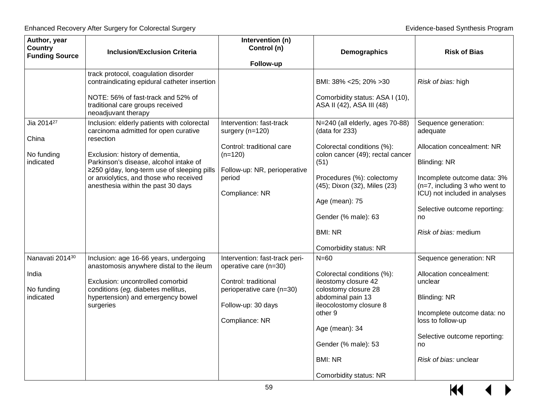| Author, year<br><b>Country</b><br><b>Funding Source</b>    | <b>Inclusion/Exclusion Criteria</b>                                                                                                                                                                                                                                                                          | Intervention (n)<br>Control (n)                                                                                                                      | Demographics                                                                                                                                                                                                                                                                  | <b>Risk of Bias</b>                                                                                                                                                                                                                                  |
|------------------------------------------------------------|--------------------------------------------------------------------------------------------------------------------------------------------------------------------------------------------------------------------------------------------------------------------------------------------------------------|------------------------------------------------------------------------------------------------------------------------------------------------------|-------------------------------------------------------------------------------------------------------------------------------------------------------------------------------------------------------------------------------------------------------------------------------|------------------------------------------------------------------------------------------------------------------------------------------------------------------------------------------------------------------------------------------------------|
|                                                            | track protocol, coagulation disorder<br>contraindicating epidural catheter insertion<br>NOTE: 56% of fast-track and 52% of<br>traditional care groups received<br>neoadjuvant therapy                                                                                                                        | Follow-up                                                                                                                                            | BMI: 38% < 25; 20% > 30<br>Comorbidity status: ASA I (10),<br>ASA II (42), ASA III (48)                                                                                                                                                                                       | Risk of bias: high                                                                                                                                                                                                                                   |
| Jia 2014 <sup>27</sup><br>China<br>No funding<br>indicated | Inclusion: elderly patients with colorectal<br>carcinoma admitted for open curative<br>resection<br>Exclusion: history of dementia,<br>Parkinson's disease, alcohol intake of<br>≥250 g/day, long-term use of sleeping pills<br>or anxiolytics, and those who received<br>anesthesia within the past 30 days | Intervention: fast-track<br>surgery (n=120)<br>Control: traditional care<br>$(n=120)$<br>Follow-up: NR, perioperative<br>period<br>Compliance: NR    | N=240 (all elderly, ages 70-88)<br>(data for 233)<br>Colorectal conditions (%):<br>colon cancer (49); rectal cancer<br>(51)<br>Procedures (%): colectomy<br>(45); Dixon (32), Miles (23)<br>Age (mean): 75<br>Gender (% male): 63<br><b>BMI: NR</b><br>Comorbidity status: NR | Sequence generation:<br>adequate<br>Allocation concealment: NR<br><b>Blinding: NR</b><br>Incomplete outcome data: 3%<br>(n=7, including 3 who went to<br>ICU) not included in analyses<br>Selective outcome reporting:<br>no<br>Risk of bias: medium |
| Nanavati 201430<br>India<br>No funding<br>indicated        | Inclusion: age 16-66 years, undergoing<br>anastomosis anywhere distal to the ileum<br>Exclusion: uncontrolled comorbid<br>conditions (eg, diabetes mellitus,<br>hypertension) and emergency bowel<br>surgeries                                                                                               | Intervention: fast-track peri-<br>operative care (n=30)<br>Control: traditional<br>perioperative care (n=30)<br>Follow-up: 30 days<br>Compliance: NR | $N = 60$<br>Colorectal conditions (%):<br>ileostomy closure 42<br>colostomy closure 28<br>abdominal pain 13<br>ileocolostomy closure 8<br>other 9<br>Age (mean): 34<br>Gender (% male): 53<br><b>BMI: NR</b><br>Comorbidity status: NR                                        | Sequence generation: NR<br>Allocation concealment:<br>unclear<br><b>Blinding: NR</b><br>Incomplete outcome data: no<br>loss to follow-up<br>Selective outcome reporting:<br>no<br>Risk of bias: unclear                                              |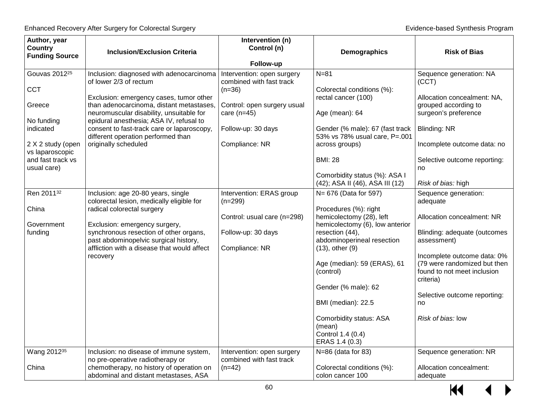| Author, year<br><b>Country</b>       | <b>Inclusion/Exclusion Criteria</b>                                                 | Intervention (n)<br>Control (n)                        | Demographics                                                                            | <b>Risk of Bias</b>                                                                                     |
|--------------------------------------|-------------------------------------------------------------------------------------|--------------------------------------------------------|-----------------------------------------------------------------------------------------|---------------------------------------------------------------------------------------------------------|
| <b>Funding Source</b>                |                                                                                     | Follow-up                                              |                                                                                         |                                                                                                         |
| Gouvas 2012 <sup>25</sup>            | Inclusion: diagnosed with adenocarcinoma<br>of lower 2/3 of rectum                  | Intervention: open surgery<br>combined with fast track | $N = 81$                                                                                | Sequence generation: NA<br>(CCT)                                                                        |
| CCT<br>Greece                        | Exclusion: emergency cases, tumor other<br>than adenocarcinoma, distant metastases, | $(n=36)$<br>Control: open surgery usual                | Colorectal conditions (%):<br>rectal cancer (100)                                       | Allocation concealment: NA,<br>grouped according to                                                     |
| No funding                           | neuromuscular disability, unsuitable for<br>epidural anesthesia; ASA IV, refusal to | care $(n=45)$                                          | Age (mean): 64                                                                          | surgeon's preference                                                                                    |
| indicated                            | consent to fast-track care or laparoscopy,<br>different operation performed than    | Follow-up: 30 days                                     | Gender (% male): 67 (fast track<br>53% vs 78% usual care, P=.001                        | Blinding: NR                                                                                            |
| 2 X 2 study (open<br>vs laparoscopic | originally scheduled                                                                | Compliance: NR                                         | across groups)                                                                          | Incomplete outcome data: no                                                                             |
| and fast track vs<br>usual care)     |                                                                                     |                                                        | <b>BMI: 28</b>                                                                          | Selective outcome reporting:<br>no                                                                      |
|                                      |                                                                                     |                                                        | Comorbidity status (%): ASA I<br>(42); ASA II (46), ASA III (12)                        | Risk of bias: high                                                                                      |
| Ren 201132                           | Inclusion: age 20-80 years, single<br>colorectal lesion, medically eligible for     | Intervention: ERAS group<br>$(n=299)$                  | N= 676 (Data for 597)                                                                   | Sequence generation:<br>adequate                                                                        |
| China<br>Government                  | radical colorectal surgery<br>Exclusion: emergency surgery,                         | Control: usual care (n=298)                            | Procedures (%): right<br>hemicolectomy (28), left<br>hemicolectomy (6), low anterior    | Allocation concealment: NR                                                                              |
| funding                              | synchronous resection of other organs,<br>past abdominopelvic surgical history,     | Follow-up: 30 days                                     | resection (44),<br>abdominoperineal resection                                           | Blinding: adequate (outcomes<br>assessment)                                                             |
|                                      | affliction with a disease that would affect<br>recovery                             | Compliance: NR                                         | $(13)$ , other $(9)$<br>Age (median): 59 (ERAS), 61<br>(control)<br>Gender (% male): 62 | Incomplete outcome data: 0%<br>(79 were randomized but then<br>found to not meet inclusion<br>criteria) |
|                                      |                                                                                     |                                                        | BMI (median): 22.5                                                                      | Selective outcome reporting:<br>no                                                                      |
|                                      |                                                                                     |                                                        | Comorbidity status: ASA<br>(mean)<br>Control 1.4 (0.4)<br>ERAS 1.4 (0.3)                | Risk of bias: low                                                                                       |
| Wang 2012 <sup>35</sup>              | Inclusion: no disease of immune system,<br>no pre-operative radiotherapy or         | Intervention: open surgery<br>combined with fast track | N=86 (data for 83)                                                                      | Sequence generation: NR                                                                                 |
| China                                | chemotherapy, no history of operation on<br>abdominal and distant metastases, ASA   | $(n=42)$                                               | Colorectal conditions (%):<br>colon cancer 100                                          | Allocation concealment:<br>adequate                                                                     |

 $\overline{\mathbf{M}}$ ▶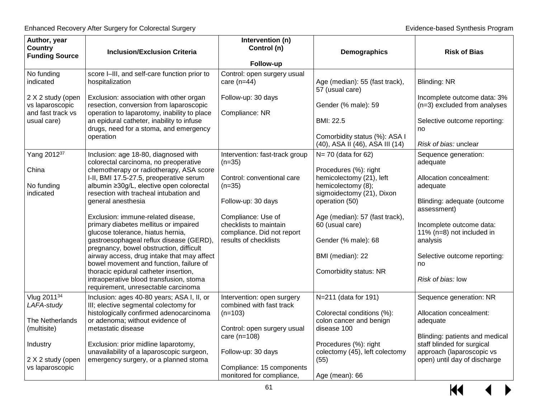| Author, year<br>Country<br><b>Funding Source</b>          | <b>Inclusion/Exclusion Criteria</b>                                                                                               | Intervention (n)<br>Control (n)<br>Follow-up                               | Demographics                                                            | <b>Risk of Bias</b>                                         |
|-----------------------------------------------------------|-----------------------------------------------------------------------------------------------------------------------------------|----------------------------------------------------------------------------|-------------------------------------------------------------------------|-------------------------------------------------------------|
| No funding<br>indicated                                   | score I-III, and self-care function prior to<br>hospitalization                                                                   | Control: open surgery usual<br>care $(n=44)$                               | Age (median): 55 (fast track),<br>57 (usual care)                       | <b>Blinding: NR</b>                                         |
| 2 X 2 study (open<br>vs laparoscopic<br>and fast track vs | Exclusion: association with other organ<br>resection, conversion from laparoscopic<br>operation to laparotomy, inability to place | Follow-up: 30 days<br>Compliance: NR                                       | Gender (% male): 59                                                     | Incomplete outcome data: 3%<br>(n=3) excluded from analyses |
| usual care)                                               | an epidural catheter, inability to infuse<br>drugs, need for a stoma, and emergency                                               |                                                                            | BMI: 22.5                                                               | Selective outcome reporting:<br>no                          |
|                                                           | operation                                                                                                                         |                                                                            | Comorbidity status (%): ASA I<br>(40), ASA II (46), ASA III (14)        | Risk of bias: unclear                                       |
| Yang 201237                                               | Inclusion: age 18-80, diagnosed with<br>colorectal carcinoma, no preoperative                                                     | Intervention: fast-track group<br>$(n=35)$                                 | $N = 70$ (data for 62)                                                  | Sequence generation:<br>adequate                            |
| China<br>No funding                                       | chemotherapy or radiotherapy, ASA score<br>I-II, BMI 17.5-27.5, preoperative serum<br>albumin ≥30g/L, elective open colorectal    | Control: conventional care<br>$(n=35)$                                     | Procedures (%): right<br>hemicolectomy (21), left<br>hemicolectomy (8); | Allocation concealment:<br>adequate                         |
| indicated                                                 | resection with tracheal intubation and<br>general anesthesia                                                                      | Follow-up: 30 days                                                         | sigmoidectomy (21), Dixon<br>operation (50)                             | Blinding: adequate (outcome<br>assessment)                  |
|                                                           | Exclusion: immune-related disease,<br>primary diabetes mellitus or impaired<br>glucose tolerance, hiatus hernia,                  | Compliance: Use of<br>checklists to maintain<br>compliance. Did not report | Age (median): 57 (fast track),<br>60 (usual care)                       | Incomplete outcome data:<br>11% (n=8) not included in       |
|                                                           | gastroesophageal reflux disease (GERD),<br>pregnancy, bowel obstruction, difficult                                                | results of checklists                                                      | Gender (% male): 68                                                     | analysis                                                    |
|                                                           | airway access, drug intake that may affect<br>bowel movement and function, failure of                                             |                                                                            | BMI (median): 22                                                        | Selective outcome reporting:<br>no                          |
|                                                           | thoracic epidural catheter insertion,<br>intraoperative blood transfusion, stoma<br>requirement, unresectable carcinoma           |                                                                            | Comorbidity status: NR                                                  | Risk of bias: low                                           |
| Vlug 201134<br>LAFA-study                                 | Inclusion: ages 40-80 years; ASA I, II, or<br>III; elective segmental colectomy for                                               | Intervention: open surgery<br>combined with fast track                     | N=211 (data for 191)                                                    | Sequence generation: NR                                     |
| The Netherlands                                           | histologically confirmed adenocarcinoma<br>or adenoma; without evidence of                                                        | $(n=103)$                                                                  | Colorectal conditions (%):<br>colon cancer and benign                   | Allocation concealment:<br>adequate                         |
| (multisite)                                               | metastatic disease                                                                                                                | Control: open surgery usual<br>care $(n=108)$                              | disease 100                                                             | Blinding: patients and medical                              |
| Industry                                                  | Exclusion: prior midline laparotomy,<br>unavailability of a laparoscopic surgeon,                                                 | Follow-up: 30 days                                                         | Procedures (%): right<br>colectomy (45), left colectomy                 | staff blinded for surgical<br>approach (laparoscopic vs     |
| 2 X 2 study (open<br>vs laparoscopic                      | emergency surgery, or a planned stoma                                                                                             | Compliance: 15 components<br>monitored for compliance,                     | (55)<br>Age (mean): 66                                                  | open) until day of discharge                                |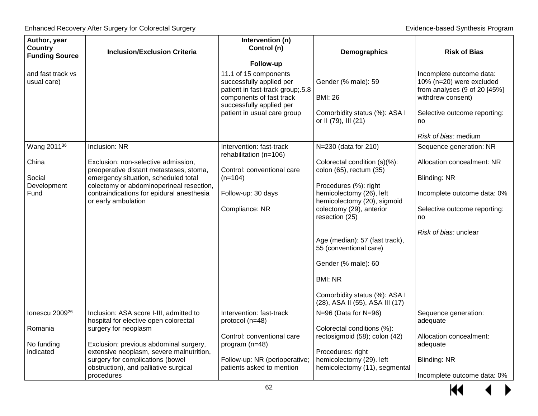| Author, year<br><b>Country</b><br><b>Funding Source</b>           | <b>Inclusion/Exclusion Criteria</b>                                                                                                                                                                                                                                                       | Intervention (n)<br>Control (n)<br>Follow-up                                                                                                                                 | Demographics                                                                                                                                                                                                                                                                                                                                                                               | <b>Risk of Bias</b>                                                                                                                                                          |
|-------------------------------------------------------------------|-------------------------------------------------------------------------------------------------------------------------------------------------------------------------------------------------------------------------------------------------------------------------------------------|------------------------------------------------------------------------------------------------------------------------------------------------------------------------------|--------------------------------------------------------------------------------------------------------------------------------------------------------------------------------------------------------------------------------------------------------------------------------------------------------------------------------------------------------------------------------------------|------------------------------------------------------------------------------------------------------------------------------------------------------------------------------|
| and fast track vs<br>usual care)                                  |                                                                                                                                                                                                                                                                                           | 11.1 of 15 components<br>successfully applied per<br>patient in fast-track group; 5.8<br>components of fast track<br>successfully applied per<br>patient in usual care group | Gender (% male): 59<br><b>BMI: 26</b><br>Comorbidity status (%): ASA I<br>or II (79), III (21)                                                                                                                                                                                                                                                                                             | Incomplete outcome data:<br>10% (n=20) were excluded<br>from analyses $(9$ of 20 $[45\%]$<br>withdrew consent)<br>Selective outcome reporting:<br>no<br>Risk of bias: medium |
| Wang 2011 <sup>36</sup><br>China<br>Social<br>Development<br>Fund | Inclusion: NR<br>Exclusion: non-selective admission,<br>preoperative distant metastases, stoma,<br>emergency situation, scheduled total<br>colectomy or abdominoperineal resection,<br>contraindications for epidural anesthesia<br>or early ambulation                                   | Intervention: fast-track<br>rehabilitation (n=106)<br>Control: conventional care<br>$(n=104)$<br>Follow-up: 30 days<br>Compliance: NR                                        | N=230 (data for 210)<br>Colorectal condition (s)(%):<br>colon (65), rectum (35)<br>Procedures (%): right<br>hemicolectomy (26), left<br>hemicolectomy (20), sigmoid<br>colectomy (29), anterior<br>resection (25)<br>Age (median): 57 (fast track),<br>55 (conventional care)<br>Gender (% male): 60<br><b>BMI: NR</b><br>Comorbidity status (%): ASA I<br>(28), ASA II (55), ASA III (17) | Sequence generation: NR<br>Allocation concealment: NR<br>Blinding: NR<br>Incomplete outcome data: 0%<br>Selective outcome reporting:<br>no<br>Risk of bias: unclear          |
| lonescu 2009 <sup>26</sup><br>Romania<br>No funding<br>indicated  | Inclusion: ASA score I-III, admitted to<br>hospital for elective open colorectal<br>surgery for neoplasm<br>Exclusion: previous abdominal surgery,<br>extensive neoplasm, severe malnutrition,<br>surgery for complications (bowel<br>obstruction), and palliative surgical<br>procedures | Intervention: fast-track<br>protocol (n=48)<br>Control: conventional care<br>program (n=48)<br>Follow-up: NR (perioperative;<br>patients asked to mention                    | $N=96$ (Data for $N=96$ )<br>Colorectal conditions (%):<br>rectosigmoid (58); colon (42)<br>Procedures: right<br>hemicolectomy (29). left<br>hemicolectomy (11), segmental                                                                                                                                                                                                                 | Sequence generation:<br>adequate<br>Allocation concealment:<br>adequate<br><b>Blinding: NR</b><br>Incomplete outcome data: 0%                                                |

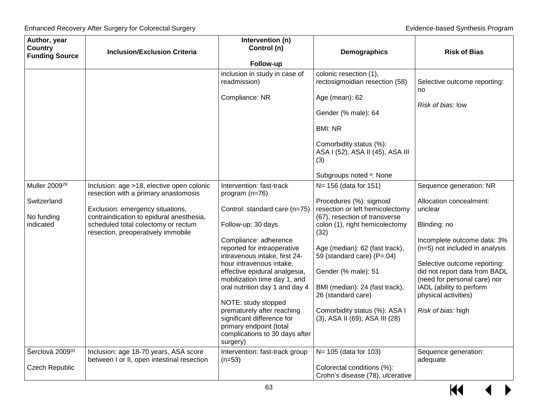| Author, year<br><b>Country</b>    | <b>Inclusion/Exclusion Criteria</b>                                                                                   | Intervention (n)<br>Control (n)                                                                                                                          | Demographics                                                                            | <b>Risk of Bias</b>                                                                                                       |
|-----------------------------------|-----------------------------------------------------------------------------------------------------------------------|----------------------------------------------------------------------------------------------------------------------------------------------------------|-----------------------------------------------------------------------------------------|---------------------------------------------------------------------------------------------------------------------------|
| <b>Funding Source</b>             |                                                                                                                       | Follow-up                                                                                                                                                |                                                                                         |                                                                                                                           |
|                                   |                                                                                                                       | inclusion in study in case of<br>readmission)                                                                                                            | colonic resection (1),<br>rectosigmoidian resection (58)                                | Selective outcome reporting:<br>no                                                                                        |
|                                   |                                                                                                                       | Compliance: NR                                                                                                                                           | Age (mean): 62<br>Gender (% male): 64                                                   | Risk of bias: low                                                                                                         |
|                                   |                                                                                                                       |                                                                                                                                                          | <b>BMI: NR</b>                                                                          |                                                                                                                           |
|                                   |                                                                                                                       |                                                                                                                                                          | Comorbidity status (%):<br>ASA I (52), ASA II (45), ASA III<br>(3)                      |                                                                                                                           |
|                                   |                                                                                                                       |                                                                                                                                                          | Subgroups noted a: None                                                                 |                                                                                                                           |
| Muller 2009 <sup>29</sup>         | Inclusion: age >18, elective open colonic<br>resection with a primary anastomosis                                     | Intervention: fast-track<br>program (n=76)                                                                                                               | N= 156 (data for 151)                                                                   | Sequence generation: NR                                                                                                   |
| Switzerland                       | Exclusion: emergency situations,                                                                                      | Control: standard care (n=75)                                                                                                                            | Procedures (%): sigmoid<br>resection or left hemicolectomy                              | Allocation concealment:<br>unclear                                                                                        |
| No funding<br>indicated           | contraindication to epidural anesthesia,<br>scheduled total colectomy or rectum<br>resection, preoperatively immobile | Follow-up: 30 days                                                                                                                                       | (67), resection of transverse<br>colon (1), right hemicolectomy<br>(32)                 | Blinding: no                                                                                                              |
|                                   |                                                                                                                       | Compliance: adherence<br>reported for intraoperative<br>intravenous intake, first 24-                                                                    | Age (median): 62 (fast track),<br>59 (standard care) (P=.04)                            | Incomplete outcome data: 3%<br>(n=5) not included in analysis                                                             |
|                                   |                                                                                                                       | hour intravenous intake,<br>effective epidural analgesia,<br>mobilization time day 1, and<br>oral nutrition day 1 and day 4                              | Gender (% male): 51<br>BMI (median): 24 (fast track),                                   | Selective outcome reporting:<br>did not report data from BADL<br>(need for personal care) nor<br>IADL (ability to perform |
|                                   |                                                                                                                       | NOTE: study stopped<br>prematurely after reaching<br>significant difference for<br>primary endpoint (total<br>complications to 30 days after<br>surgery) | 26 (standard care)<br>Comorbidity status (%): ASA I<br>(3), ASA II (69); ASA III (28)   | physical activities)<br>Risk of bias: high                                                                                |
| Šerclová 200933<br>Czech Republic | Inclusion: age 18-70 years, ASA score<br>between I or II, open intestinal resection                                   | Intervention: fast-track group<br>$(n=53)$                                                                                                               | N= 105 (data for 103)<br>Colorectal conditions (%):<br>Crohn's disease (78), ulcerative | Sequence generation:<br>adequate                                                                                          |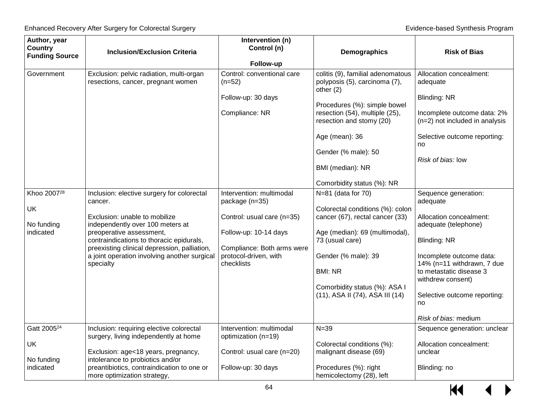| Author, year<br><b>Country</b><br><b>Funding Source</b>                | <b>Inclusion/Exclusion Criteria</b>                                                                                                                                                                                                                                                                                                                                                               | Intervention (n)<br>Control (n)<br>Follow-up                                                                                                                                                                                                             | Demographics                                                                                                                                                                                                                                                                                                                                                                                                                                                                                                                                | <b>Risk of Bias</b>                                                                                                                                                                                                                                                                                                                                                                                                                           |
|------------------------------------------------------------------------|---------------------------------------------------------------------------------------------------------------------------------------------------------------------------------------------------------------------------------------------------------------------------------------------------------------------------------------------------------------------------------------------------|----------------------------------------------------------------------------------------------------------------------------------------------------------------------------------------------------------------------------------------------------------|---------------------------------------------------------------------------------------------------------------------------------------------------------------------------------------------------------------------------------------------------------------------------------------------------------------------------------------------------------------------------------------------------------------------------------------------------------------------------------------------------------------------------------------------|-----------------------------------------------------------------------------------------------------------------------------------------------------------------------------------------------------------------------------------------------------------------------------------------------------------------------------------------------------------------------------------------------------------------------------------------------|
| Government<br>Khoo 2007 <sup>28</sup><br>UK<br>No funding<br>indicated | Exclusion: pelvic radiation, multi-organ<br>resections, cancer, pregnant women<br>Inclusion: elective surgery for colorectal<br>cancer.<br>Exclusion: unable to mobilize<br>independently over 100 meters at<br>preoperative assessment,<br>contraindications to thoracic epidurals,<br>preexisting clinical depression, palliation,<br>a joint operation involving another surgical<br>specialty | Control: conventional care<br>$(n=52)$<br>Follow-up: 30 days<br>Compliance: NR<br>Intervention: multimodal<br>package (n=35)<br>Control: usual care (n=35)<br>Follow-up: 10-14 days<br>Compliance: Both arms were<br>protocol-driven, with<br>checklists | colitis (9), familial adenomatous<br>polyposis (5), carcinoma (7),<br>other $(2)$<br>Procedures (%): simple bowel<br>resection (54), multiple (25),<br>resection and stomy (20)<br>Age (mean): 36<br>Gender (% male): 50<br>BMI (median): NR<br>Comorbidity status (%): NR<br>$N=81$ (data for 70)<br>Colorectal conditions (%): colon<br>cancer (67), rectal cancer (33)<br>Age (median): 69 (multimodal),<br>73 (usual care)<br>Gender (% male): 39<br><b>BMI: NR</b><br>Comorbidity status (%): ASA I<br>(11), ASA II (74), ASA III (14) | Allocation concealment:<br>adequate<br><b>Blinding: NR</b><br>Incomplete outcome data: 2%<br>(n=2) not included in analysis<br>Selective outcome reporting:<br>no<br>Risk of bias: low<br>Sequence generation:<br>adequate<br>Allocation concealment:<br>adequate (telephone)<br>Blinding: NR<br>Incomplete outcome data:<br>14% (n=11 withdrawn, 7 due<br>to metastatic disease 3<br>withdrew consent)<br>Selective outcome reporting:<br>no |
| Gatt 2005 <sup>24</sup><br>UK<br>No funding<br>indicated               | Inclusion: requiring elective colorectal<br>surgery, living independently at home<br>Exclusion: age<18 years, pregnancy,<br>intolerance to probiotics and/or<br>preantibiotics, contraindication to one or                                                                                                                                                                                        | Intervention: multimodal<br>optimization (n=19)<br>Control: usual care (n=20)<br>Follow-up: 30 days                                                                                                                                                      | $N = 39$<br>Colorectal conditions (%):<br>malignant disease (69)<br>Procedures (%): right                                                                                                                                                                                                                                                                                                                                                                                                                                                   | Risk of bias: medium<br>Sequence generation: unclear<br>Allocation concealment:<br>unclear<br>Blinding: no                                                                                                                                                                                                                                                                                                                                    |
|                                                                        | more optimization strategy,                                                                                                                                                                                                                                                                                                                                                                       |                                                                                                                                                                                                                                                          | hemicolectomy (28), left                                                                                                                                                                                                                                                                                                                                                                                                                                                                                                                    |                                                                                                                                                                                                                                                                                                                                                                                                                                               |

 $M$  $\leftrightarrow$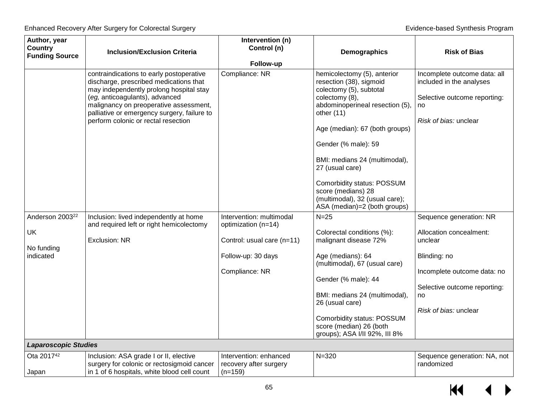| Author, year<br>Country<br><b>Funding Source</b>             | <b>Inclusion/Exclusion Criteria</b>                                                                                                                                                                                                                                                             | Intervention (n)<br>Control (n)<br>Follow-up                                                                          | <b>Demographics</b>                                                                                                                                                                                                                                                                                                                                                                       | <b>Risk of Bias</b>                                                                                                                                                         |
|--------------------------------------------------------------|-------------------------------------------------------------------------------------------------------------------------------------------------------------------------------------------------------------------------------------------------------------------------------------------------|-----------------------------------------------------------------------------------------------------------------------|-------------------------------------------------------------------------------------------------------------------------------------------------------------------------------------------------------------------------------------------------------------------------------------------------------------------------------------------------------------------------------------------|-----------------------------------------------------------------------------------------------------------------------------------------------------------------------------|
|                                                              | contraindications to early postoperative<br>discharge, prescribed medications that<br>may independently prolong hospital stay<br>(eg, anticoagulants), advanced<br>malignancy on preoperative assessment,<br>palliative or emergency surgery, failure to<br>perform colonic or rectal resection | Compliance: NR                                                                                                        | hemicolectomy (5), anterior<br>resection (38), sigmoid<br>colectomy (5), subtotal<br>colectomy (8),<br>abdominoperineal resection (5),<br>other $(11)$<br>Age (median): 67 (both groups)<br>Gender (% male): 59<br>BMI: medians 24 (multimodal),<br>27 (usual care)<br>Comorbidity status: POSSUM<br>score (medians) 28<br>(multimodal), 32 (usual care);<br>ASA (median)=2 (both groups) | Incomplete outcome data: all<br>included in the analyses<br>Selective outcome reporting:<br>no<br>Risk of bias: unclear                                                     |
| Anderson 2003 <sup>22</sup><br>UK<br>No funding<br>indicated | Inclusion: lived independently at home<br>and required left or right hemicolectomy<br><b>Exclusion: NR</b>                                                                                                                                                                                      | Intervention: multimodal<br>optimization (n=14)<br>Control: usual care (n=11)<br>Follow-up: 30 days<br>Compliance: NR | $N=25$<br>Colorectal conditions (%):<br>malignant disease 72%<br>Age (medians): 64<br>(multimodal), 67 (usual care)<br>Gender (% male): 44<br>BMI: medians 24 (multimodal),<br>26 (usual care)<br>Comorbidity status: POSSUM<br>score (median) 26 (both<br>groups); ASA I/II 92%, III 8%                                                                                                  | Sequence generation: NR<br>Allocation concealment:<br>unclear<br>Blinding: no<br>Incomplete outcome data: no<br>Selective outcome reporting:<br>no<br>Risk of bias: unclear |
| <b>Laparoscopic Studies</b>                                  |                                                                                                                                                                                                                                                                                                 |                                                                                                                       |                                                                                                                                                                                                                                                                                                                                                                                           |                                                                                                                                                                             |
| Ota 2017 <sup>42</sup><br>Japan                              | Inclusion: ASA grade I or II, elective<br>surgery for colonic or rectosigmoid cancer<br>in 1 of 6 hospitals, white blood cell count                                                                                                                                                             | Intervention: enhanced<br>recovery after surgery<br>$(n=159)$                                                         | $N = 320$                                                                                                                                                                                                                                                                                                                                                                                 | Sequence generation: NA, not<br>randomized                                                                                                                                  |
|                                                              |                                                                                                                                                                                                                                                                                                 | 65                                                                                                                    |                                                                                                                                                                                                                                                                                                                                                                                           | KK                                                                                                                                                                          |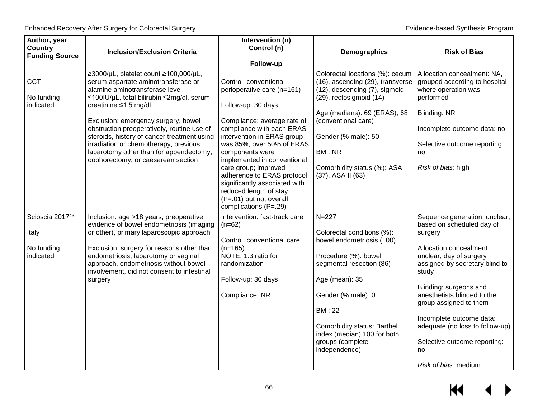| Author, year<br><b>Country</b><br><b>Funding Source</b> | <b>Inclusion/Exclusion Criteria</b>                                                                                                                                                                                                                                                                                                                                                                                                                      | Intervention (n)<br>Control (n)<br>Follow-up                                                                                                                                                                                                                                                             | <b>Demographics</b>                                                                                                                                                                                                                                                                   | <b>Risk of Bias</b>                                                                                                                                                                                         |
|---------------------------------------------------------|----------------------------------------------------------------------------------------------------------------------------------------------------------------------------------------------------------------------------------------------------------------------------------------------------------------------------------------------------------------------------------------------------------------------------------------------------------|----------------------------------------------------------------------------------------------------------------------------------------------------------------------------------------------------------------------------------------------------------------------------------------------------------|---------------------------------------------------------------------------------------------------------------------------------------------------------------------------------------------------------------------------------------------------------------------------------------|-------------------------------------------------------------------------------------------------------------------------------------------------------------------------------------------------------------|
| <b>CCT</b><br>No funding<br>indicated                   | ≥3000/µL, platelet count ≥100,000/µL,<br>serum aspartate aminotransferase or<br>alamine aminotransferase level<br>≤100IU/µL, total bilirubin ≤2mg/dl, serum<br>creatinine $\leq 1.5$ mg/dl<br>Exclusion: emergency surgery, bowel<br>obstruction preoperatively, routine use of<br>steroids, history of cancer treatment using<br>irradiation or chemotherapy, previous<br>laparotomy other than for appendectomy,<br>oophorectomy, or caesarean section | Control: conventional<br>perioperative care (n=161)<br>Follow-up: 30 days<br>Compliance: average rate of<br>compliance with each ERAS<br>intervention in ERAS group<br>was 85%; over 50% of ERAS<br>components were<br>implemented in conventional<br>care group; improved<br>adherence to ERAS protocol | Colorectal locations (%): cecum<br>(16), ascending (29), transverse<br>(12), descending (7), sigmoid<br>(29), rectosigmoid (14)<br>Age (medians): 69 (ERAS), 68<br>(conventional care)<br>Gender (% male): 50<br><b>BMI: NR</b><br>Comorbidity status (%): ASA I<br>(37), ASA II (63) | Allocation concealment: NA,<br>grouped according to hospital<br>where operation was<br>performed<br>Blinding: NR<br>Incomplete outcome data: no<br>Selective outcome reporting:<br>no<br>Risk of bias: high |
|                                                         |                                                                                                                                                                                                                                                                                                                                                                                                                                                          | significantly associated with<br>reduced length of stay<br>(P=.01) but not overall<br>complications (P=.29)                                                                                                                                                                                              |                                                                                                                                                                                                                                                                                       |                                                                                                                                                                                                             |
| Scioscia 201743<br>Italy<br>No funding<br>indicated     | Inclusion: age >18 years, preoperative<br>evidence of bowel endometriosis (imaging<br>or other), primary laparoscopic approach<br>Exclusion: surgery for reasons other than<br>endometriosis, laparotomy or vaginal<br>approach, endometriosis without bowel                                                                                                                                                                                             | Intervention: fast-track care<br>$(n=62)$<br>Control: conventional care<br>$(n=165)$<br>NOTE: 1:3 ratio for<br>randomization                                                                                                                                                                             | $N = 227$<br>Colorectal conditions (%):<br>bowel endometriosis (100)<br>Procedure (%): bowel<br>segmental resection (86)                                                                                                                                                              | Sequence generation: unclear;<br>based on scheduled day of<br>surgery<br>Allocation concealment:<br>unclear; day of surgery<br>assigned by secretary blind to                                               |
|                                                         | involvement, did not consent to intestinal<br>surgery                                                                                                                                                                                                                                                                                                                                                                                                    | Follow-up: 30 days<br>Compliance: NR                                                                                                                                                                                                                                                                     | Age (mean): 35<br>Gender (% male): 0<br><b>BMI: 22</b><br>Comorbidity status: Barthel<br>index (median) 100 for both<br>groups (complete<br>independence)                                                                                                                             | study<br>Blinding: surgeons and<br>anesthetists blinded to the<br>group assigned to them<br>Incomplete outcome data:<br>adequate (no loss to follow-up)<br>Selective outcome reporting:<br>no               |
|                                                         |                                                                                                                                                                                                                                                                                                                                                                                                                                                          |                                                                                                                                                                                                                                                                                                          |                                                                                                                                                                                                                                                                                       | Risk of bias: medium                                                                                                                                                                                        |

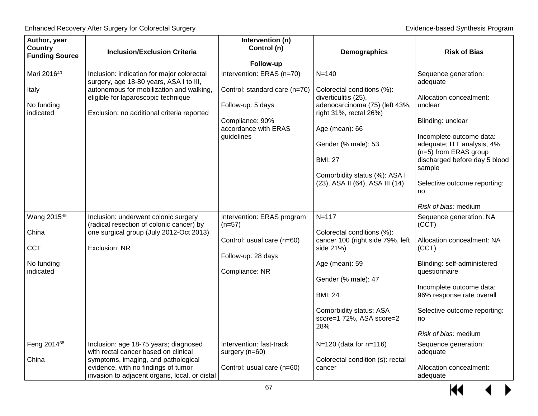| Author, year<br><b>Country</b><br><b>Funding Source</b>                                  | <b>Inclusion/Exclusion Criteria</b>                                                                                                                                                                                    | Intervention (n)<br>Control (n)                                                                                                          | Demographics                                                                                                                                                                                                                                     | <b>Risk of Bias</b>                                                                                                                                                                                                                                                    |
|------------------------------------------------------------------------------------------|------------------------------------------------------------------------------------------------------------------------------------------------------------------------------------------------------------------------|------------------------------------------------------------------------------------------------------------------------------------------|--------------------------------------------------------------------------------------------------------------------------------------------------------------------------------------------------------------------------------------------------|------------------------------------------------------------------------------------------------------------------------------------------------------------------------------------------------------------------------------------------------------------------------|
|                                                                                          |                                                                                                                                                                                                                        | Follow-up                                                                                                                                |                                                                                                                                                                                                                                                  |                                                                                                                                                                                                                                                                        |
| Mari 201640<br>Italy<br>No funding<br>indicated                                          | Inclusion: indication for major colorectal<br>surgery, age 18-80 years, ASA I to III,<br>autonomous for mobilization and walking,<br>eligible for laparoscopic technique<br>Exclusion: no additional criteria reported | Intervention: ERAS (n=70)<br>Control: standard care (n=70)<br>Follow-up: 5 days<br>Compliance: 90%<br>accordance with ERAS<br>guidelines | $N = 140$<br>Colorectal conditions (%):<br>diverticulitis (25),<br>adenocarcinoma (75) (left 43%,<br>right 31%, rectal 26%)<br>Age (mean): 66<br>Gender (% male): 53                                                                             | Sequence generation:<br>adequate<br>Allocation concealment:<br>unclear<br>Blinding: unclear<br>Incomplete outcome data:<br>adequate; ITT analysis, 4%                                                                                                                  |
|                                                                                          |                                                                                                                                                                                                                        |                                                                                                                                          | <b>BMI: 27</b><br>Comorbidity status (%): ASA I<br>(23), ASA II (64), ASA III (14)                                                                                                                                                               | (n=5) from ERAS group<br>discharged before day 5 blood<br>sample<br>Selective outcome reporting:<br>no<br>Risk of bias: medium                                                                                                                                         |
| Wang 2015 <sup>45</sup><br>China<br><b>CCT</b><br>No funding<br>indicated<br>Feng 201438 | Inclusion: underwent colonic surgery<br>(radical resection of colonic cancer) by<br>one surgical group (July 2012-Oct 2013)<br><b>Exclusion: NR</b><br>Inclusion: age 18-75 years; diagnosed                           | Intervention: ERAS program<br>$(n=57)$<br>Control: usual care (n=60)<br>Follow-up: 28 days<br>Compliance: NR<br>Intervention: fast-track | $N = 117$<br>Colorectal conditions (%):<br>cancer 100 (right side 79%, left<br>side 21%)<br>Age (mean): 59<br>Gender (% male): 47<br><b>BMI: 24</b><br>Comorbidity status: ASA<br>score=1 72%, ASA score=2<br>28%<br>$N=120$ (data for $n=116$ ) | Sequence generation: NA<br>(CCT)<br>Allocation concealment: NA<br>(CCT)<br>Blinding: self-administered<br>questionnaire<br>Incomplete outcome data:<br>96% response rate overall<br>Selective outcome reporting:<br>no<br>Risk of bias: medium<br>Sequence generation: |
| China                                                                                    | with rectal cancer based on clinical<br>symptoms, imaging, and pathological<br>evidence, with no findings of tumor<br>invasion to adjacent organs, local, or distal                                                    | surgery (n=60)<br>Control: usual care (n=60)                                                                                             | Colorectal condition (s): rectal<br>cancer                                                                                                                                                                                                       | adequate<br>Allocation concealment:<br>adequate                                                                                                                                                                                                                        |

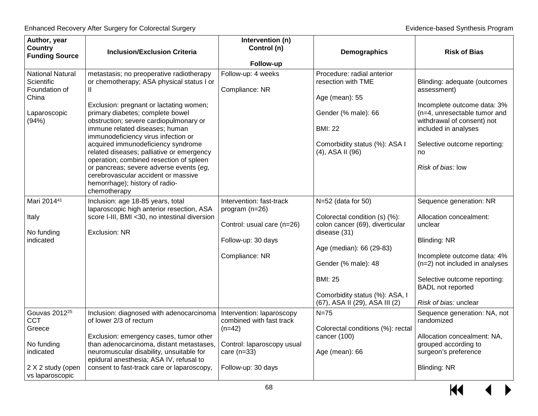| Author, year<br><b>Country</b><br><b>Funding Source</b>                                                              | <b>Inclusion/Exclusion Criteria</b>                                                                                                                                                                                                                                                                                                                                                                                                                                                                                                                            | Intervention (n)<br>Control (n)<br>Follow-up                                                                                           | Demographics                                                                                                                                                                                                                                      | <b>Risk of Bias</b>                                                                                                                                                                                                                        |
|----------------------------------------------------------------------------------------------------------------------|----------------------------------------------------------------------------------------------------------------------------------------------------------------------------------------------------------------------------------------------------------------------------------------------------------------------------------------------------------------------------------------------------------------------------------------------------------------------------------------------------------------------------------------------------------------|----------------------------------------------------------------------------------------------------------------------------------------|---------------------------------------------------------------------------------------------------------------------------------------------------------------------------------------------------------------------------------------------------|--------------------------------------------------------------------------------------------------------------------------------------------------------------------------------------------------------------------------------------------|
| <b>National Natural</b><br>Scientific<br>Foundation of<br>China<br>Laparoscopic<br>(94%)                             | metastasis; no preoperative radiotherapy<br>or chemotherapy; ASA physical status I or<br>Ш<br>Exclusion: pregnant or lactating women;<br>primary diabetes; complete bowel<br>obstruction; severe cardiopulmonary or<br>immune related diseases; human<br>immunodeficiency virus infection or<br>acquired immunodeficiency syndrome<br>related diseases; palliative or emergency<br>operation; combined resection of spleen<br>or pancreas; severe adverse events (eg,<br>cerebrovascular accident or massive<br>hemorrhage); history of radio-<br>chemotherapy | Follow-up: 4 weeks<br>Compliance: NR                                                                                                   | Procedure: radial anterior<br>resection with TME<br>Age (mean): 55<br>Gender (% male): 66<br><b>BMI: 22</b><br>Comorbidity status (%): ASA I<br>$(4)$ , ASA II $(96)$                                                                             | Blinding: adequate (outcomes<br>assessment)<br>Incomplete outcome data: 3%<br>(n=4, unresectable tumor and<br>withdrawal of consent) not<br>included in analyses<br>Selective outcome reporting:<br>no<br>Risk of bias: low                |
| Mari 201441<br>Italy<br>No funding<br>indicated                                                                      | Inclusion: age 18-85 years, total<br>laparoscopic high anterior resection, ASA<br>score I-III, BMI <30, no intestinal diversion<br><b>Exclusion: NR</b>                                                                                                                                                                                                                                                                                                                                                                                                        | Intervention: fast-track<br>program (n=26)<br>Control: usual care (n=26)<br>Follow-up: 30 days<br>Compliance: NR                       | $N=52$ (data for 50)<br>Colorectal condition (s) (%):<br>colon cancer (69), diverticular<br>disease (31)<br>Age (median): 66 (29-83)<br>Gender (% male): 48<br><b>BMI: 25</b><br>Comorbidity status (%): ASA, I<br>(67), ASA II (29), ASA III (2) | Sequence generation: NR<br>Allocation concealment:<br>unclear<br><b>Blinding: NR</b><br>Incomplete outcome data: 4%<br>(n=2) not included in analyses<br>Selective outcome reporting:<br><b>BADL</b> not reported<br>Risk of bias: unclear |
| Gouvas 2012 <sup>25</sup><br><b>CCT</b><br>Greece<br>No funding<br>indicated<br>2 X 2 study (open<br>vs laparoscopic | Inclusion: diagnosed with adenocarcinoma<br>of lower 2/3 of rectum<br>Exclusion: emergency cases, tumor other<br>than adenocarcinoma, distant metastases<br>neuromuscular disability, unsuitable for<br>epidural anesthesia; ASA IV, refusal to<br>consent to fast-track care or laparoscopy,                                                                                                                                                                                                                                                                  | Intervention: laparoscopy<br>combined with fast track<br>$(n=42)$<br>Control: laparoscopy usual<br>care $(n=33)$<br>Follow-up: 30 days | $N = 75$<br>Colorectal conditions (%): rectal<br>cancer (100)<br>Age (mean): 66                                                                                                                                                                   | Sequence generation: NA, not<br>randomized<br>Allocation concealment: NA,<br>grouped according to<br>surgeon's preference<br><b>Blinding: NR</b>                                                                                           |

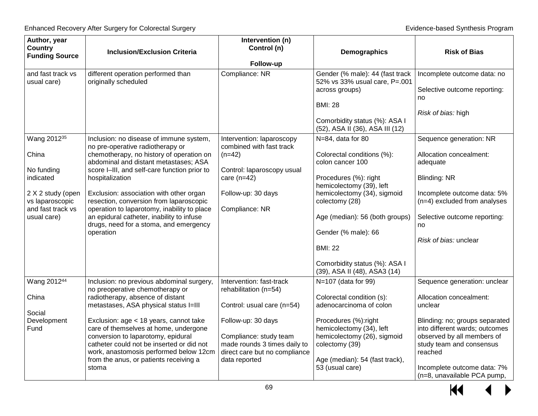| Author, year<br><b>Country</b><br><b>Funding Source</b>                                                                                 | <b>Inclusion/Exclusion Criteria</b>                                                                                                                                                                                                                                                                                                                                                                                                                                          | Intervention (n)<br>Control (n)<br>Follow-up                                                                                                                                                                      | Demographics                                                                                                                                                                                                                                                                                                          | <b>Risk of Bias</b>                                                                                                                                                                                                                                                       |
|-----------------------------------------------------------------------------------------------------------------------------------------|------------------------------------------------------------------------------------------------------------------------------------------------------------------------------------------------------------------------------------------------------------------------------------------------------------------------------------------------------------------------------------------------------------------------------------------------------------------------------|-------------------------------------------------------------------------------------------------------------------------------------------------------------------------------------------------------------------|-----------------------------------------------------------------------------------------------------------------------------------------------------------------------------------------------------------------------------------------------------------------------------------------------------------------------|---------------------------------------------------------------------------------------------------------------------------------------------------------------------------------------------------------------------------------------------------------------------------|
| and fast track vs<br>usual care)                                                                                                        | different operation performed than<br>originally scheduled                                                                                                                                                                                                                                                                                                                                                                                                                   | Compliance: NR                                                                                                                                                                                                    | Gender (% male): 44 (fast track<br>52% vs 33% usual care, P=.001<br>across groups)<br><b>BMI: 28</b><br>Comorbidity status (%): ASA I<br>(52), ASA II (36), ASA III (12)                                                                                                                                              | Incomplete outcome data: no<br>Selective outcome reporting:<br>no<br>Risk of bias: high                                                                                                                                                                                   |
| Wang 2012 <sup>35</sup><br>China<br>No funding<br>indicated<br>2 X 2 study (open<br>vs laparoscopic<br>and fast track vs<br>usual care) | Inclusion: no disease of immune system,<br>no pre-operative radiotherapy or<br>chemotherapy, no history of operation on<br>abdominal and distant metastases; ASA<br>score I-III, and self-care function prior to<br>hospitalization<br>Exclusion: association with other organ<br>resection, conversion from laparoscopic<br>operation to laparotomy, inability to place<br>an epidural catheter, inability to infuse<br>drugs, need for a stoma, and emergency<br>operation | Intervention: laparoscopy<br>combined with fast track<br>$(n=42)$<br>Control: laparoscopy usual<br>care $(n=42)$<br>Follow-up: 30 days<br>Compliance: NR                                                          | N=84, data for 80<br>Colorectal conditions (%):<br>colon cancer 100<br>Procedures (%): right<br>hemicolectomy (39), left<br>hemicolectomy (34), sigmoid<br>colectomy (28)<br>Age (median): 56 (both groups)<br>Gender (% male): 66<br><b>BMI: 22</b><br>Comorbidity status (%): ASA I<br>(39), ASA II (48), ASA3 (14) | Sequence generation: NR<br>Allocation concealment:<br>adequate<br>Blinding: NR<br>Incomplete outcome data: 5%<br>(n=4) excluded from analyses<br>Selective outcome reporting:<br>no<br>Risk of bias: unclear                                                              |
| Wang 201244<br>China<br>Social<br>Development<br>Fund                                                                                   | Inclusion: no previous abdominal surgery,<br>no preoperative chemotherapy or<br>radiotherapy, absence of distant<br>metastases, ASA physical status I=III<br>Exclusion: age < 18 years, cannot take<br>care of themselves at home, undergone<br>conversion to laparotomy, epidural<br>catheter could not be inserted or did not<br>work, anastomosis performed below 12cm<br>from the anus, or patients receiving a<br>stoma                                                 | Intervention: fast-track<br>rehabilitation (n=54)<br>Control: usual care (n=54)<br>Follow-up: 30 days<br>Compliance: study team<br>made rounds 3 times daily to<br>direct care but no compliance<br>data reported | N=107 (data for 99)<br>Colorectal condition (s):<br>adenocarcinoma of colon<br>Procedures (%):right<br>hemicolectomy (34), left<br>hemicolectomy (26), sigmoid<br>colectomy (39)<br>Age (median): 54 (fast track),<br>53 (usual care)                                                                                 | Sequence generation: unclear<br>Allocation concealment:<br>unclear<br>Blinding: no; groups separated<br>into different wards; outcomes<br>observed by all members of<br>study team and consensus<br>reached<br>Incomplete outcome data: 7%<br>(n=8, unavailable PCA pump, |

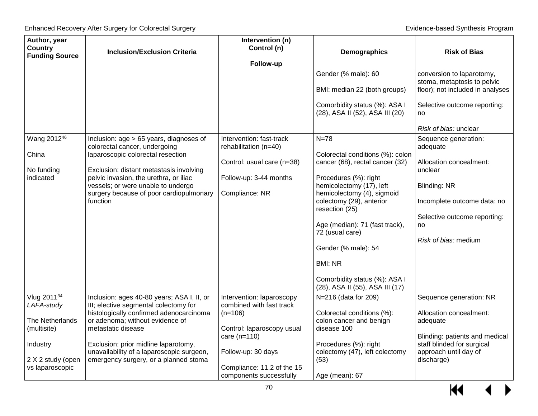| Author, year<br><b>Country</b> | <b>Inclusion/Exclusion Criteria</b>                                                 | Intervention (n)<br>Control (n)                       | Demographics                                                             | <b>Risk of Bias</b>                                      |
|--------------------------------|-------------------------------------------------------------------------------------|-------------------------------------------------------|--------------------------------------------------------------------------|----------------------------------------------------------|
| <b>Funding Source</b>          |                                                                                     | Follow-up                                             |                                                                          |                                                          |
|                                |                                                                                     |                                                       | Gender (% male): 60                                                      | conversion to laparotomy,<br>stoma, metaptosis to pelvic |
|                                |                                                                                     |                                                       | BMI: median 22 (both groups)                                             | floor); not included in analyses                         |
|                                |                                                                                     |                                                       | Comorbidity status (%): ASA I<br>(28), ASA II (52), ASA III (20)         | Selective outcome reporting:<br>no                       |
|                                |                                                                                     |                                                       |                                                                          | Risk of bias: unclear                                    |
| Wang 201246<br>China           | Inclusion: age > 65 years, diagnoses of<br>colorectal cancer, undergoing            | Intervention: fast-track<br>rehabilitation (n=40)     | $N=78$                                                                   | Sequence generation:<br>adequate                         |
| No funding                     | laparoscopic colorectal resection<br>Exclusion: distant metastasis involving        | Control: usual care (n=38)                            | Colorectal conditions (%): colon<br>cancer (68), rectal cancer (32)      | Allocation concealment:<br>unclear                       |
| indicated                      | pelvic invasion, the urethra, or iliac<br>vessels; or were unable to undergo        | Follow-up: 3-44 months                                | Procedures (%): right<br>hemicolectomy (17), left                        | <b>Blinding: NR</b>                                      |
|                                | surgery because of poor cardiopulmonary<br>function                                 | Compliance: NR                                        | hemicolectomy (4), sigmoid<br>colectomy (29), anterior<br>resection (25) | Incomplete outcome data: no                              |
|                                |                                                                                     |                                                       |                                                                          | Selective outcome reporting:                             |
|                                |                                                                                     |                                                       | Age (median): 71 (fast track),<br>72 (usual care)                        | no                                                       |
|                                |                                                                                     |                                                       | Gender (% male): 54                                                      | Risk of bias: medium                                     |
|                                |                                                                                     |                                                       | <b>BMI: NR</b>                                                           |                                                          |
|                                |                                                                                     |                                                       | Comorbidity status (%): ASA I<br>(28), ASA II (55), ASA III (17)         |                                                          |
| Vlug 201134<br>LAFA-study      | Inclusion: ages 40-80 years; ASA I, II, or<br>III; elective segmental colectomy for | Intervention: laparoscopy<br>combined with fast track | N=216 (data for 209)                                                     | Sequence generation: NR                                  |
| The Netherlands                | histologically confirmed adenocarcinoma<br>or adenoma; without evidence of          | $(n=106)$                                             | Colorectal conditions (%):<br>colon cancer and benign                    | Allocation concealment:<br>adequate                      |
| (multisite)                    | metastatic disease                                                                  | Control: laparoscopy usual<br>care $(n=110)$          | disease 100                                                              | Blinding: patients and medical                           |
| Industry                       | Exclusion: prior midline laparotomy,<br>unavailability of a laparoscopic surgeon,   | Follow-up: 30 days                                    | Procedures (%): right<br>colectomy (47), left colectomy                  | staff blinded for surgical<br>approach until day of      |
| 2 X 2 study (open              | emergency surgery, or a planned stoma                                               |                                                       | (53)                                                                     | discharge)                                               |
| vs laparoscopic                |                                                                                     | Compliance: 11.2 of the 15<br>components successfully | Age (mean): 67                                                           |                                                          |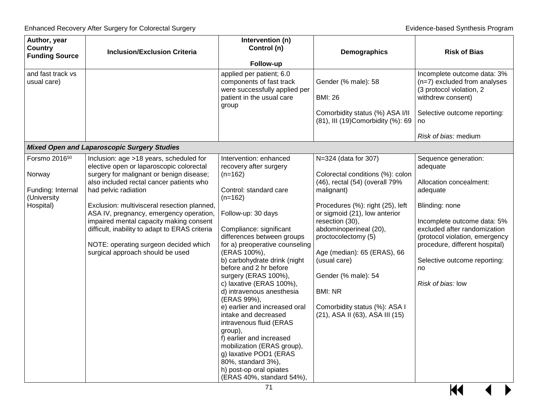| Author, year<br><b>Country</b><br><b>Funding Source</b>                              | <b>Inclusion/Exclusion Criteria</b>                                                                                                                                                                                                                                                                                                                                                                                                                                     | Intervention (n)<br>Control (n)<br>Follow-up                                                                                                                                                                                                                                                                                                                                                                                                                                                                                                                                                                                                                     | Demographics                                                                                                                                                                                                                                                                                                                                                                                                  | <b>Risk of Bias</b>                                                                                                                                                                                                                                                                     |
|--------------------------------------------------------------------------------------|-------------------------------------------------------------------------------------------------------------------------------------------------------------------------------------------------------------------------------------------------------------------------------------------------------------------------------------------------------------------------------------------------------------------------------------------------------------------------|------------------------------------------------------------------------------------------------------------------------------------------------------------------------------------------------------------------------------------------------------------------------------------------------------------------------------------------------------------------------------------------------------------------------------------------------------------------------------------------------------------------------------------------------------------------------------------------------------------------------------------------------------------------|---------------------------------------------------------------------------------------------------------------------------------------------------------------------------------------------------------------------------------------------------------------------------------------------------------------------------------------------------------------------------------------------------------------|-----------------------------------------------------------------------------------------------------------------------------------------------------------------------------------------------------------------------------------------------------------------------------------------|
| and fast track vs<br>usual care)                                                     |                                                                                                                                                                                                                                                                                                                                                                                                                                                                         | applied per patient; 6.0<br>components of fast track<br>were successfully applied per<br>patient in the usual care<br>group                                                                                                                                                                                                                                                                                                                                                                                                                                                                                                                                      | Gender (% male): 58<br><b>BMI: 26</b><br>Comorbidity status (%) ASA I/II                                                                                                                                                                                                                                                                                                                                      | Incomplete outcome data: 3%<br>(n=7) excluded from analyses<br>(3 protocol violation, 2<br>withdrew consent)<br>Selective outcome reporting:                                                                                                                                            |
|                                                                                      |                                                                                                                                                                                                                                                                                                                                                                                                                                                                         |                                                                                                                                                                                                                                                                                                                                                                                                                                                                                                                                                                                                                                                                  | (81), III (19) Comorbidity (%): 69                                                                                                                                                                                                                                                                                                                                                                            | no<br>Risk of bias: medium                                                                                                                                                                                                                                                              |
|                                                                                      | <b>Mixed Open and Laparoscopic Surgery Studies</b>                                                                                                                                                                                                                                                                                                                                                                                                                      |                                                                                                                                                                                                                                                                                                                                                                                                                                                                                                                                                                                                                                                                  |                                                                                                                                                                                                                                                                                                                                                                                                               |                                                                                                                                                                                                                                                                                         |
| Forsmo 2016 <sup>50</sup><br>Norway<br>Funding: Internal<br>(University<br>Hospital) | Inclusion: age >18 years, scheduled for<br>elective open or laparoscopic colorectal<br>surgery for malignant or benign disease;<br>also included rectal cancer patients who<br>had pelvic radiation<br>Exclusion: multivisceral resection planned,<br>ASA IV, pregnancy, emergency operation,<br>impaired mental capacity making consent<br>difficult, inability to adapt to ERAS criteria<br>NOTE: operating surgeon decided which<br>surgical approach should be used | Intervention: enhanced<br>recovery after surgery<br>$(n=162)$<br>Control: standard care<br>$(n=162)$<br>Follow-up: 30 days<br>Compliance: significant<br>differences between groups<br>for a) preoperative counseling<br>(ERAS 100%),<br>b) carbohydrate drink (night<br>before and 2 hr before<br>surgery (ERAS 100%),<br>c) laxative (ERAS 100%),<br>d) intravenous anesthesia<br>(ERAS 99%),<br>e) earlier and increased oral<br>intake and decreased<br>intravenous fluid (ERAS<br>group),<br>f) earlier and increased<br>mobilization (ERAS group),<br>g) laxative POD1 (ERAS<br>80%, standard 3%),<br>h) post-op oral opiates<br>(ERAS 40%, standard 54%), | N=324 (data for 307)<br>Colorectal conditions (%): colon<br>(46), rectal (54) (overall 79%<br>malignant)<br>Procedures (%): right (25), left<br>or sigmoid (21), low anterior<br>resection (30),<br>abdominoperineal (20),<br>proctocolectomy (5)<br>Age (median): 65 (ERAS), 66<br>(usual care)<br>Gender (% male): 54<br><b>BMI: NR</b><br>Comorbidity status (%): ASA I<br>(21), ASA II (63), ASA III (15) | Sequence generation:<br>adequate<br>Allocation concealment:<br>adequate<br>Blinding: none<br>Incomplete outcome data: 5%<br>excluded after randomization<br>(protocol violation, emergency<br>procedure, different hospital)<br>Selective outcome reporting:<br>no<br>Risk of bias: low |

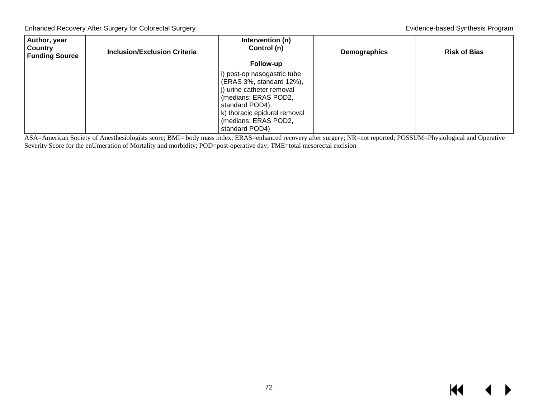| Author, year<br><b>Country</b><br><b>Funding Source</b> | <b>Inclusion/Exclusion Criteria</b> | Intervention (n)<br>Control (n)<br>Follow-up                                                                                                                                                              | <b>Demographics</b> | <b>Risk of Bias</b> |
|---------------------------------------------------------|-------------------------------------|-----------------------------------------------------------------------------------------------------------------------------------------------------------------------------------------------------------|---------------------|---------------------|
|                                                         |                                     | i) post-op nasogastric tube<br>(ERAS 3%, standard 12%),<br>i) urine catheter removal<br>(medians: ERAS POD2,<br>standard POD4),<br>k) thoracic epidural removal<br>(medians: ERAS POD2,<br>standard POD4) |                     |                     |

ASA=American Society of Anesthesiologists score; BMI= body mass index; ERAS=enhanced recovery after surgery; NR=not reported; POSSUM=Physiological and Operative Severity Score for the enUmeration of Mortality and morbidity; POD=post-operative day; TME=total mesorectal excision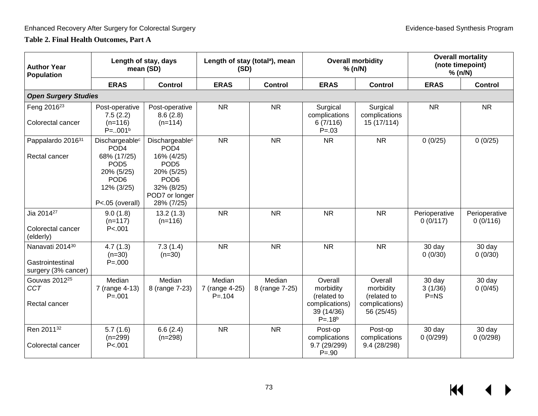### **Table 2. Final Health Outcomes, Part A**

| <b>Author Year</b><br><b>Population</b>                    | Length of stay, days<br>mean (SD)                                                                                                                    |                                                                                                                                                                  | Length of stay (total <sup>a</sup> ), mean<br>(SD) |                          | <b>Overall morbidity</b><br>% (n/N)                                               |                                                                     | <b>Overall mortality</b><br>(note timepoint)<br>% (n/N) |                           |
|------------------------------------------------------------|------------------------------------------------------------------------------------------------------------------------------------------------------|------------------------------------------------------------------------------------------------------------------------------------------------------------------|----------------------------------------------------|--------------------------|-----------------------------------------------------------------------------------|---------------------------------------------------------------------|---------------------------------------------------------|---------------------------|
|                                                            | <b>ERAS</b>                                                                                                                                          | <b>Control</b>                                                                                                                                                   | <b>ERAS</b>                                        | <b>Control</b>           | <b>ERAS</b>                                                                       | <b>Control</b>                                                      | <b>ERAS</b>                                             | <b>Control</b>            |
| <b>Open Surgery Studies</b>                                |                                                                                                                                                      |                                                                                                                                                                  |                                                    |                          |                                                                                   |                                                                     |                                                         |                           |
| Feng 2016 <sup>23</sup><br>Colorectal cancer               | Post-operative<br>7.5(2.2)<br>$(n=116)$<br>$P = .001b$                                                                                               | Post-operative<br>8.6(2.8)<br>$(n=114)$                                                                                                                          | <b>NR</b>                                          | <b>NR</b>                | Surgical<br>complications<br>6(7/116)<br>$P = .03$                                | Surgical<br>complications<br>15 (17/114)                            | <b>NR</b>                                               | <b>NR</b>                 |
| Pappalardo 201631<br>Rectal cancer                         | Dischargeable <sup>c</sup><br>POD <sub>4</sub><br>68% (17/25)<br>POD <sub>5</sub><br>20% (5/25)<br>POD <sub>6</sub><br>12% (3/25)<br>P<.05 (overall) | Dischargeable <sup>c</sup><br>POD <sub>4</sub><br>16% (4/25)<br>POD <sub>5</sub><br>20% (5/25)<br>POD <sub>6</sub><br>32% (8/25)<br>POD7 or longer<br>28% (7/25) | <b>NR</b>                                          | <b>NR</b>                | <b>NR</b>                                                                         | <b>NR</b>                                                           | 0(0/25)                                                 | 0(0/25)                   |
| Jia 2014 <sup>27</sup><br>Colorectal cancer<br>(elderly)   | 9.0(1.8)<br>$(n=117)$<br>P < .001                                                                                                                    | 13.2(1.3)<br>$(n=116)$                                                                                                                                           | <b>NR</b>                                          | <b>NR</b>                | <b>NR</b>                                                                         | <b>NR</b>                                                           | Perioperative<br>0(0/117)                               | Perioperative<br>0(0/116) |
| Nanavati 201430<br>Gastrointestinal<br>surgery (3% cancer) | 4.7(1.3)<br>$(n=30)$<br>$P = 000$                                                                                                                    | 7.3(1.4)<br>$(n=30)$                                                                                                                                             | <b>NR</b>                                          | <b>NR</b>                | <b>NR</b>                                                                         | <b>NR</b>                                                           | 30 day<br>0(0/30)                                       | 30 day<br>0(0/30)         |
| Gouvas 2012 <sup>25</sup><br><b>CCT</b><br>Rectal cancer   | Median<br>7 (range 4-13)<br>$P = 001$                                                                                                                | Median<br>8 (range 7-23)                                                                                                                                         | Median<br>7 (range 4-25)<br>$P = 104$              | Median<br>8 (range 7-25) | Overall<br>morbidity<br>(related to<br>complications)<br>39 (14/36)<br>$P = .18b$ | Overall<br>morbidity<br>(related to<br>complications)<br>56 (25/45) | 30 day<br>3(1/36)<br>$P=NS$                             | 30 day<br>0(0/45)         |
| Ren 201132<br>Colorectal cancer                            | 5.7(1.6)<br>$(n=299)$<br>P < .001                                                                                                                    | 6.6(2.4)<br>$(n=298)$                                                                                                                                            | <b>NR</b>                                          | <b>NR</b>                | Post-op<br>complications<br>9.7 (29/299)<br>$P = .90$                             | Post-op<br>complications<br>9.4 (28/298)                            | 30 day<br>0(0/299)                                      | 30 day<br>0(0/298)        |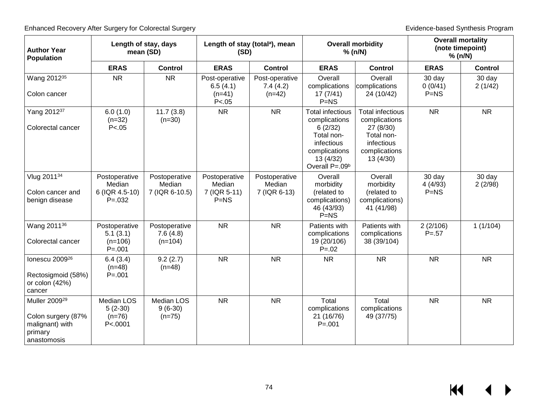| <b>Author Year</b><br><b>Population</b>                                                      | Length of stay, days<br>mean (SD)                        |                                            | Length of stay (total <sup>a</sup> ), mean<br>(SD) |                                         | <b>Overall morbidity</b><br>% (n/N)                                                                                                         |                                                                                                                 | <b>Overall mortality</b><br>(note timepoint)<br>% (n/N) |                   |
|----------------------------------------------------------------------------------------------|----------------------------------------------------------|--------------------------------------------|----------------------------------------------------|-----------------------------------------|---------------------------------------------------------------------------------------------------------------------------------------------|-----------------------------------------------------------------------------------------------------------------|---------------------------------------------------------|-------------------|
|                                                                                              | <b>ERAS</b>                                              | <b>Control</b>                             | <b>ERAS</b>                                        | <b>Control</b>                          | <b>ERAS</b>                                                                                                                                 | <b>Control</b>                                                                                                  | <b>ERAS</b>                                             | <b>Control</b>    |
| Wang 2012 <sup>35</sup><br>Colon cancer                                                      | <b>NR</b>                                                | <b>NR</b>                                  | Post-operative<br>6.5(4.1)<br>$(n=41)$<br>P < .05  | Post-operative<br>7.4(4.2)<br>$(n=42)$  | Overall<br>complications<br>17(7/41)<br>$P=NS$                                                                                              | Overall<br>complications<br>24 (10/42)                                                                          | 30 day<br>0(0/41)<br>$P=NS$                             | 30 day<br>2(1/42) |
| Yang 201237<br>Colorectal cancer                                                             | 6.0(1.0)<br>$(n=32)$<br>P < .05                          | 11.7(3.8)<br>$(n=30)$                      | <b>NR</b>                                          | <b>NR</b>                               | <b>Total infectious</b><br>complications<br>6(2/32)<br>Total non-<br>infectious<br>complications<br>13 (4/32)<br>Overall P=.09 <sup>b</sup> | <b>Total infectious</b><br>complications<br>27 (8/30)<br>Total non-<br>infectious<br>complications<br>13 (4/30) | <b>NR</b>                                               | <b>NR</b>         |
| Vlug 201134<br>Colon cancer and<br>benign disease                                            | Postoperative<br>Median<br>6 (IQR 4.5-10)<br>$P = 0.032$ | Postoperative<br>Median<br>7 (IQR 6-10.5)  | Postoperative<br>Median<br>7 (IQR 5-11)<br>$P=NS$  | Postoperative<br>Median<br>7 (IQR 6-13) | Overall<br>morbidity<br>(related to<br>complications)<br>46 (43/93)<br>$P=NS$                                                               | Overall<br>morbidity<br>(related to<br>complications)<br>41 (41/98)                                             | 30 day<br>4(4/93)<br>$P=NS$                             | 30 day<br>2(2/98) |
| Wang 2011 <sup>36</sup><br>Colorectal cancer                                                 | Postoperative<br>5.1(3.1)<br>$(n=106)$<br>$P = .001$     | Postoperative<br>7.6(4.8)<br>$(n=104)$     | <b>NR</b>                                          | <b>NR</b>                               | Patients with<br>complications<br>19 (20/106)<br>$P = 0.02$                                                                                 | Patients with<br>complications<br>38 (39/104)                                                                   | 2(2/106)<br>$P = 57$                                    | 1(1/104)          |
| lonescu 2009 <sup>26</sup><br>Rectosigmoid (58%)<br>or colon (42%)<br>cancer                 | 6.4(3.4)<br>$(n=48)$<br>$P = 001$                        | 9.2(2.7)<br>$(n=48)$                       | <b>NR</b>                                          | <b>NR</b>                               | <b>NR</b>                                                                                                                                   | <b>NR</b>                                                                                                       | <b>NR</b>                                               | <b>NR</b>         |
| Muller 2009 <sup>29</sup><br>Colon surgery (87%<br>malignant) with<br>primary<br>anastomosis | <b>Median LOS</b><br>$5(2-30)$<br>$(n=76)$<br>P < 0001   | <b>Median LOS</b><br>$9(6-30)$<br>$(n=75)$ | <b>NR</b>                                          | <b>NR</b>                               | Total<br>complications<br>21 (16/76)<br>$P = 001$                                                                                           | Total<br>complications<br>49 (37/75)                                                                            | <b>NR</b>                                               | <b>NR</b>         |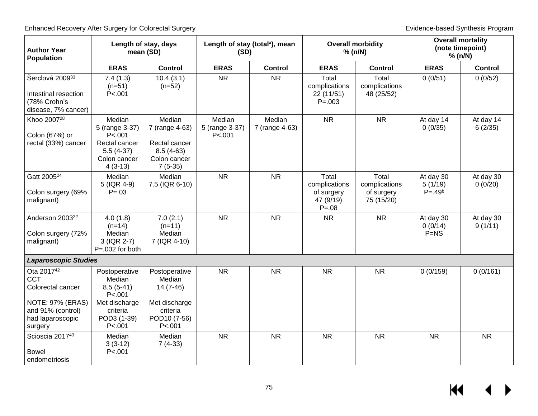| <b>Author Year</b><br><b>Population</b>                                              | Length of stay, days<br>mean (SD)                                                                 |                                                                                       | Length of stay (total <sup>a</sup> ), mean<br>(SD) |                          | <b>Overall morbidity</b><br>% (n/N)                             |                                                    | <b>Overall mortality</b><br>(note timepoint)<br>% (n/N) |                      |
|--------------------------------------------------------------------------------------|---------------------------------------------------------------------------------------------------|---------------------------------------------------------------------------------------|----------------------------------------------------|--------------------------|-----------------------------------------------------------------|----------------------------------------------------|---------------------------------------------------------|----------------------|
|                                                                                      | <b>ERAS</b>                                                                                       | <b>Control</b>                                                                        | <b>ERAS</b>                                        | <b>Control</b>           | <b>ERAS</b>                                                     | <b>Control</b>                                     | <b>ERAS</b>                                             | <b>Control</b>       |
| Šerclová 200933<br>Intestinal resection<br>(78% Crohn's<br>disease, 7% cancer)       | 7.4(1.3)<br>$(n=51)$<br>P < 001                                                                   | 10.4(3.1)<br>$(n=52)$                                                                 | <b>NR</b>                                          | <b>NR</b>                | Total<br>complications<br>22 (11/51)<br>$P = 0.003$             | Total<br>complications<br>48 (25/52)               | 0(0/51)                                                 | 0(0/52)              |
| Khoo 2007 <sup>28</sup><br>Colon (67%) or<br>rectal (33%) cancer                     | Median<br>5 (range 3-37)<br>P < .001<br>Rectal cancer<br>$5.5(4-37)$<br>Colon cancer<br>$4(3-13)$ | Median<br>7 (range 4-63)<br>Rectal cancer<br>$8.5(4-63)$<br>Colon cancer<br>$7(5-35)$ | Median<br>5 (range 3-37)<br>P < .001               | Median<br>7 (range 4-63) | <b>NR</b>                                                       | <b>NR</b>                                          | At day 14<br>0(0/35)                                    | At day 14<br>6(2/35) |
| Gatt 2005 <sup>24</sup><br>Colon surgery (69%<br>malignant)                          | Median<br>5 (IQR 4-9)<br>$P = 0.03$                                                               | Median<br>7.5 (IQR 6-10)                                                              | <b>NR</b>                                          | <b>NR</b>                | Total<br>complications<br>of surgery<br>47 (9/19)<br>$P = 0.08$ | Total<br>complications<br>of surgery<br>75 (15/20) | At day 30<br>5(1/19)<br>$P = .49b$                      | At day 30<br>0(0/20) |
| Anderson 2003 <sup>22</sup><br>Colon surgery (72%<br>malignant)                      | 4.0(1.8)<br>$(n=14)$<br>Median<br>3 (IQR 2-7)<br>$P = 002$ for both                               | 7.0(2.1)<br>$(n=11)$<br>Median<br>7 (IQR 4-10)                                        | <b>NR</b>                                          | <b>NR</b>                | <b>NR</b>                                                       | <b>NR</b>                                          | At day 30<br>0(0/14)<br>$P=NS$                          | At day 30<br>9(1/11) |
| <b>Laparoscopic Studies</b>                                                          |                                                                                                   |                                                                                       |                                                    |                          |                                                                 |                                                    |                                                         |                      |
| Ota 2017 <sup>42</sup><br><b>CCT</b><br>Colorectal cancer<br><b>NOTE: 97% (ERAS)</b> | Postoperative<br>Median<br>$8.5(5-41)$<br>P < .001<br>Met discharge                               | Postoperative<br>Median<br>$14(7-46)$<br>Met discharge                                | <b>NR</b>                                          | <b>NR</b>                | <b>NR</b>                                                       | <b>NR</b>                                          | 0(0/159)                                                | 0(0/161)             |
| and 91% (control)<br>had laparoscopic<br>surgery                                     | criteria<br>POD3 (1-39)<br>P < 001                                                                | criteria<br>POD10 (7-56)<br>P < .001                                                  |                                                    |                          |                                                                 |                                                    |                                                         |                      |
| Scioscia 2017 <sup>43</sup><br><b>Bowel</b><br>endometriosis                         | Median<br>$3(3-12)$<br>P < .001                                                                   | Median<br>$7(4-33)$                                                                   | <b>NR</b>                                          | <b>NR</b>                | <b>NR</b>                                                       | <b>NR</b>                                          | <b>NR</b>                                               | <b>NR</b>            |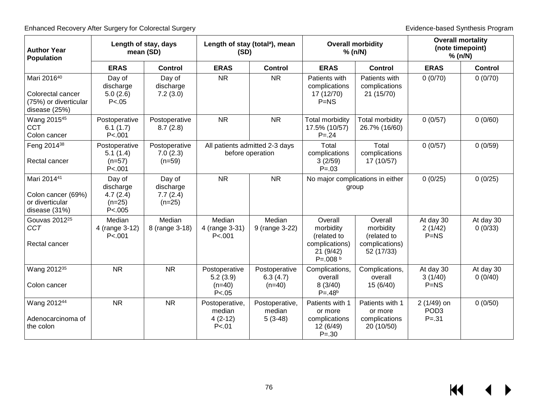| <b>Author Year</b><br><b>Population</b>                                    | Length of stay, days                                    | mean (SD)                                   | (SD)                                              | Length of stay (total <sup>a</sup> ), mean         |                                                                                   | <b>Overall morbidity</b><br>% (n/N)                                 | <b>Overall mortality</b><br>(note timepoint)<br>% (n/N) |                      |
|----------------------------------------------------------------------------|---------------------------------------------------------|---------------------------------------------|---------------------------------------------------|----------------------------------------------------|-----------------------------------------------------------------------------------|---------------------------------------------------------------------|---------------------------------------------------------|----------------------|
|                                                                            | <b>ERAS</b>                                             | <b>Control</b>                              | <b>ERAS</b>                                       | <b>Control</b>                                     | <b>ERAS</b>                                                                       | <b>Control</b>                                                      | <b>ERAS</b>                                             | <b>Control</b>       |
| Mari 201640<br>Colorectal cancer<br>(75%) or diverticular<br>disease (25%) | Day of<br>discharge<br>5.0(2.6)<br>P < .05              | Day of<br>discharge<br>7.2(3.0)             | <b>NR</b>                                         | <b>NR</b>                                          | Patients with<br>complications<br>17 (12/70)<br>$P=NS$                            | Patients with<br>complications<br>21 (15/70)                        | 0(0/70)                                                 | 0(0/70)              |
| Wang 2015 <sup>45</sup><br><b>CCT</b><br>Colon cancer                      | Postoperative<br>6.1(1.7)<br>P < 001                    | Postoperative<br>8.7(2.8)                   | <b>NR</b>                                         | <b>NR</b>                                          | <b>Total morbidity</b><br>17.5% (10/57)<br>$P = 0.24$                             | <b>Total morbidity</b><br>26.7% (16/60)                             | 0(0/57)                                                 | 0(0/60)              |
| Feng 2014 <sup>38</sup><br>Rectal cancer                                   | Postoperative<br>5.1(1.4)<br>$(n=57)$<br>P < .001       | Postoperative<br>7.0(2.3)<br>$(n=59)$       |                                                   | All patients admitted 2-3 days<br>before operation | Total<br>complications<br>3(2/59)<br>$P = 0.03$                                   | Total<br>complications<br>17 (10/57)                                | 0(0/57)                                                 | 0(0/59)              |
| Mari 201441<br>Colon cancer (69%)<br>or diverticular<br>disease (31%)      | Day of<br>discharge<br>4.7(2.4)<br>$(n=25)$<br>P < .005 | Day of<br>discharge<br>7.7(2.4)<br>$(n=25)$ | <b>NR</b>                                         | <b>NR</b>                                          |                                                                                   | No major complications in either<br>group                           | 0(0/25)                                                 | 0(0/25)              |
| Gouvas 2012 <sup>25</sup><br>CCT<br>Rectal cancer                          | Median<br>4 (range 3-12)<br>P < .001                    | Median<br>8 (range 3-18)                    | Median<br>4 (range 3-31)<br>P < .001              | Median<br>9 (range 3-22)                           | Overall<br>morbidity<br>(related to<br>complications)<br>21(9/42)<br>$P = .008 b$ | Overall<br>morbidity<br>(related to<br>complications)<br>52 (17/33) | At day 30<br>2(1/42)<br>$P=NS$                          | At day 30<br>0(0/33) |
| Wang 2012 <sup>35</sup><br>Colon cancer                                    | <b>NR</b>                                               | <b>NR</b>                                   | Postoperative<br>5.2(3.9)<br>$(n=40)$<br>P < 0.05 | Postoperative<br>6.3(4.7)<br>$(n=40)$              | Complications,<br>overall<br>8(3/40)<br>$P = .48b$                                | Complications,<br>overall<br>15(6/40)                               | At day 30<br>3(1/40)<br>$P=NS$                          | At day 30<br>0(0/40) |
| Wang 201244<br>Adenocarcinoma of<br>the colon                              | <b>NR</b>                                               | <b>NR</b>                                   | Postoperative,<br>median<br>$4(2-12)$<br>P < 01   | Postoperative,<br>median<br>$5(3-48)$              | Patients with 1<br>or more<br>complications<br>12 (6/49)<br>$P = .30$             | Patients with 1<br>or more<br>complications<br>20 (10/50)           | $2(1/49)$ on<br>POD <sub>3</sub><br>$P = 31$            | 0(0/50)              |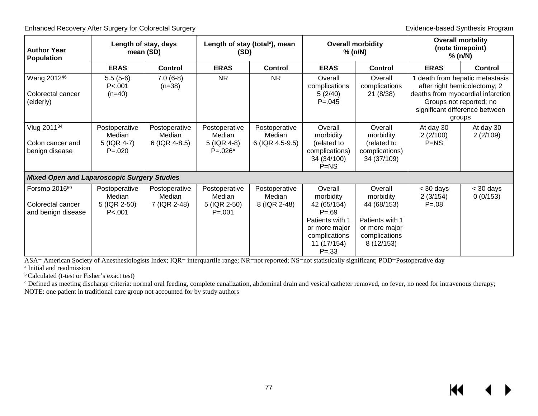| <b>Author Year</b><br><b>Population</b>                              | Length of stay, days<br>mean (SD)                     |                                          | Length of stay (total <sup>a</sup> ), mean<br>(SD)     |                                            | <b>Overall morbidity</b><br>% (n/N)                                                                                              |                                                                                                       | <b>Overall mortality</b><br>(note timepoint)<br>% (n/N) |                                                                                                                                                                             |
|----------------------------------------------------------------------|-------------------------------------------------------|------------------------------------------|--------------------------------------------------------|--------------------------------------------|----------------------------------------------------------------------------------------------------------------------------------|-------------------------------------------------------------------------------------------------------|---------------------------------------------------------|-----------------------------------------------------------------------------------------------------------------------------------------------------------------------------|
|                                                                      | <b>ERAS</b>                                           | <b>Control</b>                           | <b>ERAS</b>                                            | Control                                    | <b>ERAS</b>                                                                                                                      | <b>Control</b>                                                                                        | <b>ERAS</b>                                             | <b>Control</b>                                                                                                                                                              |
| Wang 201246<br>Colorectal cancer<br>(elderly)                        | $5.5(5-6)$<br>P < 001<br>$(n=40)$                     | $7.0(6-8)$<br>$(n=38)$                   | <b>NR</b>                                              | <b>NR</b>                                  | Overall<br>complications<br>5(2/40)<br>$P = 0.045$                                                                               | Overall<br>complications<br>21(8/38)                                                                  |                                                         | 1 death from hepatic metastasis<br>after right hemicolectomy; 2<br>deaths from myocardial infarction<br>Groups not reported; no<br>significant difference between<br>groups |
| Vlug 201134<br>Colon cancer and<br>benign disease                    | Postoperative<br>Median<br>5 (IQR 4-7)<br>$P = 0.020$ | Postoperative<br>Median<br>6 (IQR 4-8.5) | Postoperative<br>Median<br>5 (IQR 4-8)<br>$P = 0.026*$ | Postoperative<br>Median<br>6 (IQR 4.5-9.5) | Overall<br>morbidity<br>(related to<br>complications)<br>34 (34/100)<br>$P=NS$                                                   | Overall<br>morbidity<br>(related to<br>complications)<br>34 (37/109)                                  | At day 30<br>2(2/100)<br>$P=NS$                         | At day 30<br>2(2/109)                                                                                                                                                       |
| <b>Mixed Open and Laparoscopic Surgery Studies</b>                   |                                                       |                                          |                                                        |                                            |                                                                                                                                  |                                                                                                       |                                                         |                                                                                                                                                                             |
| Forsmo 2016 <sup>50</sup><br>Colorectal cancer<br>and benign disease | Postoperative<br>Median<br>5 (IQR 2-50)<br>P < .001   | Postoperative<br>Median<br>7 (IQR 2-48)  | Postoperative<br>Median<br>5 (IQR 2-50)<br>$P = 0.001$ | Postoperative<br>Median<br>8 (IQR 2-48)    | Overall<br>morbidity<br>42 (65/154)<br>$P = .69$<br>Patients with 1<br>or more major<br>complications<br>11 (17/154)<br>$P = 33$ | Overall<br>morbidity<br>44 (68/153)<br>Patients with 1<br>or more major<br>complications<br>8(12/153) | $<$ 30 days<br>2(3/154)<br>$P = 08$                     | $<$ 30 days<br>0(0/153)                                                                                                                                                     |

ASA= American Society of Anesthesiologists Index; IQR= interquartile range; NR=not reported; NS=not statistically significant; POD=Postoperative day

a Initial and readmission

b Calculated (t-test or Fisher's exact test)

c Defined as meeting discharge criteria: normal oral feeding, complete canalization, abdominal drain and vesical catheter removed, no fever, no need for intravenous therapy; NOTE: one patient in traditional care group not accounted for by study authors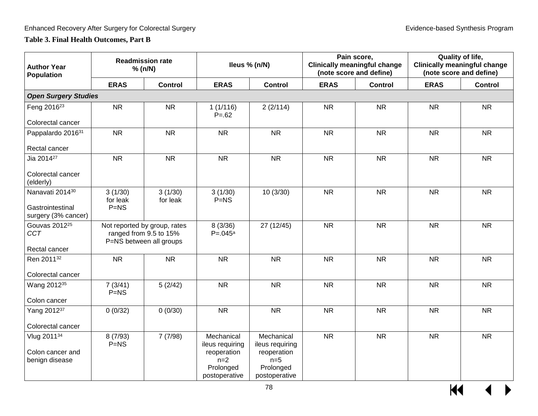### **Table 3. Final Health Outcomes, Part B**

| <b>Author Year</b><br>Population                                       |                               | <b>Readmission rate</b><br>% (n/N)                                                |                                                                                     | Ileus % (n/N)                                                                       |             | Pain score,<br><b>Clinically meaningful change</b><br>(note score and define) |             | <b>Quality of life,</b><br><b>Clinically meaningful change</b><br>(note score and define) |
|------------------------------------------------------------------------|-------------------------------|-----------------------------------------------------------------------------------|-------------------------------------------------------------------------------------|-------------------------------------------------------------------------------------|-------------|-------------------------------------------------------------------------------|-------------|-------------------------------------------------------------------------------------------|
|                                                                        | <b>ERAS</b>                   | <b>Control</b>                                                                    | <b>ERAS</b>                                                                         | <b>Control</b>                                                                      | <b>ERAS</b> | <b>Control</b>                                                                | <b>ERAS</b> | <b>Control</b>                                                                            |
| <b>Open Surgery Studies</b>                                            |                               |                                                                                   |                                                                                     |                                                                                     |             |                                                                               |             |                                                                                           |
| Feng 2016 <sup>23</sup><br>Colorectal cancer                           | <b>NR</b>                     | <b>NR</b>                                                                         | 1(1/116)<br>$P = 62$                                                                | 2(2/114)                                                                            | <b>NR</b>   | <b>NR</b>                                                                     | <b>NR</b>   | <b>NR</b>                                                                                 |
| Pappalardo 201631<br>Rectal cancer                                     | <b>NR</b>                     | <b>NR</b>                                                                         | <b>NR</b>                                                                           | <b>NR</b>                                                                           | <b>NR</b>   | <b>NR</b>                                                                     | <b>NR</b>   | <b>NR</b>                                                                                 |
| Jia 2014 <sup>27</sup><br>Colorectal cancer<br>(elderly)               | <b>NR</b>                     | <b>NR</b>                                                                         | <b>NR</b>                                                                           | <b>NR</b>                                                                           | <b>NR</b>   | <b>NR</b>                                                                     | <b>NR</b>   | <b>NR</b>                                                                                 |
| Nanavati 2014 <sup>30</sup><br>Gastrointestinal<br>surgery (3% cancer) | 3(1/30)<br>for leak<br>$P=NS$ | 3(1/30)<br>for leak                                                               | 3(1/30)<br>$P=NS$                                                                   | 10(3/30)                                                                            | <b>NR</b>   | <b>NR</b>                                                                     | <b>NR</b>   | <b>NR</b>                                                                                 |
| Gouvas 2012 <sup>25</sup><br><b>CCT</b><br>Rectal cancer               |                               | Not reported by group, rates<br>ranged from 9.5 to 15%<br>P=NS between all groups | 8(3/36)<br>$P = 0.045a$                                                             | 27 (12/45)                                                                          | <b>NR</b>   | <b>NR</b>                                                                     | <b>NR</b>   | <b>NR</b>                                                                                 |
| Ren 201132<br>Colorectal cancer                                        | <b>NR</b>                     | <b>NR</b>                                                                         | <b>NR</b>                                                                           | <b>NR</b>                                                                           | <b>NR</b>   | <b>NR</b>                                                                     | <b>NR</b>   | <b>NR</b>                                                                                 |
| Wang 2012 <sup>35</sup><br>Colon cancer                                | 7(3/41)<br>$P=NS$             | 5(2/42)                                                                           | <b>NR</b>                                                                           | <b>NR</b>                                                                           | <b>NR</b>   | <b>NR</b>                                                                     | <b>NR</b>   | <b>NR</b>                                                                                 |
| Yang 201237<br>Colorectal cancer                                       | 0(0/32)                       | 0(0/30)                                                                           | <b>NR</b>                                                                           | <b>NR</b>                                                                           | <b>NR</b>   | <b>NR</b>                                                                     | <b>NR</b>   | <b>NR</b>                                                                                 |
| Vlug 201134<br>Colon cancer and<br>benign disease                      | 8(7/93)<br>$P=NS$             | 7(7/98)                                                                           | Mechanical<br>ileus requiring<br>reoperation<br>$n=2$<br>Prolonged<br>postoperative | Mechanical<br>ileus requiring<br>reoperation<br>$n=5$<br>Prolonged<br>postoperative | <b>NR</b>   | <b>NR</b>                                                                     | <b>NR</b>   | <b>NR</b>                                                                                 |

 $\overline{M}$   $\rightarrow$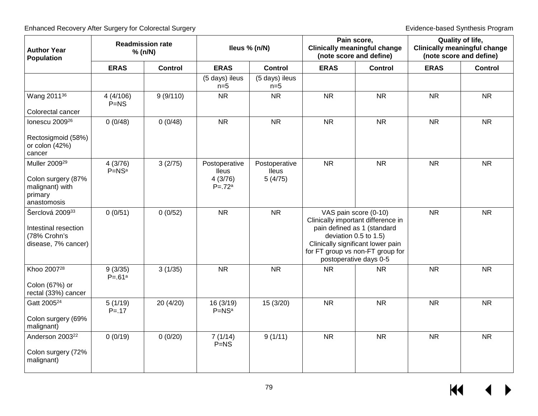| <b>Author Year</b><br><b>Population</b>                                                      |                       | <b>Readmission rate</b><br>% (n/N) |                                                        | lleus % (n/N)                            | Pain score,<br><b>Clinically meaningful change</b><br>(note score and define) |                                                                                                                                                                                                                        | <b>Quality of life,</b><br><b>Clinically meaningful change</b><br>(note score and define) |                |
|----------------------------------------------------------------------------------------------|-----------------------|------------------------------------|--------------------------------------------------------|------------------------------------------|-------------------------------------------------------------------------------|------------------------------------------------------------------------------------------------------------------------------------------------------------------------------------------------------------------------|-------------------------------------------------------------------------------------------|----------------|
|                                                                                              | <b>ERAS</b>           | <b>Control</b>                     | <b>ERAS</b>                                            | <b>Control</b>                           | <b>ERAS</b>                                                                   | <b>Control</b>                                                                                                                                                                                                         | <b>ERAS</b>                                                                               | <b>Control</b> |
|                                                                                              |                       |                                    | (5 days) ileus<br>$n=5$                                | (5 days) ileus<br>$n=5$                  |                                                                               |                                                                                                                                                                                                                        |                                                                                           |                |
| Wang 2011 <sup>36</sup><br>Colorectal cancer                                                 | 4(4/106)<br>$P=NS$    | 9(9/110)                           | <b>NR</b>                                              | <b>NR</b>                                | <b>NR</b>                                                                     | <b>NR</b>                                                                                                                                                                                                              | <b>NR</b>                                                                                 | <b>NR</b>      |
| lonescu 2009 <sup>26</sup>                                                                   | 0(0/48)               | 0(0/48)                            | <b>NR</b>                                              | <b>NR</b>                                | <b>NR</b>                                                                     | <b>NR</b>                                                                                                                                                                                                              | <b>NR</b>                                                                                 | <b>NR</b>      |
| Rectosigmoid (58%)<br>or colon (42%)<br>cancer                                               |                       |                                    |                                                        |                                          |                                                                               |                                                                                                                                                                                                                        |                                                                                           |                |
| Muller 2009 <sup>29</sup><br>Colon surgery (87%<br>malignant) with<br>primary<br>anastomosis | 4(3/76)<br>$P=NSa$    | 3(2/75)                            | Postoperative<br><b>Ileus</b><br>4(3/76)<br>$P = .72a$ | Postoperative<br><b>Ileus</b><br>5(4/75) | <b>NR</b>                                                                     | <b>NR</b>                                                                                                                                                                                                              | <b>NR</b>                                                                                 | <b>NR</b>      |
| Šerclová 200933<br>Intestinal resection<br>(78% Crohn's<br>disease, 7% cancer)               | 0(0/51)               | 0(0/52)                            | <b>NR</b>                                              | <b>NR</b>                                |                                                                               | VAS pain score (0-10)<br>Clinically important difference in<br>pain defined as 1 (standard<br>deviation 0.5 to 1.5)<br>Clinically significant lower pain<br>for FT group vs non-FT group for<br>postoperative days 0-5 | <b>NR</b>                                                                                 | <b>NR</b>      |
| Khoo 2007 <sup>28</sup><br>Colon (67%) or<br>rectal (33%) cancer                             | 9(3/35)<br>$P = .61a$ | 3(1/35)                            | <b>NR</b>                                              | <b>NR</b>                                | <b>NR</b>                                                                     | <b>NR</b>                                                                                                                                                                                                              | <b>NR</b>                                                                                 | <b>NR</b>      |
| Gatt 2005 <sup>24</sup><br>Colon surgery (69%<br>malignant)                                  | 5(1/19)<br>$P = 17$   | 20 (4/20)                          | 16(3/19)<br>$P=NSa$                                    | 15(3/20)                                 | <b>NR</b>                                                                     | <b>NR</b>                                                                                                                                                                                                              | <b>NR</b>                                                                                 | <b>NR</b>      |
| Anderson 2003 <sup>22</sup><br>Colon surgery (72%<br>malignant)                              | 0(0/19)               | 0(0/20)                            | 7(1/14)<br>$P=NS$                                      | 9(1/11)                                  | <b>NR</b>                                                                     | <b>NR</b>                                                                                                                                                                                                              | <b>NR</b>                                                                                 | <b>NR</b>      |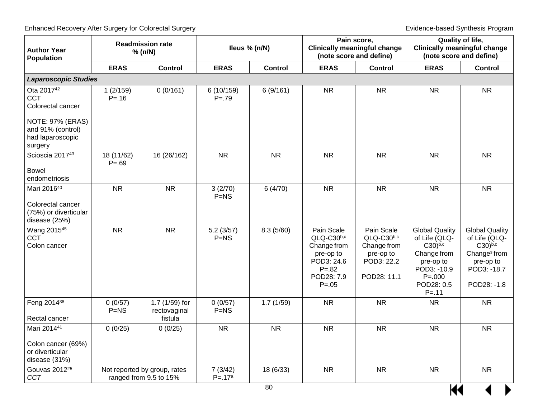| <b>Author Year</b><br><b>Population</b>                                     |                         | <b>Readmission rate</b><br>% (n/N)                     |                       | lleus % (n/N)  | Pain score,<br><b>Clinically meaningful change</b><br>(note score and define)                             |                                                                                   |                                                                                                                                          | <b>Quality of life,</b><br><b>Clinically meaningful change</b><br>(note score and define)                                      |
|-----------------------------------------------------------------------------|-------------------------|--------------------------------------------------------|-----------------------|----------------|-----------------------------------------------------------------------------------------------------------|-----------------------------------------------------------------------------------|------------------------------------------------------------------------------------------------------------------------------------------|--------------------------------------------------------------------------------------------------------------------------------|
|                                                                             | <b>ERAS</b>             | <b>Control</b>                                         | <b>ERAS</b>           | <b>Control</b> | <b>ERAS</b>                                                                                               | <b>Control</b>                                                                    | <b>ERAS</b>                                                                                                                              | <b>Control</b>                                                                                                                 |
| <b>Laparoscopic Studies</b>                                                 |                         |                                                        |                       |                |                                                                                                           |                                                                                   |                                                                                                                                          |                                                                                                                                |
| Ota 2017 <sup>42</sup><br><b>CCT</b><br>Colorectal cancer                   | 1(2/159)<br>$P = 16$    | 0(0/161)                                               | 6(10/159)<br>$P = 79$ | 6(9/161)       | <b>NR</b>                                                                                                 | <b>NR</b>                                                                         | <b>NR</b>                                                                                                                                | <b>NR</b>                                                                                                                      |
| <b>NOTE: 97% (ERAS)</b><br>and 91% (control)<br>had laparoscopic<br>surgery |                         |                                                        |                       |                |                                                                                                           |                                                                                   |                                                                                                                                          |                                                                                                                                |
| Scioscia 201743<br><b>Bowel</b>                                             | 18 (11/62)<br>$P = .69$ | 16 (26/162)                                            | <b>NR</b>             | <b>NR</b>      | <b>NR</b>                                                                                                 | <b>NR</b>                                                                         | <b>NR</b>                                                                                                                                | <b>NR</b>                                                                                                                      |
| endometriosis                                                               |                         |                                                        |                       |                |                                                                                                           |                                                                                   |                                                                                                                                          |                                                                                                                                |
| Mari 201640                                                                 | <b>NR</b>               | <b>NR</b>                                              | 3(2/70)<br>$P=NS$     | 6(4/70)        | <b>NR</b>                                                                                                 | <b>NR</b>                                                                         | <b>NR</b>                                                                                                                                | <b>NR</b>                                                                                                                      |
| Colorectal cancer<br>(75%) or diverticular<br>disease (25%)                 |                         |                                                        |                       |                |                                                                                                           |                                                                                   |                                                                                                                                          |                                                                                                                                |
| Wang 2015 <sup>45</sup><br>CCT<br>Colon cancer                              | <b>NR</b>               | <b>NR</b>                                              | 5.2(3/57)<br>$P=NS$   | 8.3(5/60)      | Pain Scale<br>QLQ-C30b,c<br>Change from<br>pre-op to<br>POD3: 24.6<br>$P = 82$<br>POD28: 7.9<br>$P = .05$ | Pain Scale<br>QLQ-C30b,c<br>Change from<br>pre-op to<br>POD3: 22.2<br>POD28: 11.1 | <b>Global Quality</b><br>of Life (QLQ-<br>$C30)^{b,c}$<br>Change from<br>pre-op to<br>POD3: -10.9<br>$P = 000$<br>POD28: 0.5<br>$P = 11$ | <b>Global Quality</b><br>of Life (QLQ-<br>$C30)^{b,c}$<br>Change <sup>s</sup> from<br>pre-op to<br>POD3: - 18.7<br>POD28: -1.8 |
| Feng 201438<br>Rectal cancer                                                | 0(0/57)<br>$P=NS$       | 1.7 (1/59) for<br>rectovaginal<br>fistula              | 0(0/57)<br>$P=NS$     | 1.7(1/59)      | <b>NR</b>                                                                                                 | <b>NR</b>                                                                         | <b>NR</b>                                                                                                                                | <b>NR</b>                                                                                                                      |
| Mari 201441                                                                 | 0(0/25)                 | 0(0/25)                                                | <b>NR</b>             | <b>NR</b>      | <b>NR</b>                                                                                                 | <b>NR</b>                                                                         | <b>NR</b>                                                                                                                                | <b>NR</b>                                                                                                                      |
| Colon cancer (69%)<br>or diverticular<br>disease (31%)                      |                         |                                                        |                       |                |                                                                                                           |                                                                                   |                                                                                                                                          |                                                                                                                                |
| Gouvas 2012 <sup>25</sup><br><b>CCT</b>                                     |                         | Not reported by group, rates<br>ranged from 9.5 to 15% | 7(3/42)<br>$P = .17a$ | 18 (6/33)      | <b>NR</b>                                                                                                 | <b>NR</b>                                                                         | <b>NR</b>                                                                                                                                | <b>NR</b>                                                                                                                      |
|                                                                             | 80<br>K                 |                                                        |                       |                |                                                                                                           |                                                                                   |                                                                                                                                          |                                                                                                                                |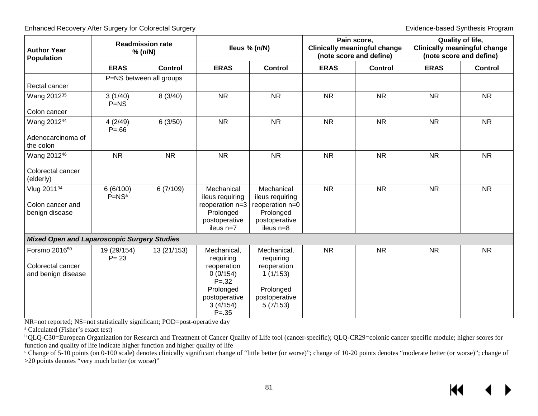| <b>Author Year</b><br><b>Population</b>                              |                         | <b>Readmission rate</b><br>% (n/N) |                                                                                                                        | lleus % (n/N)                                                                                 | Pain score,<br><b>Clinically meaningful change</b><br>(note score and define) |                |             | Quality of life,<br><b>Clinically meaningful change</b><br>(note score and define) |
|----------------------------------------------------------------------|-------------------------|------------------------------------|------------------------------------------------------------------------------------------------------------------------|-----------------------------------------------------------------------------------------------|-------------------------------------------------------------------------------|----------------|-------------|------------------------------------------------------------------------------------|
|                                                                      | <b>ERAS</b>             | <b>Control</b>                     | <b>ERAS</b>                                                                                                            | <b>Control</b>                                                                                | <b>ERAS</b>                                                                   | <b>Control</b> | <b>ERAS</b> | <b>Control</b>                                                                     |
| Rectal cancer                                                        |                         | P=NS between all groups            |                                                                                                                        |                                                                                               |                                                                               |                |             |                                                                                    |
| Wang 2012 <sup>35</sup><br>Colon cancer                              | 3(1/40)<br>$P=NS$       | 8(3/40)                            | <b>NR</b>                                                                                                              | <b>NR</b>                                                                                     | <b>NR</b>                                                                     | <b>NR</b>      | <b>NR</b>   | <b>NR</b>                                                                          |
| Wang 201244<br>Adenocarcinoma of<br>the colon                        | 4(2/49)<br>$P = 66$     | 6(3/50)                            | <b>NR</b>                                                                                                              | <b>NR</b>                                                                                     | <b>NR</b>                                                                     | <b>NR</b>      | <b>NR</b>   | <b>NR</b>                                                                          |
| Wang 201246<br>Colorectal cancer<br>(elderly)                        | <b>NR</b>               | <b>NR</b>                          | <b>NR</b>                                                                                                              | <b>NR</b>                                                                                     | <b>NR</b>                                                                     | <b>NR</b>      | <b>NR</b>   | <b>NR</b>                                                                          |
| Vlug 201134<br>Colon cancer and<br>benign disease                    | 6(6/100)<br>$P = NSa$   | 6(7/109)                           | Mechanical<br>ileus requiring<br>reoperation n=3<br>Prolonged<br>postoperative<br>ileus n=7                            | Mechanical<br>ileus requiring<br>reoperation n=0<br>Prolonged<br>postoperative<br>ileus n=8   | <b>NR</b>                                                                     | <b>NR</b>      | <b>NR</b>   | <b>NR</b>                                                                          |
| <b>Mixed Open and Laparoscopic Surgery Studies</b>                   |                         |                                    |                                                                                                                        |                                                                                               |                                                                               |                |             |                                                                                    |
| Forsmo 2016 <sup>50</sup><br>Colorectal cancer<br>and benign disease | 19 (29/154)<br>$P = 23$ | 13 (21/153)                        | Mechanical,<br>requiring<br>reoperation<br>0(0/154)<br>$P = 32$<br>Prolonged<br>postoperative<br>3(4/154)<br>$P = .35$ | Mechanical,<br>requiring<br>reoperation<br>1(1/153)<br>Prolonged<br>postoperative<br>5(7/153) | <b>NR</b>                                                                     | <b>NR</b>      | <b>NR</b>   | <b>NR</b>                                                                          |

NR=not reported; NS=not statistically significant; POD=post-operative day

a Calculated (Fisher's exact test)

<sup>b</sup> QLQ-C30=European Organization for Research and Treatment of Cancer Quality of Life tool (cancer-specific); QLQ-CR29=colonic cancer specific module; higher scores for function and quality of life indicate higher function and higher quality of life

<sup>c</sup> Change of 5-10 points (on 0-100 scale) denotes clinically significant change of "little better (or worse)"; change of 10-20 points denotes "moderate better (or worse)"; change of >20 points denotes "very much better (or worse)"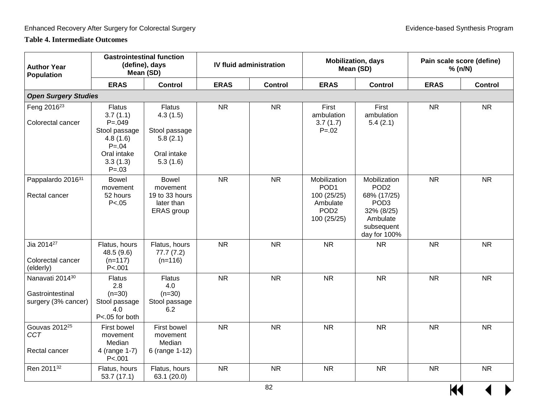### **Table 4. Intermediate Outcomes**

| <b>Author Year</b><br><b>Population</b>                    |                                                                                                                             | <b>Gastrointestinal function</b><br>(define), days<br>Mean (SD)                   |             | <b>IV fluid administration</b> | <b>Mobilization, days</b><br>Mean (SD)                                                         |                                                                                                                             | Pain scale score (define)<br>% (n/N) |                |
|------------------------------------------------------------|-----------------------------------------------------------------------------------------------------------------------------|-----------------------------------------------------------------------------------|-------------|--------------------------------|------------------------------------------------------------------------------------------------|-----------------------------------------------------------------------------------------------------------------------------|--------------------------------------|----------------|
|                                                            | <b>ERAS</b>                                                                                                                 | <b>Control</b>                                                                    | <b>ERAS</b> | <b>Control</b>                 | <b>ERAS</b>                                                                                    | <b>Control</b>                                                                                                              | <b>ERAS</b>                          | <b>Control</b> |
| <b>Open Surgery Studies</b>                                |                                                                                                                             |                                                                                   |             |                                |                                                                                                |                                                                                                                             |                                      |                |
| Feng 2016 <sup>23</sup><br>Colorectal cancer               | <b>Flatus</b><br>3.7(1.1)<br>$P = 0.049$<br>Stool passage<br>4.8(1.6)<br>$P = 0.04$<br>Oral intake<br>3.3(1.3)<br>$P = .03$ | <b>Flatus</b><br>4.3(1.5)<br>Stool passage<br>5.8(2.1)<br>Oral intake<br>5.3(1.6) | <b>NR</b>   | <b>NR</b>                      | First<br>ambulation<br>3.7(1.7)<br>$P = 0.02$                                                  | First<br>ambulation<br>5.4(2.1)                                                                                             | <b>NR</b>                            | <b>NR</b>      |
| Pappalardo 201631<br>Rectal cancer                         | <b>Bowel</b><br>movement<br>52 hours<br>P < .05                                                                             | <b>Bowel</b><br>movement<br>19 to 33 hours<br>later than<br>ERAS group            | <b>NR</b>   | <b>NR</b>                      | Mobilization<br>POD <sub>1</sub><br>100 (25/25)<br>Ambulate<br>POD <sub>2</sub><br>100 (25/25) | Mobilization<br>POD <sub>2</sub><br>68% (17/25)<br>POD <sub>3</sub><br>32% (8/25)<br>Ambulate<br>subsequent<br>day for 100% | <b>NR</b>                            | <b>NR</b>      |
| Jia 2014 <sup>27</sup><br>Colorectal cancer<br>(elderly)   | Flatus, hours<br>48.5 (9.6)<br>$(n=117)$<br>P < .001                                                                        | Flatus, hours<br>77.7(7.2)<br>$(n=116)$                                           | <b>NR</b>   | <b>NR</b>                      | <b>NR</b>                                                                                      | <b>NR</b>                                                                                                                   | <b>NR</b>                            | <b>NR</b>      |
| Nanavati 201430<br>Gastrointestinal<br>surgery (3% cancer) | <b>Flatus</b><br>2.8<br>$(n=30)$<br>Stool passage<br>4.0<br>P<.05 for both                                                  | <b>Flatus</b><br>4.0<br>$(n=30)$<br>Stool passage<br>6.2                          | <b>NR</b>   | <b>NR</b>                      | <b>NR</b>                                                                                      | <b>NR</b>                                                                                                                   | <b>NR</b>                            | <b>NR</b>      |
| Gouvas 2012 <sup>25</sup><br><b>CCT</b><br>Rectal cancer   | First bowel<br>movement<br>Median<br>4 (range 1-7)<br>P < .001                                                              | First bowel<br>movement<br>Median<br>6 (range 1-12)                               | <b>NR</b>   | <b>NR</b>                      | <b>NR</b>                                                                                      | <b>NR</b>                                                                                                                   | <b>NR</b>                            | <b>NR</b>      |
| Ren 2011 <sup>32</sup>                                     | Flatus, hours<br>53.7(17.1)                                                                                                 | Flatus, hours<br>63.1 (20.0)                                                      | <b>NR</b>   | <b>NR</b>                      | <b>NR</b>                                                                                      | <b>NR</b>                                                                                                                   | <b>NR</b>                            | <b>NR</b>      |

 $\overline{M}$   $\rightarrow$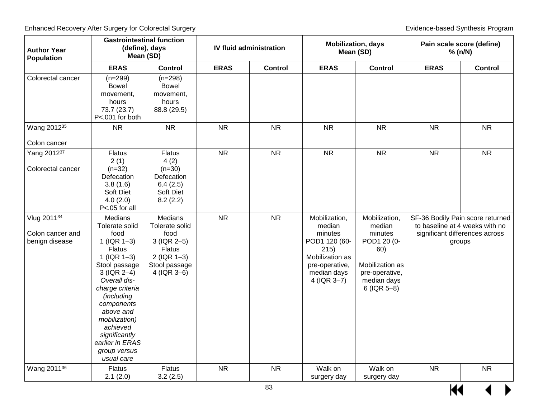| <b>Author Year</b><br>Population                  | <b>Gastrointestinal function</b><br>(define), days<br>Mean (SD)                                                                                                                                                                                                                                                |                                                                                                                              |             | <b>IV fluid administration</b> |                                                                                                                                  | <b>Mobilization, days</b><br>Mean (SD)                                                                                        |             | Pain scale score (define)<br>% (n/N)                                                                           |  |
|---------------------------------------------------|----------------------------------------------------------------------------------------------------------------------------------------------------------------------------------------------------------------------------------------------------------------------------------------------------------------|------------------------------------------------------------------------------------------------------------------------------|-------------|--------------------------------|----------------------------------------------------------------------------------------------------------------------------------|-------------------------------------------------------------------------------------------------------------------------------|-------------|----------------------------------------------------------------------------------------------------------------|--|
|                                                   | <b>ERAS</b>                                                                                                                                                                                                                                                                                                    | <b>Control</b>                                                                                                               | <b>ERAS</b> | Control                        | <b>ERAS</b>                                                                                                                      | <b>Control</b>                                                                                                                | <b>ERAS</b> | <b>Control</b>                                                                                                 |  |
| Colorectal cancer                                 | $(n=299)$<br><b>Bowel</b><br>movement,<br>hours<br>73.7 (23.7)<br>P<.001 for both                                                                                                                                                                                                                              | $(n=298)$<br><b>Bowel</b><br>movement,<br>hours<br>88.8 (29.5)                                                               |             |                                |                                                                                                                                  |                                                                                                                               |             |                                                                                                                |  |
| Wang 2012 <sup>35</sup>                           | <b>NR</b>                                                                                                                                                                                                                                                                                                      | <b>NR</b>                                                                                                                    | <b>NR</b>   | <b>NR</b>                      | <b>NR</b>                                                                                                                        | <b>NR</b>                                                                                                                     | <b>NR</b>   | <b>NR</b>                                                                                                      |  |
| Colon cancer                                      |                                                                                                                                                                                                                                                                                                                |                                                                                                                              |             |                                |                                                                                                                                  |                                                                                                                               |             |                                                                                                                |  |
| Yang 201237<br>Colorectal cancer                  | <b>Flatus</b><br>2(1)<br>$(n=32)$<br>Defecation<br>3.8(1.6)<br>Soft Diet<br>4.0(2.0)<br>P<.05 for all                                                                                                                                                                                                          | <b>Flatus</b><br>4(2)<br>$(n=30)$<br>Defecation<br>6.4(2.5)<br>Soft Diet<br>8.2(2.2)                                         | <b>NR</b>   | <b>NR</b>                      | <b>NR</b>                                                                                                                        | <b>NR</b>                                                                                                                     | <b>NR</b>   | <b>NR</b>                                                                                                      |  |
| Vlug 201134<br>Colon cancer and<br>benign disease | <b>Medians</b><br>Tolerate solid<br>food<br>$1$ (IQR $1-3$ )<br><b>Flatus</b><br>$1$ (IQR $1-3$ )<br>Stool passage<br>$3$ (IQR 2-4)<br>Overall dis-<br>charge criteria<br>(including<br>components<br>above and<br>mobilization)<br>achieved<br>significantly<br>earlier in ERAS<br>group versus<br>usual care | <b>Medians</b><br>Tolerate solid<br>food<br>3 (IQR 2-5)<br><b>Flatus</b><br>$2$ (IQR 1-3)<br>Stool passage<br>4 ( $IQR$ 3-6) | <b>NR</b>   | <b>NR</b>                      | Mobilization,<br>median<br>minutes<br>POD1 120 (60-<br>215)<br>Mobilization as<br>pre-operative,<br>median days<br>$4$ (IQR 3-7) | Mobilization,<br>median<br>minutes<br>POD1 20 (0-<br>60)<br>Mobilization as<br>pre-operative,<br>median days<br>$6$ (IQR 5-8) |             | SF-36 Bodily Pain score returned<br>to baseline at 4 weeks with no<br>significant differences across<br>groups |  |
| Wang 2011 <sup>36</sup>                           | <b>Flatus</b><br>2.1(2.0)                                                                                                                                                                                                                                                                                      | Flatus<br>3.2(2.5)                                                                                                           | <b>NR</b>   | <b>NR</b>                      | Walk on<br>surgery day                                                                                                           | Walk on<br>surgery day                                                                                                        | <b>NR</b>   | <b>NR</b>                                                                                                      |  |

 $\frac{1}{100}$   $\leftarrow$   $\leftarrow$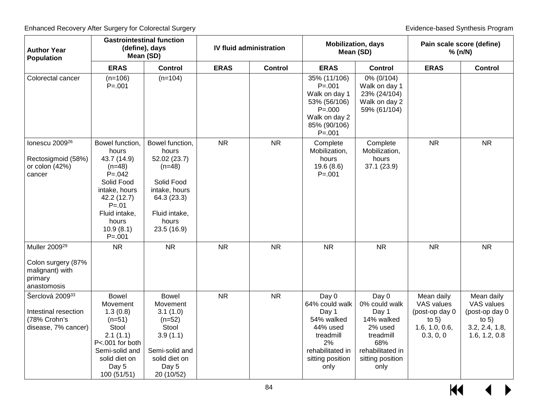| <b>Author Year</b><br><b>Population</b>                                                      |                                                                                                                                                                                   | <b>Gastrointestinal function</b><br>(define), days<br>Mean (SD)                                                                             |             | <b>IV fluid administration</b> | <b>Mobilization, days</b><br>Mean (SD)                                                                                        |                                                                                                                              | Pain scale score (define)<br>% (n/N)                                                 |                                                                                          |
|----------------------------------------------------------------------------------------------|-----------------------------------------------------------------------------------------------------------------------------------------------------------------------------------|---------------------------------------------------------------------------------------------------------------------------------------------|-------------|--------------------------------|-------------------------------------------------------------------------------------------------------------------------------|------------------------------------------------------------------------------------------------------------------------------|--------------------------------------------------------------------------------------|------------------------------------------------------------------------------------------|
|                                                                                              | <b>ERAS</b>                                                                                                                                                                       | <b>Control</b>                                                                                                                              | <b>ERAS</b> | <b>Control</b>                 | <b>ERAS</b>                                                                                                                   | <b>Control</b>                                                                                                               | <b>ERAS</b>                                                                          | <b>Control</b>                                                                           |
| Colorectal cancer                                                                            | $(n=106)$<br>$P = 001$                                                                                                                                                            | $(n=104)$                                                                                                                                   |             |                                | 35% (11/106)<br>$P = 001$<br>Walk on day 1<br>53% (56/106)<br>$P = 000$<br>Walk on day 2<br>85% (90/106)<br>$P = 001$         | 0% (0/104)<br>Walk on day 1<br>23% (24/104)<br>Walk on day 2<br>59% (61/104)                                                 |                                                                                      |                                                                                          |
| lonescu 2009 <sup>26</sup><br>Rectosigmoid (58%)<br>or colon (42%)<br>cancer                 | Bowel function,<br>hours<br>43.7 (14.9)<br>$(n=48)$<br>$P = 0.042$<br>Solid Food<br>intake, hours<br>42.2 (12.7)<br>$P = 01$<br>Fluid intake,<br>hours<br>10.9(8.1)<br>$P = .001$ | Bowel function,<br>hours<br>52.02 (23.7)<br>$(n=48)$<br>Solid Food<br>intake, hours<br>64.3 (23.3)<br>Fluid intake,<br>hours<br>23.5 (16.9) | <b>NR</b>   | <b>NR</b>                      | Complete<br>Mobilization,<br>hours<br>19.6(8.6)<br>$P = 001$                                                                  | Complete<br>Mobilization,<br>hours<br>37.1(23.9)                                                                             | <b>NR</b>                                                                            | <b>NR</b>                                                                                |
| Muller 2009 <sup>29</sup><br>Colon surgery (87%<br>malignant) with<br>primary<br>anastomosis | <b>NR</b>                                                                                                                                                                         | <b>NR</b>                                                                                                                                   | <b>NR</b>   | <b>NR</b>                      | <b>NR</b>                                                                                                                     | <b>NR</b>                                                                                                                    | <b>NR</b>                                                                            | <b>NR</b>                                                                                |
| Šerclová 200933<br>Intestinal resection<br>(78% Crohn's<br>disease, 7% cancer)               | <b>Bowel</b><br>Movement<br>1.3(0.8)<br>$(n=51)$<br>Stool<br>2.1(1.1)<br>P<.001 for both<br>Semi-solid and<br>solid diet on<br>Day 5<br>100 (51/51)                               | <b>Bowel</b><br>Movement<br>3.1(1.0)<br>$(n=52)$<br>Stool<br>3.9(1.1)<br>Semi-solid and<br>solid diet on<br>Day 5<br>20 (10/52)             | <b>NR</b>   | <b>NR</b>                      | Day 0<br>64% could walk<br>Day 1<br>54% walked<br>44% used<br>treadmill<br>2%<br>rehabilitated in<br>sitting position<br>only | Day 0<br>0% could walk<br>Day 1<br>14% walked<br>2% used<br>treadmill<br>68%<br>rehabilitated in<br>sitting position<br>only | Mean daily<br>VAS values<br>(post-op day 0<br>to $5)$<br>1.6, 1.0, 0.6,<br>0.3, 0, 0 | Mean daily<br>VAS values<br>(post-op day 0<br>to $5)$<br>3.2, 2.4, 1.8,<br>1.6, 1.2, 0.8 |

 $M$  $\leftrightarrow$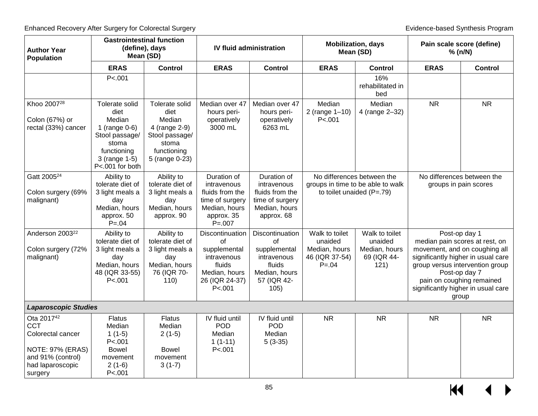| <b>Author Year</b><br>Population                                                                                                  | Mean (SD)                                                                                                                          | <b>Gastrointestinal function</b><br>(define), days                                                            |                                                                                                                | <b>IV fluid administration</b>                                                                         | <b>Mobilization, days</b><br>Pain scale score (define)<br>Mean (SD)<br>% (n/N) |                                                                   |                                                     |                                                                                                                                                                                                                     |
|-----------------------------------------------------------------------------------------------------------------------------------|------------------------------------------------------------------------------------------------------------------------------------|---------------------------------------------------------------------------------------------------------------|----------------------------------------------------------------------------------------------------------------|--------------------------------------------------------------------------------------------------------|--------------------------------------------------------------------------------|-------------------------------------------------------------------|-----------------------------------------------------|---------------------------------------------------------------------------------------------------------------------------------------------------------------------------------------------------------------------|
|                                                                                                                                   | <b>ERAS</b>                                                                                                                        | <b>Control</b>                                                                                                | <b>ERAS</b>                                                                                                    | <b>Control</b>                                                                                         | <b>ERAS</b>                                                                    | <b>Control</b>                                                    | <b>ERAS</b>                                         | <b>Control</b>                                                                                                                                                                                                      |
|                                                                                                                                   | P < .001                                                                                                                           |                                                                                                               |                                                                                                                |                                                                                                        |                                                                                | 16%<br>rehabilitated in<br>bed                                    |                                                     |                                                                                                                                                                                                                     |
| Khoo 2007 <sup>28</sup><br>Colon (67%) or<br>rectal (33%) cancer                                                                  | Tolerate solid<br>diet<br>Median<br>1 (range $0-6$ )<br>Stool passage/<br>stoma<br>functioning<br>3 (range 1-5)<br>P<.001 for both | Tolerate solid<br>diet<br>Median<br>4 (range 2-9)<br>Stool passage/<br>stoma<br>functioning<br>5 (range 0-23) | Median over 47<br>hours peri-<br>operatively<br>3000 mL                                                        | Median over 47<br>hours peri-<br>operatively<br>6263 mL                                                | Median<br>2 (range 1-10)<br>P < 001                                            | Median<br>4 (range 2-32)                                          | <b>NR</b>                                           | <b>NR</b>                                                                                                                                                                                                           |
| Gatt 2005 <sup>24</sup><br>Colon surgery (69%<br>malignant)                                                                       | Ability to<br>tolerate diet of<br>3 light meals a<br>day<br>Median, hours<br>approx. 50<br>$P = 0.04$                              | Ability to<br>tolerate diet of<br>3 light meals a<br>day<br>Median, hours<br>approx. 90                       | Duration of<br>intravenous<br>fluids from the<br>time of surgery<br>Median, hours<br>approx. 35<br>$P = 0.007$ | Duration of<br>intravenous<br>fluids from the<br>time of surgery<br>Median, hours<br>approx. 68        | to toilet unaided $(P=.79)$                                                    | No differences between the<br>groups in time to be able to walk   | No differences between the<br>groups in pain scores |                                                                                                                                                                                                                     |
| Anderson 2003 <sup>22</sup><br>Colon surgery (72%<br>malignant)                                                                   | Ability to<br>tolerate diet of<br>3 light meals a<br>day<br>Median, hours<br>48 (IQR 33-55)<br>P < 001                             | Ability to<br>tolerate diet of<br>3 light meals a<br>day<br>Median, hours<br>76 (IQR 70-<br>110)              | Discontinuation<br>of<br>supplemental<br>intravenous<br>fluids<br>Median, hours<br>26 (IQR 24-37)<br>P < .001  | Discontinuation<br>0f<br>supplemental<br>intravenous<br>fluids<br>Median, hours<br>57 (IQR 42-<br>105) | Walk to toilet<br>unaided<br>Median, hours<br>46 (IQR 37-54)<br>$P = 0.04$     | Walk to toilet<br>unaided<br>Median, hours<br>69 (IQR 44-<br>121) | group versus intervention group                     | Post-op day 1<br>median pain scores at rest, on<br>movement, and on coughing all<br>significantly higher in usual care<br>Post-op day 7<br>pain on coughing remained<br>significantly higher in usual care<br>group |
| <b>Laparoscopic Studies</b>                                                                                                       |                                                                                                                                    |                                                                                                               |                                                                                                                |                                                                                                        |                                                                                |                                                                   |                                                     |                                                                                                                                                                                                                     |
| Ota 2017 <sup>42</sup><br>CCT<br>Colorectal cancer<br><b>NOTE: 97% (ERAS)</b><br>and 91% (control)<br>had laparoscopic<br>surgery | <b>Flatus</b><br>Median<br>$1(1-5)$<br>P < .001<br><b>Bowel</b><br>movement<br>$2(1-6)$<br>P < .001                                | <b>Flatus</b><br>Median<br>$2(1-5)$<br><b>Bowel</b><br>movement<br>$3(1-7)$                                   | IV fluid until<br><b>POD</b><br>Median<br>$1(1-11)$<br>P < .001                                                | IV fluid until<br><b>POD</b><br>Median<br>$5(3-35)$                                                    | <b>NR</b>                                                                      | <b>NR</b>                                                         | <b>NR</b>                                           | <b>NR</b>                                                                                                                                                                                                           |

 $\frac{1}{100}$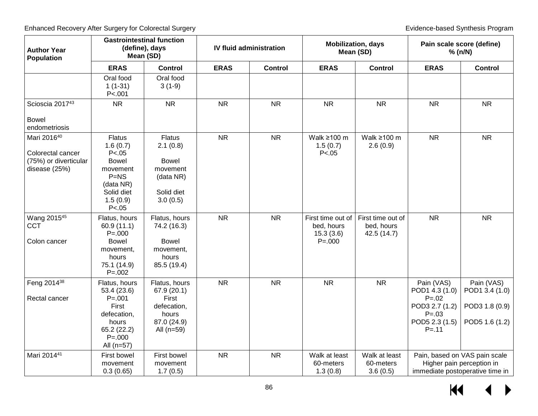| <b>Author Year</b><br><b>Population</b>                                    | <b>Gastrointestinal function</b>                                                                                             | (define), days<br>Mean (SD)                                                                  |             | <b>IV fluid administration</b> |                                                           | <b>Mobilization, days</b><br>Mean (SD)         | Pain scale score (define)<br>% (n/N)                                                                     |                                                                                               |
|----------------------------------------------------------------------------|------------------------------------------------------------------------------------------------------------------------------|----------------------------------------------------------------------------------------------|-------------|--------------------------------|-----------------------------------------------------------|------------------------------------------------|----------------------------------------------------------------------------------------------------------|-----------------------------------------------------------------------------------------------|
|                                                                            | <b>ERAS</b>                                                                                                                  | <b>Control</b>                                                                               | <b>ERAS</b> | Control                        | <b>ERAS</b>                                               | <b>Control</b>                                 | <b>ERAS</b>                                                                                              | <b>Control</b>                                                                                |
|                                                                            | Oral food<br>$1(1-31)$<br>P < .001                                                                                           | Oral food<br>$3(1-9)$                                                                        |             |                                |                                                           |                                                |                                                                                                          |                                                                                               |
| Scioscia 201743                                                            | <b>NR</b>                                                                                                                    | <b>NR</b>                                                                                    | <b>NR</b>   | <b>NR</b>                      | <b>NR</b>                                                 | <b>NR</b>                                      | <b>NR</b>                                                                                                | <b>NR</b>                                                                                     |
| <b>Bowel</b><br>endometriosis                                              |                                                                                                                              |                                                                                              |             |                                |                                                           |                                                |                                                                                                          |                                                                                               |
| Mari 201640<br>Colorectal cancer<br>(75%) or diverticular<br>disease (25%) | <b>Flatus</b><br>1.6(0.7)<br>P < .05<br><b>Bowel</b><br>movement<br>$P=NS$<br>(data NR)<br>Solid diet<br>1.5(0.9)<br>P < .05 | <b>Flatus</b><br>2.1(0.8)<br><b>Bowel</b><br>movement<br>(data NR)<br>Solid diet<br>3.0(0.5) | <b>NR</b>   | <b>NR</b>                      | Walk $\geq 100$ m<br>1.5(0.7)<br>P < 0.05                 | Walk $\geq 100$ m<br>2.6(0.9)                  | <b>NR</b>                                                                                                | <b>NR</b>                                                                                     |
| Wang 2015 <sup>45</sup><br><b>CCT</b><br>Colon cancer                      | Flatus, hours<br>60.9(11.1)<br>$P = 000$<br><b>Bowel</b><br>movement,<br>hours<br>75.1 (14.9)<br>$P = 0.002$                 | Flatus, hours<br>74.2 (16.3)<br><b>Bowel</b><br>movement,<br>hours<br>85.5 (19.4)            | <b>NR</b>   | <b>NR</b>                      | First time out of<br>bed, hours<br>15.3(3.6)<br>$P = 000$ | First time out of<br>bed, hours<br>42.5 (14.7) | <b>NR</b>                                                                                                | <b>NR</b>                                                                                     |
| Feng 2014 <sup>38</sup><br>Rectal cancer                                   | Flatus, hours<br>53.4 (23.6)<br>$P = 0.001$<br>First<br>defecation,<br>hours<br>65.2 (22.2)<br>$P = 0.000$<br>All (n=57)     | Flatus, hours<br>67.9 (20.1)<br>First<br>defecation,<br>hours<br>87.0 (24.9)<br>All $(n=59)$ | <b>NR</b>   | <b>NR</b>                      | <b>NR</b>                                                 | <b>NR</b>                                      | Pain (VAS)<br>POD1 4.3 (1.0)<br>$P = 0.02$<br>POD3 2.7 (1.2)<br>$P = .03$<br>POD5 2.3 (1.5)<br>$P = .11$ | Pain (VAS)<br>POD1 3.4 (1.0)<br>POD3 1.8 (0.9)<br>POD5 1.6 (1.2)                              |
| Mari 201441                                                                | First bowel<br>movement<br>0.3(0.65)                                                                                         | First bowel<br>movement<br>1.7(0.5)                                                          | <b>NR</b>   | <b>NR</b>                      | Walk at least<br>60-meters<br>1.3(0.8)                    | Walk at least<br>60-meters<br>3.6(0.5)         |                                                                                                          | Pain, based on VAS pain scale<br>Higher pain perception in<br>immediate postoperative time in |

 $\leftrightarrow$  $H$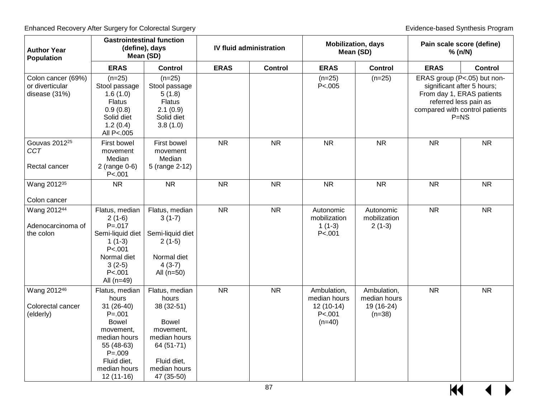| <b>Author Year</b><br>Population                       |                                                                                                                                                                              | <b>Gastrointestinal function</b><br>(define), days<br>Mean (SD)                                                                               |             | <b>IV fluid administration</b> |                                                                    | <b>Mobilization, days</b><br>Mean (SD)                | Pain scale score (define)<br>% (n/N) |                                                                                                                                                             |
|--------------------------------------------------------|------------------------------------------------------------------------------------------------------------------------------------------------------------------------------|-----------------------------------------------------------------------------------------------------------------------------------------------|-------------|--------------------------------|--------------------------------------------------------------------|-------------------------------------------------------|--------------------------------------|-------------------------------------------------------------------------------------------------------------------------------------------------------------|
|                                                        | <b>ERAS</b>                                                                                                                                                                  | <b>Control</b>                                                                                                                                | <b>ERAS</b> | <b>Control</b>                 | <b>ERAS</b>                                                        | <b>Control</b>                                        | <b>ERAS</b>                          | <b>Control</b>                                                                                                                                              |
| Colon cancer (69%)<br>or diverticular<br>disease (31%) | $(n=25)$<br>Stool passage<br>1.6(1.0)<br><b>Flatus</b><br>0.9(0.8)<br>Solid diet<br>1.2(0.4)<br>All P<.005                                                                   | $(n=25)$<br>Stool passage<br>5(1.8)<br><b>Flatus</b><br>2.1(0.9)<br>Solid diet<br>3.8(1.0)                                                    |             |                                | $(n=25)$<br>P<.005                                                 | $(n=25)$                                              |                                      | ERAS group (P<.05) but non-<br>significant after 5 hours;<br>From day 1, ERAS patients<br>referred less pain as<br>compared with control patients<br>$P=NS$ |
| Gouvas 2012 <sup>25</sup><br><b>CCT</b>                | First bowel<br>movement<br>Median                                                                                                                                            | First bowel<br>movement<br>Median                                                                                                             | <b>NR</b>   | <b>NR</b>                      | <b>NR</b>                                                          | <b>NR</b>                                             | <b>NR</b>                            | <b>NR</b>                                                                                                                                                   |
| Rectal cancer                                          | $2$ (range 0-6)<br>P < .001                                                                                                                                                  | 5 (range 2-12)                                                                                                                                |             |                                |                                                                    |                                                       |                                      |                                                                                                                                                             |
| Wang 2012 <sup>35</sup>                                | <b>NR</b>                                                                                                                                                                    | <b>NR</b>                                                                                                                                     | <b>NR</b>   | <b>NR</b>                      | <b>NR</b>                                                          | <b>NR</b>                                             | <b>NR</b>                            | <b>NR</b>                                                                                                                                                   |
| Colon cancer                                           |                                                                                                                                                                              |                                                                                                                                               |             |                                |                                                                    |                                                       |                                      |                                                                                                                                                             |
| Wang 201244<br>Adenocarcinoma of<br>the colon          | Flatus, median<br>$2(1-6)$<br>$P = 0.017$<br>Semi-liquid diet<br>$1(1-3)$<br>P < .001<br>Normal diet<br>$3(2-5)$<br>P < .001<br>All $(n=49)$                                 | Flatus, median<br>$3(1-7)$<br>Semi-liquid diet<br>$2(1-5)$<br>Normal diet<br>$4(3-7)$<br>All $(n=50)$                                         | <b>NR</b>   | <b>NR</b>                      | Autonomic<br>mobilization<br>$1(1-3)$<br>P < .001                  | Autonomic<br>mobilization<br>$2(1-3)$                 | <b>NR</b>                            | <b>NR</b>                                                                                                                                                   |
| Wang 201246<br>Colorectal cancer<br>(elderly)          | Flatus, median<br>hours<br>$31(26-40)$<br>$P = 0.001$<br><b>Bowel</b><br>movement,<br>median hours<br>55 (48-63)<br>$P = .009$<br>Fluid diet,<br>median hours<br>$12(11-16)$ | Flatus, median<br>hours<br>38 (32-51)<br><b>Bowel</b><br>movement,<br>median hours<br>64 (51-71)<br>Fluid diet,<br>median hours<br>47 (35-50) | <b>NR</b>   | <b>NR</b>                      | Ambulation,<br>median hours<br>$12(10-14)$<br>P < .001<br>$(n=40)$ | Ambulation,<br>median hours<br>19 (16-24)<br>$(n=38)$ | <b>NR</b>                            | <b>NR</b>                                                                                                                                                   |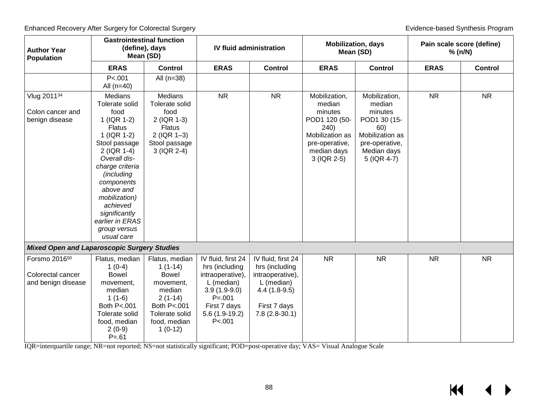| <b>Author Year</b><br><b>Population</b>                              |                                                                                                                                                                                                                                                                                                    | <b>Gastrointestinal function</b><br>(define), days<br>Mean (SD)                                                                               | <b>IV fluid administration</b>                                                                                                                       |                                                                                                                             | <b>Mobilization, days</b><br>Mean (SD)                                                                                         |                                                                                                                              | Pain scale score (define)<br>% (n/N) |                |
|----------------------------------------------------------------------|----------------------------------------------------------------------------------------------------------------------------------------------------------------------------------------------------------------------------------------------------------------------------------------------------|-----------------------------------------------------------------------------------------------------------------------------------------------|------------------------------------------------------------------------------------------------------------------------------------------------------|-----------------------------------------------------------------------------------------------------------------------------|--------------------------------------------------------------------------------------------------------------------------------|------------------------------------------------------------------------------------------------------------------------------|--------------------------------------|----------------|
|                                                                      | <b>ERAS</b>                                                                                                                                                                                                                                                                                        | <b>Control</b>                                                                                                                                | <b>ERAS</b>                                                                                                                                          | <b>Control</b>                                                                                                              | <b>ERAS</b>                                                                                                                    | <b>Control</b>                                                                                                               | <b>ERAS</b>                          | <b>Control</b> |
|                                                                      | P < 001<br>All $(n=40)$                                                                                                                                                                                                                                                                            | All $(n=38)$                                                                                                                                  |                                                                                                                                                      |                                                                                                                             |                                                                                                                                |                                                                                                                              |                                      |                |
| Vlug 201134<br>Colon cancer and<br>benign disease                    | <b>Medians</b><br>Tolerate solid<br>food<br>1 (IQR 1-2)<br><b>Flatus</b><br>1 (IQR 1-2)<br>Stool passage<br>2 (IQR 1-4)<br>Overall dis-<br>charge criteria<br>(including<br>components<br>above and<br>mobilization)<br>achieved<br>significantly<br>earlier in ERAS<br>group versus<br>usual care | <b>Medians</b><br>Tolerate solid<br>food<br>2 (IQR 1-3)<br><b>Flatus</b><br>$2$ (IQR 1-3)<br>Stool passage<br>3 (IQR 2-4)                     | <b>NR</b>                                                                                                                                            | <b>NR</b>                                                                                                                   | Mobilization,<br>median<br>minutes<br>POD1 120 (50-<br>240)<br>Mobilization as<br>pre-operative,<br>median days<br>3 (IQR 2-5) | Mobilization,<br>median<br>minutes<br>POD1 30 (15-<br>60)<br>Mobilization as<br>pre-operative,<br>Median days<br>5 (IQR 4-7) | <b>NR</b>                            | <b>NR</b>      |
| <b>Mixed Open and Laparoscopic Surgery Studies</b>                   |                                                                                                                                                                                                                                                                                                    |                                                                                                                                               |                                                                                                                                                      |                                                                                                                             |                                                                                                                                |                                                                                                                              |                                      |                |
| Forsmo 2016 <sup>50</sup><br>Colorectal cancer<br>and benign disease | Flatus, median<br>$1(0-4)$<br><b>Bowel</b><br>movement,<br>median<br>$1(1-6)$<br>Both P<.001<br>Tolerate solid<br>food, median<br>$2(0-9)$<br>$P = 61$                                                                                                                                             | Flatus, median<br>$1(1-14)$<br><b>Bowel</b><br>movement,<br>median<br>$2(1-14)$<br>Both P<.001<br>Tolerate solid<br>food, median<br>$1(0-12)$ | IV fluid, first 24<br>hrs (including<br>intraoperative),<br>L (median)<br>$3.9(1.9-9.0)$<br>$P = 001$<br>First 7 days<br>$5.6(1.9-19.2)$<br>P < .001 | IV fluid, first 24<br>hrs (including<br>intraoperative),<br>L (median)<br>$4.4(1.8-9.5)$<br>First 7 days<br>$7.8(2.8-30.1)$ | <b>NR</b>                                                                                                                      | <b>NR</b>                                                                                                                    | <b>NR</b>                            | <b>NR</b>      |

IQR=interquartile range; NR=not reported; NS=not statistically significant; POD=post-operative day; VAS= Visual Analogue Scale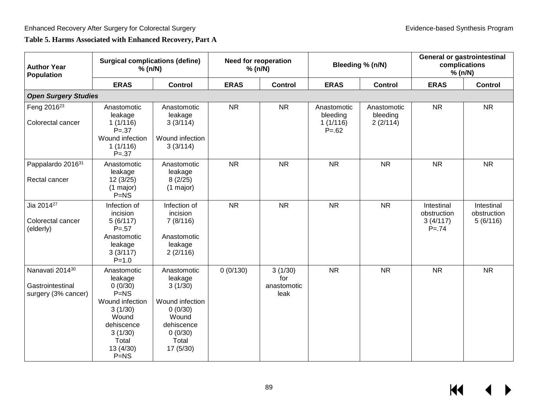## **Table 5. Harms Associated with Enhanced Recovery, Part A**

| <b>Author Year</b><br><b>Population</b>                    | <b>Surgical complications (define)</b><br>% (n/N)                                                                                           |                                                                                                                         | <b>Need for reoperation</b><br>% (n/N) |                                       |                                                 | Bleeding % (n/N)                    |                                                   | <b>General or gastrointestinal</b><br>complications<br>% (n/N) |  |
|------------------------------------------------------------|---------------------------------------------------------------------------------------------------------------------------------------------|-------------------------------------------------------------------------------------------------------------------------|----------------------------------------|---------------------------------------|-------------------------------------------------|-------------------------------------|---------------------------------------------------|----------------------------------------------------------------|--|
|                                                            | <b>ERAS</b>                                                                                                                                 | <b>Control</b>                                                                                                          | <b>ERAS</b>                            | <b>Control</b>                        | <b>ERAS</b>                                     | <b>Control</b>                      | <b>ERAS</b>                                       | <b>Control</b>                                                 |  |
| <b>Open Surgery Studies</b>                                |                                                                                                                                             |                                                                                                                         |                                        |                                       |                                                 |                                     |                                                   |                                                                |  |
| Feng 2016 <sup>23</sup><br>Colorectal cancer               | Anastomotic<br>leakage<br>1(1/116)<br>$P = .37$<br>Wound infection<br>1(1/116)<br>$P = .37$                                                 | Anastomotic<br>leakage<br>3(3/114)<br>Wound infection<br>3(3/114)                                                       | <b>NR</b>                              | <b>NR</b>                             | Anastomotic<br>bleeding<br>1(1/116)<br>$P = 62$ | Anastomotic<br>bleeding<br>2(2/114) | <b>NR</b>                                         | <b>NR</b>                                                      |  |
| Pappalardo 201631<br>Rectal cancer                         | Anastomotic<br>leakage<br>12(3/25)<br>$(1 \text{ major})$<br>$P = NS$                                                                       | Anastomotic<br>leakage<br>8(2/25)<br>$(1 \text{ major})$                                                                | <b>NR</b>                              | <b>NR</b>                             | <b>NR</b>                                       | <b>NR</b>                           | <b>NR</b>                                         | <b>NR</b>                                                      |  |
| Jia 2014 <sup>27</sup><br>Colorectal cancer<br>(elderly)   | Infection of<br>incision<br>5(6/117)<br>$P = .57$<br>Anastomotic<br>leakage<br>3(3/117)<br>$P = 1.0$                                        | Infection of<br>incision<br>7(8/116)<br>Anastomotic<br>leakage<br>2(2/116)                                              | <b>NR</b>                              | <b>NR</b>                             | <b>NR</b>                                       | <b>NR</b>                           | Intestinal<br>obstruction<br>3(4/117)<br>$P = 74$ | Intestinal<br>obstruction<br>5(6/116)                          |  |
| Nanavati 201430<br>Gastrointestinal<br>surgery (3% cancer) | Anastomotic<br>leakage<br>0(0/30)<br>$P=NS$<br>Wound infection<br>3(1/30)<br>Wound<br>dehiscence<br>3(1/30)<br>Total<br>13 (4/30)<br>$P=NS$ | Anastomotic<br>leakage<br>3(1/30)<br>Wound infection<br>0(0/30)<br>Wound<br>dehiscence<br>0(0/30)<br>Total<br>17 (5/30) | 0(0/130)                               | 3(1/30)<br>for<br>anastomotic<br>leak | <b>NR</b>                                       | <b>NR</b>                           | <b>NR</b>                                         | <b>NR</b>                                                      |  |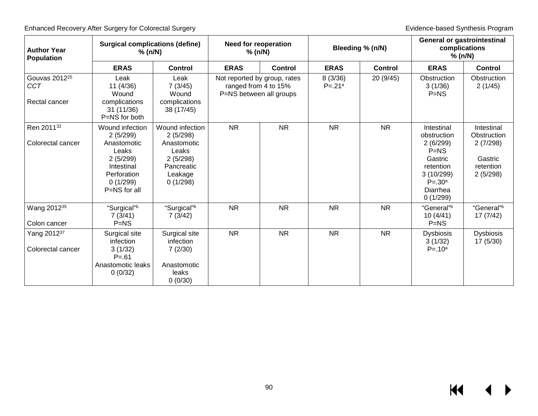| <b>Author Year</b><br><b>Population</b>                  | <b>Surgical complications (define)</b><br>% (n/N)                                         |                                                                       | <b>Need for reoperation</b><br>% (n/N)                                          |                | Bleeding % (n/N)      |                | <b>General or gastrointestinal</b><br>complications<br>% (n/N)                                 |                                              |
|----------------------------------------------------------|-------------------------------------------------------------------------------------------|-----------------------------------------------------------------------|---------------------------------------------------------------------------------|----------------|-----------------------|----------------|------------------------------------------------------------------------------------------------|----------------------------------------------|
|                                                          | <b>ERAS</b>                                                                               | Control                                                               | <b>ERAS</b>                                                                     | <b>Control</b> | <b>ERAS</b>           | <b>Control</b> | <b>ERAS</b>                                                                                    | <b>Control</b>                               |
| Gouvas 2012 <sup>25</sup><br><b>CCT</b><br>Rectal cancer | Leak<br>11(4/36)<br>Wound<br>complications                                                | Leak<br>7(3/45)<br>Wound<br>complications                             | Not reported by group, rates<br>ranged from 4 to 15%<br>P=NS between all groups |                | 8(3/36)<br>$P = .21a$ | 20 (9/45)      | Obstruction<br>3(1/36)<br>$P=NS$                                                               | Obstruction<br>2(1/45)                       |
|                                                          | 31(11/36)<br>P=NS for both                                                                | 38 (17/45)                                                            |                                                                                 |                |                       |                |                                                                                                |                                              |
| Ren 201132                                               | Wound infection<br>2(5/299)                                                               | Wound infection<br>2(5/298)                                           | <b>NR</b>                                                                       | <b>NR</b>      | <b>NR</b>             | <b>NR</b>      | Intestinal<br>obstruction                                                                      | Intestinal<br>Obstruction                    |
| Colorectal cancer                                        | Anastomotic<br>Leaks<br>2(5/299)<br>Intestinal<br>Perforation<br>0(1/299)<br>P=NS for all | Anastomotic<br>Leaks<br>2(5/298)<br>Pancreatic<br>Leakage<br>0(1/298) |                                                                                 |                |                       |                | 2(6/299)<br>$P=NS$<br>Gastric<br>retention<br>3(10/299)<br>$P = .30^a$<br>Diarrhea<br>0(1/299) | 2(7/298)<br>Gastric<br>retention<br>2(5/298) |
| Wang 2012 <sup>35</sup><br>Colon cancer                  | "Surgical"b<br>7(3/41)<br>$P=NS$                                                          | "Surgical"b<br>7(3/42)                                                | <b>NR</b>                                                                       | <b>NR</b>      | <b>NR</b>             | <b>NR</b>      | "General"b<br>10(4/41)<br>$P=NS$                                                               | "General"b<br>17(7/42)                       |
| Yang 201237<br>Colorectal cancer                         | Surgical site<br>infection<br>3(1/32)<br>$P = 61$                                         | Surgical site<br>infection<br>7(2/30)                                 | <b>NR</b>                                                                       | <b>NR</b>      | <b>NR</b>             | <b>NR</b>      | <b>Dysbiosis</b><br>3(1/32)<br>$P = 10^a$                                                      | <b>Dysbiosis</b><br>17(5/30)                 |
|                                                          | Anastomotic leaks<br>0(0/32)                                                              | Anastomotic<br>leaks<br>0(0/30)                                       |                                                                                 |                |                       |                |                                                                                                |                                              |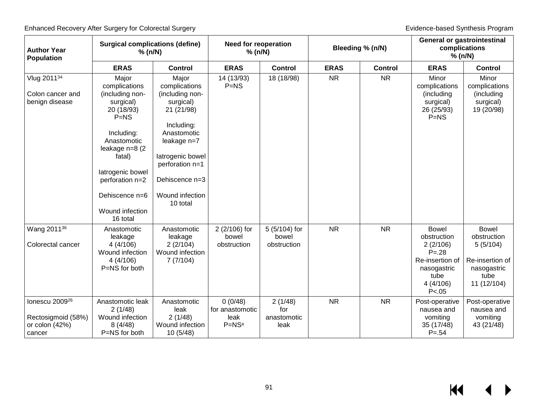| <b>Author Year</b><br>Population                                               | <b>Surgical complications (define)</b><br>% (n/N)                                                                                                                                                                    |                                                                                                                                                                                                          | <b>Need for reoperation</b><br>% (n/N)          |                                       | Bleeding % (n/N) |                | <b>General or gastrointestinal</b><br>complications<br>% (n/N)                                                        |                                                                                                  |
|--------------------------------------------------------------------------------|----------------------------------------------------------------------------------------------------------------------------------------------------------------------------------------------------------------------|----------------------------------------------------------------------------------------------------------------------------------------------------------------------------------------------------------|-------------------------------------------------|---------------------------------------|------------------|----------------|-----------------------------------------------------------------------------------------------------------------------|--------------------------------------------------------------------------------------------------|
|                                                                                | <b>ERAS</b>                                                                                                                                                                                                          | <b>Control</b>                                                                                                                                                                                           | <b>ERAS</b>                                     | <b>Control</b>                        | <b>ERAS</b>      | <b>Control</b> | <b>ERAS</b>                                                                                                           | <b>Control</b>                                                                                   |
| Vlug 201134<br>Colon cancer and<br>benign disease                              | Major<br>complications<br>(including non-<br>surgical)<br>20 (18/93)<br>$P=NS$<br>Including:<br>Anastomotic<br>leakage n=8 (2)<br>fatal)<br>latrogenic bowel<br>perforation n=2<br>Dehiscence n=6<br>Wound infection | Major<br>complications<br>(including non-<br>surgical)<br>21 (21/98)<br>Including:<br>Anastomotic<br>leakage n=7<br>latrogenic bowel<br>perforation n=1<br>Dehiscence n=3<br>Wound infection<br>10 total | 14 (13/93)<br>$P=NS$                            | 18 (18/98)                            | <b>NR</b>        | <b>NR</b>      | Minor<br>complications<br>(including<br>surgical)<br>26 (25/93)<br>$P=NS$                                             | Minor<br>complications<br>(including<br>surgical)<br>19 (20/98)                                  |
|                                                                                | 16 total                                                                                                                                                                                                             |                                                                                                                                                                                                          |                                                 |                                       |                  |                |                                                                                                                       |                                                                                                  |
| Wang 2011 <sup>36</sup><br>Colorectal cancer                                   | Anastomotic<br>leakage<br>4(4/106)<br>Wound infection<br>4(4/106)<br>P=NS for both                                                                                                                                   | Anastomotic<br>leakage<br>2(2/104)<br>Wound infection<br>7(7/104)                                                                                                                                        | 2 (2/106) for<br>bowel<br>obstruction           | 5 (5/104) for<br>bowel<br>obstruction | <b>NR</b>        | <b>NR</b>      | <b>Bowel</b><br>obstruction<br>2(2/106)<br>$P = .28$<br>Re-insertion of<br>nasogastric<br>tube<br>4(4/106)<br>P < .05 | <b>Bowel</b><br>obstruction<br>5(5/104)<br>Re-insertion of<br>nasogastric<br>tube<br>11 (12/104) |
| lonescu 2009 <sup>26</sup><br>Rectosigmoid (58%)<br>or colon $(42%)$<br>cancer | Anastomotic leak<br>2(1/48)<br>Wound infection<br>8(4/48)<br>P=NS for both                                                                                                                                           | Anastomotic<br>leak<br>2(1/48)<br>Wound infection<br>10(5/48)                                                                                                                                            | 0(0/48)<br>for anastomotic<br>leak<br>$P = NSa$ | 2(1/48)<br>for<br>anastomotic<br>leak | <b>NR</b>        | <b>NR</b>      | Post-operative<br>nausea and<br>vomiting<br>35 (17/48)<br>$P = 54$                                                    | Post-operative<br>nausea and<br>vomiting<br>43 (21/48)                                           |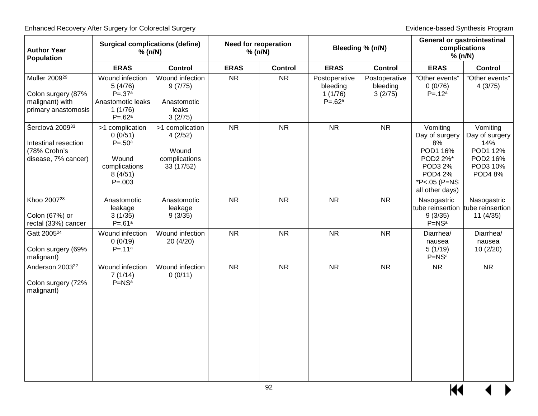| <b>Author Year</b><br><b>Population</b>                                                   | <b>Surgical complications (define)</b><br>% (n/N)                                            |                                                                    | <b>Need for reoperation</b><br>% (n/N) |                | Bleeding % (n/N)                                   |                                      | <b>General or gastrointestinal</b><br>complications<br>% (n/N)                                                           |                                                                                        |
|-------------------------------------------------------------------------------------------|----------------------------------------------------------------------------------------------|--------------------------------------------------------------------|----------------------------------------|----------------|----------------------------------------------------|--------------------------------------|--------------------------------------------------------------------------------------------------------------------------|----------------------------------------------------------------------------------------|
|                                                                                           | <b>ERAS</b>                                                                                  | <b>Control</b>                                                     | <b>ERAS</b>                            | <b>Control</b> | <b>ERAS</b>                                        | <b>Control</b>                       | <b>ERAS</b>                                                                                                              | <b>Control</b>                                                                         |
| Muller 2009 <sup>29</sup><br>Colon surgery (87%<br>malignant) with<br>primary anastomosis | Wound infection<br>5(4/76)<br>$P = .37a$<br>Anastomotic leaks<br>1(1/76)<br>$P = .62a$       | Wound infection<br>9(7/75)<br>Anastomotic<br>leaks<br>3(2/75)      | <b>NR</b>                              | <b>NR</b>      | Postoperative<br>bleeding<br>1(1/76)<br>$P = .62a$ | Postoperative<br>bleeding<br>3(2/75) | "Other events"<br>0(0/76)<br>$P = .12a$                                                                                  | "Other events"<br>4(3/75)                                                              |
| Šerclová 200933<br>Intestinal resection<br>(78% Crohn's<br>disease, 7% cancer)            | >1 complication<br>0(0/51)<br>$P = .50^a$<br>Wound<br>complications<br>8(4/51)<br>$P = .003$ | >1 complication<br>4(2/52)<br>Wound<br>complications<br>33 (17/52) | <b>NR</b>                              | <b>NR</b>      | <b>NR</b>                                          | <b>NR</b>                            | Vomiting<br>Day of surgery<br>8%<br>POD1 16%<br>POD2 2%*<br>POD3 2%<br><b>POD4 2%</b><br>*P<.05 (P=NS<br>all other days) | Vomiting<br>Day of surgery<br>14%<br>POD1 12%<br>POD2 16%<br>POD3 10%<br><b>POD48%</b> |
| Khoo 2007 <sup>28</sup><br>Colon (67%) or<br>rectal (33%) cancer                          | Anastomotic<br>leakage<br>3(1/35)<br>$P = .61a$                                              | Anastomotic<br>leakage<br>9(3/35)                                  | <b>NR</b>                              | <b>NR</b>      | <b>NR</b>                                          | <b>NR</b>                            | Nasogastric<br>tube reinsertion<br>9(3/35)<br>$P=NSa$                                                                    | Nasogastric<br>tube reinsertion<br>11(4/35)                                            |
| Gatt 2005 <sup>24</sup><br>Colon surgery (69%<br>malignant)                               | Wound infection<br>0(0/19)<br>$P = .11a$                                                     | Wound infection<br>20 (4/20)                                       | <b>NR</b>                              | <b>NR</b>      | <b>NR</b>                                          | <b>NR</b>                            | Diarrhea/<br>nausea<br>5(1/19)<br>$P = NSa$                                                                              | Diarrhea/<br>nausea<br>10(2/20)                                                        |
| Anderson 2003 <sup>22</sup><br>Colon surgery (72%<br>malignant)                           | Wound infection<br>7(1/14)<br>$P = NSa$                                                      | Wound infection<br>0(0/11)                                         | <b>NR</b>                              | <b>NR</b>      | <b>NR</b>                                          | <b>NR</b>                            | <b>NR</b>                                                                                                                | <b>NR</b>                                                                              |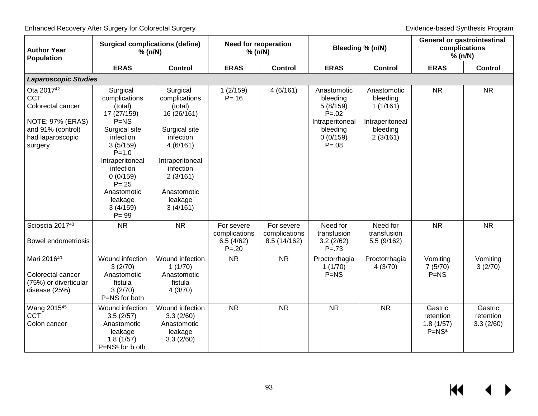| <b>Author Year</b><br><b>Population</b>                                                                                                  | <b>Surgical complications (define)</b><br>% (n/N)                                                                                                                                                                                |                                                                                                                                                                                 | <b>Need for reoperation</b><br>% (n/N)                |                                             | Bleeding % (n/N)                                                                                           |                                                                                | <b>General or gastrointestinal</b><br>complications<br>% (n/N) |                                   |
|------------------------------------------------------------------------------------------------------------------------------------------|----------------------------------------------------------------------------------------------------------------------------------------------------------------------------------------------------------------------------------|---------------------------------------------------------------------------------------------------------------------------------------------------------------------------------|-------------------------------------------------------|---------------------------------------------|------------------------------------------------------------------------------------------------------------|--------------------------------------------------------------------------------|----------------------------------------------------------------|-----------------------------------|
|                                                                                                                                          | <b>ERAS</b>                                                                                                                                                                                                                      | <b>Control</b>                                                                                                                                                                  | <b>ERAS</b>                                           | <b>Control</b>                              | <b>ERAS</b>                                                                                                | <b>Control</b>                                                                 | <b>ERAS</b>                                                    | <b>Control</b>                    |
| <b>Laparoscopic Studies</b>                                                                                                              |                                                                                                                                                                                                                                  |                                                                                                                                                                                 |                                                       |                                             |                                                                                                            |                                                                                |                                                                |                                   |
| Ota 2017 <sup>42</sup><br><b>CCT</b><br>Colorectal cancer<br><b>NOTE: 97% (ERAS)</b><br>and 91% (control)<br>had laparoscopic<br>surgery | Surgical<br>complications<br>(total)<br>17 (27/159)<br>$P=NS$<br>Surgical site<br>infection<br>3(5/159)<br>$P = 1.0$<br>Intraperitoneal<br>infection<br>0(0/159)<br>$P = .25$<br>Anastomotic<br>leakage<br>3(4/159)<br>$P = .99$ | Surgical<br>complications<br>(total)<br>16 (26/161)<br>Surgical site<br>infection<br>4(6/161)<br>Intraperitoneal<br>infection<br>2(3/161)<br>Anastomotic<br>leakage<br>3(4/161) | 1(2/159)<br>$P = 16$                                  | 4(6/161)                                    | Anastomotic<br>bleeding<br>5(8/159)<br>$P = 0.02$<br>Intraperitoneal<br>bleeding<br>0(0/159)<br>$P = 0.08$ | Anastomotic<br>bleeding<br>1(1/161)<br>Intraperitoneal<br>bleeding<br>2(3/161) | <b>NR</b>                                                      | <b>NR</b>                         |
| Scioscia 201743<br><b>Bowel endometriosis</b>                                                                                            | <b>NR</b>                                                                                                                                                                                                                        | <b>NR</b>                                                                                                                                                                       | For severe<br>complications<br>6.5(4/62)<br>$P = .20$ | For severe<br>complications<br>8.5 (14/162) | Need for<br>transfusion<br>3.2(2/62)<br>$P = 73$                                                           | Need for<br>transfusion<br>5.5(9/162)                                          | <b>NR</b>                                                      | <b>NR</b>                         |
| Mari 201640<br>Colorectal cancer<br>(75%) or diverticular<br>disease (25%)                                                               | Wound infection<br>3(2/70)<br>Anastomotic<br>fistula<br>3(2/70)<br>P=NS for both                                                                                                                                                 | Wound infection<br>1(1/70)<br>Anastomotic<br>fistula<br>4(3/70)                                                                                                                 | <b>NR</b>                                             | <b>NR</b>                                   | Proctorrhagia<br>1(1/70)<br>$P=NS$                                                                         | Proctorrhagia<br>4(3/70)                                                       | Vomiting<br>7(5/70)<br>$P=NS$                                  | Vomiting<br>3(2/70)               |
| Wang 2015 <sup>45</sup><br><b>CCT</b><br>Colon cancer                                                                                    | Wound infection<br>3.5(2/57)<br>Anastomotic<br>leakage<br>1.8(1/57)<br>P=NS <sup>a</sup> for b oth                                                                                                                               | Wound infection<br>3.3(2/60)<br>Anastomotic<br>leakage<br>3.3(2/60)                                                                                                             | <b>NR</b>                                             | <b>NR</b>                                   | <b>NR</b>                                                                                                  | <b>NR</b>                                                                      | Gastric<br>retention<br>1.8(1/57)<br>$P=NSa$                   | Gastric<br>retention<br>3.3(2/60) |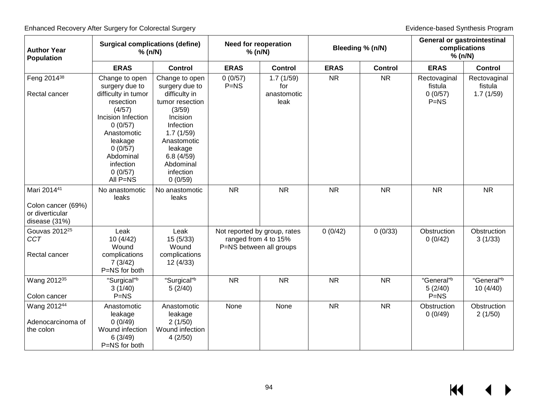| <b>Author Year</b><br>Population                                      | <b>Surgical complications (define)</b><br>% (n/N)                                                                                                                                                     |                                                                                                                                                                                                  | <b>Need for reoperation</b><br>% (n/N)                                          |                                         | Bleeding % (n/N) |                | <b>General or gastrointestinal</b><br>complications<br>% (n/N) |                                      |
|-----------------------------------------------------------------------|-------------------------------------------------------------------------------------------------------------------------------------------------------------------------------------------------------|--------------------------------------------------------------------------------------------------------------------------------------------------------------------------------------------------|---------------------------------------------------------------------------------|-----------------------------------------|------------------|----------------|----------------------------------------------------------------|--------------------------------------|
|                                                                       | <b>ERAS</b>                                                                                                                                                                                           | <b>Control</b>                                                                                                                                                                                   | <b>ERAS</b>                                                                     | <b>Control</b>                          | <b>ERAS</b>      | <b>Control</b> | <b>ERAS</b>                                                    | <b>Control</b>                       |
| Feng 2014 <sup>38</sup><br>Rectal cancer                              | Change to open<br>surgery due to<br>difficulty in tumor<br>resection<br>(4/57)<br>Incision Infection<br>0(0/57)<br>Anastomotic<br>leakage<br>0(0/57)<br>Abdominal<br>infection<br>0(0/57)<br>All P=NS | Change to open<br>surgery due to<br>difficulty in<br>tumor resection<br>(3/59)<br>Incision<br>Infection<br>1.7(1/59)<br>Anastomotic<br>leakage<br>6.8(4/59)<br>Abdominal<br>infection<br>0(0/59) | 0(0/57)<br>$P=NS$                                                               | 1.7(1/59)<br>for<br>anastomotic<br>leak | <b>NR</b>        | <b>NR</b>      | Rectovaginal<br>fistula<br>0(0/57)<br>$P=NS$                   | Rectovaginal<br>fistula<br>1.7(1/59) |
| Mari 201441<br>Colon cancer (69%)<br>or diverticular<br>disease (31%) | No anastomotic<br>leaks                                                                                                                                                                               | No anastomotic<br>leaks                                                                                                                                                                          | <b>NR</b>                                                                       | <b>NR</b>                               | <b>NR</b>        | <b>NR</b>      | <b>NR</b>                                                      | <b>NR</b>                            |
| Gouvas 2012 <sup>25</sup><br><b>CCT</b><br>Rectal cancer              | Leak<br>10(4/42)<br>Wound<br>complications<br>7(3/42)<br>P=NS for both                                                                                                                                | Leak<br>15(5/33)<br>Wound<br>complications<br>12 (4/33)                                                                                                                                          | Not reported by group, rates<br>ranged from 4 to 15%<br>P=NS between all groups |                                         | 0(0/42)          | 0(0/33)        | Obstruction<br>0(0/42)                                         | Obstruction<br>3(1/33)               |
| Wang 2012 <sup>35</sup><br>Colon cancer                               | "Surgical"b<br>3(1/40)<br>$P=NS$                                                                                                                                                                      | "Surgical"b<br>5(2/40)                                                                                                                                                                           | <b>NR</b>                                                                       | <b>NR</b>                               | <b>NR</b>        | <b>NR</b>      | "General"b<br>5(2/40)<br>$P=NS$                                | "General"b<br>10 (4/40)              |
| Wang 201244<br>Adenocarcinoma of<br>the colon                         | Anastomotic<br>leakage<br>0(0/49)<br>Wound infection<br>6(3/49)<br>P=NS for both                                                                                                                      | Anastomotic<br>leakage<br>2(1/50)<br>Wound infection<br>4(2/50)                                                                                                                                  | None                                                                            | None                                    | <b>NR</b>        | <b>NR</b>      | Obstruction<br>0(0/49)                                         | Obstruction<br>2(1/50)               |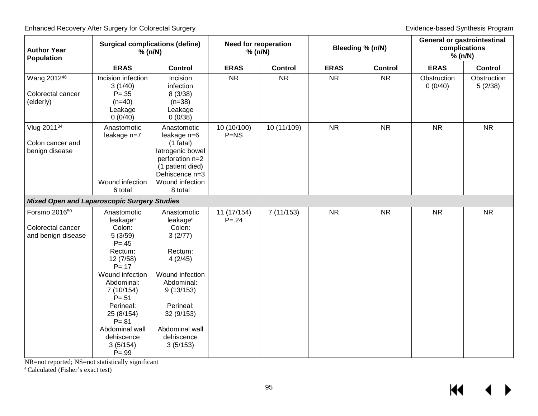| <b>Author Year</b><br><b>Population</b>                              | <b>Surgical complications (define)</b><br>% (n/N)                                                                                                                                                                                                                       |                                                                                                                                                                                                     | <b>Need for reoperation</b><br>% (n/N) |                |             | Bleeding % (n/N) |                        | <b>General or gastrointestinal</b><br>complications<br>% (n/N) |  |
|----------------------------------------------------------------------|-------------------------------------------------------------------------------------------------------------------------------------------------------------------------------------------------------------------------------------------------------------------------|-----------------------------------------------------------------------------------------------------------------------------------------------------------------------------------------------------|----------------------------------------|----------------|-------------|------------------|------------------------|----------------------------------------------------------------|--|
|                                                                      | <b>ERAS</b>                                                                                                                                                                                                                                                             | <b>Control</b>                                                                                                                                                                                      | <b>ERAS</b>                            | <b>Control</b> | <b>ERAS</b> | <b>Control</b>   | <b>ERAS</b>            | <b>Control</b>                                                 |  |
| Wang 201246<br>Colorectal cancer<br>(elderly)                        | Incision infection<br>3(1/40)<br>$P = .35$<br>$(n=40)$<br>Leakage<br>0(0/40)                                                                                                                                                                                            | Incision<br>infection<br>8(3/38)<br>$(n=38)$<br>Leakage<br>0(0/38)                                                                                                                                  | <b>NR</b>                              | <b>NR</b>      | <b>NR</b>   | <b>NR</b>        | Obstruction<br>0(0/40) | Obstruction<br>5(2/38)                                         |  |
| Vlug 201134<br>Colon cancer and<br>benign disease                    | Anastomotic<br>leakage n=7<br>Wound infection<br>6 total                                                                                                                                                                                                                | Anastomotic<br>leakage n=6<br>$(1$ fatal)<br>latrogenic bowel<br>perforation n=2<br>(1 patient died)<br>Dehiscence n=3<br>Wound infection<br>8 total                                                | 10 (10/100)<br>$P=NS$                  | 10 (11/109)    | <b>NR</b>   | <b>NR</b>        | <b>NR</b>              | <b>NR</b>                                                      |  |
| <b>Mixed Open and Laparoscopic Surgery Studies</b>                   |                                                                                                                                                                                                                                                                         |                                                                                                                                                                                                     |                                        |                |             |                  |                        |                                                                |  |
| Forsmo 2016 <sup>50</sup><br>Colorectal cancer<br>and benign disease | Anastomotic<br>leakage <sup>c</sup><br>Colon:<br>5(3/59)<br>$P = 0.45$<br>Rectum:<br>12 (7/58)<br>$P = .17$<br>Wound infection<br>Abdominal:<br>7 (10/154)<br>$P = 51$<br>Perineal:<br>25 (8/154)<br>$P = .81$<br>Abdominal wall<br>dehiscence<br>3(5/154)<br>$P = .99$ | Anastomotic<br>leakage <sup>c</sup><br>Colon:<br>3(2/77)<br>Rectum:<br>4(2/45)<br>Wound infection<br>Abdominal:<br>9(13/153)<br>Perineal:<br>32 (9/153)<br>Abdominal wall<br>dehiscence<br>3(5/153) | 11 (17/154)<br>$P = 24$                | 7(11/153)      | <b>NR</b>   | <b>NR</b>        | <b>NR</b>              | <b>NR</b>                                                      |  |

NR=not reported; NS=not statistically significant

a Calculated (Fisher's exact test)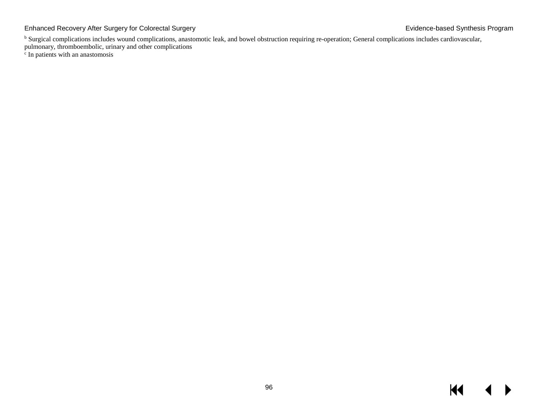Enhanced Recovery After Surgery for Colorectal Surgery **Existence** Constant Colorectal Surgery Evidence-based Synthesis Program

<sup>b</sup> Surgical complications includes wound complications, anastomotic leak, and bowel obstruction requiring re-operation; General complications includes cardiovascular, pulmonary, thromboembolic, urinary and other complications

c In patients with an anastomosis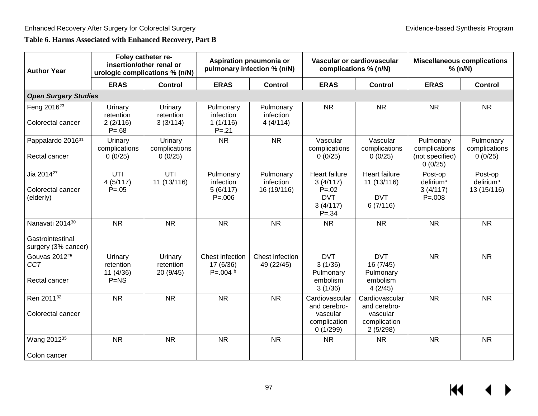## **Table 6. Harms Associated with Enhanced Recovery, Part B**

| <b>Author Year</b>                                         |                                              | Foley catheter re-<br>insertion/other renal or<br>urologic complications % (n/N) | Aspiration pneumonia or<br>Vascular or cardiovascular<br><b>Miscellaneous complications</b><br>pulmonary infection % (n/N)<br>% (n/N)<br>complications % (n/N) |                                       |                                                                               |                                                                        |                                                           |                                                 |
|------------------------------------------------------------|----------------------------------------------|----------------------------------------------------------------------------------|----------------------------------------------------------------------------------------------------------------------------------------------------------------|---------------------------------------|-------------------------------------------------------------------------------|------------------------------------------------------------------------|-----------------------------------------------------------|-------------------------------------------------|
|                                                            | <b>ERAS</b>                                  | <b>Control</b>                                                                   | <b>ERAS</b>                                                                                                                                                    | <b>Control</b>                        | <b>ERAS</b>                                                                   | <b>Control</b>                                                         | <b>ERAS</b>                                               | <b>Control</b>                                  |
| <b>Open Surgery Studies</b>                                |                                              |                                                                                  |                                                                                                                                                                |                                       |                                                                               |                                                                        |                                                           |                                                 |
| Feng 2016 <sup>23</sup><br>Colorectal cancer               | Urinary<br>retention<br>2(2/116)<br>$P = 68$ | Urinary<br>retention<br>3(3/114)                                                 | Pulmonary<br>infection<br>1(1/116)<br>$P = 21$                                                                                                                 | Pulmonary<br>infection<br>4(4/114)    | <b>NR</b>                                                                     | <b>NR</b>                                                              | <b>NR</b>                                                 | <b>NR</b>                                       |
| Pappalardo 201631<br>Rectal cancer                         | Urinary<br>complications<br>0(0/25)          | Urinary<br>complications<br>0(0/25)                                              | <b>NR</b>                                                                                                                                                      | <b>NR</b>                             | Vascular<br>complications<br>0(0/25)                                          | Vascular<br>complications<br>0(0/25)                                   | Pulmonary<br>complications<br>(not specified)<br>0(0/25)  | Pulmonary<br>complications<br>0(0/25)           |
| Jia 2014 <sup>27</sup><br>Colorectal cancer<br>(elderly)   | UTI<br>4(5/117)<br>$P = 0.05$                | UTI<br>11 (13/116)                                                               | Pulmonary<br>infection<br>5(6/117)<br>$P = 006$                                                                                                                | Pulmonary<br>infection<br>16 (19/116) | Heart failure<br>3(4/117)<br>$P = 0.02$<br><b>DVT</b><br>3(4/117)<br>$P = 34$ | Heart failure<br>11 (13/116)<br><b>DVT</b><br>6(7/116)                 | Post-op<br>delirium <sup>a</sup><br>3(4/117)<br>$P = 008$ | Post-op<br>delirium <sup>a</sup><br>13 (15/116) |
| Nanavati 201430<br>Gastrointestinal<br>surgery (3% cancer) | <b>NR</b>                                    | <b>NR</b>                                                                        | <b>NR</b>                                                                                                                                                      | <b>NR</b>                             | <b>NR</b>                                                                     | <b>NR</b>                                                              | <b>NR</b>                                                 | <b>NR</b>                                       |
| Gouvas 2012 <sup>25</sup><br><b>CCT</b><br>Rectal cancer   | Urinary<br>retention<br>11(4/36)<br>$P=NS$   | Urinary<br>retention<br>20 (9/45)                                                | Chest infection<br>17 (6/36)<br>$P = 0.004 h$                                                                                                                  | Chest infection<br>49 (22/45)         | <b>DVT</b><br>3(1/36)<br>Pulmonary<br>embolism<br>3(1/36)                     | <b>DVT</b><br>16(7/45)<br>Pulmonary<br>embolism<br>4(2/45)             | <b>NR</b>                                                 | <b>NR</b>                                       |
| Ren 201132<br>Colorectal cancer                            | <b>NR</b>                                    | <b>NR</b>                                                                        | <b>NR</b>                                                                                                                                                      | <b>NR</b>                             | Cardiovascular<br>and cerebro-<br>vascular<br>complication<br>0(1/299)        | Cardiovascular<br>and cerebro-<br>vascular<br>complication<br>2(5/298) | <b>NR</b>                                                 | <b>NR</b>                                       |
| Wang 2012 <sup>35</sup><br>Colon cancer                    | <b>NR</b>                                    | <b>NR</b>                                                                        | <b>NR</b>                                                                                                                                                      | <b>NR</b>                             | <b>NR</b>                                                                     | <b>NR</b>                                                              | <b>NR</b>                                                 | <b>NR</b>                                       |

 $\overline{\mathbf{M}}$  $\blacktriangleright$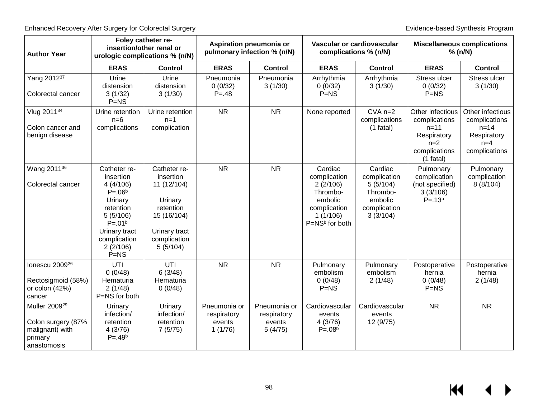| <b>Author Year</b>                                                                           | insertion/other renal or                                                                                                                                       | Foley catheter re-<br>urologic complications % (n/N)                                                                         |                                                  | Aspiration pneumonia or<br>pulmonary infection % (n/N) |                                                                                                                      | Vascular or cardiovascular<br>complications % (n/N)                                    |                                                                                                       | <b>Miscellaneous complications</b><br>% (n/N)                                          |  |
|----------------------------------------------------------------------------------------------|----------------------------------------------------------------------------------------------------------------------------------------------------------------|------------------------------------------------------------------------------------------------------------------------------|--------------------------------------------------|--------------------------------------------------------|----------------------------------------------------------------------------------------------------------------------|----------------------------------------------------------------------------------------|-------------------------------------------------------------------------------------------------------|----------------------------------------------------------------------------------------|--|
|                                                                                              | <b>ERAS</b>                                                                                                                                                    | <b>Control</b>                                                                                                               | <b>ERAS</b>                                      | <b>Control</b>                                         | <b>ERAS</b>                                                                                                          | <b>Control</b>                                                                         | <b>ERAS</b>                                                                                           | <b>Control</b>                                                                         |  |
| Yang 201237<br>Colorectal cancer                                                             | Urine<br>distension<br>3(1/32)<br>$P=NS$                                                                                                                       | Urine<br>distension<br>3(1/30)                                                                                               | Pneumonia<br>0(0/32)<br>$P = 48$                 | Pneumonia<br>3(1/30)                                   | Arrhythmia<br>0(0/32)<br>$P=NS$                                                                                      | Arrhythmia<br>3(1/30)                                                                  | Stress ulcer<br>0(0/32)<br>$P=NS$                                                                     | Stress ulcer<br>3(1/30)                                                                |  |
| Vlug 201134<br>Colon cancer and<br>benign disease                                            | Urine retention<br>$n=6$<br>complications                                                                                                                      | Urine retention<br>$n=1$<br>complication                                                                                     | <b>NR</b>                                        | <b>NR</b>                                              | None reported                                                                                                        | $CVA$ $n=2$<br>complications<br>$(1$ fatal)                                            | Other infectious<br>complications<br>$n = 11$<br>Respiratory<br>$n=2$<br>complications<br>$(1$ fatal) | Other infectious<br>complications<br>$n = 14$<br>Respiratory<br>$n=4$<br>complications |  |
| Wang 2011 <sup>36</sup><br>Colorectal cancer                                                 | Catheter re-<br>insertion<br>4(4/106)<br>$P = .06b$<br>Urinary<br>retention<br>5(5/106)<br>$P = .01b$<br>Urinary tract<br>complication<br>2(2/106)<br>$P = NS$ | Catheter re-<br>insertion<br>11 (12/104)<br>Urinary<br>retention<br>15 (16/104)<br>Urinary tract<br>complication<br>5(5/104) | <b>NR</b>                                        | <b>NR</b>                                              | Cardiac<br>complication<br>2(2/106)<br>Thrombo-<br>embolic<br>complication<br>1(1/106)<br>P=NS <sup>b</sup> for both | Cardiac<br>complication<br>5(5/104)<br>Thrombo-<br>embolic<br>complication<br>3(3/104) | Pulmonary<br>complication<br>(not specified)<br>3(3/106)<br>$P = .13b$                                | Pulmonary<br>complication<br>8(8/104)                                                  |  |
| lonescu 2009 <sup>26</sup><br>Rectosigmoid (58%)<br>or colon (42%)<br>cancer                 | UTI<br>0(0/48)<br>Hematuria<br>2(1/48)<br>P=NS for both                                                                                                        | UTI<br>6(3/48)<br>Hematuria<br>0(0/48)                                                                                       | <b>NR</b>                                        | <b>NR</b>                                              | Pulmonary<br>embolism<br>0(0/48)<br>$P=NS$                                                                           | Pulmonary<br>embolism<br>2(1/48)                                                       | Postoperative<br>hernia<br>0(0/48)<br>$P=NS$                                                          | Postoperative<br>hernia<br>2(1/48)                                                     |  |
| Muller 2009 <sup>29</sup><br>Colon surgery (87%<br>malignant) with<br>primary<br>anastomosis | Urinary<br>infection/<br>retention<br>4(3/76)<br>$P = .49b$                                                                                                    | Urinary<br>infection/<br>retention<br>7(5/75)                                                                                | Pneumonia or<br>respiratory<br>events<br>1(1/76) | Pneumonia or<br>respiratory<br>events<br>5(4/75)       | Cardiovascular<br>events<br>4(3/76)<br>$P = .08b$                                                                    | Cardiovascular<br>events<br>12 (9/75)                                                  | <b>NR</b>                                                                                             | <b>NR</b>                                                                              |  |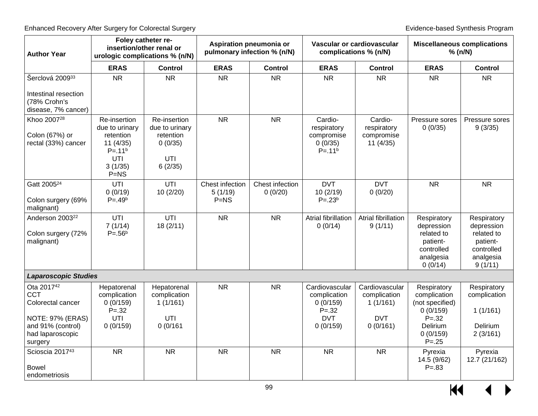| <b>Author Year</b>                                                                   | Foley catheter re-<br>insertion/other renal or<br>urologic complications % (n/N)                   |                                                                          | Aspiration pneumonia or<br>pulmonary infection % (n/N) |                            | Vascular or cardiovascular<br>complications % (n/N)                  |                                                          | <b>Miscellaneous complications</b><br>% (n/N)                                             |                                                                                           |
|--------------------------------------------------------------------------------------|----------------------------------------------------------------------------------------------------|--------------------------------------------------------------------------|--------------------------------------------------------|----------------------------|----------------------------------------------------------------------|----------------------------------------------------------|-------------------------------------------------------------------------------------------|-------------------------------------------------------------------------------------------|
|                                                                                      | <b>ERAS</b>                                                                                        | <b>Control</b>                                                           | <b>ERAS</b>                                            | <b>Control</b>             | <b>ERAS</b>                                                          | <b>Control</b>                                           | <b>ERAS</b>                                                                               | <b>Control</b>                                                                            |
| Šerclová 200933                                                                      | <b>NR</b>                                                                                          | <b>NR</b>                                                                | <b>NR</b>                                              | <b>NR</b>                  | <b>NR</b>                                                            | <b>NR</b>                                                | <b>NR</b>                                                                                 | <b>NR</b>                                                                                 |
| Intestinal resection<br>(78% Crohn's<br>disease, 7% cancer)                          |                                                                                                    |                                                                          |                                                        |                            |                                                                      |                                                          |                                                                                           |                                                                                           |
| Khoo 2007 <sup>28</sup><br>Colon (67%) or<br>rectal (33%) cancer                     | Re-insertion<br>due to urinary<br>retention<br>11 (4/35)<br>$P = .11b$<br>UTI<br>3(1/35)<br>$P=NS$ | Re-insertion<br>due to urinary<br>retention<br>0(0/35)<br>UTI<br>6(2/35) | <b>NR</b>                                              | <b>NR</b>                  | Cardio-<br>respiratory<br>compromise<br>0(0/35)<br>$P = .11b$        | Cardio-<br>respiratory<br>compromise<br>11(4/35)         | Pressure sores<br>0(0/35)                                                                 | Pressure sores<br>9(3/35)                                                                 |
| Gatt 2005 <sup>24</sup><br>Colon surgery (69%<br>malignant)                          | UTI<br>0(0/19)<br>$P = .49b$                                                                       | UTI<br>10(2/20)                                                          | Chest infection<br>5(1/19)<br>$P=NS$                   | Chest infection<br>0(0/20) | <b>DVT</b><br>10(2/19)<br>$P = .23b$                                 | <b>DVT</b><br>0(0/20)                                    | <b>NR</b>                                                                                 | <b>NR</b>                                                                                 |
| Anderson 2003 <sup>22</sup><br>Colon surgery (72%<br>malignant)                      | UTI<br>7(1/14)<br>$P = .56b$                                                                       | UTI<br>18 (2/11)                                                         | <b>NR</b>                                              | <b>NR</b>                  | Atrial fibrillation<br>0(0/14)                                       | Atrial fibrillation<br>9(1/11)                           | Respiratory<br>depression<br>related to<br>patient-<br>controlled<br>analgesia<br>0(0/14) | Respiratory<br>depression<br>related to<br>patient-<br>controlled<br>analgesia<br>9(1/11) |
| <b>Laparoscopic Studies</b>                                                          |                                                                                                    |                                                                          |                                                        |                            |                                                                      |                                                          |                                                                                           |                                                                                           |
| Ota 2017 <sup>42</sup><br><b>CCT</b><br>Colorectal cancer<br><b>NOTE: 97% (ERAS)</b> | Hepatorenal<br>complication<br>0(0/159)<br>$P = 32$<br>UTI                                         | Hepatorenal<br>complication<br>1(1/161)<br>UTI                           | <b>NR</b>                                              | <b>NR</b>                  | Cardiovascular<br>complication<br>0(0/159)<br>$P = 32$<br><b>DVT</b> | Cardiovascular<br>complication<br>1(1/161)<br><b>DVT</b> | Respiratory<br>complication<br>(not specified)<br>0(0/159)<br>$P = 32$                    | Respiratory<br>complication<br>1(1/161)                                                   |
| and 91% (control)<br>had laparoscopic<br>surgery                                     | 0(0/159)                                                                                           | 0(0/161)                                                                 |                                                        |                            | 0(0/159)                                                             | 0(0/161)                                                 | Delirium<br>0(0/159)<br>$P = .25$                                                         | Delirium<br>2(3/161)                                                                      |
| Scioscia 201743<br><b>Bowel</b><br>endometriosis                                     | <b>NR</b>                                                                                          | <b>NR</b>                                                                | <b>NR</b>                                              | <b>NR</b>                  | <b>NR</b>                                                            | <b>NR</b>                                                | Pyrexia<br>14.5 (9/62)<br>$P = .83$                                                       | Pyrexia<br>12.7 (21/162)                                                                  |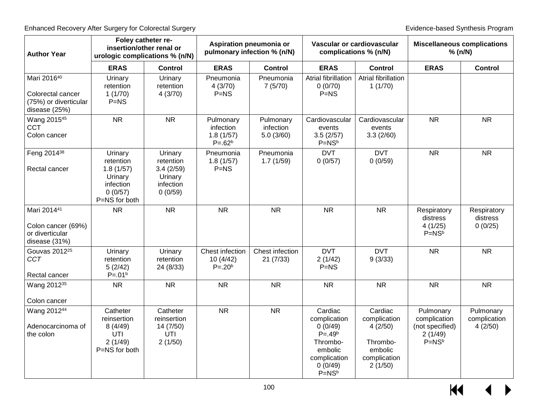| <b>Author Year</b>                                                         | Foley catheter re-<br>Aspiration pneumonia or<br>Vascular or cardiovascular<br>insertion/other renal or<br>pulmonary infection % (n/N)<br>complications % (n/N)<br>urologic complications % (n/N) |                                                                      |                                                   | <b>Miscellaneous complications</b><br>% (n/N) |                                                                                                                 |                                                                                      |                                                                      |                                      |
|----------------------------------------------------------------------------|---------------------------------------------------------------------------------------------------------------------------------------------------------------------------------------------------|----------------------------------------------------------------------|---------------------------------------------------|-----------------------------------------------|-----------------------------------------------------------------------------------------------------------------|--------------------------------------------------------------------------------------|----------------------------------------------------------------------|--------------------------------------|
|                                                                            | <b>ERAS</b>                                                                                                                                                                                       | <b>Control</b>                                                       | <b>ERAS</b>                                       | <b>Control</b>                                | <b>ERAS</b>                                                                                                     | <b>Control</b>                                                                       | <b>ERAS</b>                                                          | <b>Control</b>                       |
| Mari 201640<br>Colorectal cancer<br>(75%) or diverticular<br>disease (25%) | Urinary<br>retention<br>1(1/70)<br>$P=NS$                                                                                                                                                         | Urinary<br>retention<br>4(3/70)                                      | Pneumonia<br>4(3/70)<br>$P=NS$                    | Pneumonia<br>7(5/70)                          | <b>Atrial fibrillation</b><br>0(0/70)<br>$P=NS$                                                                 | Atrial fibrillation<br>1(1/70)                                                       |                                                                      |                                      |
| Wang 201545<br><b>CCT</b><br>Colon cancer                                  | <b>NR</b>                                                                                                                                                                                         | <b>NR</b>                                                            | Pulmonary<br>infection<br>1.8(1/57)<br>$P = .62b$ | Pulmonary<br>infection<br>5.0(3/60)           | Cardiovascular<br>events<br>3.5(2/57)<br>$P = NS^b$                                                             | Cardiovascular<br>events<br>3.3(2/60)                                                | <b>NR</b>                                                            | <b>NR</b>                            |
| Feng 2014 <sup>38</sup><br>Rectal cancer                                   | Urinary<br>retention<br>1.8(1/57)<br>Urinary<br>infection<br>0(0/57)<br>P=NS for both                                                                                                             | Urinary<br>retention<br>3.4(2/59)<br>Urinary<br>infection<br>0(0/59) | Pneumonia<br>1.8(1/57)<br>$P=NS$                  | Pneumonia<br>1.7(1/59)                        | <b>DVT</b><br>0(0/57)                                                                                           | <b>DVT</b><br>0(0/59)                                                                | <b>NR</b>                                                            | <b>NR</b>                            |
| Mari 201441<br>Colon cancer (69%)<br>or diverticular<br>disease (31%)      | <b>NR</b>                                                                                                                                                                                         | <b>NR</b>                                                            | <b>NR</b>                                         | <b>NR</b>                                     | <b>NR</b>                                                                                                       | <b>NR</b>                                                                            | Respiratory<br>distress<br>4(1/25)<br>$P = NSb$                      | Respiratory<br>distress<br>0(0/25)   |
| Gouvas 2012 <sup>25</sup><br><b>CCT</b><br>Rectal cancer                   | Urinary<br>retention<br>5(2/42)<br>$P = .01b$                                                                                                                                                     | Urinary<br>retention<br>24 (8/33)                                    | Chest infection<br>10(4/42)<br>$P = .20b$         | Chest infection<br>21(7/33)                   | <b>DVT</b><br>2(1/42)<br>$P=NS$                                                                                 | <b>DVT</b><br>9(3/33)                                                                | <b>NR</b>                                                            | <b>NR</b>                            |
| Wang 2012 <sup>35</sup><br>Colon cancer                                    | <b>NR</b>                                                                                                                                                                                         | <b>NR</b>                                                            | <b>NR</b>                                         | <b>NR</b>                                     | <b>NR</b>                                                                                                       | <b>NR</b>                                                                            | <b>NR</b>                                                            | <b>NR</b>                            |
| Wang 201244<br>Adenocarcinoma of<br>the colon                              | Catheter<br>reinsertion<br>8(4/49)<br>UTI<br>2(1/49)<br>P=NS for both                                                                                                                             | Catheter<br>reinsertion<br>14 (7/50)<br>UTI<br>2(1/50)               | <b>NR</b>                                         | <b>NR</b>                                     | Cardiac<br>complication<br>0(0/49)<br>$P = .49b$<br>Thrombo-<br>embolic<br>complication<br>0(0/49)<br>$P = NSb$ | Cardiac<br>complication<br>4(2/50)<br>Thrombo-<br>embolic<br>complication<br>2(1/50) | Pulmonary<br>complication<br>(not specified)<br>2(1/49)<br>$P = NSb$ | Pulmonary<br>complication<br>4(2/50) |

 $\frac{1}{100}$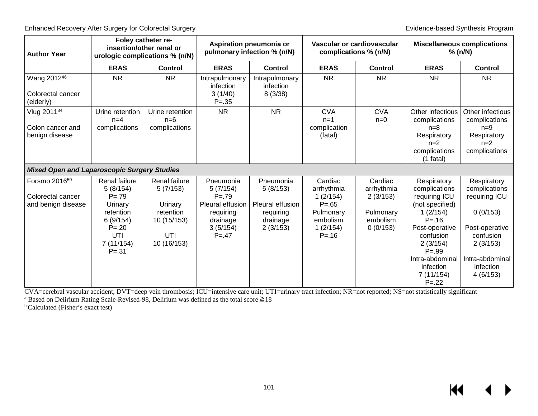|                                                                   |                                                |                                                                                                                                                   |                                        |                                                                            |                                   |                                                                                                                           | <b>Miscellaneous complications</b><br>% (n/N)                                                   |
|-------------------------------------------------------------------|------------------------------------------------|---------------------------------------------------------------------------------------------------------------------------------------------------|----------------------------------------|----------------------------------------------------------------------------|-----------------------------------|---------------------------------------------------------------------------------------------------------------------------|-------------------------------------------------------------------------------------------------|
| <b>ERAS</b>                                                       | <b>Control</b>                                 | <b>ERAS</b>                                                                                                                                       | <b>Control</b>                         | <b>ERAS</b>                                                                | <b>Control</b>                    | <b>ERAS</b>                                                                                                               | <b>Control</b>                                                                                  |
| <b>NR</b>                                                         | <b>NR</b>                                      | Intrapulmonary<br>infection<br>3(1/40)<br>$P = .35$                                                                                               | Intrapulmonary<br>infection<br>8(3/38) | <b>NR</b>                                                                  | <b>NR</b>                         | <b>NR</b>                                                                                                                 | <b>NR</b>                                                                                       |
| Urine retention<br>$n=4$<br>complications                         | Urine retention<br>$n=6$<br>complications      | <b>NR</b>                                                                                                                                         | <b>NR</b>                              | <b>CVA</b><br>$n=1$<br>complication<br>(fatal)                             | <b>CVA</b><br>$n=0$               | Other infectious<br>complications<br>$n=8$<br>Respiratory<br>$n=2$<br>complications<br>$(1$ fatal)                        | Other infectious<br>complications<br>$n=9$<br>Respiratory<br>$n=2$<br>complications             |
|                                                                   |                                                |                                                                                                                                                   |                                        |                                                                            |                                   |                                                                                                                           |                                                                                                 |
| <b>Renal failure</b><br>5(8/154)<br>$P = 79$                      | Renal failure<br>5(7/153)                      | Pneumonia<br>5(7/154)<br>$P = 79$                                                                                                                 | Pneumonia<br>5(8/153)                  | Cardiac<br>arrhythmia<br>1(2/154)                                          | Cardiac<br>arrhythmia<br>2(3/153) | Respiratory<br>complications<br>requiring ICU                                                                             | Respiratory<br>complications<br>requiring ICU                                                   |
| retention<br>6(9/154)<br>$P = 20$<br>UTI<br>7(11/154)<br>$P = 31$ | retention<br>10 (15/153)<br>UTI<br>10 (16/153) | requiring<br>drainage<br>3(5/154)<br>$P = 47$                                                                                                     | requiring<br>drainage<br>2(3/153)      | Pulmonary<br>embolism<br>1(2/154)<br>$P = 16$                              | Pulmonary<br>embolism<br>0(0/153) | 1(2/154)<br>$P = 16$<br>Post-operative<br>confusion<br>2(3/154)<br>$P = .99$<br>Intra-abdominal<br>infection<br>7(11/154) | 0(0/153)<br>Post-operative<br>confusion<br>2(3/153)<br>Intra-abdominal<br>infection<br>4(6/153) |
|                                                                   | Urinary                                        | Foley catheter re-<br>insertion/other renal or<br>urologic complications % (n/N)<br><b>Mixed Open and Laparoscopic Surgery Studies</b><br>Urinary | Pleural effusion                       | Aspiration pneumonia or<br>pulmonary infection % (n/N)<br>Pleural effusion | $P = 65$                          | Vascular or cardiovascular<br>complications % (n/N)                                                                       | (not specified)<br>$P = .22$                                                                    |

CVA=cerebral vascular accident; DVT=deep vein thrombosis; ICU=intensive care unit; UTI=urinary tract infection; NR=not reported; NS=not statistically significant

<sup>a</sup> Based on Delirium Rating Scale-Revised-98, Delirium was defined as the total score  $\geq 18$  b Calculated (Fisher's exact test)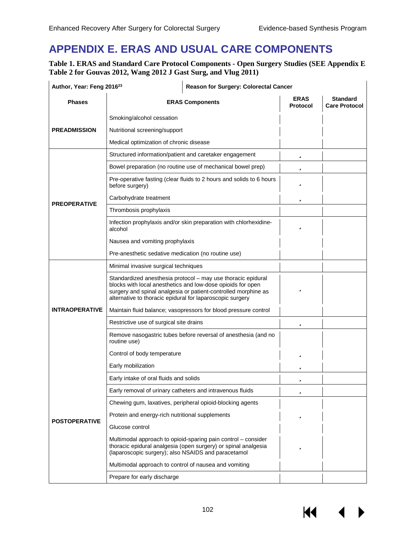**KK 4** 

▶

# **APPENDIX E. ERAS AND USUAL CARE COMPONENTS**

**Table 1. ERAS and Standard Care Protocol Components - Open Surgery Studies (SEE Appendix E Table 2 for Gouvas 2012, Wang 2012 J Gast Surg, and Vlug 2011)** 

| Author, Year: Feng 2016 <sup>23</sup> |                                                                                                                                                                                                                                                            | Reason for Surgery: Colorectal Cancer                                |                                |                                         |
|---------------------------------------|------------------------------------------------------------------------------------------------------------------------------------------------------------------------------------------------------------------------------------------------------------|----------------------------------------------------------------------|--------------------------------|-----------------------------------------|
| <b>Phases</b>                         |                                                                                                                                                                                                                                                            | <b>ERAS Components</b>                                               | <b>ERAS</b><br><b>Protocol</b> | <b>Standard</b><br><b>Care Protocol</b> |
|                                       | Smoking/alcohol cessation                                                                                                                                                                                                                                  |                                                                      |                                |                                         |
| <b>PREADMISSION</b>                   | Nutritional screening/support                                                                                                                                                                                                                              |                                                                      |                                |                                         |
|                                       | Medical optimization of chronic disease                                                                                                                                                                                                                    |                                                                      |                                |                                         |
|                                       |                                                                                                                                                                                                                                                            | Structured information/patient and caretaker engagement              | ü                              |                                         |
|                                       |                                                                                                                                                                                                                                                            | Bowel preparation (no routine use of mechanical bowel prep)          | ü                              |                                         |
|                                       | before surgery)                                                                                                                                                                                                                                            | Pre-operative fasting (clear fluids to 2 hours and solids to 6 hours | ü                              |                                         |
| <b>PREOPERATIVE</b>                   | Carbohydrate treatment                                                                                                                                                                                                                                     |                                                                      | ü                              |                                         |
|                                       | Thrombosis prophylaxis                                                                                                                                                                                                                                     |                                                                      |                                |                                         |
|                                       | alcohol                                                                                                                                                                                                                                                    | Infection prophylaxis and/or skin preparation with chlorhexidine-    | ü                              |                                         |
|                                       | Nausea and vomiting prophylaxis                                                                                                                                                                                                                            |                                                                      |                                |                                         |
|                                       | Pre-anesthetic sedative medication (no routine use)                                                                                                                                                                                                        |                                                                      |                                |                                         |
|                                       | Minimal invasive surgical techniques                                                                                                                                                                                                                       |                                                                      |                                |                                         |
|                                       | Standardized anesthesia protocol - may use thoracic epidural<br>blocks with local anesthetics and low-dose opioids for open<br>surgery and spinal analgesia or patient-controlled morphine as<br>alternative to thoracic epidural for laparoscopic surgery | ü                                                                    |                                |                                         |
| <b>INTRAOPERATIVE</b>                 | Maintain fluid balance; vasopressors for blood pressure control                                                                                                                                                                                            |                                                                      |                                |                                         |
|                                       | Restrictive use of surgical site drains                                                                                                                                                                                                                    | ü                                                                    |                                |                                         |
|                                       | routine use)                                                                                                                                                                                                                                               | Remove nasogastric tubes before reversal of anesthesia (and no       |                                |                                         |
|                                       | Control of body temperature                                                                                                                                                                                                                                |                                                                      | ü                              |                                         |
|                                       | Early mobilization                                                                                                                                                                                                                                         |                                                                      | ü                              |                                         |
|                                       | Early intake of oral fluids and solids                                                                                                                                                                                                                     |                                                                      | ü                              |                                         |
|                                       | Early removal of urinary catheters and intravenous fluids                                                                                                                                                                                                  |                                                                      | ü                              |                                         |
|                                       |                                                                                                                                                                                                                                                            | Chewing gum, laxatives, peripheral opioid-blocking agents            |                                |                                         |
| <b>POSTOPERATIVE</b>                  | Protein and energy-rich nutritional supplements                                                                                                                                                                                                            |                                                                      | ü                              |                                         |
|                                       | Glucose control                                                                                                                                                                                                                                            |                                                                      |                                |                                         |
|                                       | Multimodal approach to opioid-sparing pain control - consider<br>thoracic epidural analgesia (open surgery) or spinal analgesia<br>(laparoscopic surgery); also NSAIDS and paracetamol                                                                     | ü                                                                    |                                |                                         |
|                                       | Multimodal approach to control of nausea and vomiting                                                                                                                                                                                                      |                                                                      |                                |                                         |
|                                       | Prepare for early discharge                                                                                                                                                                                                                                |                                                                      |                                |                                         |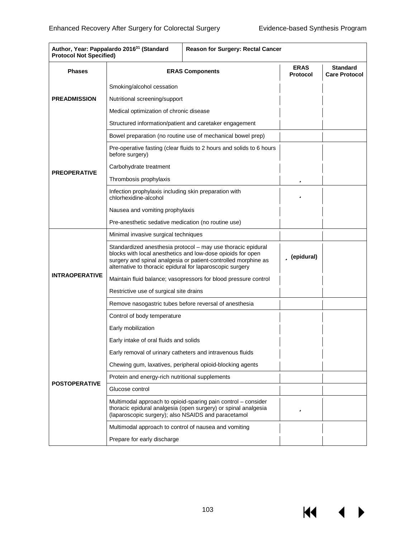К

| Author, Year: Pappalardo 2016 <sup>31</sup> (Standard<br><b>Protocol Not Specified)</b> |                                                                                                                                                                                                                                                            | <b>Reason for Surgery: Rectal Cancer</b>                                                                                        |                                |                                         |
|-----------------------------------------------------------------------------------------|------------------------------------------------------------------------------------------------------------------------------------------------------------------------------------------------------------------------------------------------------------|---------------------------------------------------------------------------------------------------------------------------------|--------------------------------|-----------------------------------------|
| <b>Phases</b>                                                                           |                                                                                                                                                                                                                                                            | <b>ERAS Components</b>                                                                                                          | <b>ERAS</b><br><b>Protocol</b> | <b>Standard</b><br><b>Care Protocol</b> |
|                                                                                         | Smoking/alcohol cessation                                                                                                                                                                                                                                  |                                                                                                                                 |                                |                                         |
| <b>PREADMISSION</b>                                                                     | Nutritional screening/support                                                                                                                                                                                                                              |                                                                                                                                 |                                |                                         |
|                                                                                         | Medical optimization of chronic disease                                                                                                                                                                                                                    |                                                                                                                                 |                                |                                         |
|                                                                                         |                                                                                                                                                                                                                                                            | Structured information/patient and caretaker engagement                                                                         |                                |                                         |
|                                                                                         |                                                                                                                                                                                                                                                            | Bowel preparation (no routine use of mechanical bowel prep)                                                                     |                                |                                         |
|                                                                                         | before surgery)                                                                                                                                                                                                                                            | Pre-operative fasting (clear fluids to 2 hours and solids to 6 hours                                                            |                                |                                         |
| <b>PREOPERATIVE</b>                                                                     | Carbohydrate treatment                                                                                                                                                                                                                                     |                                                                                                                                 |                                |                                         |
|                                                                                         | Thrombosis prophylaxis                                                                                                                                                                                                                                     |                                                                                                                                 | ü                              |                                         |
|                                                                                         | Infection prophylaxis including skin preparation with<br>chlorhexidine-alcohol                                                                                                                                                                             |                                                                                                                                 | ü                              |                                         |
|                                                                                         | Nausea and vomiting prophylaxis                                                                                                                                                                                                                            |                                                                                                                                 |                                |                                         |
|                                                                                         | Pre-anesthetic sedative medication (no routine use)                                                                                                                                                                                                        |                                                                                                                                 |                                |                                         |
|                                                                                         | Minimal invasive surgical techniques                                                                                                                                                                                                                       |                                                                                                                                 |                                |                                         |
|                                                                                         | Standardized anesthesia protocol - may use thoracic epidural<br>blocks with local anesthetics and low-dose opioids for open<br>surgery and spinal analgesia or patient-controlled morphine as<br>alternative to thoracic epidural for laparoscopic surgery | ü (epidural)                                                                                                                    |                                |                                         |
| <b>INTRAOPERATIVE</b>                                                                   | Maintain fluid balance; vasopressors for blood pressure control                                                                                                                                                                                            |                                                                                                                                 |                                |                                         |
|                                                                                         | Restrictive use of surgical site drains                                                                                                                                                                                                                    |                                                                                                                                 |                                |                                         |
|                                                                                         | Remove nasogastric tubes before reversal of anesthesia                                                                                                                                                                                                     |                                                                                                                                 |                                |                                         |
|                                                                                         | Control of body temperature                                                                                                                                                                                                                                |                                                                                                                                 |                                |                                         |
|                                                                                         | Early mobilization                                                                                                                                                                                                                                         |                                                                                                                                 |                                |                                         |
|                                                                                         | Early intake of oral fluids and solids                                                                                                                                                                                                                     |                                                                                                                                 |                                |                                         |
|                                                                                         | Early removal of urinary catheters and intravenous fluids                                                                                                                                                                                                  |                                                                                                                                 |                                |                                         |
|                                                                                         |                                                                                                                                                                                                                                                            | Chewing gum, laxatives, peripheral opioid-blocking agents                                                                       |                                |                                         |
| <b>POSTOPERATIVE</b>                                                                    | Protein and energy-rich nutritional supplements                                                                                                                                                                                                            |                                                                                                                                 |                                |                                         |
|                                                                                         | Glucose control                                                                                                                                                                                                                                            |                                                                                                                                 |                                |                                         |
|                                                                                         | (laparoscopic surgery); also NSAIDS and paracetamol                                                                                                                                                                                                        | Multimodal approach to opioid-sparing pain control – consider<br>thoracic epidural analgesia (open surgery) or spinal analgesia | ü                              |                                         |
|                                                                                         | Multimodal approach to control of nausea and vomiting                                                                                                                                                                                                      |                                                                                                                                 |                                |                                         |
|                                                                                         | Prepare for early discharge                                                                                                                                                                                                                                |                                                                                                                                 |                                |                                         |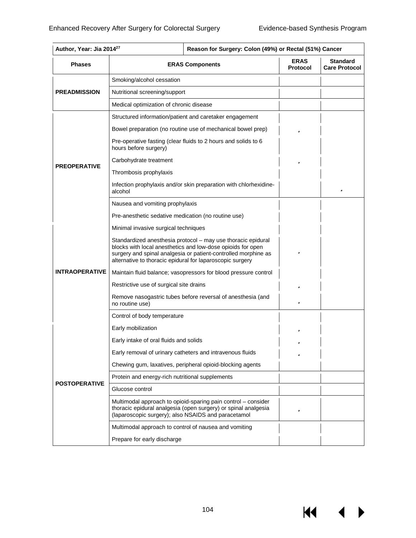К

| Author, Year: Jia 2014 <sup>27</sup> | Reason for Surgery: Colon (49%) or Rectal (51%) Cancer                                                                                                                                                                                                     |                                |                                         |
|--------------------------------------|------------------------------------------------------------------------------------------------------------------------------------------------------------------------------------------------------------------------------------------------------------|--------------------------------|-----------------------------------------|
| <b>Phases</b>                        | <b>ERAS Components</b>                                                                                                                                                                                                                                     | <b>ERAS</b><br><b>Protocol</b> | <b>Standard</b><br><b>Care Protocol</b> |
|                                      | Smoking/alcohol cessation                                                                                                                                                                                                                                  |                                |                                         |
| <b>PREADMISSION</b>                  | Nutritional screening/support                                                                                                                                                                                                                              |                                |                                         |
|                                      | Medical optimization of chronic disease                                                                                                                                                                                                                    |                                |                                         |
|                                      | Structured information/patient and caretaker engagement                                                                                                                                                                                                    |                                |                                         |
|                                      | Bowel preparation (no routine use of mechanical bowel prep)                                                                                                                                                                                                | ü                              |                                         |
|                                      | Pre-operative fasting (clear fluids to 2 hours and solids to 6<br>hours before surgery)                                                                                                                                                                    |                                |                                         |
|                                      | Carbohydrate treatment                                                                                                                                                                                                                                     | ü                              |                                         |
| <b>PREOPERATIVE</b>                  | Thrombosis prophylaxis                                                                                                                                                                                                                                     |                                |                                         |
|                                      | Infection prophylaxis and/or skin preparation with chlorhexidine-<br>alcohol                                                                                                                                                                               |                                | ü                                       |
|                                      | Nausea and vomiting prophylaxis                                                                                                                                                                                                                            |                                |                                         |
|                                      | Pre-anesthetic sedative medication (no routine use)                                                                                                                                                                                                        |                                |                                         |
|                                      | Minimal invasive surgical techniques                                                                                                                                                                                                                       |                                |                                         |
|                                      | Standardized anesthesia protocol - may use thoracic epidural<br>blocks with local anesthetics and low-dose opioids for open<br>surgery and spinal analgesia or patient-controlled morphine as<br>alternative to thoracic epidural for laparoscopic surgery | ü                              |                                         |
| <b>INTRAOPERATIVE</b>                | Maintain fluid balance; vasopressors for blood pressure control                                                                                                                                                                                            |                                |                                         |
|                                      | Restrictive use of surgical site drains                                                                                                                                                                                                                    | ü                              |                                         |
|                                      | Remove nasogastric tubes before reversal of anesthesia (and<br>no routine use)                                                                                                                                                                             | ü                              |                                         |
|                                      | Control of body temperature                                                                                                                                                                                                                                |                                |                                         |
|                                      | Early mobilization                                                                                                                                                                                                                                         | ü                              |                                         |
|                                      | Early intake of oral fluids and solids                                                                                                                                                                                                                     | ü                              |                                         |
|                                      | Early removal of urinary catheters and intravenous fluids                                                                                                                                                                                                  | ü                              |                                         |
|                                      | Chewing gum, laxatives, peripheral opioid-blocking agents                                                                                                                                                                                                  |                                |                                         |
| <b>POSTOPERATIVE</b>                 | Protein and energy-rich nutritional supplements                                                                                                                                                                                                            |                                |                                         |
|                                      | Glucose control                                                                                                                                                                                                                                            |                                |                                         |
|                                      | Multimodal approach to opioid-sparing pain control – consider<br>thoracic epidural analgesia (open surgery) or spinal analgesia<br>(laparoscopic surgery); also NSAIDS and paracetamol                                                                     | ü                              |                                         |
|                                      | Multimodal approach to control of nausea and vomiting                                                                                                                                                                                                      |                                |                                         |
|                                      | Prepare for early discharge                                                                                                                                                                                                                                |                                |                                         |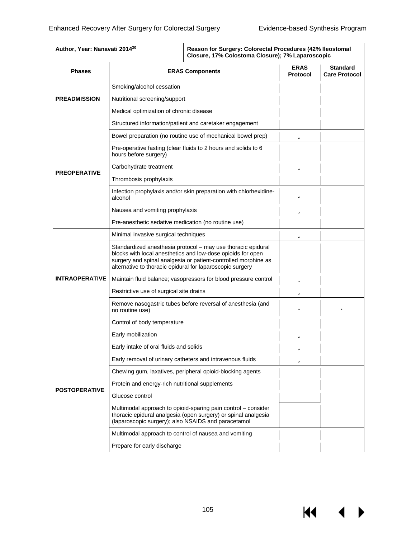$M \cdot 1$ 

| Author, Year: Nanavati 2014 <sup>30</sup> |                                                                                                                                                                                                                                                            | Reason for Surgery: Colorectal Procedures (42% Ileostomal<br>Closure, 17% Colostoma Closure); 7% Laparoscopic                   |                                         |  |
|-------------------------------------------|------------------------------------------------------------------------------------------------------------------------------------------------------------------------------------------------------------------------------------------------------------|---------------------------------------------------------------------------------------------------------------------------------|-----------------------------------------|--|
| <b>Phases</b>                             | <b>ERAS Components</b>                                                                                                                                                                                                                                     | <b>ERAS</b><br><b>Protocol</b>                                                                                                  | <b>Standard</b><br><b>Care Protocol</b> |  |
|                                           | Smoking/alcohol cessation                                                                                                                                                                                                                                  |                                                                                                                                 |                                         |  |
| <b>PREADMISSION</b>                       | Nutritional screening/support                                                                                                                                                                                                                              |                                                                                                                                 |                                         |  |
|                                           | Medical optimization of chronic disease                                                                                                                                                                                                                    |                                                                                                                                 |                                         |  |
|                                           |                                                                                                                                                                                                                                                            | Structured information/patient and caretaker engagement                                                                         |                                         |  |
|                                           |                                                                                                                                                                                                                                                            | Bowel preparation (no routine use of mechanical bowel prep)                                                                     | ü                                       |  |
|                                           | hours before surgery)                                                                                                                                                                                                                                      | Pre-operative fasting (clear fluids to 2 hours and solids to 6                                                                  |                                         |  |
|                                           | Carbohydrate treatment                                                                                                                                                                                                                                     |                                                                                                                                 | ü                                       |  |
| <b>PREOPERATIVE</b>                       | Thrombosis prophylaxis                                                                                                                                                                                                                                     |                                                                                                                                 |                                         |  |
|                                           | alcohol                                                                                                                                                                                                                                                    | Infection prophylaxis and/or skin preparation with chlorhexidine-                                                               | ü                                       |  |
|                                           | Nausea and vomiting prophylaxis                                                                                                                                                                                                                            | ü                                                                                                                               |                                         |  |
|                                           | Pre-anesthetic sedative medication (no routine use)                                                                                                                                                                                                        |                                                                                                                                 |                                         |  |
|                                           | Minimal invasive surgical techniques                                                                                                                                                                                                                       | ü                                                                                                                               |                                         |  |
|                                           | Standardized anesthesia protocol - may use thoracic epidural<br>blocks with local anesthetics and low-dose opioids for open<br>surgery and spinal analgesia or patient-controlled morphine as<br>alternative to thoracic epidural for laparoscopic surgery |                                                                                                                                 |                                         |  |
| <b>INTRAOPERATIVE</b>                     | Maintain fluid balance; vasopressors for blood pressure control                                                                                                                                                                                            | ü                                                                                                                               |                                         |  |
|                                           | Restrictive use of surgical site drains                                                                                                                                                                                                                    | ü                                                                                                                               |                                         |  |
|                                           | Remove nasogastric tubes before reversal of anesthesia (and<br>no routine use)                                                                                                                                                                             | ü                                                                                                                               | ü                                       |  |
|                                           | Control of body temperature                                                                                                                                                                                                                                |                                                                                                                                 |                                         |  |
|                                           | Early mobilization                                                                                                                                                                                                                                         |                                                                                                                                 | ü                                       |  |
|                                           | Early intake of oral fluids and solids                                                                                                                                                                                                                     |                                                                                                                                 | ü                                       |  |
|                                           |                                                                                                                                                                                                                                                            | Early removal of urinary catheters and intravenous fluids                                                                       | ü                                       |  |
|                                           |                                                                                                                                                                                                                                                            | Chewing gum, laxatives, peripheral opioid-blocking agents                                                                       |                                         |  |
| <b>POSTOPERATIVE</b>                      | Protein and energy-rich nutritional supplements                                                                                                                                                                                                            |                                                                                                                                 |                                         |  |
|                                           | Glucose control                                                                                                                                                                                                                                            |                                                                                                                                 |                                         |  |
|                                           | (laparoscopic surgery); also NSAIDS and paracetamol                                                                                                                                                                                                        | Multimodal approach to opioid-sparing pain control - consider<br>thoracic epidural analgesia (open surgery) or spinal analgesia |                                         |  |
|                                           | Multimodal approach to control of nausea and vomiting                                                                                                                                                                                                      |                                                                                                                                 |                                         |  |
|                                           | Prepare for early discharge                                                                                                                                                                                                                                |                                                                                                                                 |                                         |  |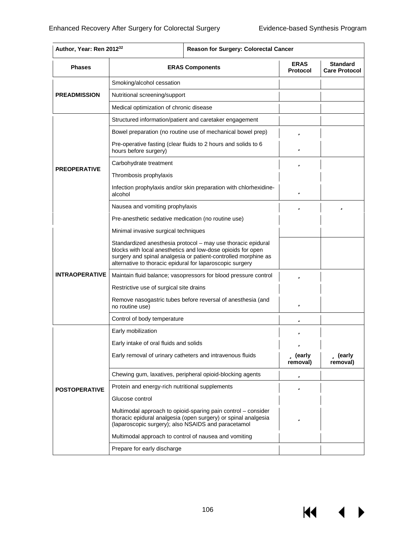$\overline{M}$   $\overline{M}$ 

 $\blacktriangleright$ 

| <b>Phases</b>         | <b>ERAS Components</b>                                                                                                                                                                                                                                     | <b>ERAS</b><br><b>Protocol</b> | <b>Standard</b><br><b>Care Protocol</b> |
|-----------------------|------------------------------------------------------------------------------------------------------------------------------------------------------------------------------------------------------------------------------------------------------------|--------------------------------|-----------------------------------------|
|                       | Smoking/alcohol cessation                                                                                                                                                                                                                                  |                                |                                         |
| <b>PREADMISSION</b>   | Nutritional screening/support                                                                                                                                                                                                                              |                                |                                         |
|                       | Medical optimization of chronic disease                                                                                                                                                                                                                    |                                |                                         |
|                       | Structured information/patient and caretaker engagement                                                                                                                                                                                                    |                                |                                         |
|                       | Bowel preparation (no routine use of mechanical bowel prep)                                                                                                                                                                                                | ü                              |                                         |
|                       | Pre-operative fasting (clear fluids to 2 hours and solids to 6<br>hours before surgery)                                                                                                                                                                    | ü                              |                                         |
|                       | Carbohydrate treatment                                                                                                                                                                                                                                     | ü                              |                                         |
| <b>PREOPERATIVE</b>   | Thrombosis prophylaxis                                                                                                                                                                                                                                     |                                |                                         |
|                       | Infection prophylaxis and/or skin preparation with chlorhexidine-<br>alcohol                                                                                                                                                                               | ü                              |                                         |
|                       | Nausea and vomiting prophylaxis                                                                                                                                                                                                                            | ü                              | ü                                       |
|                       | Pre-anesthetic sedative medication (no routine use)                                                                                                                                                                                                        |                                |                                         |
|                       | Minimal invasive surgical techniques                                                                                                                                                                                                                       |                                |                                         |
|                       | Standardized anesthesia protocol - may use thoracic epidural<br>blocks with local anesthetics and low-dose opioids for open<br>surgery and spinal analgesia or patient-controlled morphine as<br>alternative to thoracic epidural for laparoscopic surgery |                                |                                         |
| <b>INTRAOPERATIVE</b> | Maintain fluid balance; vasopressors for blood pressure control                                                                                                                                                                                            | ü                              |                                         |
|                       | Restrictive use of surgical site drains                                                                                                                                                                                                                    |                                |                                         |
|                       | Remove nasogastric tubes before reversal of anesthesia (and<br>no routine use)                                                                                                                                                                             | ü                              |                                         |
|                       | Control of body temperature                                                                                                                                                                                                                                | ü                              |                                         |
|                       | Early mobilization                                                                                                                                                                                                                                         |                                |                                         |
|                       | Early intake of oral fluids and solids                                                                                                                                                                                                                     | ü                              |                                         |
|                       | Early removal of urinary catheters and intravenous fluids                                                                                                                                                                                                  | <b>ü</b> (early<br>removal)    | <b>ü</b> (early<br>removal)             |
|                       | Chewing gum, laxatives, peripheral opioid-blocking agents                                                                                                                                                                                                  | ü                              |                                         |
| <b>POSTOPERATIVE</b>  | Protein and energy-rich nutritional supplements                                                                                                                                                                                                            | ü                              |                                         |
|                       | Glucose control                                                                                                                                                                                                                                            |                                |                                         |
|                       | Multimodal approach to opioid-sparing pain control – consider<br>thoracic epidural analgesia (open surgery) or spinal analgesia<br>(laparoscopic surgery); also NSAIDS and paracetamol                                                                     | ü                              |                                         |
|                       | Multimodal approach to control of nausea and vomiting                                                                                                                                                                                                      |                                |                                         |
|                       | Prepare for early discharge                                                                                                                                                                                                                                |                                |                                         |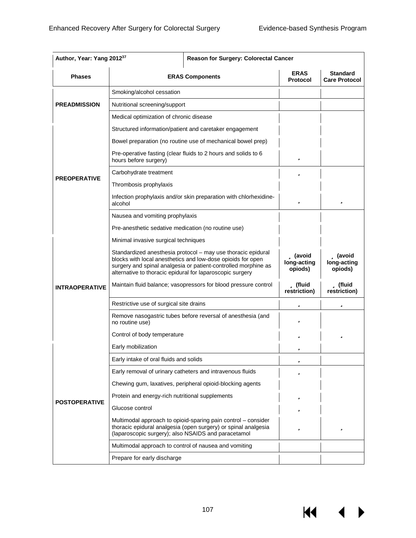**K4** 

| Author, Year: Yang 2012 <sup>37</sup> | Reason for Surgery: Colorectal Cancer                                                                                                                                                                                                                      |                                    |                                           |
|---------------------------------------|------------------------------------------------------------------------------------------------------------------------------------------------------------------------------------------------------------------------------------------------------------|------------------------------------|-------------------------------------------|
| <b>Phases</b>                         | <b>ERAS Components</b>                                                                                                                                                                                                                                     | <b>ERAS</b><br><b>Protocol</b>     | Standard<br><b>Care Protocol</b>          |
|                                       | Smoking/alcohol cessation                                                                                                                                                                                                                                  |                                    |                                           |
| <b>PREADMISSION</b>                   | Nutritional screening/support                                                                                                                                                                                                                              |                                    |                                           |
|                                       | Medical optimization of chronic disease                                                                                                                                                                                                                    |                                    |                                           |
|                                       | Structured information/patient and caretaker engagement                                                                                                                                                                                                    |                                    |                                           |
|                                       | Bowel preparation (no routine use of mechanical bowel prep)                                                                                                                                                                                                |                                    |                                           |
|                                       | Pre-operative fasting (clear fluids to 2 hours and solids to 6<br>hours before surgery)                                                                                                                                                                    | ü                                  |                                           |
|                                       | Carbohydrate treatment                                                                                                                                                                                                                                     | ü                                  |                                           |
| <b>PREOPERATIVE</b>                   | Thrombosis prophylaxis                                                                                                                                                                                                                                     |                                    |                                           |
|                                       | Infection prophylaxis and/or skin preparation with chlorhexidine-<br>alcohol                                                                                                                                                                               | ü                                  | ü                                         |
|                                       | Nausea and vomiting prophylaxis                                                                                                                                                                                                                            |                                    |                                           |
|                                       | Pre-anesthetic sedative medication (no routine use)                                                                                                                                                                                                        |                                    |                                           |
|                                       | Minimal invasive surgical techniques                                                                                                                                                                                                                       |                                    |                                           |
|                                       | Standardized anesthesia protocol - may use thoracic epidural<br>blocks with local anesthetics and low-dose opioids for open<br>surgery and spinal analgesia or patient-controlled morphine as<br>alternative to thoracic epidural for laparoscopic surgery | ü (avoid<br>long-acting<br>opiods) | <b>ü</b> (avoid<br>long-acting<br>opiods) |
| <b>INTRAOPERATIVE</b>                 | Maintain fluid balance; vasopressors for blood pressure control                                                                                                                                                                                            | ü (fluid<br>restriction)           | ü (fluid<br>restriction)                  |
|                                       | Restrictive use of surgical site drains                                                                                                                                                                                                                    | ü                                  | ü                                         |
|                                       | Remove nasogastric tubes before reversal of anesthesia (and<br>no routine use)                                                                                                                                                                             | ü                                  |                                           |
|                                       | Control of body temperature                                                                                                                                                                                                                                | ü                                  | ü                                         |
|                                       | Early mobilization                                                                                                                                                                                                                                         | ü                                  |                                           |
|                                       | Early intake of oral fluids and solids                                                                                                                                                                                                                     | ü                                  |                                           |
|                                       | Early removal of urinary catheters and intravenous fluids                                                                                                                                                                                                  | ü                                  |                                           |
|                                       | Chewing gum, laxatives, peripheral opioid-blocking agents                                                                                                                                                                                                  |                                    |                                           |
|                                       | Protein and energy-rich nutritional supplements                                                                                                                                                                                                            | ü                                  |                                           |
| <b>POSTOPERATIVE</b>                  | Glucose control                                                                                                                                                                                                                                            | ü                                  |                                           |
|                                       | Multimodal approach to opioid-sparing pain control – consider<br>thoracic epidural analgesia (open surgery) or spinal analgesia<br>(laparoscopic surgery); also NSAIDS and paracetamol                                                                     | ü                                  | ü                                         |
|                                       | Multimodal approach to control of nausea and vomiting                                                                                                                                                                                                      |                                    |                                           |
|                                       | Prepare for early discharge                                                                                                                                                                                                                                |                                    |                                           |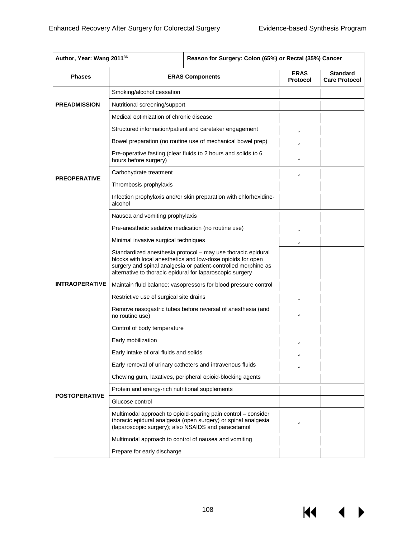$\overline{M}$   $\overline{M}$ 

 $\blacktriangleright$ 

| Author, Year: Wang 201136<br>Reason for Surgery: Colon (65%) or Rectal (35%) Cancer |                                                                                                                                                                                                                                                            |                                |                                         |
|-------------------------------------------------------------------------------------|------------------------------------------------------------------------------------------------------------------------------------------------------------------------------------------------------------------------------------------------------------|--------------------------------|-----------------------------------------|
| <b>Phases</b>                                                                       | <b>ERAS Components</b>                                                                                                                                                                                                                                     | <b>ERAS</b><br><b>Protocol</b> | <b>Standard</b><br><b>Care Protocol</b> |
|                                                                                     | Smoking/alcohol cessation                                                                                                                                                                                                                                  |                                |                                         |
| <b>PREADMISSION</b>                                                                 | Nutritional screening/support                                                                                                                                                                                                                              |                                |                                         |
|                                                                                     | Medical optimization of chronic disease                                                                                                                                                                                                                    |                                |                                         |
|                                                                                     | Structured information/patient and caretaker engagement                                                                                                                                                                                                    | ü                              |                                         |
|                                                                                     | Bowel preparation (no routine use of mechanical bowel prep)                                                                                                                                                                                                | ü                              |                                         |
|                                                                                     | Pre-operative fasting (clear fluids to 2 hours and solids to 6<br>hours before surgery)                                                                                                                                                                    | ü                              |                                         |
|                                                                                     | Carbohydrate treatment                                                                                                                                                                                                                                     | ü                              |                                         |
| <b>PREOPERATIVE</b>                                                                 | Thrombosis prophylaxis                                                                                                                                                                                                                                     |                                |                                         |
|                                                                                     | Infection prophylaxis and/or skin preparation with chlorhexidine-<br>alcohol                                                                                                                                                                               |                                |                                         |
|                                                                                     | Nausea and vomiting prophylaxis                                                                                                                                                                                                                            |                                |                                         |
|                                                                                     | Pre-anesthetic sedative medication (no routine use)                                                                                                                                                                                                        | ü                              |                                         |
|                                                                                     | Minimal invasive surgical techniques                                                                                                                                                                                                                       | ü                              |                                         |
|                                                                                     | Standardized anesthesia protocol - may use thoracic epidural<br>blocks with local anesthetics and low-dose opioids for open<br>surgery and spinal analgesia or patient-controlled morphine as<br>alternative to thoracic epidural for laparoscopic surgery |                                |                                         |
| <b>INTRAOPERATIVE</b>                                                               | Maintain fluid balance; vasopressors for blood pressure control                                                                                                                                                                                            |                                |                                         |
|                                                                                     | Restrictive use of surgical site drains                                                                                                                                                                                                                    | ü                              |                                         |
|                                                                                     | Remove nasogastric tubes before reversal of anesthesia (and<br>no routine use)                                                                                                                                                                             | ü                              |                                         |
|                                                                                     | Control of body temperature                                                                                                                                                                                                                                |                                |                                         |
|                                                                                     | Early mobilization                                                                                                                                                                                                                                         | ü                              |                                         |
|                                                                                     | Early intake of oral fluids and solids                                                                                                                                                                                                                     |                                |                                         |
|                                                                                     | Early removal of urinary catheters and intravenous fluids                                                                                                                                                                                                  | ü                              |                                         |
|                                                                                     | Chewing gum, laxatives, peripheral opioid-blocking agents                                                                                                                                                                                                  |                                |                                         |
|                                                                                     | Protein and energy-rich nutritional supplements                                                                                                                                                                                                            |                                |                                         |
| <b>POSTOPERATIVE</b>                                                                | Glucose control                                                                                                                                                                                                                                            |                                |                                         |
|                                                                                     | Multimodal approach to opioid-sparing pain control – consider<br>thoracic epidural analgesia (open surgery) or spinal analgesia<br>(laparoscopic surgery); also NSAIDS and paracetamol                                                                     | ü                              |                                         |
|                                                                                     | Multimodal approach to control of nausea and vomiting                                                                                                                                                                                                      |                                |                                         |
|                                                                                     | Prepare for early discharge                                                                                                                                                                                                                                |                                |                                         |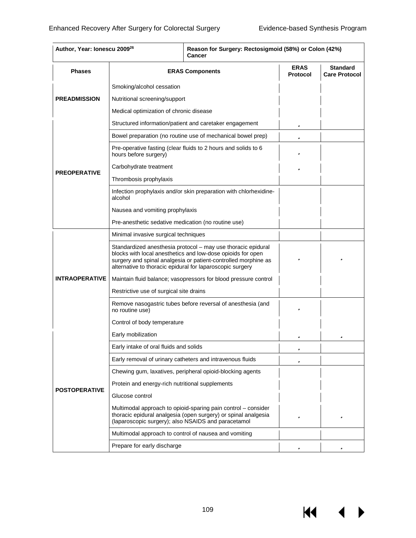И

| Author, Year: Ionescu 2009 <sup>26</sup> | Reason for Surgery: Rectosigmoid (58%) or Colon (42%)<br>Cancer                                                                                                                                                                                            |                                |                                         |
|------------------------------------------|------------------------------------------------------------------------------------------------------------------------------------------------------------------------------------------------------------------------------------------------------------|--------------------------------|-----------------------------------------|
| <b>Phases</b>                            | <b>ERAS Components</b>                                                                                                                                                                                                                                     | <b>ERAS</b><br><b>Protocol</b> | <b>Standard</b><br><b>Care Protocol</b> |
| <b>PREADMISSION</b>                      | Smoking/alcohol cessation                                                                                                                                                                                                                                  |                                |                                         |
|                                          | Nutritional screening/support                                                                                                                                                                                                                              |                                |                                         |
|                                          | Medical optimization of chronic disease                                                                                                                                                                                                                    |                                |                                         |
|                                          | Structured information/patient and caretaker engagement                                                                                                                                                                                                    | ü                              |                                         |
|                                          | Bowel preparation (no routine use of mechanical bowel prep)                                                                                                                                                                                                | ü                              |                                         |
|                                          | Pre-operative fasting (clear fluids to 2 hours and solids to 6<br>hours before surgery)                                                                                                                                                                    | ü                              |                                         |
|                                          | Carbohydrate treatment                                                                                                                                                                                                                                     | ü                              |                                         |
| <b>PREOPERATIVE</b>                      | Thrombosis prophylaxis                                                                                                                                                                                                                                     |                                |                                         |
|                                          | Infection prophylaxis and/or skin preparation with chlorhexidine-<br>alcohol                                                                                                                                                                               |                                |                                         |
|                                          | Nausea and vomiting prophylaxis                                                                                                                                                                                                                            |                                |                                         |
|                                          | Pre-anesthetic sedative medication (no routine use)                                                                                                                                                                                                        |                                |                                         |
|                                          | Minimal invasive surgical techniques                                                                                                                                                                                                                       |                                |                                         |
|                                          | Standardized anesthesia protocol - may use thoracic epidural<br>blocks with local anesthetics and low-dose opioids for open<br>surgery and spinal analgesia or patient-controlled morphine as<br>alternative to thoracic epidural for laparoscopic surgery | ü                              | ü                                       |
| <b>INTRAOPERATIVE</b>                    | Maintain fluid balance; vasopressors for blood pressure control                                                                                                                                                                                            |                                |                                         |
|                                          | Restrictive use of surgical site drains                                                                                                                                                                                                                    |                                |                                         |
|                                          | Remove nasogastric tubes before reversal of anesthesia (and<br>no routine use)                                                                                                                                                                             | ü                              |                                         |
|                                          | Control of body temperature                                                                                                                                                                                                                                |                                |                                         |
|                                          | Early mobilization                                                                                                                                                                                                                                         | ü                              | ü                                       |
|                                          | Early intake of oral fluids and solids                                                                                                                                                                                                                     | ü                              |                                         |
|                                          | Early removal of urinary catheters and intravenous fluids                                                                                                                                                                                                  | ü                              |                                         |
|                                          | Chewing gum, laxatives, peripheral opioid-blocking agents                                                                                                                                                                                                  |                                |                                         |
|                                          | Protein and energy-rich nutritional supplements                                                                                                                                                                                                            |                                |                                         |
| <b>POSTOPERATIVE</b>                     | Glucose control                                                                                                                                                                                                                                            |                                |                                         |
|                                          | Multimodal approach to opioid-sparing pain control - consider<br>thoracic epidural analgesia (open surgery) or spinal analgesia<br>(laparoscopic surgery); also NSAIDS and paracetamol                                                                     | ü                              | ü                                       |
|                                          | Multimodal approach to control of nausea and vomiting                                                                                                                                                                                                      |                                |                                         |
|                                          | Prepare for early discharge                                                                                                                                                                                                                                | ü                              | ü                                       |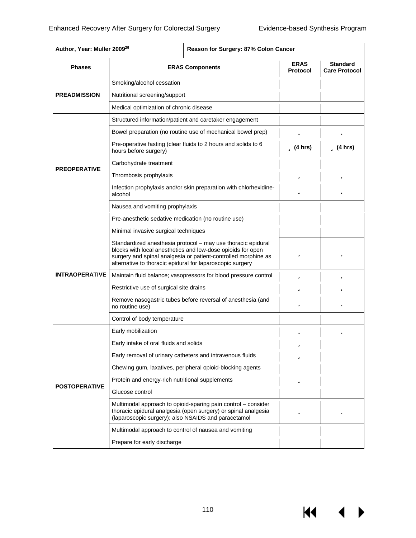**K4** 

 $\blacktriangleright$ 

| <b>Phases</b>         | <b>ERAS Components</b>                                                                                                                                                                                                                                     | <b>ERAS</b><br><b>Protocol</b> | <b>Standard</b><br><b>Care Protocol</b> |
|-----------------------|------------------------------------------------------------------------------------------------------------------------------------------------------------------------------------------------------------------------------------------------------------|--------------------------------|-----------------------------------------|
|                       | Smoking/alcohol cessation                                                                                                                                                                                                                                  |                                |                                         |
| <b>PREADMISSION</b>   | Nutritional screening/support                                                                                                                                                                                                                              |                                |                                         |
|                       | Medical optimization of chronic disease                                                                                                                                                                                                                    |                                |                                         |
|                       | Structured information/patient and caretaker engagement                                                                                                                                                                                                    |                                |                                         |
|                       | Bowel preparation (no routine use of mechanical bowel prep)                                                                                                                                                                                                | ü                              | ü                                       |
|                       | Pre-operative fasting (clear fluids to 2 hours and solids to 6<br>hours before surgery)                                                                                                                                                                    | $\mathbf u$ (4 hrs)            | <b>ü</b> (4 hrs)                        |
|                       | Carbohydrate treatment                                                                                                                                                                                                                                     |                                |                                         |
| <b>PREOPERATIVE</b>   | Thrombosis prophylaxis                                                                                                                                                                                                                                     | ü                              | ü                                       |
|                       | Infection prophylaxis and/or skin preparation with chlorhexidine-<br>alcohol                                                                                                                                                                               | ü                              | ü                                       |
|                       | Nausea and vomiting prophylaxis                                                                                                                                                                                                                            |                                |                                         |
|                       | Pre-anesthetic sedative medication (no routine use)                                                                                                                                                                                                        |                                |                                         |
|                       | Minimal invasive surgical techniques                                                                                                                                                                                                                       |                                |                                         |
|                       | Standardized anesthesia protocol - may use thoracic epidural<br>blocks with local anesthetics and low-dose opioids for open<br>surgery and spinal analgesia or patient-controlled morphine as<br>alternative to thoracic epidural for laparoscopic surgery | ü                              | ü                                       |
| <b>INTRAOPERATIVE</b> | Maintain fluid balance; vasopressors for blood pressure control                                                                                                                                                                                            | ü                              | ü                                       |
|                       | Restrictive use of surgical site drains                                                                                                                                                                                                                    | ü                              | ü                                       |
|                       | Remove nasogastric tubes before reversal of anesthesia (and<br>no routine use)                                                                                                                                                                             | ü                              | ü                                       |
|                       | Control of body temperature                                                                                                                                                                                                                                |                                |                                         |
|                       | Early mobilization                                                                                                                                                                                                                                         |                                | ü                                       |
|                       | Early intake of oral fluids and solids                                                                                                                                                                                                                     |                                |                                         |
|                       | Early removal of urinary catheters and intravenous fluids                                                                                                                                                                                                  | ü                              |                                         |
|                       | Chewing gum, laxatives, peripheral opioid-blocking agents                                                                                                                                                                                                  |                                |                                         |
|                       | Protein and energy-rich nutritional supplements                                                                                                                                                                                                            | ü                              |                                         |
| <b>POSTOPERATIVE</b>  | Glucose control                                                                                                                                                                                                                                            |                                |                                         |
|                       | Multimodal approach to opioid-sparing pain control – consider<br>thoracic epidural analgesia (open surgery) or spinal analgesia<br>(laparoscopic surgery); also NSAIDS and paracetamol                                                                     | ü                              | ü                                       |
|                       | Multimodal approach to control of nausea and vomiting                                                                                                                                                                                                      |                                |                                         |
|                       | Prepare for early discharge                                                                                                                                                                                                                                |                                |                                         |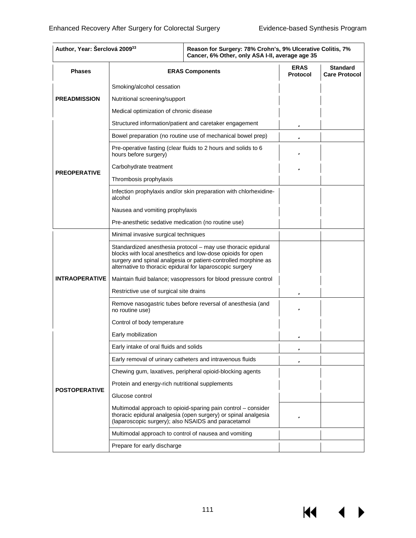$M \cdot 1$ 

| Author, Year: Šerclová 200933 |                                                                                                                                                                                                                                                            | Reason for Surgery: 78% Crohn's, 9% Ulcerative Colitis, 7%<br>Cancer, 6% Other, only ASA I-II, average age 35 |                                         |  |
|-------------------------------|------------------------------------------------------------------------------------------------------------------------------------------------------------------------------------------------------------------------------------------------------------|---------------------------------------------------------------------------------------------------------------|-----------------------------------------|--|
| <b>Phases</b>                 | <b>ERAS Components</b>                                                                                                                                                                                                                                     | <b>ERAS</b><br><b>Protocol</b>                                                                                | <b>Standard</b><br><b>Care Protocol</b> |  |
|                               | Smoking/alcohol cessation                                                                                                                                                                                                                                  |                                                                                                               |                                         |  |
| <b>PREADMISSION</b>           | Nutritional screening/support                                                                                                                                                                                                                              |                                                                                                               |                                         |  |
|                               | Medical optimization of chronic disease                                                                                                                                                                                                                    |                                                                                                               |                                         |  |
|                               | Structured information/patient and caretaker engagement                                                                                                                                                                                                    |                                                                                                               | ü                                       |  |
|                               | Bowel preparation (no routine use of mechanical bowel prep)                                                                                                                                                                                                |                                                                                                               | ü                                       |  |
|                               | Pre-operative fasting (clear fluids to 2 hours and solids to 6<br>hours before surgery)                                                                                                                                                                    |                                                                                                               | ü                                       |  |
|                               | Carbohydrate treatment                                                                                                                                                                                                                                     |                                                                                                               | ü                                       |  |
| <b>PREOPERATIVE</b>           | Thrombosis prophylaxis                                                                                                                                                                                                                                     |                                                                                                               |                                         |  |
|                               | alcohol                                                                                                                                                                                                                                                    | Infection prophylaxis and/or skin preparation with chlorhexidine-                                             |                                         |  |
|                               | Nausea and vomiting prophylaxis                                                                                                                                                                                                                            |                                                                                                               |                                         |  |
|                               | Pre-anesthetic sedative medication (no routine use)                                                                                                                                                                                                        |                                                                                                               |                                         |  |
|                               | Minimal invasive surgical techniques                                                                                                                                                                                                                       |                                                                                                               |                                         |  |
|                               | Standardized anesthesia protocol - may use thoracic epidural<br>blocks with local anesthetics and low-dose opioids for open<br>surgery and spinal analgesia or patient-controlled morphine as<br>alternative to thoracic epidural for laparoscopic surgery |                                                                                                               |                                         |  |
| <b>INTRAOPERATIVE</b>         | Maintain fluid balance; vasopressors for blood pressure control                                                                                                                                                                                            |                                                                                                               |                                         |  |
|                               | Restrictive use of surgical site drains                                                                                                                                                                                                                    | ü                                                                                                             |                                         |  |
|                               | Remove nasogastric tubes before reversal of anesthesia (and<br>no routine use)                                                                                                                                                                             | ü                                                                                                             |                                         |  |
|                               | Control of body temperature                                                                                                                                                                                                                                |                                                                                                               |                                         |  |
|                               | Early mobilization                                                                                                                                                                                                                                         |                                                                                                               | ü                                       |  |
|                               | Early intake of oral fluids and solids                                                                                                                                                                                                                     |                                                                                                               |                                         |  |
|                               | Early removal of urinary catheters and intravenous fluids                                                                                                                                                                                                  |                                                                                                               | ü                                       |  |
|                               | Chewing gum, laxatives, peripheral opioid-blocking agents                                                                                                                                                                                                  |                                                                                                               |                                         |  |
| <b>POSTOPERATIVE</b>          | Protein and energy-rich nutritional supplements                                                                                                                                                                                                            |                                                                                                               |                                         |  |
|                               | Glucose control                                                                                                                                                                                                                                            |                                                                                                               |                                         |  |
|                               | Multimodal approach to opioid-sparing pain control – consider<br>thoracic epidural analgesia (open surgery) or spinal analgesia<br>(laparoscopic surgery); also NSAIDS and paracetamol                                                                     | ü                                                                                                             |                                         |  |
|                               | Multimodal approach to control of nausea and vomiting                                                                                                                                                                                                      |                                                                                                               |                                         |  |
|                               | Prepare for early discharge                                                                                                                                                                                                                                |                                                                                                               |                                         |  |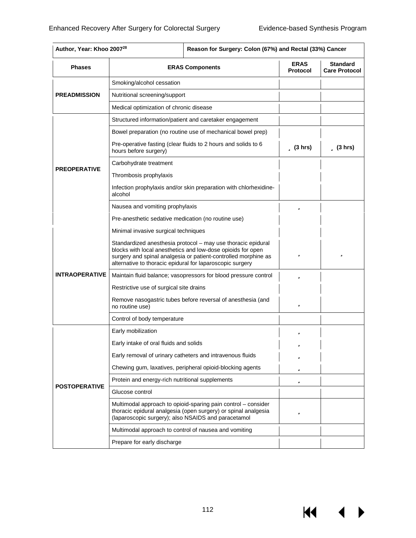| Author, Year: Khoo 2007 <sup>28</sup> |                                                                                                                                                                                                                                                            | Reason for Surgery: Colon (67%) and Rectal (33%) Cancer                                                                         |                                |                                         |
|---------------------------------------|------------------------------------------------------------------------------------------------------------------------------------------------------------------------------------------------------------------------------------------------------------|---------------------------------------------------------------------------------------------------------------------------------|--------------------------------|-----------------------------------------|
| <b>Phases</b>                         | <b>ERAS Components</b>                                                                                                                                                                                                                                     |                                                                                                                                 | <b>ERAS</b><br><b>Protocol</b> | <b>Standard</b><br><b>Care Protocol</b> |
|                                       | Smoking/alcohol cessation                                                                                                                                                                                                                                  |                                                                                                                                 |                                |                                         |
| <b>PREADMISSION</b>                   | Nutritional screening/support                                                                                                                                                                                                                              |                                                                                                                                 |                                |                                         |
|                                       | Medical optimization of chronic disease                                                                                                                                                                                                                    |                                                                                                                                 |                                |                                         |
|                                       |                                                                                                                                                                                                                                                            | Structured information/patient and caretaker engagement                                                                         |                                |                                         |
|                                       |                                                                                                                                                                                                                                                            | Bowel preparation (no routine use of mechanical bowel prep)                                                                     |                                |                                         |
|                                       | hours before surgery)                                                                                                                                                                                                                                      | Pre-operative fasting (clear fluids to 2 hours and solids to 6                                                                  | $\ddot{\mathbf{u}}$ (3 hrs)    | $\ddot{\mathbf{u}}$ (3 hrs)             |
|                                       | Carbohydrate treatment                                                                                                                                                                                                                                     |                                                                                                                                 |                                |                                         |
| <b>PREOPERATIVE</b>                   | Thrombosis prophylaxis                                                                                                                                                                                                                                     |                                                                                                                                 |                                |                                         |
|                                       | alcohol                                                                                                                                                                                                                                                    | Infection prophylaxis and/or skin preparation with chlorhexidine-                                                               |                                |                                         |
|                                       | Nausea and vomiting prophylaxis                                                                                                                                                                                                                            | ü                                                                                                                               |                                |                                         |
|                                       | Pre-anesthetic sedative medication (no routine use)                                                                                                                                                                                                        |                                                                                                                                 |                                |                                         |
|                                       | Minimal invasive surgical techniques                                                                                                                                                                                                                       |                                                                                                                                 |                                |                                         |
|                                       | Standardized anesthesia protocol - may use thoracic epidural<br>blocks with local anesthetics and low-dose opioids for open<br>surgery and spinal analgesia or patient-controlled morphine as<br>alternative to thoracic epidural for laparoscopic surgery | ü                                                                                                                               | ü                              |                                         |
| <b>INTRAOPERATIVE</b>                 | Maintain fluid balance; vasopressors for blood pressure control                                                                                                                                                                                            | ü                                                                                                                               |                                |                                         |
|                                       | Restrictive use of surgical site drains                                                                                                                                                                                                                    |                                                                                                                                 |                                |                                         |
|                                       | Remove nasogastric tubes before reversal of anesthesia (and<br>no routine use)                                                                                                                                                                             | ü                                                                                                                               |                                |                                         |
|                                       | Control of body temperature                                                                                                                                                                                                                                |                                                                                                                                 |                                |                                         |
|                                       | Early mobilization                                                                                                                                                                                                                                         |                                                                                                                                 | ü                              |                                         |
|                                       | Early intake of oral fluids and solids                                                                                                                                                                                                                     |                                                                                                                                 | ü                              |                                         |
|                                       |                                                                                                                                                                                                                                                            | Early removal of urinary catheters and intravenous fluids                                                                       | ü                              |                                         |
|                                       |                                                                                                                                                                                                                                                            | Chewing gum, laxatives, peripheral opioid-blocking agents                                                                       | ü                              |                                         |
|                                       | Protein and energy-rich nutritional supplements                                                                                                                                                                                                            |                                                                                                                                 | ü                              |                                         |
| <b>POSTOPERATIVE</b>                  | Glucose control                                                                                                                                                                                                                                            |                                                                                                                                 |                                |                                         |
|                                       | (laparoscopic surgery); also NSAIDS and paracetamol                                                                                                                                                                                                        | Multimodal approach to opioid-sparing pain control - consider<br>thoracic epidural analgesia (open surgery) or spinal analgesia | ü                              |                                         |
|                                       | Multimodal approach to control of nausea and vomiting                                                                                                                                                                                                      |                                                                                                                                 |                                |                                         |
|                                       | Prepare for early discharge                                                                                                                                                                                                                                |                                                                                                                                 |                                |                                         |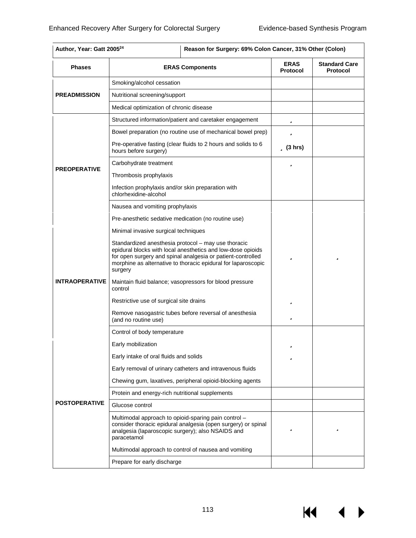KI

 $\blacktriangleright$ 

| <b>Phases</b>         | <b>ERAS Components</b>                                                                                                                                                                                                                                        | <b>ERAS</b><br><b>Protocol</b> | <b>Standard Care</b><br><b>Protocol</b> |
|-----------------------|---------------------------------------------------------------------------------------------------------------------------------------------------------------------------------------------------------------------------------------------------------------|--------------------------------|-----------------------------------------|
|                       | Smoking/alcohol cessation                                                                                                                                                                                                                                     |                                |                                         |
| <b>PREADMISSION</b>   | Nutritional screening/support                                                                                                                                                                                                                                 |                                |                                         |
|                       | Medical optimization of chronic disease                                                                                                                                                                                                                       |                                |                                         |
|                       | Structured information/patient and caretaker engagement                                                                                                                                                                                                       | ü                              |                                         |
|                       | Bowel preparation (no routine use of mechanical bowel prep)                                                                                                                                                                                                   | ü                              |                                         |
|                       | Pre-operative fasting (clear fluids to 2 hours and solids to 6<br>hours before surgery)                                                                                                                                                                       | $\ddot{\mathbf{u}}$ (3 hrs)    |                                         |
|                       | Carbohydrate treatment                                                                                                                                                                                                                                        | ü                              |                                         |
| <b>PREOPERATIVE</b>   | Thrombosis prophylaxis                                                                                                                                                                                                                                        |                                |                                         |
|                       | Infection prophylaxis and/or skin preparation with<br>chlorhexidine-alcohol                                                                                                                                                                                   |                                |                                         |
|                       | Nausea and vomiting prophylaxis                                                                                                                                                                                                                               |                                |                                         |
|                       | Pre-anesthetic sedative medication (no routine use)                                                                                                                                                                                                           |                                |                                         |
|                       | Minimal invasive surgical techniques                                                                                                                                                                                                                          |                                |                                         |
|                       | Standardized anesthesia protocol - may use thoracic<br>epidural blocks with local anesthetics and low-dose opioids<br>for open surgery and spinal analgesia or patient-controlled<br>morphine as alternative to thoracic epidural for laparoscopic<br>surgery | ü                              | ü                                       |
| <b>INTRAOPERATIVE</b> | Maintain fluid balance; vasopressors for blood pressure<br>control                                                                                                                                                                                            |                                |                                         |
|                       | Restrictive use of surgical site drains                                                                                                                                                                                                                       | ü                              |                                         |
|                       | Remove nasogastric tubes before reversal of anesthesia<br>(and no routine use)                                                                                                                                                                                | ü                              |                                         |
|                       | Control of body temperature                                                                                                                                                                                                                                   |                                |                                         |
|                       | Early mobilization                                                                                                                                                                                                                                            | ü                              |                                         |
|                       | Early intake of oral fluids and solids                                                                                                                                                                                                                        | ü                              |                                         |
|                       | Early removal of urinary catheters and intravenous fluids                                                                                                                                                                                                     |                                |                                         |
|                       | Chewing gum, laxatives, peripheral opioid-blocking agents                                                                                                                                                                                                     |                                |                                         |
|                       | Protein and energy-rich nutritional supplements                                                                                                                                                                                                               |                                |                                         |
| <b>POSTOPERATIVE</b>  | Glucose control                                                                                                                                                                                                                                               |                                |                                         |
|                       | Multimodal approach to opioid-sparing pain control -<br>consider thoracic epidural analgesia (open surgery) or spinal<br>analgesia (laparoscopic surgery); also NSAIDS and<br>paracetamol                                                                     | ü                              | ü                                       |
|                       | Multimodal approach to control of nausea and vomiting                                                                                                                                                                                                         |                                |                                         |
|                       | Prepare for early discharge                                                                                                                                                                                                                                   |                                |                                         |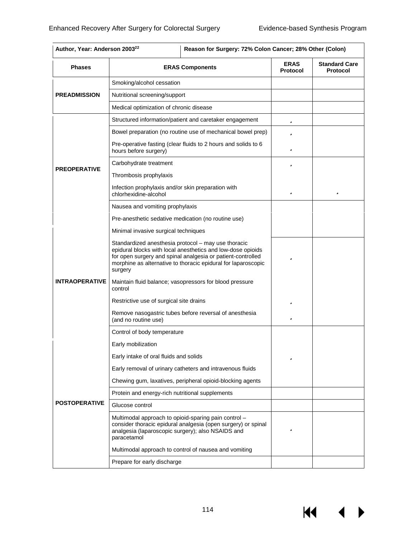К€

| <b>Phases</b>         | <b>ERAS Components</b>                                                                                                                                                                                                                                        | <b>ERAS</b><br><b>Protocol</b> | <b>Standard Care</b><br><b>Protocol</b> |
|-----------------------|---------------------------------------------------------------------------------------------------------------------------------------------------------------------------------------------------------------------------------------------------------------|--------------------------------|-----------------------------------------|
|                       | Smoking/alcohol cessation                                                                                                                                                                                                                                     |                                |                                         |
| <b>PREADMISSION</b>   | Nutritional screening/support                                                                                                                                                                                                                                 |                                |                                         |
|                       | Medical optimization of chronic disease                                                                                                                                                                                                                       |                                |                                         |
|                       | Structured information/patient and caretaker engagement                                                                                                                                                                                                       | ü                              |                                         |
|                       | Bowel preparation (no routine use of mechanical bowel prep)                                                                                                                                                                                                   | ü                              |                                         |
|                       | Pre-operative fasting (clear fluids to 2 hours and solids to 6<br>hours before surgery)                                                                                                                                                                       | ü                              |                                         |
|                       | Carbohydrate treatment                                                                                                                                                                                                                                        | ü                              |                                         |
| <b>PREOPERATIVE</b>   | Thrombosis prophylaxis                                                                                                                                                                                                                                        |                                |                                         |
|                       | Infection prophylaxis and/or skin preparation with<br>chlorhexidine-alcohol                                                                                                                                                                                   | ü                              | ü                                       |
|                       | Nausea and vomiting prophylaxis                                                                                                                                                                                                                               |                                |                                         |
|                       | Pre-anesthetic sedative medication (no routine use)                                                                                                                                                                                                           |                                |                                         |
|                       | Minimal invasive surgical techniques                                                                                                                                                                                                                          |                                |                                         |
|                       | Standardized anesthesia protocol - may use thoracic<br>epidural blocks with local anesthetics and low-dose opioids<br>for open surgery and spinal analgesia or patient-controlled<br>morphine as alternative to thoracic epidural for laparoscopic<br>surgery | ü                              |                                         |
| <b>INTRAOPERATIVE</b> | Maintain fluid balance; vasopressors for blood pressure<br>control                                                                                                                                                                                            |                                |                                         |
|                       | Restrictive use of surgical site drains                                                                                                                                                                                                                       | ü                              |                                         |
|                       | Remove nasogastric tubes before reversal of anesthesia<br>(and no routine use)                                                                                                                                                                                | ü                              |                                         |
|                       | Control of body temperature                                                                                                                                                                                                                                   |                                |                                         |
|                       | Early mobilization                                                                                                                                                                                                                                            |                                |                                         |
|                       | Early intake of oral fluids and solids                                                                                                                                                                                                                        | ü                              |                                         |
|                       | Early removal of urinary catheters and intravenous fluids                                                                                                                                                                                                     |                                |                                         |
|                       | Chewing gum, laxatives, peripheral opioid-blocking agents                                                                                                                                                                                                     |                                |                                         |
|                       | Protein and energy-rich nutritional supplements                                                                                                                                                                                                               |                                |                                         |
| <b>POSTOPERATIVE</b>  | Glucose control                                                                                                                                                                                                                                               |                                |                                         |
|                       | Multimodal approach to opioid-sparing pain control -<br>consider thoracic epidural analgesia (open surgery) or spinal<br>analgesia (laparoscopic surgery); also NSAIDS and<br>paracetamol                                                                     | ü                              |                                         |
|                       | Multimodal approach to control of nausea and vomiting                                                                                                                                                                                                         |                                |                                         |
|                       | Prepare for early discharge                                                                                                                                                                                                                                   |                                |                                         |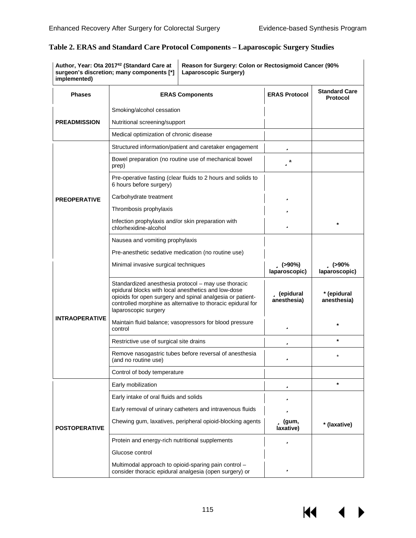| implemented)          | Author, Year: Ota 2017 <sup>42</sup> (Standard Care at<br>Reason for Surgery: Colon or Rectosigmoid Cancer (90%<br>surgeon's discretion; many components [*]<br>Laparoscopic Surgery)                                                                          |                                             |                                         |
|-----------------------|----------------------------------------------------------------------------------------------------------------------------------------------------------------------------------------------------------------------------------------------------------------|---------------------------------------------|-----------------------------------------|
| <b>Phases</b>         | <b>ERAS Components</b>                                                                                                                                                                                                                                         | <b>ERAS Protocol</b>                        | <b>Standard Care</b><br><b>Protocol</b> |
|                       | Smoking/alcohol cessation                                                                                                                                                                                                                                      |                                             |                                         |
| <b>PREADMISSION</b>   | Nutritional screening/support                                                                                                                                                                                                                                  |                                             |                                         |
|                       | Medical optimization of chronic disease                                                                                                                                                                                                                        |                                             |                                         |
|                       | Structured information/patient and caretaker engagement                                                                                                                                                                                                        | ü                                           |                                         |
|                       | Bowel preparation (no routine use of mechanical bowel<br>prep)                                                                                                                                                                                                 | üª                                          |                                         |
|                       | Pre-operative fasting (clear fluids to 2 hours and solids to<br>6 hours before surgery)                                                                                                                                                                        |                                             |                                         |
| <b>PREOPERATIVE</b>   | Carbohydrate treatment                                                                                                                                                                                                                                         | ü                                           |                                         |
|                       | Thrombosis prophylaxis                                                                                                                                                                                                                                         | ü                                           |                                         |
|                       | Infection prophylaxis and/or skin preparation with<br>chlorhexidine-alcohol                                                                                                                                                                                    | ü                                           |                                         |
|                       | Nausea and vomiting prophylaxis                                                                                                                                                                                                                                |                                             |                                         |
|                       | Pre-anesthetic sedative medication (no routine use)                                                                                                                                                                                                            |                                             |                                         |
|                       | Minimal invasive surgical techniques                                                                                                                                                                                                                           | $\ddot{\mathbf{u}}$ (>90%)<br>laparoscopic) | ü (>90%<br>laparoscopic)                |
|                       | Standardized anesthesia protocol - may use thoracic<br>epidural blocks with local anesthetics and low-dose<br>opioids for open surgery and spinal analgesia or patient-<br>controlled morphine as alternative to thoracic epidural for<br>laparoscopic surgery | ü (epidural<br>anesthesia)                  | * (epidural<br>anesthesia)              |
| <b>INTRAOPERATIVE</b> | Maintain fluid balance; vasopressors for blood pressure<br>control                                                                                                                                                                                             | ü                                           | $\star$                                 |
|                       | Restrictive use of surgical site drains                                                                                                                                                                                                                        | ü                                           | $\star$                                 |
|                       | Remove nasogastric tubes before reversal of anesthesia<br>(and no routine use)                                                                                                                                                                                 | ü                                           |                                         |
|                       | Control of body temperature                                                                                                                                                                                                                                    |                                             |                                         |
|                       | Early mobilization                                                                                                                                                                                                                                             | ü                                           |                                         |
|                       | Early intake of oral fluids and solids                                                                                                                                                                                                                         | ü                                           |                                         |
|                       | Early removal of urinary catheters and intravenous fluids                                                                                                                                                                                                      | ü                                           |                                         |
| <b>POSTOPERATIVE</b>  | Chewing gum, laxatives, peripheral opioid-blocking agents                                                                                                                                                                                                      | $\ddot{\mathbf{u}}$ (gum,<br>laxative)      | * (laxative)                            |
|                       | Protein and energy-rich nutritional supplements                                                                                                                                                                                                                | ü                                           |                                         |
|                       | Glucose control                                                                                                                                                                                                                                                |                                             |                                         |
|                       | Multimodal approach to opioid-sparing pain control -<br>consider thoracic epidural analgesia (open surgery) or                                                                                                                                                 | ü                                           |                                         |

## **Table 2. ERAS and Standard Care Protocol Components – Laparoscopic Surgery Studies**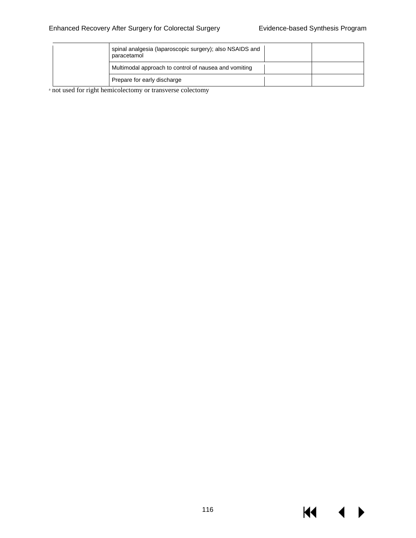$M \rightarrow$ 

| spinal analgesia (laparoscopic surgery); also NSAIDS and<br>paracetamol |  |
|-------------------------------------------------------------------------|--|
| Multimodal approach to control of nausea and vomiting                   |  |
| Prepare for early discharge                                             |  |

<sup>a</sup> not used for right hemicolectomy or transverse colectomy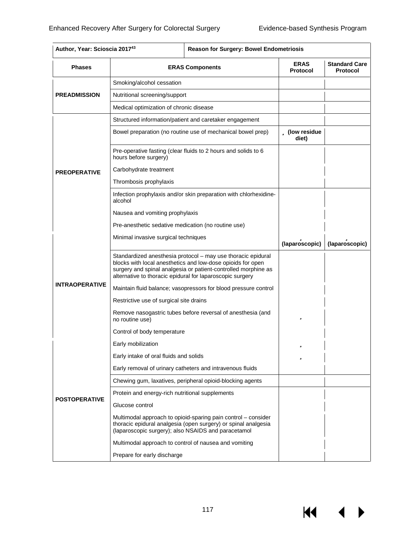| <b>Phases</b>         | <b>ERAS Components</b>                                                                                                                                                                                                                                     | <b>ERAS</b><br><b>Protocol</b> | <b>Standard Care</b><br><b>Protocol</b> |
|-----------------------|------------------------------------------------------------------------------------------------------------------------------------------------------------------------------------------------------------------------------------------------------------|--------------------------------|-----------------------------------------|
|                       | Smoking/alcohol cessation                                                                                                                                                                                                                                  |                                |                                         |
| <b>PREADMISSION</b>   | Nutritional screening/support                                                                                                                                                                                                                              |                                |                                         |
|                       | Medical optimization of chronic disease                                                                                                                                                                                                                    |                                |                                         |
|                       | Structured information/patient and caretaker engagement                                                                                                                                                                                                    |                                |                                         |
|                       | Bowel preparation (no routine use of mechanical bowel prep)                                                                                                                                                                                                | <b>ü</b> (low residue<br>diet) |                                         |
|                       | Pre-operative fasting (clear fluids to 2 hours and solids to 6<br>hours before surgery)                                                                                                                                                                    |                                |                                         |
| <b>PREOPERATIVE</b>   | Carbohydrate treatment                                                                                                                                                                                                                                     |                                |                                         |
|                       | Thrombosis prophylaxis                                                                                                                                                                                                                                     |                                |                                         |
|                       | Infection prophylaxis and/or skin preparation with chlorhexidine-<br>alcohol                                                                                                                                                                               |                                |                                         |
|                       | Nausea and vomiting prophylaxis                                                                                                                                                                                                                            |                                |                                         |
|                       | Pre-anesthetic sedative medication (no routine use)                                                                                                                                                                                                        |                                |                                         |
|                       | Minimal invasive surgical techniques                                                                                                                                                                                                                       | ü<br>(laparoscopic)            | ü<br>(laparoscopic)                     |
|                       | Standardized anesthesia protocol - may use thoracic epidural<br>blocks with local anesthetics and low-dose opioids for open<br>surgery and spinal analgesia or patient-controlled morphine as<br>alternative to thoracic epidural for laparoscopic surgery |                                |                                         |
| <b>INTRAOPERATIVE</b> | Maintain fluid balance; vasopressors for blood pressure control                                                                                                                                                                                            |                                |                                         |
|                       | Restrictive use of surgical site drains                                                                                                                                                                                                                    |                                |                                         |
|                       | Remove nasogastric tubes before reversal of anesthesia (and<br>no routine use)                                                                                                                                                                             | ü                              |                                         |
|                       | Control of body temperature                                                                                                                                                                                                                                |                                |                                         |
|                       | Early mobilization                                                                                                                                                                                                                                         |                                |                                         |
|                       | Early intake of oral fluids and solids                                                                                                                                                                                                                     | ü                              |                                         |
|                       | Early removal of urinary catheters and intravenous fluids                                                                                                                                                                                                  |                                |                                         |
|                       | Chewing gum, laxatives, peripheral opioid-blocking agents                                                                                                                                                                                                  |                                |                                         |
|                       | Protein and energy-rich nutritional supplements                                                                                                                                                                                                            |                                |                                         |
| <b>POSTOPERATIVE</b>  | Glucose control                                                                                                                                                                                                                                            |                                |                                         |
|                       |                                                                                                                                                                                                                                                            |                                |                                         |
|                       | Multimodal approach to opioid-sparing pain control – consider<br>thoracic epidural analgesia (open surgery) or spinal analgesia<br>(laparoscopic surgery); also NSAIDS and paracetamol                                                                     |                                |                                         |
|                       | Multimodal approach to control of nausea and vomiting                                                                                                                                                                                                      |                                |                                         |

# **Author, Year: Scioscia 201743 Reason for Surgery: Bowel Endometriosis**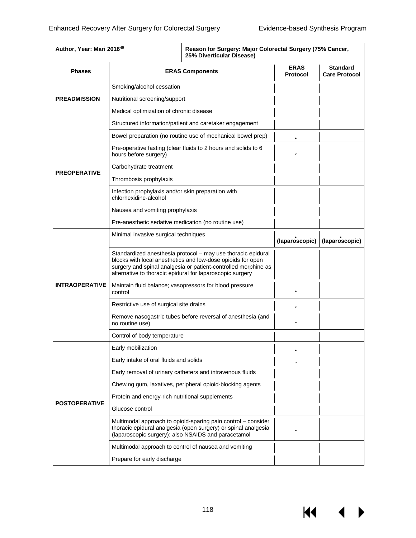$\overline{M}$   $\overline{M}$ 

| Author, Year: Mari 201640 |                                                                             | Reason for Surgery: Major Colorectal Surgery (75% Cancer,<br>25% Diverticular Disease)                                                                                                                                                                     |                                |                                         |
|---------------------------|-----------------------------------------------------------------------------|------------------------------------------------------------------------------------------------------------------------------------------------------------------------------------------------------------------------------------------------------------|--------------------------------|-----------------------------------------|
| <b>Phases</b>             |                                                                             | <b>ERAS Components</b>                                                                                                                                                                                                                                     | <b>ERAS</b><br><b>Protocol</b> | <b>Standard</b><br><b>Care Protocol</b> |
|                           | Smoking/alcohol cessation                                                   |                                                                                                                                                                                                                                                            |                                |                                         |
| <b>PREADMISSION</b>       | Nutritional screening/support                                               |                                                                                                                                                                                                                                                            |                                |                                         |
|                           | Medical optimization of chronic disease                                     |                                                                                                                                                                                                                                                            |                                |                                         |
|                           |                                                                             | Structured information/patient and caretaker engagement                                                                                                                                                                                                    |                                |                                         |
|                           |                                                                             | Bowel preparation (no routine use of mechanical bowel prep)                                                                                                                                                                                                | ü                              |                                         |
|                           | hours before surgery)                                                       | Pre-operative fasting (clear fluids to 2 hours and solids to 6                                                                                                                                                                                             | ü                              |                                         |
|                           | Carbohydrate treatment                                                      |                                                                                                                                                                                                                                                            |                                |                                         |
| <b>PREOPERATIVE</b>       | Thrombosis prophylaxis                                                      |                                                                                                                                                                                                                                                            |                                |                                         |
|                           | Infection prophylaxis and/or skin preparation with<br>chlorhexidine-alcohol |                                                                                                                                                                                                                                                            |                                |                                         |
|                           | Nausea and vomiting prophylaxis                                             |                                                                                                                                                                                                                                                            |                                |                                         |
|                           | Pre-anesthetic sedative medication (no routine use)                         |                                                                                                                                                                                                                                                            |                                |                                         |
|                           | Minimal invasive surgical techniques                                        |                                                                                                                                                                                                                                                            | (laparoscopic)                 | (laparoscopic)                          |
|                           |                                                                             | Standardized anesthesia protocol - may use thoracic epidural<br>blocks with local anesthetics and low-dose opioids for open<br>surgery and spinal analgesia or patient-controlled morphine as<br>alternative to thoracic epidural for laparoscopic surgery |                                |                                         |
| <b>INTRAOPERATIVE</b>     | control                                                                     | Maintain fluid balance; vasopressors for blood pressure                                                                                                                                                                                                    | ü                              |                                         |
|                           | Restrictive use of surgical site drains                                     |                                                                                                                                                                                                                                                            | ü                              |                                         |
|                           | no routine use)                                                             | Remove nasogastric tubes before reversal of anesthesia (and                                                                                                                                                                                                | ü                              |                                         |
|                           | Control of body temperature                                                 |                                                                                                                                                                                                                                                            |                                |                                         |
|                           | Early mobilization                                                          |                                                                                                                                                                                                                                                            |                                |                                         |
|                           | Early intake of oral fluids and solids                                      |                                                                                                                                                                                                                                                            | ü                              |                                         |
|                           |                                                                             | Early removal of urinary catheters and intravenous fluids                                                                                                                                                                                                  |                                |                                         |
|                           | Chewing gum, laxatives, peripheral opioid-blocking agents                   |                                                                                                                                                                                                                                                            |                                |                                         |
|                           | Protein and energy-rich nutritional supplements                             |                                                                                                                                                                                                                                                            |                                |                                         |
| <b>POSTOPERATIVE</b>      | Glucose control                                                             |                                                                                                                                                                                                                                                            |                                |                                         |
|                           |                                                                             | Multimodal approach to opioid-sparing pain control – consider<br>thoracic epidural analgesia (open surgery) or spinal analgesia<br>(laparoscopic surgery); also NSAIDS and paracetamol                                                                     | ü                              |                                         |
|                           |                                                                             | Multimodal approach to control of nausea and vomiting                                                                                                                                                                                                      |                                |                                         |
|                           | Prepare for early discharge                                                 |                                                                                                                                                                                                                                                            |                                |                                         |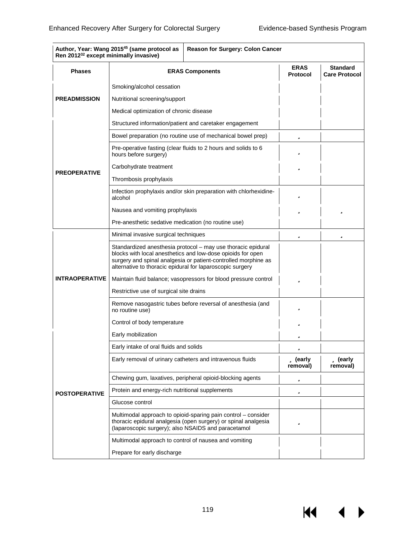К€

| Author, Year: Wang 2015 <sup>45</sup> (same protocol as<br><b>Reason for Surgery: Colon Cancer</b><br>Ren 2012 <sup>32</sup> except minimally invasive) |                                                                                                                                                                                                                                                            |                                |                                         |
|---------------------------------------------------------------------------------------------------------------------------------------------------------|------------------------------------------------------------------------------------------------------------------------------------------------------------------------------------------------------------------------------------------------------------|--------------------------------|-----------------------------------------|
| <b>Phases</b>                                                                                                                                           | <b>ERAS Components</b>                                                                                                                                                                                                                                     | <b>ERAS</b><br><b>Protocol</b> | <b>Standard</b><br><b>Care Protocol</b> |
|                                                                                                                                                         | Smoking/alcohol cessation                                                                                                                                                                                                                                  |                                |                                         |
| <b>PREADMISSION</b>                                                                                                                                     | Nutritional screening/support                                                                                                                                                                                                                              |                                |                                         |
|                                                                                                                                                         | Medical optimization of chronic disease                                                                                                                                                                                                                    |                                |                                         |
|                                                                                                                                                         | Structured information/patient and caretaker engagement                                                                                                                                                                                                    |                                |                                         |
|                                                                                                                                                         | Bowel preparation (no routine use of mechanical bowel prep)                                                                                                                                                                                                | ü                              |                                         |
|                                                                                                                                                         | Pre-operative fasting (clear fluids to 2 hours and solids to 6<br>hours before surgery)                                                                                                                                                                    | ü                              |                                         |
|                                                                                                                                                         | Carbohydrate treatment                                                                                                                                                                                                                                     | ü                              |                                         |
| <b>PREOPERATIVE</b>                                                                                                                                     | Thrombosis prophylaxis                                                                                                                                                                                                                                     |                                |                                         |
|                                                                                                                                                         | Infection prophylaxis and/or skin preparation with chlorhexidine-<br>alcohol                                                                                                                                                                               | ü                              |                                         |
|                                                                                                                                                         | Nausea and vomiting prophylaxis                                                                                                                                                                                                                            | ü                              | ü                                       |
|                                                                                                                                                         | Pre-anesthetic sedative medication (no routine use)                                                                                                                                                                                                        |                                |                                         |
|                                                                                                                                                         | Minimal invasive surgical techniques                                                                                                                                                                                                                       | ü                              | ü                                       |
|                                                                                                                                                         | Standardized anesthesia protocol - may use thoracic epidural<br>blocks with local anesthetics and low-dose opioids for open<br>surgery and spinal analgesia or patient-controlled morphine as<br>alternative to thoracic epidural for laparoscopic surgery |                                |                                         |
| <b>INTRAOPERATIVE</b>                                                                                                                                   | Maintain fluid balance; vasopressors for blood pressure control                                                                                                                                                                                            | ü                              |                                         |
|                                                                                                                                                         | Restrictive use of surgical site drains                                                                                                                                                                                                                    |                                |                                         |
|                                                                                                                                                         | Remove nasogastric tubes before reversal of anesthesia (and<br>no routine use)                                                                                                                                                                             | ü                              |                                         |
|                                                                                                                                                         | Control of body temperature                                                                                                                                                                                                                                | ü                              |                                         |
|                                                                                                                                                         | Early mobilization                                                                                                                                                                                                                                         | ü                              |                                         |
|                                                                                                                                                         | Early intake of oral fluids and solids                                                                                                                                                                                                                     | ü                              |                                         |
|                                                                                                                                                         | Early removal of urinary catheters and intravenous fluids                                                                                                                                                                                                  | <b>ü</b> (early<br>removal)    | <b>ü</b> (early<br>removal)             |
|                                                                                                                                                         | Chewing gum, laxatives, peripheral opioid-blocking agents                                                                                                                                                                                                  | ü                              |                                         |
| <b>POSTOPERATIVE</b>                                                                                                                                    | Protein and energy-rich nutritional supplements                                                                                                                                                                                                            | ü                              |                                         |
|                                                                                                                                                         | Glucose control                                                                                                                                                                                                                                            |                                |                                         |
|                                                                                                                                                         | Multimodal approach to opioid-sparing pain control – consider<br>thoracic epidural analgesia (open surgery) or spinal analgesia<br>(laparoscopic surgery); also NSAIDS and paracetamol                                                                     | ü                              |                                         |
|                                                                                                                                                         | Multimodal approach to control of nausea and vomiting                                                                                                                                                                                                      |                                |                                         |
|                                                                                                                                                         | Prepare for early discharge                                                                                                                                                                                                                                |                                |                                         |

| Author, Year: Wang 2015 <sup>45</sup> (same protocol as   Reason for Surgery: Colon Cancer |  |
|--------------------------------------------------------------------------------------------|--|
| Ban 201232 avenue minimally invasive)                                                      |  |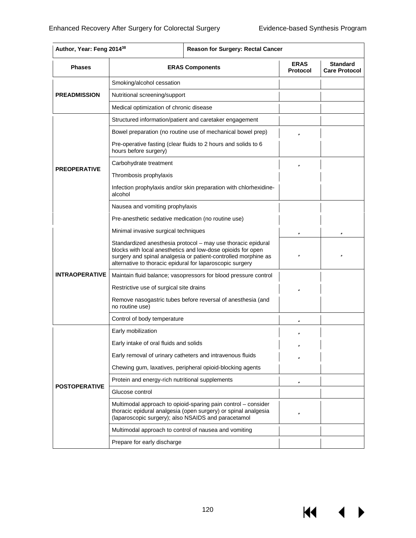$M \cdot 1$ 

 $\blacktriangleright$ 

| Author, Year: Feng 2014 <sup>38</sup><br><b>Reason for Surgery: Rectal Cancer</b> |                                                                                                                                                                                                                                                            |                                |                                         |
|-----------------------------------------------------------------------------------|------------------------------------------------------------------------------------------------------------------------------------------------------------------------------------------------------------------------------------------------------------|--------------------------------|-----------------------------------------|
| <b>Phases</b>                                                                     | <b>ERAS Components</b>                                                                                                                                                                                                                                     | <b>ERAS</b><br><b>Protocol</b> | <b>Standard</b><br><b>Care Protocol</b> |
|                                                                                   | Smoking/alcohol cessation                                                                                                                                                                                                                                  |                                |                                         |
| <b>PREADMISSION</b>                                                               | Nutritional screening/support                                                                                                                                                                                                                              |                                |                                         |
|                                                                                   | Medical optimization of chronic disease                                                                                                                                                                                                                    |                                |                                         |
|                                                                                   | Structured information/patient and caretaker engagement                                                                                                                                                                                                    |                                |                                         |
|                                                                                   | Bowel preparation (no routine use of mechanical bowel prep)                                                                                                                                                                                                | ü                              |                                         |
|                                                                                   | Pre-operative fasting (clear fluids to 2 hours and solids to 6<br>hours before surgery)                                                                                                                                                                    |                                |                                         |
|                                                                                   | Carbohydrate treatment                                                                                                                                                                                                                                     | ü                              |                                         |
| <b>PREOPERATIVE</b>                                                               | Thrombosis prophylaxis                                                                                                                                                                                                                                     |                                |                                         |
|                                                                                   | Infection prophylaxis and/or skin preparation with chlorhexidine-<br>alcohol                                                                                                                                                                               |                                |                                         |
|                                                                                   | Nausea and vomiting prophylaxis                                                                                                                                                                                                                            |                                |                                         |
|                                                                                   | Pre-anesthetic sedative medication (no routine use)                                                                                                                                                                                                        |                                |                                         |
|                                                                                   | Minimal invasive surgical techniques                                                                                                                                                                                                                       | ü                              | ü                                       |
|                                                                                   | Standardized anesthesia protocol - may use thoracic epidural<br>blocks with local anesthetics and low-dose opioids for open<br>surgery and spinal analgesia or patient-controlled morphine as<br>alternative to thoracic epidural for laparoscopic surgery | ü                              | ü                                       |
| <b>INTRAOPERATIVE</b>                                                             | Maintain fluid balance; vasopressors for blood pressure control                                                                                                                                                                                            |                                |                                         |
|                                                                                   | Restrictive use of surgical site drains                                                                                                                                                                                                                    | ü                              |                                         |
|                                                                                   | Remove nasogastric tubes before reversal of anesthesia (and<br>no routine use)                                                                                                                                                                             |                                |                                         |
|                                                                                   | Control of body temperature                                                                                                                                                                                                                                | ü                              |                                         |
|                                                                                   | Early mobilization                                                                                                                                                                                                                                         |                                |                                         |
|                                                                                   | Early intake of oral fluids and solids                                                                                                                                                                                                                     |                                |                                         |
|                                                                                   | Early removal of urinary catheters and intravenous fluids                                                                                                                                                                                                  | ü                              |                                         |
|                                                                                   | Chewing gum, laxatives, peripheral opioid-blocking agents                                                                                                                                                                                                  |                                |                                         |
|                                                                                   | Protein and energy-rich nutritional supplements                                                                                                                                                                                                            | ü                              |                                         |
| <b>POSTOPERATIVE</b>                                                              | Glucose control                                                                                                                                                                                                                                            |                                |                                         |
|                                                                                   | Multimodal approach to opioid-sparing pain control – consider<br>thoracic epidural analgesia (open surgery) or spinal analgesia<br>(laparoscopic surgery); also NSAIDS and paracetamol                                                                     | ü                              |                                         |
|                                                                                   | Multimodal approach to control of nausea and vomiting                                                                                                                                                                                                      |                                |                                         |
|                                                                                   | Prepare for early discharge                                                                                                                                                                                                                                |                                |                                         |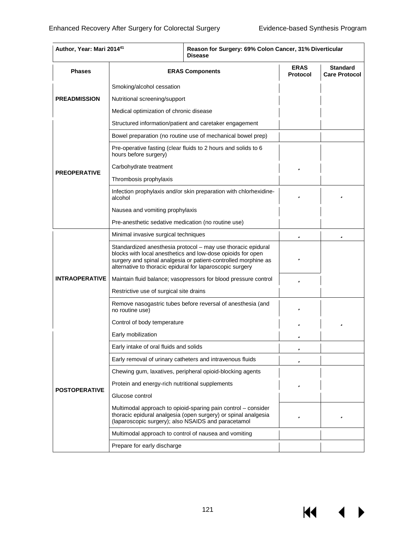К€

| Author, Year: Mari 201441 | Reason for Surgery: 69% Colon Cancer, 31% Diverticular<br><b>Disease</b>                                                                                                                                                                                   |                         |                                         |
|---------------------------|------------------------------------------------------------------------------------------------------------------------------------------------------------------------------------------------------------------------------------------------------------|-------------------------|-----------------------------------------|
| <b>Phases</b>             | <b>ERAS Components</b>                                                                                                                                                                                                                                     | <b>ERAS</b><br>Protocol | <b>Standard</b><br><b>Care Protocol</b> |
|                           | Smoking/alcohol cessation                                                                                                                                                                                                                                  |                         |                                         |
| <b>PREADMISSION</b>       | Nutritional screening/support                                                                                                                                                                                                                              |                         |                                         |
|                           | Medical optimization of chronic disease                                                                                                                                                                                                                    |                         |                                         |
|                           | Structured information/patient and caretaker engagement                                                                                                                                                                                                    |                         |                                         |
|                           | Bowel preparation (no routine use of mechanical bowel prep)                                                                                                                                                                                                |                         |                                         |
|                           | Pre-operative fasting (clear fluids to 2 hours and solids to 6<br>hours before surgery)                                                                                                                                                                    |                         |                                         |
|                           | Carbohydrate treatment                                                                                                                                                                                                                                     | ü                       |                                         |
| <b>PREOPERATIVE</b>       | Thrombosis prophylaxis                                                                                                                                                                                                                                     |                         |                                         |
|                           | Infection prophylaxis and/or skin preparation with chlorhexidine-<br>alcohol                                                                                                                                                                               | ü                       | ü                                       |
|                           | Nausea and vomiting prophylaxis                                                                                                                                                                                                                            |                         |                                         |
|                           | Pre-anesthetic sedative medication (no routine use)                                                                                                                                                                                                        |                         |                                         |
|                           | Minimal invasive surgical techniques                                                                                                                                                                                                                       | ü                       | ü                                       |
|                           | Standardized anesthesia protocol - may use thoracic epidural<br>blocks with local anesthetics and low-dose opioids for open<br>surgery and spinal analgesia or patient-controlled morphine as<br>alternative to thoracic epidural for laparoscopic surgery | ü                       |                                         |
| <b>INTRAOPERATIVE</b>     | Maintain fluid balance; vasopressors for blood pressure control                                                                                                                                                                                            | ü                       |                                         |
|                           | Restrictive use of surgical site drains                                                                                                                                                                                                                    |                         |                                         |
|                           | Remove nasogastric tubes before reversal of anesthesia (and<br>no routine use)                                                                                                                                                                             | ü                       |                                         |
|                           | Control of body temperature                                                                                                                                                                                                                                | ü                       | ü                                       |
|                           | Early mobilization                                                                                                                                                                                                                                         | ü                       |                                         |
|                           | Early intake of oral fluids and solids                                                                                                                                                                                                                     | ü                       |                                         |
|                           | Early removal of urinary catheters and intravenous fluids                                                                                                                                                                                                  | ü                       |                                         |
|                           | Chewing gum, laxatives, peripheral opioid-blocking agents                                                                                                                                                                                                  |                         |                                         |
| <b>POSTOPERATIVE</b>      | Protein and energy-rich nutritional supplements                                                                                                                                                                                                            | ü                       |                                         |
|                           | Glucose control                                                                                                                                                                                                                                            |                         |                                         |
|                           | Multimodal approach to opioid-sparing pain control – consider<br>thoracic epidural analgesia (open surgery) or spinal analgesia<br>(laparoscopic surgery); also NSAIDS and paracetamol                                                                     | ü                       | ü                                       |
|                           | Multimodal approach to control of nausea and vomiting                                                                                                                                                                                                      |                         |                                         |
|                           | Prepare for early discharge                                                                                                                                                                                                                                |                         |                                         |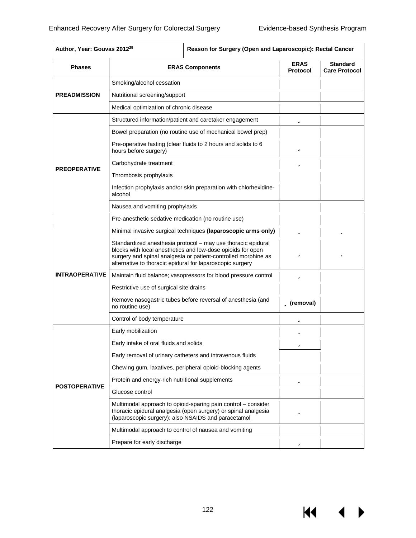**KK** 

 $\blacktriangleright$ 

| <b>Phases</b>         | <b>ERAS Components</b>                                                                                                                                                                                                                                     | <b>ERAS</b><br><b>Protocol</b> | <b>Standard</b><br><b>Care Protocol</b> |
|-----------------------|------------------------------------------------------------------------------------------------------------------------------------------------------------------------------------------------------------------------------------------------------------|--------------------------------|-----------------------------------------|
|                       | Smoking/alcohol cessation                                                                                                                                                                                                                                  |                                |                                         |
| <b>PREADMISSION</b>   | Nutritional screening/support                                                                                                                                                                                                                              |                                |                                         |
|                       | Medical optimization of chronic disease                                                                                                                                                                                                                    |                                |                                         |
|                       | Structured information/patient and caretaker engagement                                                                                                                                                                                                    | ü                              |                                         |
|                       | Bowel preparation (no routine use of mechanical bowel prep)                                                                                                                                                                                                |                                |                                         |
|                       | Pre-operative fasting (clear fluids to 2 hours and solids to 6<br>hours before surgery)                                                                                                                                                                    | ü                              |                                         |
|                       | Carbohydrate treatment                                                                                                                                                                                                                                     | ü                              |                                         |
| <b>PREOPERATIVE</b>   | Thrombosis prophylaxis                                                                                                                                                                                                                                     |                                |                                         |
|                       | Infection prophylaxis and/or skin preparation with chlorhexidine-<br>alcohol                                                                                                                                                                               |                                |                                         |
|                       | Nausea and vomiting prophylaxis                                                                                                                                                                                                                            |                                |                                         |
|                       | Pre-anesthetic sedative medication (no routine use)                                                                                                                                                                                                        |                                |                                         |
|                       | Minimal invasive surgical techniques (laparoscopic arms only)                                                                                                                                                                                              | ü                              | ü                                       |
|                       | Standardized anesthesia protocol - may use thoracic epidural<br>blocks with local anesthetics and low-dose opioids for open<br>surgery and spinal analgesia or patient-controlled morphine as<br>alternative to thoracic epidural for laparoscopic surgery | ü                              | ü                                       |
| <b>INTRAOPERATIVE</b> | Maintain fluid balance; vasopressors for blood pressure control                                                                                                                                                                                            | ü                              |                                         |
|                       | Restrictive use of surgical site drains                                                                                                                                                                                                                    |                                |                                         |
|                       | Remove nasogastric tubes before reversal of anesthesia (and<br>no routine use)                                                                                                                                                                             | <b>ü</b> (removal)             |                                         |
|                       | Control of body temperature                                                                                                                                                                                                                                | ü                              |                                         |
|                       | Early mobilization                                                                                                                                                                                                                                         |                                |                                         |
|                       | Early intake of oral fluids and solids                                                                                                                                                                                                                     | ü                              |                                         |
|                       | Early removal of urinary catheters and intravenous fluids                                                                                                                                                                                                  |                                |                                         |
|                       | Chewing gum, laxatives, peripheral opioid-blocking agents                                                                                                                                                                                                  |                                |                                         |
|                       | Protein and energy-rich nutritional supplements                                                                                                                                                                                                            | ü                              |                                         |
| <b>POSTOPERATIVE</b>  | Glucose control                                                                                                                                                                                                                                            |                                |                                         |
|                       | Multimodal approach to opioid-sparing pain control – consider<br>thoracic epidural analgesia (open surgery) or spinal analgesia<br>(laparoscopic surgery); also NSAIDS and paracetamol                                                                     | ü                              |                                         |
|                       | Multimodal approach to control of nausea and vomiting                                                                                                                                                                                                      |                                |                                         |
|                       | Prepare for early discharge                                                                                                                                                                                                                                | ü                              |                                         |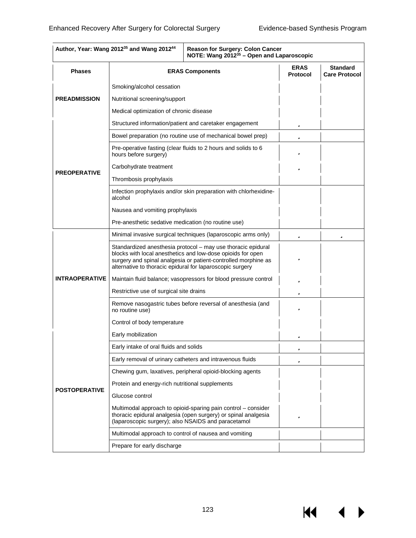KI

|                       | Author, Year: Wang 2012 <sup>35</sup> and Wang 2012 <sup>44</sup>                                                                                                                                                                                          | Reason for Surgery: Colon Cancer<br>NOTE: Wang 2012 <sup>35</sup> - Open and Laparoscopic                                       |                                         |   |
|-----------------------|------------------------------------------------------------------------------------------------------------------------------------------------------------------------------------------------------------------------------------------------------------|---------------------------------------------------------------------------------------------------------------------------------|-----------------------------------------|---|
| <b>Phases</b>         | <b>ERAS Components</b>                                                                                                                                                                                                                                     | <b>ERAS</b><br><b>Protocol</b>                                                                                                  | <b>Standard</b><br><b>Care Protocol</b> |   |
|                       | Smoking/alcohol cessation                                                                                                                                                                                                                                  |                                                                                                                                 |                                         |   |
| <b>PREADMISSION</b>   | Nutritional screening/support                                                                                                                                                                                                                              |                                                                                                                                 |                                         |   |
|                       | Medical optimization of chronic disease                                                                                                                                                                                                                    |                                                                                                                                 |                                         |   |
|                       | Structured information/patient and caretaker engagement                                                                                                                                                                                                    |                                                                                                                                 | ü                                       |   |
|                       |                                                                                                                                                                                                                                                            | Bowel preparation (no routine use of mechanical bowel prep)                                                                     | ü                                       |   |
|                       | hours before surgery)                                                                                                                                                                                                                                      | Pre-operative fasting (clear fluids to 2 hours and solids to 6                                                                  | ü                                       |   |
|                       | Carbohydrate treatment                                                                                                                                                                                                                                     |                                                                                                                                 | ü                                       |   |
| <b>PREOPERATIVE</b>   | Thrombosis prophylaxis                                                                                                                                                                                                                                     |                                                                                                                                 |                                         |   |
|                       | alcohol                                                                                                                                                                                                                                                    | Infection prophylaxis and/or skin preparation with chlorhexidine-                                                               |                                         |   |
|                       | Nausea and vomiting prophylaxis                                                                                                                                                                                                                            |                                                                                                                                 |                                         |   |
|                       | Pre-anesthetic sedative medication (no routine use)                                                                                                                                                                                                        |                                                                                                                                 |                                         |   |
|                       |                                                                                                                                                                                                                                                            | Minimal invasive surgical techniques (laparoscopic arms only)                                                                   | ü                                       | ü |
|                       | Standardized anesthesia protocol - may use thoracic epidural<br>blocks with local anesthetics and low-dose opioids for open<br>surgery and spinal analgesia or patient-controlled morphine as<br>alternative to thoracic epidural for laparoscopic surgery | ü                                                                                                                               |                                         |   |
| <b>INTRAOPERATIVE</b> | Maintain fluid balance; vasopressors for blood pressure control                                                                                                                                                                                            | ü                                                                                                                               |                                         |   |
|                       | Restrictive use of surgical site drains                                                                                                                                                                                                                    | ü                                                                                                                               |                                         |   |
|                       | Remove nasogastric tubes before reversal of anesthesia (and<br>no routine use)                                                                                                                                                                             | ü                                                                                                                               |                                         |   |
|                       | Control of body temperature                                                                                                                                                                                                                                |                                                                                                                                 |                                         |   |
|                       | Early mobilization                                                                                                                                                                                                                                         |                                                                                                                                 | ü                                       |   |
|                       | Early intake of oral fluids and solids                                                                                                                                                                                                                     |                                                                                                                                 | ü                                       |   |
|                       |                                                                                                                                                                                                                                                            | Early removal of urinary catheters and intravenous fluids                                                                       | ü                                       |   |
|                       |                                                                                                                                                                                                                                                            | Chewing gum, laxatives, peripheral opioid-blocking agents                                                                       |                                         |   |
| <b>POSTOPERATIVE</b>  | Protein and energy-rich nutritional supplements                                                                                                                                                                                                            |                                                                                                                                 |                                         |   |
|                       | Glucose control                                                                                                                                                                                                                                            |                                                                                                                                 |                                         |   |
|                       | (laparoscopic surgery); also NSAIDS and paracetamol                                                                                                                                                                                                        | Multimodal approach to opioid-sparing pain control – consider<br>thoracic epidural analgesia (open surgery) or spinal analgesia | ü                                       |   |
|                       | Multimodal approach to control of nausea and vomiting                                                                                                                                                                                                      |                                                                                                                                 |                                         |   |
|                       | Prepare for early discharge                                                                                                                                                                                                                                |                                                                                                                                 |                                         |   |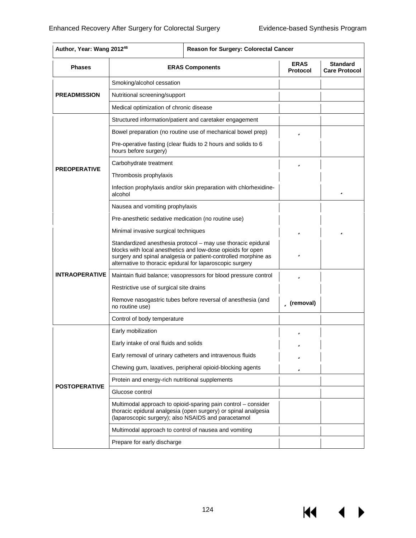$\blacktriangleright$ 

| <b>Phases</b>         | <b>ERAS Components</b>                                                                                                                                                                                                                                     | <b>ERAS</b><br><b>Protocol</b> | <b>Standard</b><br><b>Care Protocol</b> |
|-----------------------|------------------------------------------------------------------------------------------------------------------------------------------------------------------------------------------------------------------------------------------------------------|--------------------------------|-----------------------------------------|
|                       | Smoking/alcohol cessation                                                                                                                                                                                                                                  |                                |                                         |
| <b>PREADMISSION</b>   | Nutritional screening/support                                                                                                                                                                                                                              |                                |                                         |
|                       | Medical optimization of chronic disease                                                                                                                                                                                                                    |                                |                                         |
|                       | Structured information/patient and caretaker engagement                                                                                                                                                                                                    |                                |                                         |
|                       | Bowel preparation (no routine use of mechanical bowel prep)                                                                                                                                                                                                | ü                              |                                         |
|                       | Pre-operative fasting (clear fluids to 2 hours and solids to 6<br>hours before surgery)                                                                                                                                                                    |                                |                                         |
|                       | Carbohydrate treatment                                                                                                                                                                                                                                     | ü                              |                                         |
| <b>PREOPERATIVE</b>   | Thrombosis prophylaxis                                                                                                                                                                                                                                     |                                |                                         |
|                       | Infection prophylaxis and/or skin preparation with chlorhexidine-<br>alcohol                                                                                                                                                                               |                                | ü                                       |
|                       | Nausea and vomiting prophylaxis                                                                                                                                                                                                                            |                                |                                         |
|                       | Pre-anesthetic sedative medication (no routine use)                                                                                                                                                                                                        |                                |                                         |
|                       | Minimal invasive surgical techniques                                                                                                                                                                                                                       | ü                              | ü                                       |
|                       | Standardized anesthesia protocol - may use thoracic epidural<br>blocks with local anesthetics and low-dose opioids for open<br>surgery and spinal analgesia or patient-controlled morphine as<br>alternative to thoracic epidural for laparoscopic surgery | ü                              |                                         |
| <b>INTRAOPERATIVE</b> | Maintain fluid balance; vasopressors for blood pressure control                                                                                                                                                                                            | ü                              |                                         |
|                       | Restrictive use of surgical site drains                                                                                                                                                                                                                    |                                |                                         |
|                       | Remove nasogastric tubes before reversal of anesthesia (and<br>no routine use)                                                                                                                                                                             | ü (removal)                    |                                         |
|                       | Control of body temperature                                                                                                                                                                                                                                |                                |                                         |
|                       | Early mobilization                                                                                                                                                                                                                                         | ü                              |                                         |
|                       | Early intake of oral fluids and solids                                                                                                                                                                                                                     | ďb                             |                                         |
|                       | Early removal of urinary catheters and intravenous fluids                                                                                                                                                                                                  | ü                              |                                         |
|                       | Chewing gum, laxatives, peripheral opioid-blocking agents                                                                                                                                                                                                  | ü                              |                                         |
|                       | Protein and energy-rich nutritional supplements                                                                                                                                                                                                            |                                |                                         |
| <b>POSTOPERATIVE</b>  | Glucose control                                                                                                                                                                                                                                            |                                |                                         |
|                       | Multimodal approach to opioid-sparing pain control - consider<br>thoracic epidural analgesia (open surgery) or spinal analgesia<br>(laparoscopic surgery); also NSAIDS and paracetamol                                                                     |                                |                                         |
|                       | Multimodal approach to control of nausea and vomiting                                                                                                                                                                                                      |                                |                                         |
|                       | Prepare for early discharge                                                                                                                                                                                                                                |                                |                                         |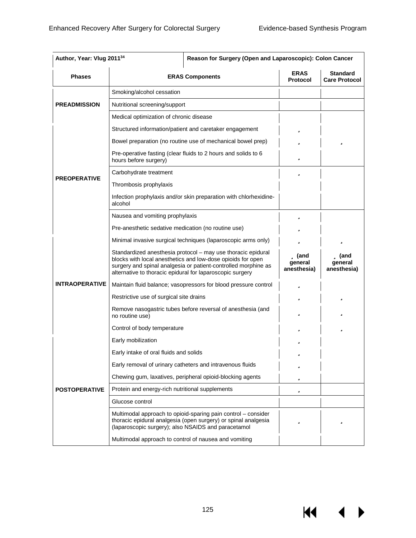| <b>Phases</b>         | <b>ERAS Components</b>                                                                                                                                                                                                                                     | <b>ERAS</b><br><b>Protocol</b>   | <b>Standard</b><br><b>Care Protocol</b>            |
|-----------------------|------------------------------------------------------------------------------------------------------------------------------------------------------------------------------------------------------------------------------------------------------------|----------------------------------|----------------------------------------------------|
|                       | Smoking/alcohol cessation                                                                                                                                                                                                                                  |                                  |                                                    |
| <b>PREADMISSION</b>   | Nutritional screening/support                                                                                                                                                                                                                              |                                  |                                                    |
|                       | Medical optimization of chronic disease                                                                                                                                                                                                                    |                                  |                                                    |
|                       | Structured information/patient and caretaker engagement                                                                                                                                                                                                    | ü                                |                                                    |
|                       | Bowel preparation (no routine use of mechanical bowel prep)                                                                                                                                                                                                | ü                                | ü                                                  |
|                       | Pre-operative fasting (clear fluids to 2 hours and solids to 6<br>hours before surgery)                                                                                                                                                                    | ü                                |                                                    |
|                       | Carbohydrate treatment                                                                                                                                                                                                                                     | ü                                |                                                    |
| <b>PREOPERATIVE</b>   | Thrombosis prophylaxis                                                                                                                                                                                                                                     |                                  |                                                    |
|                       | Infection prophylaxis and/or skin preparation with chlorhexidine-<br>alcohol                                                                                                                                                                               |                                  |                                                    |
|                       | Nausea and vomiting prophylaxis                                                                                                                                                                                                                            | ü                                |                                                    |
|                       | Pre-anesthetic sedative medication (no routine use)                                                                                                                                                                                                        | ü                                |                                                    |
|                       | Minimal invasive surgical techniques (laparoscopic arms only)                                                                                                                                                                                              | ü                                | ü                                                  |
|                       | Standardized anesthesia protocol - may use thoracic epidural<br>blocks with local anesthetics and low-dose opioids for open<br>surgery and spinal analgesia or patient-controlled morphine as<br>alternative to thoracic epidural for laparoscopic surgery | ü (and<br>qeneral<br>anesthesia) | $\ddot{\mathbf{u}}$ (and<br>qeneral<br>anesthesia) |
| <b>INTRAOPERATIVE</b> | Maintain fluid balance; vasopressors for blood pressure control                                                                                                                                                                                            | ü                                |                                                    |
|                       | Restrictive use of surgical site drains                                                                                                                                                                                                                    | ü                                | ü                                                  |
|                       | Remove nasogastric tubes before reversal of anesthesia (and<br>no routine use)                                                                                                                                                                             | ü                                | ü                                                  |
|                       | Control of body temperature                                                                                                                                                                                                                                | ü                                | ü                                                  |
|                       | Early mobilization                                                                                                                                                                                                                                         | ü                                |                                                    |
|                       | Early intake of oral fluids and solids                                                                                                                                                                                                                     | 71.                              |                                                    |
|                       | Early removal of urinary catheters and intravenous fluids                                                                                                                                                                                                  | ü                                |                                                    |
|                       | Chewing gum, laxatives, peripheral opioid-blocking agents                                                                                                                                                                                                  | ü                                |                                                    |
| <b>POSTOPERATIVE</b>  | Protein and energy-rich nutritional supplements                                                                                                                                                                                                            | ü                                |                                                    |
|                       | Glucose control                                                                                                                                                                                                                                            |                                  |                                                    |
|                       | Multimodal approach to opioid-sparing pain control – consider<br>thoracic epidural analgesia (open surgery) or spinal analgesia<br>(laparoscopic surgery); also NSAIDS and paracetamol                                                                     | ü                                | ü                                                  |
|                       | Multimodal approach to control of nausea and vomiting                                                                                                                                                                                                      |                                  |                                                    |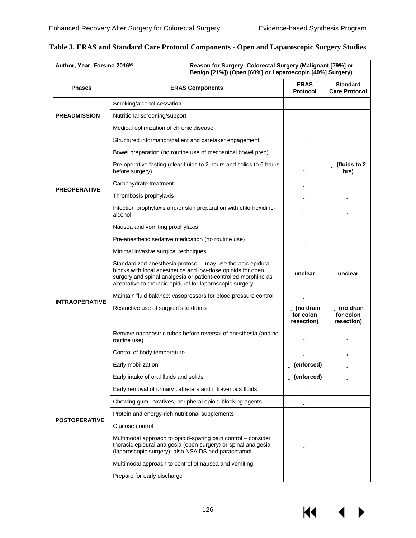| Author, Year: Forsmo 2016 <sup>50</sup> |                                                                                                                                                                                                                                                            | Reason for Surgery: Colorectal Surgery (Malignant [79%] or<br>Benign [21%]) (Open [60%] or Laparoscopic [40%] Surgery) |                                         |  |  |  |  |  |
|-----------------------------------------|------------------------------------------------------------------------------------------------------------------------------------------------------------------------------------------------------------------------------------------------------------|------------------------------------------------------------------------------------------------------------------------|-----------------------------------------|--|--|--|--|--|
| <b>Phases</b>                           | <b>ERAS Components</b>                                                                                                                                                                                                                                     | <b>ERAS</b><br><b>Protocol</b>                                                                                         | <b>Standard</b><br><b>Care Protocol</b> |  |  |  |  |  |
|                                         | Smoking/alcohol cessation                                                                                                                                                                                                                                  |                                                                                                                        |                                         |  |  |  |  |  |
| <b>PREADMISSION</b>                     | Nutritional screening/support                                                                                                                                                                                                                              |                                                                                                                        |                                         |  |  |  |  |  |
|                                         | Medical optimization of chronic disease                                                                                                                                                                                                                    |                                                                                                                        |                                         |  |  |  |  |  |
|                                         | Structured information/patient and caretaker engagement                                                                                                                                                                                                    | ü                                                                                                                      |                                         |  |  |  |  |  |
|                                         | Bowel preparation (no routine use of mechanical bowel prep)                                                                                                                                                                                                |                                                                                                                        |                                         |  |  |  |  |  |
|                                         | Pre-operative fasting (clear fluids to 2 hours and solids to 6 hours<br>before surgery)                                                                                                                                                                    | ü                                                                                                                      | <b>ü</b> (fluids to 2<br>hrs)           |  |  |  |  |  |
|                                         | Carbohydrate treatment                                                                                                                                                                                                                                     | ü                                                                                                                      |                                         |  |  |  |  |  |
| <b>PREOPERATIVE</b>                     | Thrombosis prophylaxis                                                                                                                                                                                                                                     | ü                                                                                                                      | ü                                       |  |  |  |  |  |
|                                         | Infection prophylaxis and/or skin preparation with chlorhexidine-<br>alcohol                                                                                                                                                                               | ü                                                                                                                      | ü                                       |  |  |  |  |  |
|                                         | Nausea and vomiting prophylaxis                                                                                                                                                                                                                            |                                                                                                                        |                                         |  |  |  |  |  |
|                                         | Pre-anesthetic sedative medication (no routine use)                                                                                                                                                                                                        | ü                                                                                                                      |                                         |  |  |  |  |  |
|                                         | Minimal invasive surgical techniques                                                                                                                                                                                                                       |                                                                                                                        |                                         |  |  |  |  |  |
|                                         | Standardized anesthesia protocol - may use thoracic epidural<br>blocks with local anesthetics and low-dose opioids for open<br>surgery and spinal analgesia or patient-controlled morphine as<br>alternative to thoracic epidural for laparoscopic surgery | unclear                                                                                                                | unclear                                 |  |  |  |  |  |
|                                         | Maintain fluid balance; vasopressors for blood pressure control                                                                                                                                                                                            | ü                                                                                                                      |                                         |  |  |  |  |  |
| <b>INTRAOPERATIVE</b>                   | Restrictive use of surgical site drains                                                                                                                                                                                                                    | <b>ü</b> (no drain<br>for colon<br>resection)                                                                          | ü (no drain<br>for colon<br>resection)  |  |  |  |  |  |
|                                         | Remove nasogastric tubes before reversal of anesthesia (and no<br>routine use)                                                                                                                                                                             | ü                                                                                                                      | ü                                       |  |  |  |  |  |
|                                         | Control of body temperature                                                                                                                                                                                                                                | ü                                                                                                                      | ü                                       |  |  |  |  |  |
|                                         | Early mobilization                                                                                                                                                                                                                                         | <b>ü</b> (enforced)                                                                                                    | ü                                       |  |  |  |  |  |
|                                         | Early intake of oral fluids and solids                                                                                                                                                                                                                     | <b>ü</b> (enforced)                                                                                                    | ü                                       |  |  |  |  |  |
|                                         | Early removal of urinary catheters and intravenous fluids                                                                                                                                                                                                  | ü                                                                                                                      |                                         |  |  |  |  |  |
|                                         | Chewing gum, laxatives, peripheral opioid-blocking agents                                                                                                                                                                                                  | ü                                                                                                                      |                                         |  |  |  |  |  |
| <b>POSTOPERATIVE</b>                    | Protein and energy-rich nutritional supplements                                                                                                                                                                                                            |                                                                                                                        |                                         |  |  |  |  |  |
|                                         | Glucose control                                                                                                                                                                                                                                            |                                                                                                                        |                                         |  |  |  |  |  |
|                                         | Multimodal approach to opioid-sparing pain control – consider<br>thoracic epidural analgesia (open surgery) or spinal analgesia<br>(laparoscopic surgery); also NSAIDS and paracetamol                                                                     | ü                                                                                                                      |                                         |  |  |  |  |  |
|                                         | Multimodal approach to control of nausea and vomiting                                                                                                                                                                                                      |                                                                                                                        |                                         |  |  |  |  |  |
|                                         | Prepare for early discharge                                                                                                                                                                                                                                |                                                                                                                        |                                         |  |  |  |  |  |

## **Table 3. ERAS and Standard Care Protocol Components - Open and Laparoscopic Surgery Studies**

 $\blacktriangleleft$  $\blacktriangleright$ 

KI 1

126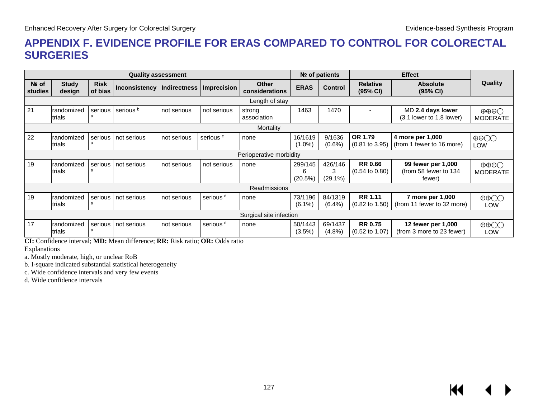# **APPENDIX F. EVIDENCE PROFILE FOR ERAS COMPARED TO CONTROL FOR COLORECTAL SURGERIES**

|                    |                         |                        | <b>Quality assessment</b> |                     |                      |                                | Nº of patients<br><b>Effect</b> |                            |                                             |                                                       |                                           |  |  |  |
|--------------------|-------------------------|------------------------|---------------------------|---------------------|----------------------|--------------------------------|---------------------------------|----------------------------|---------------------------------------------|-------------------------------------------------------|-------------------------------------------|--|--|--|
| $Ne$ of<br>studies | <b>Study</b><br>design  | <b>Risk</b><br>of bias | <b>Inconsistency</b>      | <b>Indirectness</b> | <b>Imprecision</b>   | <b>Other</b><br>considerations | <b>ERAS</b>                     | <b>Control</b>             | <b>Relative</b><br>(95% CI)                 | <b>Absolute</b><br>(95% CI)                           | <b>Quality</b>                            |  |  |  |
|                    | Length of stay          |                        |                           |                     |                      |                                |                                 |                            |                                             |                                                       |                                           |  |  |  |
| 21                 | Irandomized<br>trials   | serious                | serious <sup>b</sup>      | not serious         | not serious          | strong<br>association          | 1463                            | 1470                       |                                             | MD 2.4 days lower<br>(3.1 lower to 1.8 lower)         | $\oplus \oplus \oplus$<br><b>MODERATE</b> |  |  |  |
|                    | Mortality               |                        |                           |                     |                      |                                |                                 |                            |                                             |                                                       |                                           |  |  |  |
| 22                 | randomized<br>trials    | serious                | not serious               | not serious         | serious <sup>c</sup> | none                           | 16/1619<br>$(1.0\%)$            | 9/1636<br>$(0.6\%)$        | OR 1.79<br>$(0.81 \text{ to } 3.95)$        | 4 more per 1,000<br>(from 1 fewer to 16 more)         | $\oplus$<br>LOW                           |  |  |  |
|                    | Perioperative morbidity |                        |                           |                     |                      |                                |                                 |                            |                                             |                                                       |                                           |  |  |  |
| 19                 | randomized<br>trials    | serious                | not serious               | not serious         | not serious          | none                           | 299/145<br>6<br>(20.5%)         | 426/146<br>3<br>$(29.1\%)$ | <b>RR 0.66</b><br>$(0.54 \text{ to } 0.80)$ | 99 fewer per 1,000<br>(from 58 fewer to 134<br>fewer) | $\oplus \oplus \oplus$<br><b>MODERATE</b> |  |  |  |
|                    |                         |                        |                           |                     |                      | Readmissions                   |                                 |                            |                                             |                                                       |                                           |  |  |  |
| 19                 | randomized<br>trials    | serious                | not serious               | not serious         | serious <sup>d</sup> | none                           | 73/1196<br>$(6.1\%)$            | 84/1319<br>$(6.4\%)$       | <b>RR 1.11</b><br>$(0.82 \text{ to } 1.50)$ | 7 more per 1,000<br>(from 11 fewer to 32 more)        | $\oplus$<br>LOW                           |  |  |  |
|                    |                         |                        |                           |                     |                      | Surgical site infection        |                                 |                            |                                             |                                                       |                                           |  |  |  |
| 17                 | Irandomized<br>trials   | serious I              | not serious               | not serious         | serious <sup>d</sup> | none                           | 50/1443<br>$(3.5\%)$            | 69/1437<br>$(4.8\%)$       | <b>RR 0.75</b><br>$(0.52 \text{ to } 1.07)$ | 12 fewer per 1,000<br>(from 3 more to 23 fewer)       | $\oplus$<br>LOW                           |  |  |  |

**CI:** Confidence interval; **MD:** Mean difference; **RR:** Risk ratio; **OR:** Odds ratio

Explanations

a. Mostly moderate, high, or unclear RoB

b. I-square indicated substantial statistical heterogeneity

c. Wide confidence intervals and very few events

d. Wide confidence intervals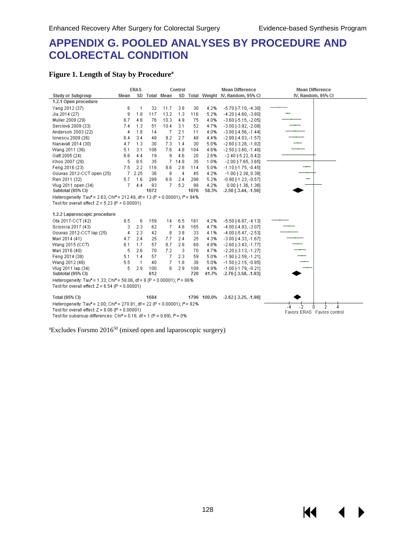К1

# **APPENDIX G. POOLED ANALYSES BY PROCEDURE AND COLORECTAL CONDITION**

#### **Figure 1. Length of Stay by Procedurea**

|                                                                                                      |      | <b>ERAS</b>    |      |               | Control |      |             | <b>Mean Difference</b>             | <b>Mean Difference</b>     |
|------------------------------------------------------------------------------------------------------|------|----------------|------|---------------|---------|------|-------------|------------------------------------|----------------------------|
| <b>Study or Subgroup</b>                                                                             | Mean |                |      | SD Total Mean |         |      |             | SD Total Weight IV, Random, 95% CI | IV, Random, 95% CI         |
| 1.2.1 Open procedure                                                                                 |      |                |      |               |         |      |             |                                    |                            |
| Yang 2012 (37)                                                                                       | 6    | -1             | 32   | 11.7          | 3.8     | 30   | 4.2%        | $-5.70$ [-7.10, -4.30]             |                            |
| Jia 2014 (27)                                                                                        | 9    | 1.8            | 117  | 13.2          | 1.3     | 116  | 5.2%        | $-4.20$ [ $-4.60$ , $-3.80$ ]      |                            |
| Muller 2009 (29)                                                                                     | 6.7  | 4.8            | 76   | 10.3          | 4.9     | 75   | 4.0%        | $-3.60$ [ $-5.15$ , $-2.05$ ]      |                            |
| Serclová 2009 (33)                                                                                   | 7.4  | 1.3            | 51   | 10.4          | 3.1     | 52   | 4.7%        | $-3.00$ [ $-3.92$ , $-2.08$ ]      |                            |
| Anderson 2003 (22)                                                                                   | 4    | 1.8            | 14   | -7            | 2.1     | 11   | 4.0%        | $-3.00$ [ $-4.56$ , $-1.44$ ]      |                            |
| lonescu 2009 (26)                                                                                    | 6.4  | 3.4            | 48   | 9.2           | 2.7     | 48   | 4.4%        | $-2.80$ [ $-4.03$ , $-1.57$ ]      |                            |
| Nanavati 2014 (30)                                                                                   | 4.7  | 1.3            | 30   | 7.3           | 1.4     | 30   | 5.0%        | $-2.60$ [ $-3.28$ , $-1.92$ ]      |                            |
| Wang 2011 (36)                                                                                       | 5.1  | 3.1            | 106  | 7.6           | 4.8     | 104  | 4.6%        | $-2.50$ [ $-3.60$ , $-1.40$ ]      |                            |
| Gatt 2005 (24)                                                                                       | 6.6  | 4.4            | 19   | 9             | 4.6     | 20   | 2.6%        | $-2.40[-5.22, 0.42]$               |                            |
| Khoo 2007 (28)                                                                                       | 5    | 8.5            | 35   | 7.            | 14.8    | 35   | 1.0%        | $-2.00$ [ $-7.65$ , $3.65$ ]       |                            |
| Feng 2016 (23)                                                                                       | 7.5  | 2.2            | 116  | 8.6           | 2.8     | 114  | 5.0%        | $-1.10[-1.75, -0.45]$              |                            |
| Gouvas 2012-CCT open (25)                                                                            | 7    | 2.25           | 36   | 8             | 4       | 45   | 4.2%        | $-1.00$ [ $-2.38$ , 0.38]          |                            |
| Ren 2011 (32)                                                                                        | 5.7  | 1.6            | 299  | 6.6           | 2.4     | 298  | 5.2%        | $-0.90$ $[-1.23, -0.57]$           |                            |
| Vlug 2011 open (34)                                                                                  | 7    | 4.4            | 93   | 7             | 5.2     | 98   | 4.2%        | 0.00F1.36, 1.361                   |                            |
| Subtotal (95% CI)                                                                                    |      |                | 1072 |               |         | 1076 | 58.3%       | $-2.50$ [ $-3.44$ , $-1.56$ ]      |                            |
| Heterogeneity: Tau <sup>2</sup> = 2.63; Chi <sup>2</sup> = 212.49, df = 13 (P < 0.00001); $P = 94\%$ |      |                |      |               |         |      |             |                                    |                            |
| Test for overall effect: $Z = 5.23$ (P < 0.00001)                                                    |      |                |      |               |         |      |             |                                    |                            |
|                                                                                                      |      |                |      |               |         |      |             |                                    |                            |
| 1.2.2 Laparoscopic procedure                                                                         |      |                |      |               |         |      |             |                                    |                            |
| Ota 2017-CCT (42)                                                                                    | 8.5  | 6              | 159  | 14            | 6.5     | 161  | 4.2%        | $-5.50$ [ $-6.87$ , $-4.13$ ]      |                            |
| Scioscia 2017 (43)                                                                                   | 3    | 2.3            | 62   | -7            | 4.8     | 165  | 4.7%        | $-4.00$ [ $-4.93$ , $-3.07$ ]      |                            |
| Gouvas 2012-CCT lap (25)                                                                             | 4    | 2.3            | 42   | 8             | 3.8     | 33   | 4.1%        | $-4.00$ [ $-5.47$ , $-2.53$ ]      |                            |
| Mari 2014 (41)                                                                                       | 4.7  | 2.4            | 25   | 7.7           | 2.4     | 25   | 4.3%        | $-3.00$ [ $-4.33$ , $-1.67$ ]      |                            |
| Wang 2015 (CCT)                                                                                      | 6.1  | 1.7            | 57   | 8.7           | 2.8     | 60   | 4.8%        | $-2.60$ [ $-3.43$ , $-1.77$ ]      |                            |
| Mari 2016 (40)                                                                                       | 5    | 2.6            | 70   | 7.2           | -3      | 70   | 4.7%        | $-2.20$ [ $-3.13$ , $-1.27$ ]      |                            |
| Feng 2014 (38)                                                                                       | 5.1  | 1.4            | 57   | -7            | 2.3     | 59   | 5.0%        | $-1.90$ [ $-2.59$ , $-1.21$ ]      |                            |
| Wang 2012 (46)                                                                                       | 5.5  | $\overline{1}$ | 40   | 7             | 1.8     | 38   | 5.0%        | $-1.50$ [ $-2.15$ ], $-0.85$ ]     |                            |
| Vlug 2011 lap (34)                                                                                   | 5    | 2.9            | 100  | 6             | 2.9     | 109  | 4.9%        | $-1.00$ [ $-1.79$ , $-0.21$ ]      |                            |
| Subtotal (95% CI)                                                                                    |      |                | 612  |               |         | 720  | 41.7%       | $-2.76$ [ $-3.58$ , $-1.93$ ]      |                            |
| Heterogeneity: Tau <sup>2</sup> = 1.33; Chi <sup>2</sup> = 58.06, df = 8 (P < 0.00001); $P = 86\%$   |      |                |      |               |         |      |             |                                    |                            |
| Test for overall effect: $Z = 6.54$ (P < 0.00001)                                                    |      |                |      |               |         |      |             |                                    |                            |
| <b>Total (95% CI)</b>                                                                                |      |                | 1684 |               |         |      | 1796 100.0% | $-2.62$ [ $-3.25, -1.98$ ]         |                            |
| Heterogeneity: Tau <sup>2</sup> = 2.00; Chi <sup>2</sup> = 270.81, df = 22 (P < 0.00001); $P = 92\%$ |      |                |      |               |         |      |             |                                    |                            |
| Test for overall effect: $Z = 8.06$ (P < 0.00001)                                                    |      |                |      |               |         |      |             |                                    | -2<br>n                    |
| Test for subgroup differences: Chi <sup>2</sup> = 0.16, df = 1 (P = 0.69), $P = 0\%$                 |      |                |      |               |         |      |             |                                    | Favors ERAS Favors control |

<sup>a</sup>Excludes Forsmo 2016<sup>50</sup> (mixed open and laparoscopic surgery)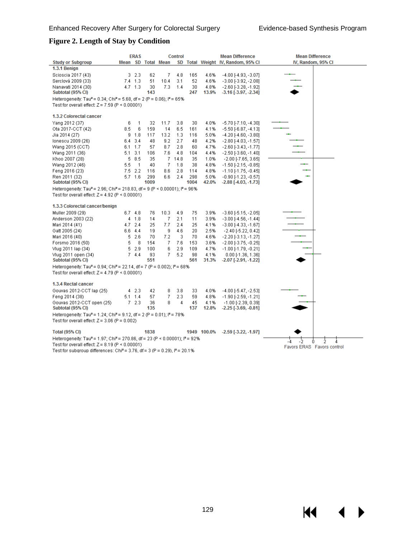14

### **Figure 2. Length of Stay by Condition**

|                                                                                                                |     | <b>ERAS</b>     |      |                    | <b>Control</b> |      |             | <b>Mean Difference</b>             | <b>Mean Difference</b>     |
|----------------------------------------------------------------------------------------------------------------|-----|-----------------|------|--------------------|----------------|------|-------------|------------------------------------|----------------------------|
| <b>Study or Subgroup</b>                                                                                       |     |                 |      | Mean SD Total Mean |                |      |             | SD Total Weight IV, Random, 95% CI | IV, Random, 95% CI         |
| 1.3.1 Benign                                                                                                   |     |                 |      |                    |                |      |             |                                    |                            |
| Scioscia 2017 (43)                                                                                             |     | $3\quad 2.3$    | 62   | 7                  | 4.8            | 165  | 4.6%        | $-4.00$ [ $-4.93$ , $-3.07$ ]      |                            |
| Serclová 2009 (33)                                                                                             |     | $7.4$ 1.3       | 51   | 10.4               | 3.1            | 52   | 4.6%        | $-3.00$ [ $-3.92$ , $-2.08$ ]      |                            |
| Nanavati 2014 (30)                                                                                             |     | $4.7 + 1.3$     | 30   | 7.3                | 1.4            | 30   | 4.8%        | $-2.60$ [ $-3.28$ , $-1.92$ ]      |                            |
| Subtotal (95% CI)                                                                                              |     |                 | 143  |                    |                | 247  | 13.9%       | $-3.16$ [ $-3.97$ , $-2.34$ ]      |                            |
| Heterogeneity: Tau <sup>2</sup> = 0.34; Chi <sup>2</sup> = 5.68, df = 2 (P = 0.06); l <sup>2</sup> = 65%       |     |                 |      |                    |                |      |             |                                    |                            |
| Test for overall effect: $Z = 7.59$ (P < 0.00001)                                                              |     |                 |      |                    |                |      |             |                                    |                            |
|                                                                                                                |     |                 |      |                    |                |      |             |                                    |                            |
| 1.3.2 Colorectal cancer                                                                                        |     |                 |      |                    |                |      |             |                                    |                            |
| Yang 2012 (37)                                                                                                 | 6   | 1               | 32   | 11.7               | 3.8            | 30   | 4.0%        | $-5.70$ [-7.10, -4.30]             |                            |
| Ota 2017-CCT (42)                                                                                              | 8.5 | 6               | 159  | 14                 | 6.5            | 161  | 4.1%        | $-5.50$ [ $-6.87$ , $-4.13$ ]      |                            |
| Jia 2014 (27)                                                                                                  |     | $9 - 1.8$       | 117  | 13.2               | 1.3            | 116  | 5.0%        | $-4.20$ [ $-4.60$ , $-3.80$ ]      |                            |
| lonescu 2009 (26)                                                                                              | 6.4 | 3.4             | 48   | 9.2                | 2.7            | 48   | 4.2%        | $-2.80$ [ $-4.03$ , $-1.57$ ]      |                            |
| Wang 2015 (CCT)                                                                                                |     | $6.1 \quad 1.7$ | 57   | 8.7                | 2.8            | 60   | 4.7%        | $-2.60$ [ $-3.43$ , $-1.77$ ]      |                            |
| Wang 2011 (36)                                                                                                 |     | $5.1 \quad 3.1$ | 106  | 7.6                | 4.8            | 104  | 4.4%        | $-2.50$ [ $-3.60$ , $-1.40$ ]      |                            |
| Khoo 2007 (28)                                                                                                 |     | 58.5            | 35   |                    | 7.14.8         | 35   | 1.0%        | $-2.00$ [ $-7.65$ , $3.65$ ]       |                            |
| Wang 2012 (46)                                                                                                 | 5.5 | $\mathbf{1}$    | 40   | 7                  | 1.8            | 38   | 4.8%        | $-1.50$ [ $-2.15$ , $-0.85$ ]      |                            |
| Feng 2016 (23)                                                                                                 |     | $7.5$ 2.2       | 116  | 8.6                | 2.8            | 114  | 4.8%        | $-1.10[-1.75, -0.45]$              |                            |
| Ren 2011 (32)                                                                                                  |     | $5.7$ 1.6       | 299  | 6.6                | 2.4            | 298  | 5.0%        | $-0.90$ [-1.23, -0.57]             |                            |
| Subtotal (95% CI)                                                                                              |     |                 | 1009 |                    |                | 1004 | 42.0%       | $-2.88$ [ $-4.03$ , $-1.73$ ]      |                            |
| Heterogeneity: Tau <sup>2</sup> = 2.96; Chi <sup>2</sup> = 218.83, df = 9 (P < 0.00001); l <sup>2</sup> = 96%  |     |                 |      |                    |                |      |             |                                    |                            |
| Test for overall effect: $Z = 4.92$ (P < 0.00001)                                                              |     |                 |      |                    |                |      |             |                                    |                            |
|                                                                                                                |     |                 |      |                    |                |      |             |                                    |                            |
| 1.3.3 Colorectal cancer/benign                                                                                 |     |                 |      |                    |                |      |             |                                    |                            |
| Muller 2009 (29)                                                                                               |     | $6.7$ 4.8       | 76   | 10.3               | 4.9            | 75   | 3.9%        | $-3.60$ [ $-5.15$ , $-2.05$ ]      |                            |
| Anderson 2003 (22)                                                                                             |     | 4 1.8           | 14   | 7                  | 2.1            | 11   | 3.9%        | $-3.00$ [ $-4.56$ , $-1.44$ ]      |                            |
| Mari 2014 (41)                                                                                                 |     | $4.7$ 2.4       | 25   | 7.7                | 2.4            | 25   | 4.1%        | $-3.00$ [ $-4.33$ , $-1.67$ ]      |                            |
| Gatt 2005 (24)                                                                                                 |     | $6.6$ 4.4       | 19   | 9                  | 4.6            | 20   | 2.5%        | $-2.40[-5.22, 0.42]$               |                            |
| Mari 2016 (40)                                                                                                 | 5   | 2.6             | 70   | 7.2                | 3              | 70   | 4.6%        | $-2.20[-3.13,-1.27]$               |                            |
| Forsmo 2016 (50)                                                                                               | 5   | 8               | 154  | 7                  | 7.6            | 153  | 3.6%        | $-2.00$ [ $-3.75$ , $-0.25$ ]      |                            |
| Vlug 2011 lap (34)                                                                                             | 5.  | 2.9             | 100  | 6                  | 2.9            | 109  | 4.7%        | $-1.00$ [ $-1.79$ , $-0.21$ ]      |                            |
| Vlug 2011 open (34)                                                                                            |     | 7, 4.4          | 93   | 7.                 | 5.2            | 98   | 4.1%        | $0.00$ [-1.36, 1.36]               |                            |
| Subtotal (95% CI)                                                                                              |     |                 | 551  |                    |                | 561  | 31.3%       | $-2.07$ [ $-2.91, -1.22$ ]         |                            |
| Heterogeneity: Tau <sup>2</sup> = 0.94; Chi <sup>2</sup> = 22.14, df = 7 (P = 0.002); i <sup>2</sup> = 68%     |     |                 |      |                    |                |      |             |                                    |                            |
| Test for overall effect: $Z = 4.79$ (P < 0.00001)                                                              |     |                 |      |                    |                |      |             |                                    |                            |
|                                                                                                                |     |                 |      |                    |                |      |             |                                    |                            |
| 1.3.4 Rectal cancer                                                                                            |     |                 |      |                    |                |      |             |                                    |                            |
| Gouvas 2012-CCT lap (25)                                                                                       |     | 42.3            | 42   | 8                  | 3.8            | 33   | 4.0%        | $-4.00$ [ $-5.47$ , $-2.53$ ]      |                            |
| Feng 2014 (38)                                                                                                 |     | $5.1 \quad 1.4$ | 57   | 7                  | 2.3            | 59   | 4.8%        | $-1.90$ [ $-2.59$ , $-1.21$ ]      |                            |
| Gouvas 2012-CCT open (25)                                                                                      |     | 72.3            | 36   | 8                  | 4              | 45   | 4.1%        | $-1.00$ [ $-2.39$ , 0.39]          |                            |
| Subtotal (95% CI)                                                                                              |     |                 | 135  |                    |                | 137  | 12.8%       | $-2.25$ [ $-3.69, -0.81$ ]         |                            |
| Heterogeneity: Tau <sup>2</sup> = 1.24; Chi <sup>2</sup> = 9.12, df = 2 (P = 0.01); i <sup>2</sup> = 78%       |     |                 |      |                    |                |      |             |                                    |                            |
| Test for overall effect: $Z = 3.06$ (P = 0.002)                                                                |     |                 |      |                    |                |      |             |                                    |                            |
|                                                                                                                |     |                 |      |                    |                |      |             |                                    |                            |
| <b>Total (95% CI)</b>                                                                                          |     |                 | 1838 |                    |                |      | 1949 100.0% | $-2.59$ [ $-3.22$ , $-1.97$ ]      |                            |
| Heterogeneity: Tau <sup>2</sup> = 1.97; Chi <sup>2</sup> = 270.86, df = 23 (P < 0.00001); i <sup>2</sup> = 92% |     |                 |      |                    |                |      |             |                                    | ż<br>Ô                     |
| Test for overall effect: $Z = 8.19$ (P < 0.00001)                                                              |     |                 |      |                    |                |      |             |                                    | Favors ERAS Favors control |
| Test for subgroup differences: Chi <sup>2</sup> = 3.76, df = 3 (P = 0.29), l <sup>2</sup> = 20.1%              |     |                 |      |                    |                |      |             |                                    |                            |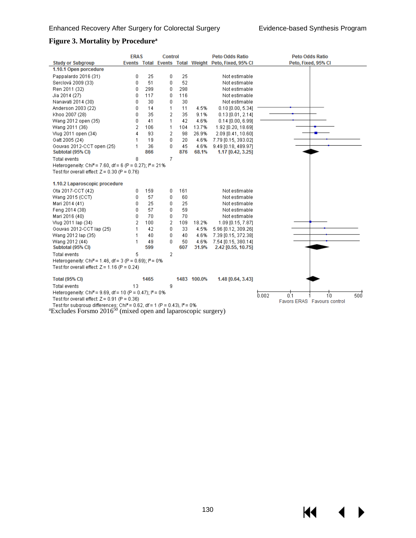$\blacktriangleright$ 

#### **Figure 3. Mortality by Procedurea**

|                                                                                                        | <b>ERAS</b>    |      | <b>Control</b> |     |             | <b>Peto Odds Ratio</b>                               | Peto Odds Ratio             |
|--------------------------------------------------------------------------------------------------------|----------------|------|----------------|-----|-------------|------------------------------------------------------|-----------------------------|
| <b>Study or Subgroup</b>                                                                               |                |      |                |     |             | Events Total Events Total Weight Peto, Fixed, 95% CI | Peto, Fixed, 95% CI         |
| 1.10.1 Open porcedure                                                                                  |                |      |                |     |             |                                                      |                             |
| Pappalardo 2016 (31)                                                                                   | 0              | 25   | 0              | 25  |             | Not estimable                                        |                             |
| Serclová 2009 (33)                                                                                     | 0              | 51   | 0              | 52  |             | Not estimable                                        |                             |
| Ren 2011 (32)                                                                                          | 0              | 299  | 0              | 298 |             | Not estimable                                        |                             |
| Jia 2014 (27)                                                                                          | 0              | 117  | 0              | 116 |             | Not estimable                                        |                             |
| Nanavati 2014 (30)                                                                                     | 0              | 30   | 0              | 30  |             | Not estimable                                        |                             |
| Anderson 2003 (22)                                                                                     | 0              | 14   | 1              | 11  | 4.5%        | $0.10$ [0.00, 5.34]                                  |                             |
| Khoo 2007 (28)                                                                                         | 0              | 35   | 2              | 35  | 9.1%        | $0.13$ [0.01, 2.14]                                  |                             |
| Wang 2012 open (35)                                                                                    | 0              | 41   | 1              | 42  | 4.6%        | $0.14$ [0.00, 6.99]                                  |                             |
| Wang 2011 (36)                                                                                         | 2              | 106  | 1              | 104 | 13.7%       | 1.92 [0.20, 18.69]                                   |                             |
| Vlug 2011 open (34)                                                                                    | 4              | 93   | 2              | 98  | 26.9%       | 2.09 [0.41, 10.60]                                   |                             |
| Gatt 2005 (24)                                                                                         | 1              | 19   | 0              | 20  | 4.6%        | 7.79 [0.15, 393.02]                                  |                             |
| Gouvas 2012-CCT open (25)                                                                              | 1              | 36   | 0              | 45  | 4.6%        | 9.49 [0.18, 489.97]                                  |                             |
| Subtotal (95% CI)                                                                                      |                | 866  |                | 876 | 68.1%       | 1.17 [0.42, 3.25]                                    |                             |
| Total events                                                                                           | 8              |      | 7              |     |             |                                                      |                             |
| Heterogeneity: Chi <sup>2</sup> = 7.60, df = 6 (P = 0.27); $P = 21\%$                                  |                |      |                |     |             |                                                      |                             |
| Test for overall effect: $Z = 0.30$ (P = 0.76)                                                         |                |      |                |     |             |                                                      |                             |
|                                                                                                        |                |      |                |     |             |                                                      |                             |
| 1.10.2 Laparoscopic procedure                                                                          |                |      |                |     |             |                                                      |                             |
| Ota 2017-CCT (42)                                                                                      | 0              | 159  | 0              | 161 |             | Not estimable                                        |                             |
| Wang 2015 (CCT)                                                                                        | 0              | 57   | 0              | 60  |             | Not estimable                                        |                             |
| Mari 2014 (41)                                                                                         | 0              | 25   | 0              | 25  |             | Not estimable                                        |                             |
| Feng 2014 (38)                                                                                         | 0              | 57   | 0              | 59  |             | Not estimable                                        |                             |
| Mari 2016 (40)                                                                                         | 0              | 70   | 0              | 70  |             | Not estimable                                        |                             |
| Vlug 2011 lap (34)                                                                                     | $\overline{2}$ | 100  | 2              | 109 | 18.2%       | 1.09 [0.15, 7.87]                                    |                             |
| Gouvas 2012-CCT lap (25)                                                                               | 1              | 42   | 0              | 33  | 4.5%        | 5.96 [0.12, 309.26]                                  |                             |
| Wang 2012 lap (35)                                                                                     | 1              | 40   | 0              | 40  | 4.6%        | 7.39 [0.15, 372.38]                                  |                             |
| Wang 2012 (44)                                                                                         | 1              | 49   | 0              | 50  | 4.6%        | 7.54 [0.15, 380.14]                                  |                             |
| Subtotal (95% CI)                                                                                      |                | 599  |                | 607 | 31.9%       | 2.42 [0.55, 10.75]                                   |                             |
| Total events                                                                                           | 5              |      | 2              |     |             |                                                      |                             |
| Heterogeneity: Chi <sup>2</sup> = 1.46, df = 3 (P = 0.69); $P = 0\%$                                   |                |      |                |     |             |                                                      |                             |
| Test for overall effect: $Z = 1.16$ (P = 0.24)                                                         |                |      |                |     |             |                                                      |                             |
|                                                                                                        |                |      |                |     |             |                                                      |                             |
| <b>Total (95% CI)</b>                                                                                  |                | 1465 |                |     | 1483 100.0% | 1.48 [0.64, 3.43]                                    |                             |
| Total events                                                                                           | 13             |      | 9              |     |             |                                                      |                             |
| Heterogeneity: Chi <sup>2</sup> = 9.69, df = 10 (P = 0.47); $P = 0$ %                                  |                |      |                |     |             |                                                      | 0.002<br>500<br>0.1<br>i'n  |
| Test for overall effect: $Z = 0.91$ (P = 0.36)                                                         |                |      |                |     |             |                                                      | Favors ERAS Favours control |
| Test for subgroup differences: Chi <sup>2</sup> = 0.62, df = 1 (P = 0.43), $I^2$ = 0%<br>$20.4 - 50.4$ |                |      |                |     |             |                                                      |                             |

 ${}^{\text{a}}$ Excludes Forsmo 2016<sup>50</sup> (mixed open and laparoscopic surgery)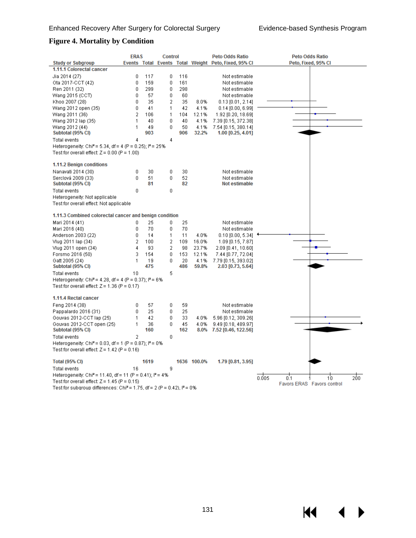K4

#### **Figure 4. Mortality by Condition**

|                                                                                      | <b>ERAS</b>               |          | <b>Control</b> |          |             | <b>Peto Odds Ratio</b>                               | <b>Peto Odds Ratio</b>     |
|--------------------------------------------------------------------------------------|---------------------------|----------|----------------|----------|-------------|------------------------------------------------------|----------------------------|
| <b>Study or Subgroup</b>                                                             |                           |          |                |          |             | Events Total Events Total Weight Peto, Fixed, 95% CI | Peto, Fixed, 95% CI        |
| 1.11.1 Colorectal cancer                                                             |                           |          |                |          |             |                                                      |                            |
| Jia 2014 (27)                                                                        | 0                         | 117      | 0              | 116      |             | Not estimable                                        |                            |
| Ota 2017-CCT (42)                                                                    | 0                         | 159      | 0              | 161      |             | Not estimable                                        |                            |
| Ren 2011 (32)                                                                        | 0                         | 299      | 0              | 298      |             | Not estimable                                        |                            |
| Wang 2015 (CCT)                                                                      | 0                         | 57       | 0              | 60       |             | Not estimable                                        |                            |
| Khoo 2007 (28)                                                                       | 0                         | 35       | 2              | 35       | 8.0%        | $0.13$ [0.01, 2.14]                                  |                            |
| Wang 2012 open (35)                                                                  | $\overline{0}$            | 41       | 1              | 42       | 4.1%        | $0.14$ [0.00, 6.99]                                  |                            |
| Wang 2011 (36)                                                                       | 2                         | 106      | 1              | 104      | 12.1%       | 1.92 [0.20, 18.69]                                   |                            |
| Wang 2012 lap (35)                                                                   | 1                         | 40       | 0              | 40       | 4.1%        | 7.39 [0.15, 372.38]                                  |                            |
| Wang 2012 (44)                                                                       | 1                         | 49       | 0              | 50       | 4.1%        | 7.54 [0.15, 380.14]                                  |                            |
| Subtotal (95% CI)                                                                    |                           | 903      |                | 906      | 32.2%       | $1.00$ [0.25, 4.01]                                  |                            |
| Total events                                                                         | 4                         |          | 4              |          |             |                                                      |                            |
| Heterogeneity: Chi <sup>2</sup> = 5.34, df = 4 (P = 0.25); $P = 25\%$                |                           |          |                |          |             |                                                      |                            |
| Test for overall effect: $Z = 0.00$ (P = 1.00)                                       |                           |          |                |          |             |                                                      |                            |
|                                                                                      |                           |          |                |          |             |                                                      |                            |
| <b>1.11.2 Benign conditions</b>                                                      |                           |          |                |          |             |                                                      |                            |
| Nanavati 2014 (30)                                                                   | 0                         | 30       | 0              | 30       |             | Not estimable                                        |                            |
| Serclová 2009 (33)                                                                   | 0                         | 51       | 0              | 52       |             | Not estimable                                        |                            |
| Subtotal (95% CI)                                                                    |                           | 81       |                | 82       |             | Not estimable                                        |                            |
| Total events                                                                         | 0                         |          | 0              |          |             |                                                      |                            |
| Heterogeneity: Not applicable                                                        |                           |          |                |          |             |                                                      |                            |
| Test for overall effect: Not applicable                                              |                           |          |                |          |             |                                                      |                            |
| 1.11.3 Combined colorectal cancer and benign condition                               |                           |          |                |          |             |                                                      |                            |
|                                                                                      |                           |          |                |          |             |                                                      |                            |
| Mari 2014 (41)                                                                       | 0<br>0                    | 25<br>70 | 0<br>0         | 25<br>70 |             | Not estimable<br>Not estimable                       |                            |
| Mari 2016 (40)                                                                       | 0                         | 14       | 1              | 11       | 4.0%        |                                                      |                            |
| Anderson 2003 (22)<br>Vlug 2011 lap (34)                                             | $\overline{2}$            | 100      | $\overline{2}$ | 109      | 16.0%       | $0.10$ [0.00, 5.34] $\,$                             |                            |
| Vlug 2011 open (34)                                                                  | 4                         | 93       | 2              | 98       | 23.7%       | 1.09 [0.15, 7.87]<br>2.09 [0.41, 10.60]              |                            |
| Forsmo 2016 (50)                                                                     | 3                         | 154      | 0              | 153      | 12.1%       | 7.44 [0.77, 72.04]                                   |                            |
| Gatt 2005 (24)                                                                       | 1                         | 19       | 0              | 20       | 4.1%        | 7.79 [0.15, 393.02]                                  |                            |
| Subtotal (95% CI)                                                                    |                           | 475      |                | 486      | 59.8%       | 2.03 [0.73, 5.64]                                    |                            |
| Total events                                                                         | 10                        |          | 5              |          |             |                                                      |                            |
| Heterogeneity: Chi <sup>2</sup> = 4.28, df = 4 (P = 0.37); $P = 6\%$                 |                           |          |                |          |             |                                                      |                            |
| Test for overall effect: $Z = 1.36$ (P = 0.17)                                       |                           |          |                |          |             |                                                      |                            |
|                                                                                      |                           |          |                |          |             |                                                      |                            |
| 1.11.4 Rectal cancer                                                                 |                           |          |                |          |             |                                                      |                            |
| Feng 2014 (38)                                                                       | 0                         | 57       | 0              | 59       |             | Not estimable                                        |                            |
| Pappalardo 2016 (31)                                                                 | 0                         | 25       | 0              | 25       |             | Not estimable                                        |                            |
| Gouvas 2012-CCT lap (25)                                                             | 1                         | 42       | 0              | 33       | 4.0%        | 5.96 [0.12, 309.26]                                  |                            |
| Gouvas 2012-CCT open (25)                                                            | 1                         | 36       | 0              | 45       | 4.0%        | 9.49 [0.18, 489.97]                                  |                            |
| Subtotal (95% CI)                                                                    |                           | 160      |                | 162      |             | 8.0% 7.52 [0.46, 122.56]                             |                            |
| Total events                                                                         | $\overline{2}$            |          | 0              |          |             |                                                      |                            |
| Heterogeneity: Chi <sup>2</sup> = 0.03, df = 1 (P = 0.87); $P = 0\%$                 |                           |          |                |          |             |                                                      |                            |
| Test for overall effect: $Z = 1.42$ (P = 0.16)                                       |                           |          |                |          |             |                                                      |                            |
|                                                                                      |                           |          |                |          |             |                                                      |                            |
| <b>Total (95% CI)</b>                                                                |                           | 1619     |                |          | 1636 100.0% | 1.79 [0.81, 3.95]                                    |                            |
| Total events                                                                         | 16                        |          | 9              |          |             |                                                      |                            |
| Heterogeneity: Chi <sup>2</sup> = 11.40, df = 11 (P = 0.41); $I^2$ = 4%              | 0.005<br>200<br>0.1<br>10 |          |                |          |             |                                                      |                            |
| Test for overall effect: $Z = 1.45$ (P = 0.15)                                       |                           |          |                |          |             |                                                      | Favors ERAS Favors control |
| Test for subgroup differences: Chi <sup>2</sup> = 1.75, df = 2 (P = 0.42), $P = 0\%$ |                           |          |                |          |             |                                                      |                            |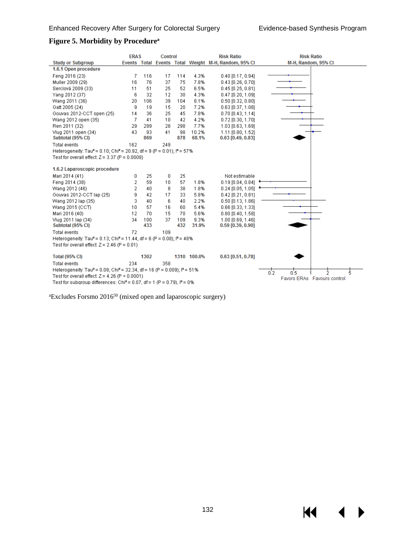$M = 1$ 

 $\blacktriangleright$ 

#### **Figure 5. Morbidity by Procedurea**

|                                                                                                           | <b>ERAS</b>    |      | <b>Control</b> |     |             | <b>Risk Ratio</b>                                    | <b>Risk Ratio</b>            |
|-----------------------------------------------------------------------------------------------------------|----------------|------|----------------|-----|-------------|------------------------------------------------------|------------------------------|
| <b>Study or Subgroup</b>                                                                                  |                |      |                |     |             | Events Total Events Total Weight M-H, Random, 95% CI | M-H, Random, 95% CI          |
| 1.6.1 Open procedure                                                                                      |                |      |                |     |             |                                                      |                              |
| Fena 2016 (23)                                                                                            | 7              | 116  | 17             | 114 | 4.3%        | $0.40$ [0.17, 0.94]                                  |                              |
| Muller 2009 (29)                                                                                          | 16             | 76   | 37             | 75  | 7.8%        | $0.43$ [0.26, 0.70]                                  |                              |
| Serclová 2009 (33)                                                                                        | 11             | 51   | 25             | 52  | 6.5%        | $0.45$ [0.25, 0.81]                                  |                              |
| Yang 2012 (37)                                                                                            | 6              | 32   | 12             | 30  | 4.3%        | $0.47$ [0.20, 1.09]                                  |                              |
| Wang 2011 (36)                                                                                            | 20             | 106  | 39             | 104 | 8.1%        | $0.50$ [0.32, 0.80]                                  |                              |
| Gatt 2005 (24)                                                                                            | 9              | 19   | 15             | 20  | 7.2%        | $0.63$ [0.37, 1.08]                                  |                              |
| Gouvas 2012-CCT open (25)                                                                                 | 14             | 36   | 25             | 45  | 7.8%        | $0.70$ [0.43, 1.14]                                  |                              |
| Wang 2012 open (35)                                                                                       | 7              | 41   | 10             | 42  | 4.2%        | $0.72$ [0.30, 1.70]                                  |                              |
| Ren 2011 (32)                                                                                             | 29             | 299  | 28             | 298 | 7.7%        | 1.03 [0.63, 1.69]                                    |                              |
| Vlug 2011 open (34)                                                                                       | 43             | 93   | 41             | 98  | 10.2%       | 1.11 [0.80, 1.52]                                    |                              |
| Subtotal (95% CI)                                                                                         |                | 869  |                | 878 | 68.1%       | $0.63$ [0.49, 0.83]                                  |                              |
| <b>Total events</b>                                                                                       | 162            |      | 249            |     |             |                                                      |                              |
| Heterogeneity: Tau <sup>2</sup> = 0.10; Chi <sup>2</sup> = 20.92, df = 9 (P = 0.01); l <sup>2</sup> = 57% |                |      |                |     |             |                                                      |                              |
| Test for overall effect: $Z = 3.37$ (P = 0.0008)                                                          |                |      |                |     |             |                                                      |                              |
|                                                                                                           |                |      |                |     |             |                                                      |                              |
| 1.6.2 Laparoscopic procedure                                                                              |                |      |                |     |             |                                                      |                              |
| Mari 2014 (41)                                                                                            | 0              | 25   | 0              | 25  |             | Not estimable                                        |                              |
| Feng 2014 (38)                                                                                            | $\overline{2}$ | 59   | 10             | 57  | 1.8%        | $0.19$ [0.04, 0.84]                                  |                              |
| Wang 2012 (46)                                                                                            | 2              | 40   | 8              | 38  | 1.8%        | $0.24$ [0.05, 1.05]                                  |                              |
| Gouvas 2012-CCT lap (25)                                                                                  | g              | 42   | 17             | 33  | 5.8%        | 0.42 [0.21, 0.81]                                    |                              |
| Wang 2012 lap (35)                                                                                        | 3              | 40   | 6              | 40  | 2.2%        | $0.50$ [0.13, 1.86]                                  |                              |
| Wang 2015 (CCT)                                                                                           | 10             | 57   | 16             | 60  | 5.4%        | $0.66$ [0.33, 1.33]                                  |                              |
| Mari 2016 (40)                                                                                            | 12             | 70   | 15             | 70  | 5.6%        | $0.80$ [0.40, 1.58]                                  |                              |
| Vlug 2011 lap (34)                                                                                        | 34             | 100  | 37             | 109 | 9.3%        | 1.00 [0.69, 1.46]                                    |                              |
| Subtotal (95% CI)                                                                                         |                | 433  |                | 432 | 31.9%       | $0.59$ [0.39, 0.90]                                  |                              |
| <b>Total events</b>                                                                                       | 72             |      | 109            |     |             |                                                      |                              |
| Heterogeneity: Tau <sup>2</sup> = 0.13; Chi <sup>2</sup> = 11.44, df = 6 (P = 0.08); $P = 48\%$           |                |      |                |     |             |                                                      |                              |
| Test for overall effect: $Z = 2.46$ (P = 0.01)                                                            |                |      |                |     |             |                                                      |                              |
|                                                                                                           |                |      |                |     |             |                                                      |                              |
| <b>Total (95% CI)</b>                                                                                     |                | 1302 |                |     | 1310 100.0% | $0.63$ [0.51, 0.78]                                  |                              |
| Total events                                                                                              | 234            |      | 358            |     |             |                                                      |                              |
| Heterogeneity: Tau <sup>2</sup> = 0.09; Chi <sup>2</sup> = 32.34, df = 16 (P = 0.009); $P = 51\%$         |                |      |                |     |             |                                                      | $\overline{0.2}$<br>0.5<br>2 |
| Test for overall effect: $Z = 4.26$ (P < 0.0001)                                                          |                |      |                |     |             |                                                      | Favors ERAs Favours control  |
| Test for subgroup differences: Chi <sup>2</sup> = 0.07, df = 1 (P = 0.79), $I^2 = 0\%$                    |                |      |                |     |             |                                                      |                              |

 ${}^{\text{a}}$ Excludes Forsmo 2016<sup>50</sup> (mixed open and laparoscopic surgery)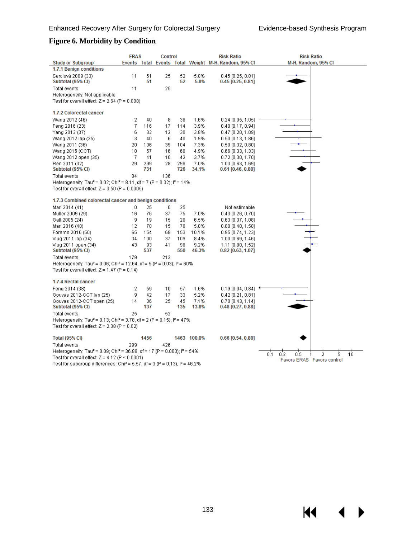$\blacklozenge$ 

 $\blacktriangleright$ 

**K4** 

### **Figure 6. Morbidity by Condition**

|                                                                                                   | <b>ERAS</b> |      | <b>Control</b> |     |             | <b>Risk Ratio</b>                                    | <b>Risk Ratio</b>                  |
|---------------------------------------------------------------------------------------------------|-------------|------|----------------|-----|-------------|------------------------------------------------------|------------------------------------|
| <b>Study or Subgroup</b>                                                                          |             |      |                |     |             | Events Total Events Total Weight M-H, Random, 95% CI | M-H, Random, 95% CI                |
| 1.7.1 Benign conditions                                                                           |             |      |                |     |             |                                                      |                                    |
| Serclová 2009 (33)                                                                                | 11          | 51   | 25             | 52  | 5.8%        | $0.45$ [0.25, 0.81]                                  |                                    |
| Subtotal (95% CI)                                                                                 |             | 51   |                | 52  | 5.8%        | $0.45$ [0.25, 0.81]                                  |                                    |
| <b>Total events</b>                                                                               | 11          |      | 25             |     |             |                                                      |                                    |
| Heterogeneity: Not applicable                                                                     |             |      |                |     |             |                                                      |                                    |
| Test for overall effect: $Z = 2.64$ (P = 0.008)                                                   |             |      |                |     |             |                                                      |                                    |
| 1.7.2 Colorectal cancer                                                                           |             |      |                |     |             |                                                      |                                    |
| Wang 2012 (46)                                                                                    | 2           | 40   | 8              | 38  | 1.6%        | $0.24$ [0.05, 1.05]                                  |                                    |
| Feng 2016 (23)                                                                                    | 7           | 116  | 17             | 114 | 3.9%        | $0.40$ [0.17, 0.94]                                  |                                    |
| Yang 2012 (37)                                                                                    | 6           | 32   | 12             | 30  | 3.8%        | $0.47$ [0.20, 1.09]                                  |                                    |
| Wang 2012 lap (35)                                                                                | 3           | 40   | 6              | 40  | 1.9%        | $0.50$ [0.13, 1.86]                                  |                                    |
| Wang 2011 (36)                                                                                    | 20          | 106  | 39             | 104 | 7.3%        | $0.50$ [0.32, 0.80]                                  |                                    |
| Wang 2015 (CCT)                                                                                   | 10          | 57   | 16             | 60  | 4.9%        | 0.66 [0.33, 1.33]                                    |                                    |
| Wang 2012 open (35)                                                                               | 7           | 41   | 10             | 42  | 3.7%        | $0.72$ [0.30, 1.70]                                  |                                    |
| Ren 2011 (32)                                                                                     | 29          | 299  | 28             | 298 | 7.0%        | 1.03 [0.63, 1.69]                                    |                                    |
| Subtotal (95% CI)                                                                                 |             | 731  |                | 726 | 34.1%       | $0.61$ [0.46, 0.80]                                  |                                    |
| Total events                                                                                      | 84          |      | 136            |     |             |                                                      |                                    |
| Heterogeneity: Tau <sup>2</sup> = 0.02; Chi <sup>2</sup> = 8.11, df = 7 (P = 0.32); $P = 14\%$    |             |      |                |     |             |                                                      |                                    |
| Test for overall effect: $Z = 3.50$ (P = 0.0005)                                                  |             |      |                |     |             |                                                      |                                    |
|                                                                                                   |             |      |                |     |             |                                                      |                                    |
| 1.7.3 Combined colorectal cancer and benign conditions                                            |             |      |                |     |             |                                                      |                                    |
| Mari 2014 (41)                                                                                    | 0           | 25   | 0              | 25  |             | Not estimable                                        |                                    |
| Muller 2009 (29)                                                                                  | 16          | 76   | 37             | 75  | 7.0%        | $0.43$ [0.26, 0.70]                                  |                                    |
| Gatt 2005 (24)                                                                                    | 9           | 19   | 15             | 20  | 6.5%        | $0.63$ [0.37, 1.08]                                  |                                    |
| Mari 2016 (40)                                                                                    | 12          | 70   | 15             | 70  | 5.0%        | $0.80$ [0.40, 1.58]                                  |                                    |
| Forsmo 2016 (50)                                                                                  | 65          | 154  | 68             | 153 | 10.1%       | $0.95$ [0.74, 1.23]                                  |                                    |
| Vlug 2011 lap (34)                                                                                | 34          | 100  | 37             | 109 | 8.4%        | 1.00 [0.69, 1.46]                                    |                                    |
| Vlug 2011 open (34)                                                                               | 43          | 93   | 41             | 98  | 9.2%        | 1.11 [0.80, 1.52]                                    |                                    |
| Subtotal (95% CI)                                                                                 |             | 537  |                | 550 | 46.3%       | $0.82$ [0.63, 1.07]                                  |                                    |
| <b>Total events</b>                                                                               | 179         |      | 213            |     |             |                                                      |                                    |
| Heterogeneity: Tau <sup>2</sup> = 0.06; Chi <sup>2</sup> = 12.64, df = 5 (P = 0.03); $P = 60\%$   |             |      |                |     |             |                                                      |                                    |
| Test for overall effect: $Z = 1.47$ (P = 0.14)                                                    |             |      |                |     |             |                                                      |                                    |
|                                                                                                   |             |      |                |     |             |                                                      |                                    |
| 1.7.4 Rectal cancer                                                                               |             |      |                |     |             |                                                      |                                    |
| Feng 2014 (38)                                                                                    | 2           | 59   | 10             | 57  | 1.6%        | $0.19$ [ $0.04$ , $0.84$ ]                           |                                    |
| Gouvas 2012-CCT lap (25)                                                                          | 9           | 42   | 17             | 33  | 5.2%        | $0.42$ [0.21, 0.81]                                  |                                    |
| Gouvas 2012-CCT open (25)                                                                         | 14          | 36   | 25             | 45  | 7.1%        | 0.70 [0.43, 1.14]                                    |                                    |
| Subtotal (95% CI)                                                                                 |             | 137  |                | 135 | 13.8%       | $0.48$ [0.27, 0.88]                                  |                                    |
| <b>Total events</b>                                                                               | 25          |      | 52             |     |             |                                                      |                                    |
| Heterogeneity: Tau <sup>2</sup> = 0.13; Chi <sup>2</sup> = 3.78, df = 2 (P = 0.15); $P = 47\%$    |             |      |                |     |             |                                                      |                                    |
| Test for overall effect: $Z = 2.38$ (P = 0.02)                                                    |             |      |                |     |             |                                                      |                                    |
| <b>Total (95% CI)</b>                                                                             |             | 1456 |                |     | 1463 100.0% | $0.66$ [0.54, 0.80]                                  |                                    |
| <b>Total events</b>                                                                               | 299         |      | 426            |     |             |                                                      |                                    |
| Heterogeneity: Tau <sup>2</sup> = 0.09; Chi <sup>2</sup> = 36.88, df = 17 (P = 0.003); $P = 54\%$ |             |      |                |     |             |                                                      |                                    |
| Test for overall effect: $Z = 4.12$ (P < 0.0001)                                                  |             |      |                |     |             |                                                      | 0.1<br>0.2<br>5.<br>0.5<br>Ż<br>10 |
| Test for subgroup differences: Chi <sup>2</sup> = 5.57, df = 3 (P = 0.13), $P = 46.2\%$           |             |      |                |     |             |                                                      | Favors ERAS Favors control         |
|                                                                                                   |             |      |                |     |             |                                                      |                                    |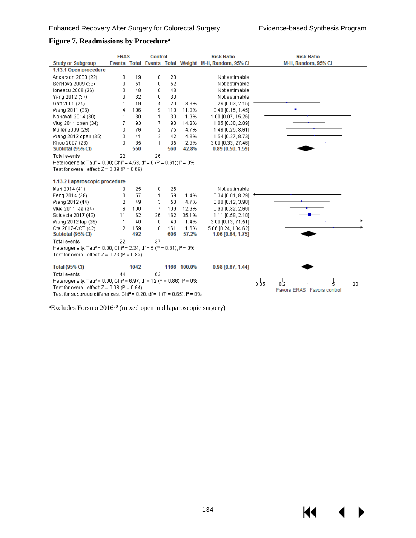$\blacktriangleright$ 

#### **Figure 7. Readmissions by Procedurea**

|                                                                                                         | <b>ERAS</b> |            | <b>Control</b> |            |               | <b>Risk Ratio</b>                                    | <b>Risk Ratio</b>                    |
|---------------------------------------------------------------------------------------------------------|-------------|------------|----------------|------------|---------------|------------------------------------------------------|--------------------------------------|
| <b>Study or Subgroup</b>                                                                                |             |            |                |            |               | Events Total Events Total Weight M-H, Random, 95% CI | M-H, Random, 95% CI                  |
| 1.13.1 Open procedure                                                                                   |             |            |                |            |               |                                                      |                                      |
| Anderson 2003 (22)                                                                                      | 0           | 19         | 0.             | 20         |               | Not estimable                                        |                                      |
| Serclová 2009 (33)                                                                                      | 0           | 51         | 0              | 52         |               | Not estimable                                        |                                      |
| Ionescu 2009 (26)                                                                                       | 0           | 48         | 0              | 48         |               | Not estimable                                        |                                      |
| Yang 2012 (37)                                                                                          | Ū           | 32         | 0              | 30         |               | Not estimable                                        |                                      |
| Gatt 2005 (24)                                                                                          | 1           | 19         | 4              | 20         | 3.3%          | 0.26 [0.03, 2.15]                                    |                                      |
| Wang 2011 (36)                                                                                          | 4           | 106        | 9              | 110        | 11.0%         | $0.46$ [0.15, 1.45]                                  |                                      |
| Nanavati 2014 (30)                                                                                      | 1           | 30         | 1              | 30         | 1.9%          | 1.00 [0.07, 15.26]                                   |                                      |
| Vlug 2011 open (34)                                                                                     | 7           | 93         | 7              | 98         | 14.2%         | 1.05 [0.38, 2.89]                                    |                                      |
| Muller 2009 (29)                                                                                        | 3           | 76         | 2              | 75         | 4.7%          | 1.48 [0.25, 8.61]                                    |                                      |
| Wang 2012 open (35)                                                                                     | 3           | 41         | 2              | 42         | 4.8%          | 1.54 [0.27, 8.73]                                    |                                      |
| Khoo 2007 (28)                                                                                          | 3           | 35         | 1              | 35         | 2.9%          | 3.00 [0.33, 27.46]                                   |                                      |
| Subtotal (95% CI)                                                                                       |             | 550        |                | 560        | 42.8%         | $0.89$ [0.50, 1.59]                                  |                                      |
| Total events                                                                                            | 22          |            | 26             |            |               |                                                      |                                      |
| Heterogeneity: Tau <sup>2</sup> = 0.00; Chi <sup>2</sup> = 4.53, df = 6 (P = 0.61); i <sup>2</sup> = 0% |             |            |                |            |               |                                                      |                                      |
| Test for overall effect: $Z = 0.39$ (P = 0.69)                                                          |             |            |                |            |               |                                                      |                                      |
|                                                                                                         |             |            |                |            |               |                                                      |                                      |
| 1.13.2 Laparoscopic procedure                                                                           |             |            |                |            |               |                                                      |                                      |
| Mari 2014 (41)                                                                                          | 0           | 25         | 0              | 25         |               | Not estimable                                        |                                      |
| Feng 2014 (38)                                                                                          | 0           | 57         | 1              | 59         | 1.4%          | $0.34$ [0.01, 8.29]                                  |                                      |
| Wang 2012 (44)                                                                                          | 2           | 49         | 3              | 50         | 4.7%          | 0.68 [0.12, 3.90]                                    |                                      |
| Vlug 2011 lap (34)                                                                                      | 6           | 100        | 7              | 109        | 12.9%         | $0.93$ [0.32, 2.69]                                  |                                      |
| Scioscia 2017 (43)                                                                                      | 11          | 62         | 26             | 162        | 35.1%         | 1.11 [0.58, 2.10]                                    |                                      |
| Wang 2012 lap (35)                                                                                      | 1<br>2      | 40         | 0              | 40         | 1.4%          | 3.00 [0.13, 71.51]                                   |                                      |
| Ota 2017-CCT (42)<br>Subtotal (95% CI)                                                                  |             | 159<br>492 | 0              | 161<br>606 | 1.6%<br>57.2% | 5.06 [0.24, 104.62]<br>1.06 [0.64, 1.75]             |                                      |
| Total events                                                                                            | 22          |            | 37             |            |               |                                                      |                                      |
| Heterogeneity: Tau <sup>2</sup> = 0.00; Chi <sup>2</sup> = 2.24, df = 5 (P = 0.81); $P = 0\%$           |             |            |                |            |               |                                                      |                                      |
| Test for overall effect: $Z = 0.23$ (P = 0.82)                                                          |             |            |                |            |               |                                                      |                                      |
|                                                                                                         |             |            |                |            |               |                                                      |                                      |
| <b>Total (95% CI)</b>                                                                                   |             | 1042       |                |            | 1166 100.0%   | 0.98 [0.67, 1.44]                                    |                                      |
| Total events                                                                                            | 44          |            | 63             |            |               |                                                      |                                      |
| Heterogeneity: Tau <sup>2</sup> = 0.00; Chi <sup>2</sup> = 6.97, df = 12 (P = 0.86); $P = 0\%$          |             |            |                |            |               |                                                      | 20 <sub>1</sub><br>0.05<br>0.2<br>έ, |
| Test for overall effect: $Z = 0.08$ (P = 0.94)                                                          |             |            |                |            |               |                                                      | Favors ERAS Favors control           |
| Test for subgroup differences: Chi <sup>2</sup> = 0.20, df = 1 (P = 0.65), $P = 0\%$                    |             |            |                |            |               |                                                      |                                      |

 ${}^{\text{a}}$ Excludes Forsmo 2016<sup>50</sup> (mixed open and laparoscopic surgery)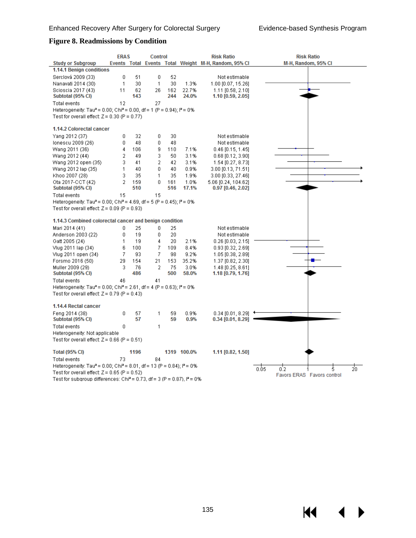K4

#### **Figure 8. Readmissions by Condition**

|                                                                                                         | <b>ERAS</b>    |      | <b>Control</b> |     |             | <b>Risk Ratio</b>                                    | <b>Risk Ratio</b>          |
|---------------------------------------------------------------------------------------------------------|----------------|------|----------------|-----|-------------|------------------------------------------------------|----------------------------|
| <b>Study or Subgroup</b>                                                                                |                |      |                |     |             | Events Total Events Total Weight M-H, Random, 95% CI | M-H, Random, 95% CI        |
| 1.14.1 Benign conditions                                                                                |                |      |                |     |             |                                                      |                            |
| Serclová 2009 (33)                                                                                      | 0              | 51   | 0              | 52  |             | Not estimable                                        |                            |
| Nanavati 2014 (30)                                                                                      | 1              | 30   | 1              | 30  | 1.3%        | 1.00 [0.07, 15.26]                                   |                            |
| Scioscia 2017 (43)                                                                                      | 11             | 62   | 26             | 162 | 22.7%       | 1.11 [0.58, 2.10]                                    |                            |
| Subtotal (95% CI)                                                                                       |                | 143  |                | 244 | 24.0%       | 1.10 [0.59, 2.05]                                    |                            |
| Total events                                                                                            | 12             |      | 27             |     |             |                                                      |                            |
| Heterogeneity: Tau <sup>2</sup> = 0.00; Chi <sup>2</sup> = 0.00, df = 1 (P = 0.94); $P = 0\%$           |                |      |                |     |             |                                                      |                            |
| Test for overall effect: $Z = 0.30$ (P = 0.77)                                                          |                |      |                |     |             |                                                      |                            |
| 1.14.2 Colorectal cancer                                                                                |                |      |                |     |             |                                                      |                            |
| Yang 2012 (37)                                                                                          | 0              | 32   | 0              | 30  |             | Not estimable                                        |                            |
| lonescu 2009 (26)                                                                                       | 0              | 48   | 0              | 48  |             | Not estimable                                        |                            |
| Wang 2011 (36)                                                                                          | 4              | 106  | g              | 110 | 7.1%        | $0.46$ [0.15, 1.45]                                  |                            |
| Wang 2012 (44)                                                                                          | 2              | 49   | 3              | 50  | 3.1%        | $0.68$ [0.12, 3.90]                                  |                            |
| Wang 2012 open (35)                                                                                     | 3              | 41   | 2              | 42  | 3.1%        | 1.54 [0.27, 8.73]                                    |                            |
| Wang 2012 lap (35)                                                                                      | 1              | 40   | 0              | 40  | 0.9%        | 3.00 [0.13, 71.51]                                   |                            |
| Khoo 2007 (28)                                                                                          | 3              | 35   | 1              | 35  | 1.9%        | 3.00 [0.33, 27.46]                                   |                            |
| Ota 2017-CCT (42)                                                                                       | $\overline{2}$ | 159  | 0              | 161 | 1.0%        | 5.06 [0.24, 104.62]                                  |                            |
| Subtotal (95% CI)                                                                                       |                | 510  |                | 516 | 17.1%       | $0.97$ [0.46, 2.02]                                  |                            |
| Total events                                                                                            | 15             |      | 15             |     |             |                                                      |                            |
| Heterogeneity: Tau <sup>2</sup> = 0.00; Chi <sup>2</sup> = 4.69, df = 5 (P = 0.45); l <sup>2</sup> = 0% |                |      |                |     |             |                                                      |                            |
| Test for overall effect: $Z = 0.09$ (P = 0.93)                                                          |                |      |                |     |             |                                                      |                            |
| 1.14.3 Combined colorectal cancer and benign condition                                                  |                |      |                |     |             |                                                      |                            |
| Mari 2014 (41)                                                                                          | 0              | 25   | 0              | 25  |             | Not estimable                                        |                            |
| Anderson 2003 (22)                                                                                      | 0              | 19   | 0              | 20  |             | Not estimable                                        |                            |
| Gatt 2005 (24)                                                                                          | 1              | 19   | 4              | 20  | 2.1%        | $0.26$ [0.03, 2.15]                                  |                            |
| Vlug 2011 lap (34)                                                                                      | 6              | 100  | 7              | 109 | 8.4%        | 0.93 [0.32, 2.69]                                    |                            |
| Vlug 2011 open (34)                                                                                     | 7              | 93   | 7              | 98  | 9.2%        | 1.05 [0.38, 2.89]                                    |                            |
| Forsmo 2016 (50)                                                                                        | 29             | 154  | 21             | 153 | 35.2%       | 1.37 [0.82, 2.30]                                    |                            |
| Muller 2009 (29)                                                                                        | 3              | 76   | 2              | 75  | 3.0%        | 1.48 [0.25, 8.61]                                    |                            |
| Subtotal (95% CI)                                                                                       |                | 486  |                | 500 | 58.0%       | 1.18 [0.79, 1.76]                                    |                            |
| Total events                                                                                            | 46             |      | 41             |     |             |                                                      |                            |
| Heterogeneity: Tau <sup>2</sup> = 0.00; Chi <sup>2</sup> = 2.61, df = 4 (P = 0.63); l <sup>2</sup> = 0% |                |      |                |     |             |                                                      |                            |
| Test for overall effect: $Z = 0.79$ (P = 0.43)                                                          |                |      |                |     |             |                                                      |                            |
| 1.14.4 Rectal cancer                                                                                    |                |      |                |     |             |                                                      |                            |
| Feng 2014 (38)                                                                                          | 0              | 57   | 1              | 59  | 0.9%        | $0.34$ [0.01, 8.29]                                  |                            |
| Subtotal (95% CI)                                                                                       |                | 57   |                | 59  | 0.9%        | $0.34$ [0.01, 8.29]                                  |                            |
| Total events                                                                                            | 0              |      | 1              |     |             |                                                      |                            |
| Heterogeneity: Not applicable                                                                           |                |      |                |     |             |                                                      |                            |
| Test for overall effect: $Z = 0.66$ (P = 0.51)                                                          |                |      |                |     |             |                                                      |                            |
| <b>Total (95% CI)</b>                                                                                   |                | 1196 |                |     | 1319 100.0% | 1.11 [0.82, 1.50]                                    |                            |
| <b>Total events</b>                                                                                     | 73             |      | 84             |     |             |                                                      |                            |
| Heterogeneity: Tau <sup>2</sup> = 0.00; Chi <sup>2</sup> = 8.01, df = 13 (P = 0.84); $P = 0\%$          |                |      |                |     |             |                                                      | 0.05<br>20<br>0.2<br>5     |
| Test for overall effect: $Z = 0.65$ (P = 0.52)                                                          |                |      |                |     |             |                                                      | Favors ERAS Favors control |
| Toet for eubaroun differencee: Chi3 – 0.72. df – 2./P – 0.97). I3 – 0%.                                 |                |      |                |     |             |                                                      |                            |

Test for subgroup differences: Chi<sup>2</sup> = 0.73, df = 3 (P = 0.87),  $P = 0\%$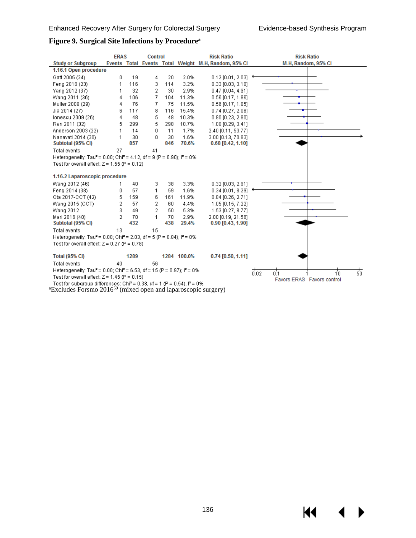$\blacktriangleright$ 

#### **Figure 9. Surgical Site Infections by Procedurea**

|                                                                                                         | <b>ERAS</b> |      | <b>Control</b> |     |             | <b>Risk Ratio</b>                                    | <b>Risk Ratio</b>                  |
|---------------------------------------------------------------------------------------------------------|-------------|------|----------------|-----|-------------|------------------------------------------------------|------------------------------------|
| <b>Study or Subgroup</b>                                                                                |             |      |                |     |             | Events Total Events Total Weight M-H, Random, 95% CI | M-H, Random, 95% CI                |
| 1.16.1 Open procedure                                                                                   |             |      |                |     |             |                                                      |                                    |
| Gatt 2005 (24)                                                                                          | 0           | 19   | 4              | 20  | 2.0%        | $0.12$ [0.01, 2.03]                                  |                                    |
| Feng 2016 (23)                                                                                          | 1           | 116  | 3              | 114 | 3.2%        | $0.33$ [0.03, 3.10]                                  |                                    |
| Yang 2012 (37)                                                                                          | 1           | 32   | 2              | 30  | 2.9%        | $0.47$ [0.04, 4.91]                                  |                                    |
| Wang 2011 (36)                                                                                          | 4           | 106  | 7              | 104 | 11.3%       | $0.56$ [0.17, 1.86]                                  |                                    |
| Muller 2009 (29)                                                                                        | 4           | 76   | 7              | 75  | 11.5%       | $0.56$ [0.17, 1.85]                                  |                                    |
| Jia 2014 (27)                                                                                           | 6           | 117  | 8              | 116 | 15.4%       | $0.74$ [0.27, 2.08]                                  |                                    |
| Ionescu 2009 (26)                                                                                       | 4           | 48   | 5              | 48  | 10.3%       | $0.80$ [0.23, 2.80]                                  |                                    |
| Ren 2011 (32)                                                                                           | 5           | 299  | 5              | 298 | 10.7%       | 1.00 [0.29, 3.41]                                    |                                    |
| Anderson 2003 (22)                                                                                      | 1           | 14   | 0              | 11  | 1.7%        | 2.40 [0.11, 53.77]                                   |                                    |
| Nanavati 2014 (30)                                                                                      | 1           | 30   | 0              | 30  | 1.6%        | 3.00 [0.13, 70.83]                                   |                                    |
| Subtotal (95% CI)                                                                                       |             | 857  |                | 846 | 70.6%       | $0.68$ [0.42, 1.10]                                  |                                    |
| <b>Total events</b>                                                                                     | 27          |      | 41             |     |             |                                                      |                                    |
| Heterogeneity: Tau <sup>2</sup> = 0.00; Chi <sup>2</sup> = 4.12, df = 9 (P = 0.90); l <sup>2</sup> = 0% |             |      |                |     |             |                                                      |                                    |
| Test for overall effect: $Z = 1.55$ (P = 0.12)                                                          |             |      |                |     |             |                                                      |                                    |
| 1.16.2 Laparoscopic procedure                                                                           |             |      |                |     |             |                                                      |                                    |
| Wang 2012 (46)                                                                                          | 1           | 40   | 3              | 38  | 3.3%        | $0.32$ [0.03, 2.91]                                  |                                    |
| Feng 2014 (38)                                                                                          | 0           | 57   | 1              | 59  | 1.6%        | $0.34$ [0.01, 8.29]                                  |                                    |
| Ota 2017-CCT (42)                                                                                       | 5           | 159  | 6              | 161 | 11.9%       | $0.84$ [0.26, 2.71]                                  |                                    |
| Wang 2015 (CCT)                                                                                         | 2           | 57   | 2              | 60  | 4.4%        | 1.05 [0.15, 7.22]                                    |                                    |
| Wang 2012                                                                                               | 3           | 49   | $\overline{2}$ | 50  | 5.3%        | 1.53 [0.27, 8.77]                                    |                                    |
| Mari 2016 (40)                                                                                          | 2           | 70   | 1              | 70  | 2.9%        | 2.00 [0.19, 21.56]                                   |                                    |
| Subtotal (95% CI)                                                                                       |             | 432  |                | 438 | 29.4%       | $0.90$ [0.43, 1.90]                                  |                                    |
| <b>Total events</b>                                                                                     | 13          |      | 15             |     |             |                                                      |                                    |
| Heterogeneity: Tau <sup>2</sup> = 0.00; Chi <sup>2</sup> = 2.03, df = 5 (P = 0.84); $P = 0\%$           |             |      |                |     |             |                                                      |                                    |
| Test for overall effect: $Z = 0.27$ (P = 0.78)                                                          |             |      |                |     |             |                                                      |                                    |
|                                                                                                         |             |      |                |     |             |                                                      |                                    |
| <b>Total (95% CI)</b>                                                                                   |             | 1289 |                |     | 1284 100.0% | $0.74$ [0.50, 1.11]                                  |                                    |
| <b>Total events</b>                                                                                     | 40          |      | 56             |     |             |                                                      |                                    |
| Heterogeneity: Tau <sup>2</sup> = 0.00; Chi <sup>2</sup> = 6.53, df = 15 (P = 0.97); $P = 0\%$          |             |      |                |     |             |                                                      | 志<br>$\frac{1}{0.02}$<br>0.1<br>10 |
| Test for overall effect: $Z = 1.45$ (P = 0.15)                                                          |             |      |                |     |             |                                                      | Favors ERAS Favors control         |
| Test for subgroup differences: Chi <sup>2</sup> = 0.38, df = 1 (P = 0.54), $I^2$ = 0%                   |             |      |                |     |             |                                                      |                                    |

<sup>a</sup>Excludes Forsmo 2016<sup>50</sup> (mixed open and laparoscopic surgery)